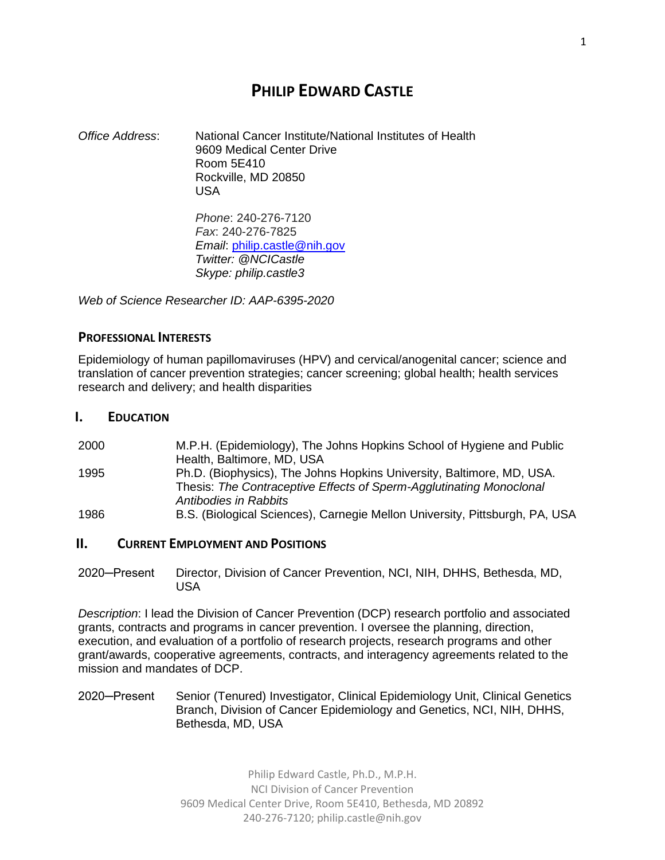# **PHILIP EDWARD CASTLE**

*Office Address*: National Cancer Institute/National Institutes of Health 9609 Medical Center Drive Room 5E410 Rockville, MD 20850 USA

*Phone*: 240-276-7120 *Fax*: 240-276-7825 *Email*: [philip.castle@nih.gov](mailto:philip.castle@nih.gov) *Twitter: @NCICastle Skype: philip.castle3*

*Web of Science Researcher ID: AAP-6395-2020*

#### **PROFESSIONAL INTERESTS**

Epidemiology of human papillomaviruses (HPV) and cervical/anogenital cancer; science and translation of cancer prevention strategies; cancer screening; global health; health services research and delivery; and health disparities

#### **I. EDUCATION**

2000 M.P.H. (Epidemiology), The Johns Hopkins School of Hygiene and Public Health, Baltimore, MD, USA 1995 Ph.D. (Biophysics), The Johns Hopkins University, Baltimore, MD, USA. Thesis: *The Contraceptive Effects of Sperm-Agglutinating Monoclonal Antibodies in Rabbits* 1986 B.S. (Biological Sciences), Carnegie Mellon University, Pittsburgh, PA, USA

### **II. CURRENT EMPLOYMENT AND POSITIONS**

2020─Present Director, Division of Cancer Prevention, NCI, NIH, DHHS, Bethesda, MD, USA

*Description*: I lead the Division of Cancer Prevention (DCP) research portfolio and associated grants, contracts and programs in cancer prevention. I oversee the planning, direction, execution, and evaluation of a portfolio of research projects, research programs and other grant/awards, cooperative agreements, contracts, and interagency agreements related to the mission and mandates of DCP.

2020─Present Senior (Tenured) Investigator, Clinical Epidemiology Unit, Clinical Genetics Branch, Division of Cancer Epidemiology and Genetics, NCI, NIH, DHHS, Bethesda, MD, USA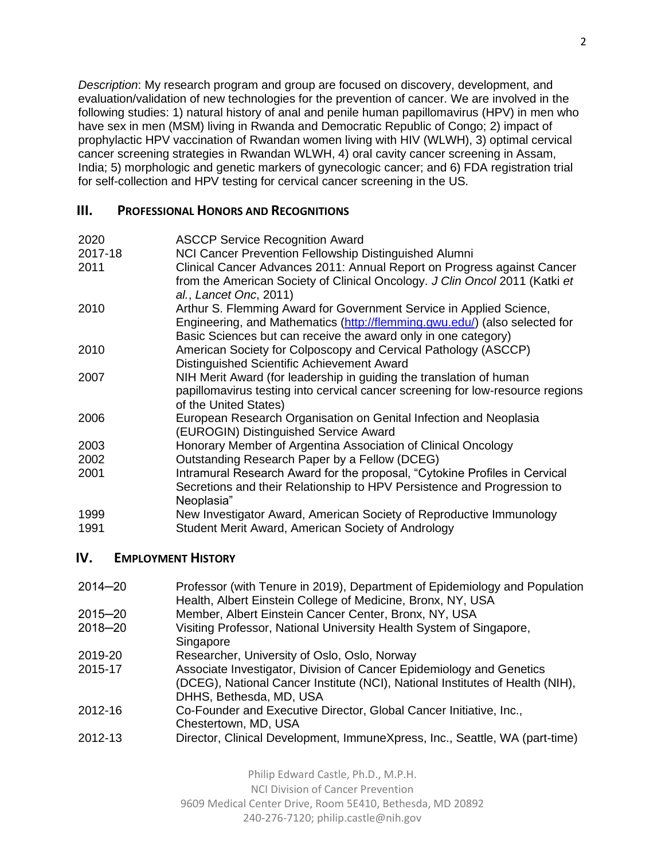*Description*: My research program and group are focused on discovery, development, and evaluation/validation of new technologies for the prevention of cancer. We are involved in the following studies: 1) natural history of anal and penile human papillomavirus (HPV) in men who have sex in men (MSM) living in Rwanda and Democratic Republic of Congo; 2) impact of prophylactic HPV vaccination of Rwandan women living with HIV (WLWH), 3) optimal cervical cancer screening strategies in Rwandan WLWH, 4) oral cavity cancer screening in Assam, India; 5) morphologic and genetic markers of gynecologic cancer; and 6) FDA registration trial for self-collection and HPV testing for cervical cancer screening in the US.

## **III.** PROFESSIONAL **HONORS AND RECOGNITIONS**

| 2020    | <b>ASCCP Service Recognition Award</b>                                                                                                                                                                              |
|---------|---------------------------------------------------------------------------------------------------------------------------------------------------------------------------------------------------------------------|
| 2017-18 | NCI Cancer Prevention Fellowship Distinguished Alumni                                                                                                                                                               |
| 2011    | Clinical Cancer Advances 2011: Annual Report on Progress against Cancer<br>from the American Society of Clinical Oncology. J Clin Oncol 2011 (Katki et<br>al., Lancet Onc, 2011)                                    |
| 2010    | Arthur S. Flemming Award for Government Service in Applied Science,<br>Engineering, and Mathematics (http://flemming.gwu.edu/) (also selected for<br>Basic Sciences but can receive the award only in one category) |
| 2010    | American Society for Colposcopy and Cervical Pathology (ASCCP)<br>Distinguished Scientific Achievement Award                                                                                                        |
| 2007    | NIH Merit Award (for leadership in guiding the translation of human<br>papillomavirus testing into cervical cancer screening for low-resource regions<br>of the United States)                                      |
| 2006    | European Research Organisation on Genital Infection and Neoplasia<br>(EUROGIN) Distinguished Service Award                                                                                                          |
| 2003    | Honorary Member of Argentina Association of Clinical Oncology                                                                                                                                                       |
| 2002    | Outstanding Research Paper by a Fellow (DCEG)                                                                                                                                                                       |
| 2001    | Intramural Research Award for the proposal, "Cytokine Profiles in Cervical<br>Secretions and their Relationship to HPV Persistence and Progression to<br>Neoplasia"                                                 |
| 1999    | New Investigator Award, American Society of Reproductive Immunology                                                                                                                                                 |
| 1991    | Student Merit Award, American Society of Andrology                                                                                                                                                                  |

# **IV. EMPLOYMENT HISTORY**

| $2014 - 20$ | Professor (with Tenure in 2019), Department of Epidemiology and Population<br>Health, Albert Einstein College of Medicine, Bronx, NY, USA                                        |
|-------------|----------------------------------------------------------------------------------------------------------------------------------------------------------------------------------|
| 2015-20     | Member, Albert Einstein Cancer Center, Bronx, NY, USA                                                                                                                            |
| 2018-20     | Visiting Professor, National University Health System of Singapore,<br>Singapore                                                                                                 |
| 2019-20     | Researcher, University of Oslo, Oslo, Norway                                                                                                                                     |
| 2015-17     | Associate Investigator, Division of Cancer Epidemiology and Genetics<br>(DCEG), National Cancer Institute (NCI), National Institutes of Health (NIH),<br>DHHS, Bethesda, MD, USA |
| 2012-16     | Co-Founder and Executive Director, Global Cancer Initiative, Inc.,<br>Chestertown, MD, USA                                                                                       |
| 2012-13     | Director, Clinical Development, ImmuneXpress, Inc., Seattle, WA (part-time)                                                                                                      |

Philip Edward Castle, Ph.D., M.P.H. NCI Division of Cancer Prevention 9609 Medical Center Drive, Room 5E410, Bethesda, MD 20892 240-276-7120; [philip.castle@nih.gov](mailto:philip.castle@nih.gov)

#### 2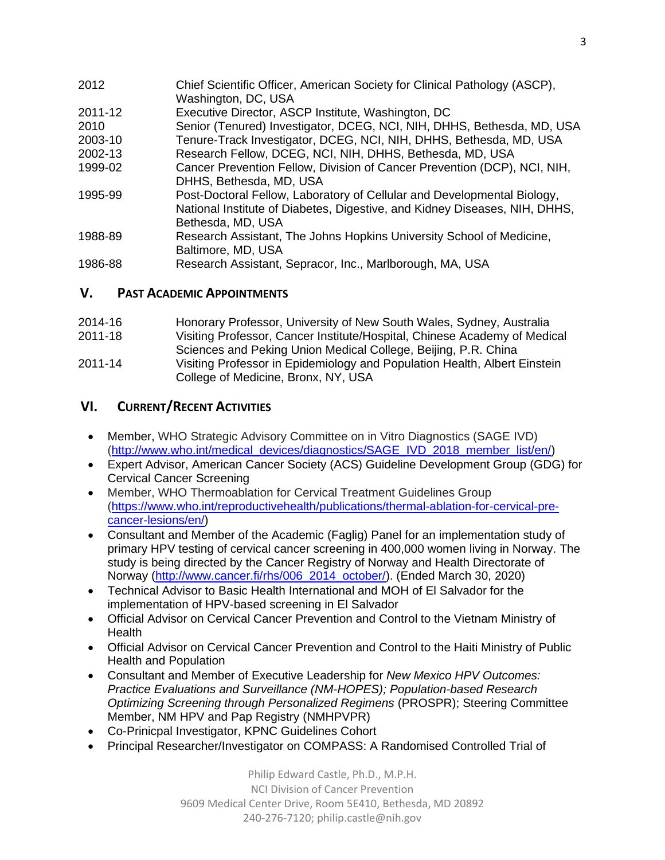| 2012    | Chief Scientific Officer, American Society for Clinical Pathology (ASCP),<br>Washington, DC, USA                                                                           |
|---------|----------------------------------------------------------------------------------------------------------------------------------------------------------------------------|
| 2011-12 | Executive Director, ASCP Institute, Washington, DC                                                                                                                         |
| 2010    | Senior (Tenured) Investigator, DCEG, NCI, NIH, DHHS, Bethesda, MD, USA                                                                                                     |
| 2003-10 | Tenure-Track Investigator, DCEG, NCI, NIH, DHHS, Bethesda, MD, USA                                                                                                         |
| 2002-13 | Research Fellow, DCEG, NCI, NIH, DHHS, Bethesda, MD, USA                                                                                                                   |
| 1999-02 | Cancer Prevention Fellow, Division of Cancer Prevention (DCP), NCI, NIH,<br>DHHS, Bethesda, MD, USA                                                                        |
| 1995-99 | Post-Doctoral Fellow, Laboratory of Cellular and Developmental Biology,<br>National Institute of Diabetes, Digestive, and Kidney Diseases, NIH, DHHS,<br>Bethesda, MD, USA |
| 1988-89 | Research Assistant, The Johns Hopkins University School of Medicine,<br>Baltimore, MD, USA                                                                                 |
| 1986-88 | Research Assistant, Sepracor, Inc., Marlborough, MA, USA                                                                                                                   |

# **V. PAST ACADEMIC APPOINTMENTS**

| 2014-16 | Honorary Professor, University of New South Wales, Sydney, Australia      |
|---------|---------------------------------------------------------------------------|
| 2011-18 | Visiting Professor, Cancer Institute/Hospital, Chinese Academy of Medical |
|         | Sciences and Peking Union Medical College, Beijing, P.R. China            |
| 2011-14 | Visiting Professor in Epidemiology and Population Health, Albert Einstein |
|         | College of Medicine, Bronx, NY, USA                                       |

# **VI. CURRENT/RECENT ACTIVITIES**

- Member, WHO Strategic Advisory Committee on in Vitro Diagnostics (SAGE IVD) [\(http://www.who.int/medical\\_devices/diagnostics/SAGE\\_IVD\\_2018\\_member\\_list/en/\)](http://www.who.int/medical_devices/diagnostics/SAGE_IVD_2018_member_list/en/)
- Expert Advisor, American Cancer Society (ACS) Guideline Development Group (GDG) for Cervical Cancer Screening
- Member, WHO Thermoablation for Cervical Treatment Guidelines Group [\(https://www.who.int/reproductivehealth/publications/thermal-ablation-for-cervical-pre](https://nam02.safelinks.protection.outlook.com/?url=https%3A%2F%2Fwww.who.int%2Freproductivehealth%2Fpublications%2Fthermal-ablation-for-cervical-pre-cancer-lesions%2Fen%2F&data=02%7C01%7Cphilip.castle%40einstein.yu.edu%7Cfce997fdea4c4b93e16a08d753cb1c2f%7C04c70eb48f2648079934e02e89266ad0%7C1%7C0%7C637070004143185767&sdata=%2FbxsX013T2wgMq9dSDqWrUeffZ1Fak2Tuw6pKZnJRIE%3D&reserved=0)[cancer-lesions/en/\)](https://nam02.safelinks.protection.outlook.com/?url=https%3A%2F%2Fwww.who.int%2Freproductivehealth%2Fpublications%2Fthermal-ablation-for-cervical-pre-cancer-lesions%2Fen%2F&data=02%7C01%7Cphilip.castle%40einstein.yu.edu%7Cfce997fdea4c4b93e16a08d753cb1c2f%7C04c70eb48f2648079934e02e89266ad0%7C1%7C0%7C637070004143185767&sdata=%2FbxsX013T2wgMq9dSDqWrUeffZ1Fak2Tuw6pKZnJRIE%3D&reserved=0)
- Consultant and Member of the Academic (Faglig) Panel for an implementation study of primary HPV testing of cervical cancer screening in 400,000 women living in Norway. The study is being directed by the Cancer Registry of Norway and Health Directorate of Norway [\(http://www.cancer.fi/rhs/006\\_2014\\_october/\)](http://www.cancer.fi/rhs/006_2014_october/). (Ended March 30, 2020)
- Technical Advisor to Basic Health International and MOH of El Salvador for the implementation of HPV-based screening in El Salvador
- Official Advisor on Cervical Cancer Prevention and Control to the Vietnam Ministry of **Health**
- Official Advisor on Cervical Cancer Prevention and Control to the Haiti Ministry of Public Health and Population
- Consultant and Member of Executive Leadership for *New Mexico HPV Outcomes: Practice Evaluations and Surveillance (NM-HOPES); Population-based Research Optimizing Screening through Personalized Regimens* (PROSPR); Steering Committee Member, NM HPV and Pap Registry (NMHPVPR)
- Co-Prinicpal Investigator, KPNC Guidelines Cohort
- Principal Researcher/Investigator on COMPASS: A Randomised Controlled Trial of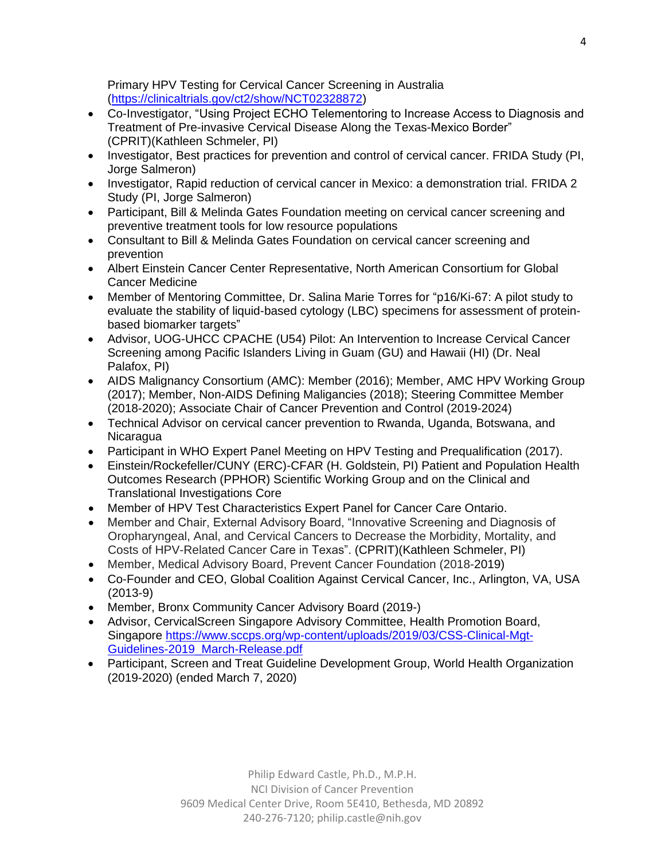Primary HPV Testing for Cervical Cancer Screening in Australia [\(https://clinicaltrials.gov/ct2/show/NCT02328872\)](https://clinicaltrials.gov/ct2/show/NCT02328872)

- Co-Investigator, "Using Project ECHO Telementoring to Increase Access to Diagnosis and Treatment of Pre-invasive Cervical Disease Along the Texas-Mexico Border" (CPRIT)(Kathleen Schmeler, PI)
- Investigator, Best practices for prevention and control of cervical cancer. FRIDA Study (PI, Jorge Salmeron)
- Investigator, Rapid reduction of cervical cancer in Mexico: a demonstration trial. FRIDA 2 Study (PI, Jorge Salmeron)
- Participant, Bill & Melinda Gates Foundation meeting on cervical cancer screening and preventive treatment tools for low resource populations
- Consultant to Bill & Melinda Gates Foundation on cervical cancer screening and prevention
- Albert Einstein Cancer Center Representative, North American Consortium for Global Cancer Medicine
- Member of Mentoring Committee, Dr. Salina Marie Torres for "p16/Ki-67: A pilot study to evaluate the stability of liquid-based cytology (LBC) specimens for assessment of proteinbased biomarker targets"
- Advisor, UOG-UHCC CPACHE (U54) Pilot: An Intervention to Increase Cervical Cancer Screening among Pacific Islanders Living in Guam (GU) and Hawaii (HI) (Dr. Neal Palafox, PI)
- AIDS Malignancy Consortium (AMC): Member (2016); Member, AMC HPV Working Group (2017); Member, Non-AIDS Defining Maligancies (2018); Steering Committee Member (2018-2020); Associate Chair of Cancer Prevention and Control (2019-2024)
- Technical Advisor on cervical cancer prevention to Rwanda, Uganda, Botswana, and Nicaragua
- Participant in WHO Expert Panel Meeting on HPV Testing and Prequalification (2017).
- Einstein/Rockefeller/CUNY (ERC)-CFAR (H. Goldstein, PI) Patient and Population Health Outcomes Research (PPHOR) Scientific Working Group and on the Clinical and Translational Investigations Core
- Member of HPV Test Characteristics Expert Panel for Cancer Care Ontario.
- Member and Chair, External Advisory Board, "Innovative Screening and Diagnosis of Oropharyngeal, Anal, and Cervical Cancers to Decrease the Morbidity, Mortality, and Costs of HPV-Related Cancer Care in Texas". (CPRIT)(Kathleen Schmeler, PI)
- Member, Medical Advisory Board, Prevent Cancer Foundation (2018-2019)
- Co-Founder and CEO, Global Coalition Against Cervical Cancer, Inc., Arlington, VA, USA (2013-9)
- Member, Bronx Community Cancer Advisory Board (2019-)
- Advisor, CervicalScreen Singapore Advisory Committee, Health Promotion Board, Singapore [https://www.sccps.org/wp-content/uploads/2019/03/CSS-Clinical-Mgt-](https://www.sccps.org/wp-content/uploads/2019/03/CSS-Clinical-Mgt-Guidelines-2019_March-Release.pdf)[Guidelines-2019\\_March-Release.pdf](https://www.sccps.org/wp-content/uploads/2019/03/CSS-Clinical-Mgt-Guidelines-2019_March-Release.pdf)
- Participant, Screen and Treat Guideline Development Group, World Health Organization (2019-2020) (ended March 7, 2020)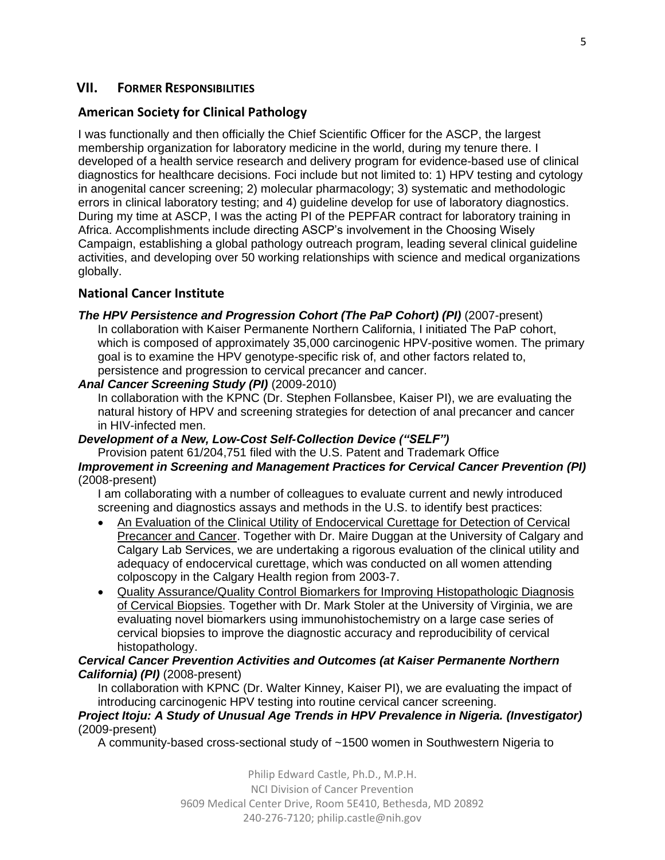# **VII. FORMER RESPONSIBILITIES**

# **American Society for Clinical Pathology**

I was functionally and then officially the Chief Scientific Officer for the ASCP, the largest membership organization for laboratory medicine in the world, during my tenure there. I developed of a health service research and delivery program for evidence-based use of clinical diagnostics for healthcare decisions. Foci include but not limited to: 1) HPV testing and cytology in anogenital cancer screening; 2) molecular pharmacology; 3) systematic and methodologic errors in clinical laboratory testing; and 4) guideline develop for use of laboratory diagnostics. During my time at ASCP, I was the acting PI of the PEPFAR contract for laboratory training in Africa. Accomplishments include directing ASCP's involvement in the Choosing Wisely Campaign, establishing a global pathology outreach program, leading several clinical guideline activities, and developing over 50 working relationships with science and medical organizations globally.

# **National Cancer Institute**

### *The HPV Persistence and Progression Cohort (The PaP Cohort) (PI)* (2007-present)

In collaboration with Kaiser Permanente Northern California, I initiated The PaP cohort, which is composed of approximately 35,000 carcinogenic HPV-positive women. The primary goal is to examine the HPV genotype-specific risk of, and other factors related to, persistence and progression to cervical precancer and cancer.

### *Anal Cancer Screening Study (PI)* (2009-2010)

In collaboration with the KPNC (Dr. Stephen Follansbee, Kaiser PI), we are evaluating the natural history of HPV and screening strategies for detection of anal precancer and cancer in HIV-infected men.

### *Development of a New, Low-Cost Self-Collection Device ("SELF")*

Provision patent 61/204,751 filed with the U.S. Patent and Trademark Office

### *Improvement in Screening and Management Practices for Cervical Cancer Prevention (PI)* (2008-present)

I am collaborating with a number of colleagues to evaluate current and newly introduced screening and diagnostics assays and methods in the U.S. to identify best practices:

- An Evaluation of the Clinical Utility of Endocervical Curettage for Detection of Cervical Precancer and Cancer. Together with Dr. Maire Duggan at the University of Calgary and Calgary Lab Services, we are undertaking a rigorous evaluation of the clinical utility and adequacy of endocervical curettage, which was conducted on all women attending colposcopy in the Calgary Health region from 2003-7.
- Quality Assurance/Quality Control Biomarkers for Improving Histopathologic Diagnosis of Cervical Biopsies. Together with Dr. Mark Stoler at the University of Virginia, we are evaluating novel biomarkers using immunohistochemistry on a large case series of cervical biopsies to improve the diagnostic accuracy and reproducibility of cervical histopathology.

### *Cervical Cancer Prevention Activities and Outcomes (at Kaiser Permanente Northern California) (PI)* (2008-present)

In collaboration with KPNC (Dr. Walter Kinney, Kaiser PI), we are evaluating the impact of introducing carcinogenic HPV testing into routine cervical cancer screening.

#### *Project Itoju: A Study of Unusual Age Trends in HPV Prevalence in Nigeria. (Investigator)* (2009-present)

A community-based cross-sectional study of ~1500 women in Southwestern Nigeria to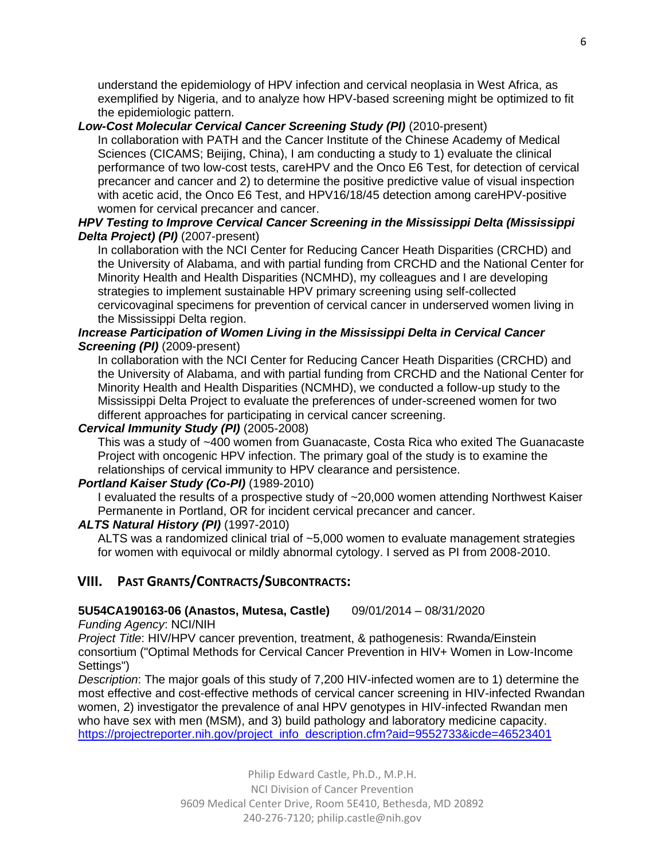understand the epidemiology of HPV infection and cervical neoplasia in West Africa, as exemplified by Nigeria, and to analyze how HPV-based screening might be optimized to fit the epidemiologic pattern.

# *Low-Cost Molecular Cervical Cancer Screening Study (PI)* (2010-present)

In collaboration with PATH and the Cancer Institute of the Chinese Academy of Medical Sciences (CICAMS; Beijing, China), I am conducting a study to 1) evaluate the clinical performance of two low-cost tests, careHPV and the Onco E6 Test, for detection of cervical precancer and cancer and 2) to determine the positive predictive value of visual inspection with acetic acid, the Onco E6 Test, and HPV16/18/45 detection among careHPV-positive women for cervical precancer and cancer.

### *HPV Testing to Improve Cervical Cancer Screening in the Mississippi Delta (Mississippi Delta Project) (PI)* (2007-present)

In collaboration with the NCI Center for Reducing Cancer Heath Disparities (CRCHD) and the University of Alabama, and with partial funding from CRCHD and the National Center for Minority Health and Health Disparities (NCMHD), my colleagues and I are developing strategies to implement sustainable HPV primary screening using self-collected cervicovaginal specimens for prevention of cervical cancer in underserved women living in the Mississippi Delta region.

### *Increase Participation of Women Living in the Mississippi Delta in Cervical Cancer Screening (PI)* (2009-present)

In collaboration with the NCI Center for Reducing Cancer Heath Disparities (CRCHD) and the University of Alabama, and with partial funding from CRCHD and the National Center for Minority Health and Health Disparities (NCMHD), we conducted a follow-up study to the Mississippi Delta Project to evaluate the preferences of under-screened women for two different approaches for participating in cervical cancer screening.

## *Cervical Immunity Study (PI)* (2005-2008)

This was a study of ~400 women from Guanacaste, Costa Rica who exited The Guanacaste Project with oncogenic HPV infection. The primary goal of the study is to examine the relationships of cervical immunity to HPV clearance and persistence.

# *Portland Kaiser Study (Co-PI)* (1989-2010)

I evaluated the results of a prospective study of ~20,000 women attending Northwest Kaiser Permanente in Portland, OR for incident cervical precancer and cancer.

### *ALTS Natural History (PI)* (1997-2010)

ALTS was a randomized clinical trial of ~5,000 women to evaluate management strategies for women with equivocal or mildly abnormal cytology. I served as PI from 2008-2010.

# **VIII. PAST GRANTS/CONTRACTS/SUBCONTRACTS:**

### **5U54CA190163-06 (Anastos, Mutesa, Castle)** 09/01/2014 – 08/31/2020

*Funding Agency*: NCI/NIH

*Project Title*: HIV/HPV cancer prevention, treatment, & pathogenesis: Rwanda/Einstein consortium ("Optimal Methods for Cervical Cancer Prevention in HIV+ Women in Low-Income Settings")

*Description*: The major goals of this study of 7,200 HIV-infected women are to 1) determine the most effective and cost-effective methods of cervical cancer screening in HIV-infected Rwandan women, 2) investigator the prevalence of anal HPV genotypes in HIV-infected Rwandan men who have sex with men (MSM), and 3) build pathology and laboratory medicine capacity. [https://projectreporter.nih.gov/project\\_info\\_description.cfm?aid=9552733&icde=46523401](https://projectreporter.nih.gov/project_info_description.cfm?aid=9552733&icde=46523401)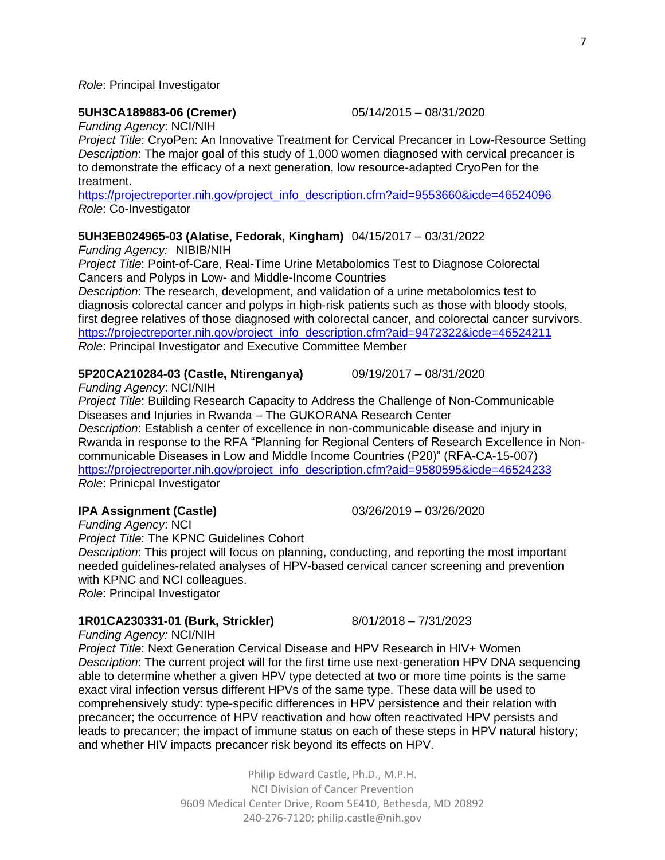#### *Role*: Principal Investigator

#### **5UH3CA189883-06 (Cremer)** 05/14/2015 – 08/31/2020

*Funding Agency*: NCI/NIH

*Project Title*: CryoPen: An Innovative Treatment for Cervical Precancer in Low-Resource Setting *Description*: The major goal of this study of 1,000 women diagnosed with cervical precancer is to demonstrate the efficacy of a next generation, low resource-adapted CryoPen for the treatment.

[https://projectreporter.nih.gov/project\\_info\\_description.cfm?aid=9553660&icde=46524096](https://projectreporter.nih.gov/project_info_description.cfm?aid=9553660&icde=46524096) *Role*: Co-Investigator

#### **5UH3EB024965-03 (Alatise, Fedorak, Kingham)** 04/15/2017 – 03/31/2022

*Funding Agency:* NIBIB/NIH

*Project Title*: Point-of-Care, Real-Time Urine Metabolomics Test to Diagnose Colorectal Cancers and Polyps in Low- and Middle-Income Countries

*Description*: The research, development, and validation of a urine metabolomics test to diagnosis colorectal cancer and polyps in high-risk patients such as those with bloody stools, first degree relatives of those diagnosed with colorectal cancer, and colorectal cancer survivors. [https://projectreporter.nih.gov/project\\_info\\_description.cfm?aid=9472322&icde=46524211](https://projectreporter.nih.gov/project_info_description.cfm?aid=9472322&icde=46524211) *Role*: Principal Investigator and Executive Committee Member

#### **5P20CA210284-03 (Castle, Ntirenganya)** 09/19/2017 – 08/31/2020

*Funding Agency*: NCI/NIH

*Project Title*: Building Research Capacity to Address the Challenge of Non-Communicable Diseases and Injuries in Rwanda – The GUKORANA Research Center *Description*: Establish a center of excellence in non-communicable disease and injury in Rwanda in response to the RFA "Planning for Regional Centers of Research Excellence in Noncommunicable Diseases in Low and Middle Income Countries (P20)" (RFA-CA-15-007) [https://projectreporter.nih.gov/project\\_info\\_description.cfm?aid=9580595&icde=46524233](https://projectreporter.nih.gov/project_info_description.cfm?aid=9580595&icde=46524233)

*Role*: Prinicpal Investigator

### **IPA Assignment (Castle)** 03/26/2019 – 03/26/2020

*Funding Agency*: NCI *Project Title*: The KPNC Guidelines Cohort *Description*: This project will focus on planning, conducting, and reporting the most important needed guidelines-related analyses of HPV-based cervical cancer screening and prevention with KPNC and NCI colleagues. *Role*: Principal Investigator

### **1R01CA230331-01 (Burk, Strickler)** 8/01/2018 – 7/31/2023

*Funding Agency:* NCI/NIH

*Project Title*: Next Generation Cervical Disease and HPV Research in HIV+ Women *Description*: The current project will for the first time use next-generation HPV DNA sequencing able to determine whether a given HPV type detected at two or more time points is the same exact viral infection versus different HPVs of the same type. These data will be used to comprehensively study: type-specific differences in HPV persistence and their relation with precancer; the occurrence of HPV reactivation and how often reactivated HPV persists and leads to precancer; the impact of immune status on each of these steps in HPV natural history; and whether HIV impacts precancer risk beyond its effects on HPV.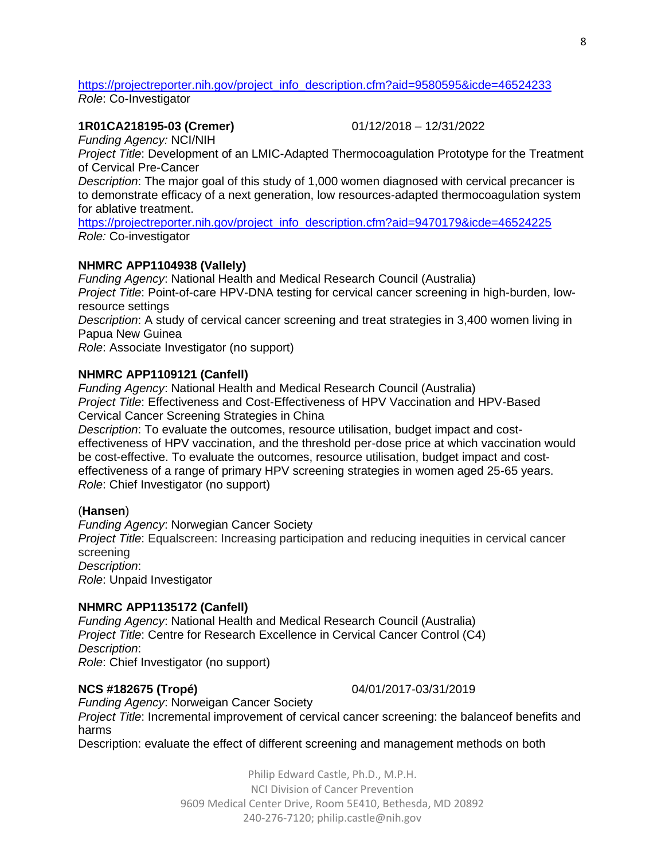[https://projectreporter.nih.gov/project\\_info\\_description.cfm?aid=9580595&icde=46524233](https://projectreporter.nih.gov/project_info_description.cfm?aid=9580595&icde=46524233) *Role*: Co-Investigator

#### **1R01CA218195-03 (Cremer)** 01/12/2018 – 12/31/2022

*Funding Agency:* NCI/NIH

*Project Title*: Development of an LMIC-Adapted Thermocoagulation Prototype for the Treatment of Cervical Pre-Cancer

*Description*: The major goal of this study of 1,000 women diagnosed with cervical precancer is to demonstrate efficacy of a next generation, low resources-adapted thermocoagulation system for ablative treatment.

[https://projectreporter.nih.gov/project\\_info\\_description.cfm?aid=9470179&icde=46524225](https://projectreporter.nih.gov/project_info_description.cfm?aid=9470179&icde=46524225) *Role:* Co-investigator

#### **NHMRC APP1104938 (Vallely)**

*Funding Agency*: National Health and Medical Research Council (Australia) *Project Title*: Point-of-care HPV-DNA testing for cervical cancer screening in high-burden, lowresource settings *Description*: A study of cervical cancer screening and treat strategies in 3,400 women living in Papua New Guinea *Role*: Associate Investigator (no support)

#### **NHMRC APP1109121 (Canfell)**

*Funding Agency*: National Health and Medical Research Council (Australia) *Project Title*: Effectiveness and Cost-Effectiveness of HPV Vaccination and HPV-Based Cervical Cancer Screening Strategies in China

*Description*: To evaluate the outcomes, resource utilisation, budget impact and costeffectiveness of HPV vaccination, and the threshold per-dose price at which vaccination would be cost-effective. To evaluate the outcomes, resource utilisation, budget impact and costeffectiveness of a range of primary HPV screening strategies in women aged 25-65 years. *Role*: Chief Investigator (no support)

#### (**Hansen**)

*Funding Agency*: Norwegian Cancer Society

*Project Title*: Equalscreen: Increasing participation and reducing inequities in cervical cancer screening *Description*:

*Role*: Unpaid Investigator

### **NHMRC APP1135172 (Canfell)**

*Funding Agency*: National Health and Medical Research Council (Australia) *Project Title*: Centre for Research Excellence in Cervical Cancer Control (C4) *Description*: *Role*: Chief Investigator (no support)

#### **NCS #182675 (Tropé)** 04/01/2017-03/31/2019

*Funding Agency*: Norweigan Cancer Society *Project Title*: Incremental improvement of cervical cancer screening: the balanceof benefits and harms

Description: evaluate the effect of different screening and management methods on both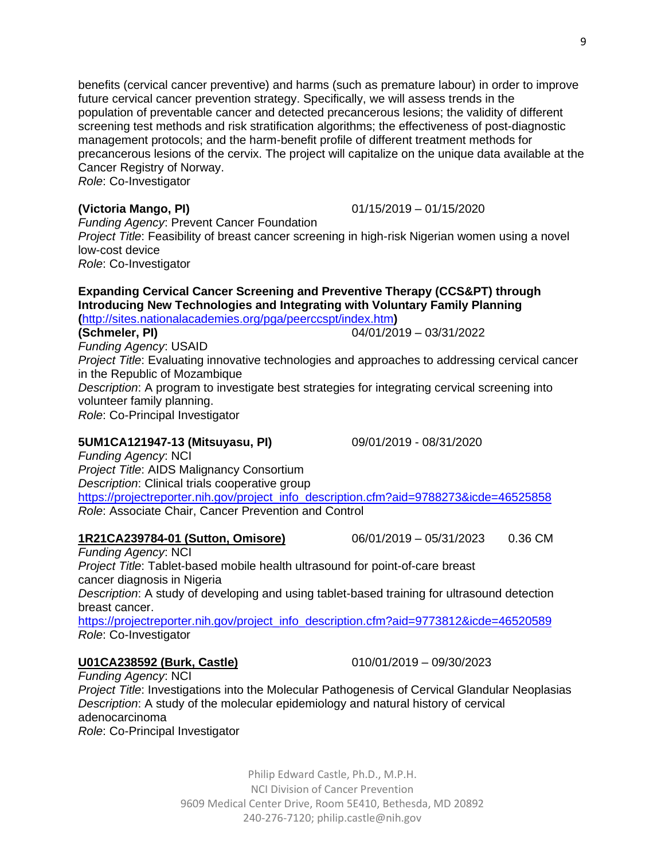benefits (cervical cancer preventive) and harms (such as premature labour) in order to improve future cervical cancer prevention strategy. Specifically, we will assess trends in the population of preventable cancer and detected precancerous lesions; the validity of different screening test methods and risk stratification algorithms; the effectiveness of post-diagnostic management protocols; and the harm-benefit profile of different treatment methods for precancerous lesions of the cervix. The project will capitalize on the unique data available at the Cancer Registry of Norway.

*Role*: Co-Investigator

**(Victoria Mango, PI)** 01/15/2019 – 01/15/2020

*Funding Agency*: Prevent Cancer Foundation *Project Title*: Feasibility of breast cancer screening in high-risk Nigerian women using a novel low-cost device *Role*: Co-Investigator

# **Expanding Cervical Cancer Screening and Preventive Therapy (CCS&PT) through Introducing New Technologies and Integrating with Voluntary Family Planning**

#### **(**<http://sites.nationalacademies.org/pga/peerccspt/index.htm>**) (Schmeler, PI)** 04/01/2019 – 03/31/2022

*Funding Agency*: USAID *Project Title*: Evaluating innovative technologies and approaches to addressing cervical cancer in the Republic of Mozambique *Description*: A program to investigate best strategies for integrating cervical screening into volunteer family planning. *Role*: Co-Principal Investigator

# **5UM1CA121947-13 (Mitsuyasu, PI)** 09/01/2019 - 08/31/2020

*Funding Agency*: NCI *Project Title*: AIDS Malignancy Consortium *Description*: Clinical trials cooperative group [https://projectreporter.nih.gov/project\\_info\\_description.cfm?aid=9788273&icde=46525858](https://projectreporter.nih.gov/project_info_description.cfm?aid=9788273&icde=46525858) *Role*: Associate Chair, Cancer Prevention and Control

# **1R21CA239784-01 (Sutton, Omisore)** 06/01/2019 – 05/31/2023 0.36 CM

*Funding Agency*: NCI *Project Title*: Tablet-based mobile health ultrasound for point-of-care breast cancer diagnosis in Nigeria *Description*: A study of developing and using tablet-based training for ultrasound detection breast cancer. [https://projectreporter.nih.gov/project\\_info\\_description.cfm?aid=9773812&icde=46520589](https://projectreporter.nih.gov/project_info_description.cfm?aid=9773812&icde=46520589) *Role*: Co-Investigator

# **U01CA238592 (Burk, Castle)** 010/01/2019 – 09/30/2023

*Funding Agency*: NCI *Project Title*: Investigations into the Molecular Pathogenesis of Cervical Glandular Neoplasias *Description*: A study of the molecular epidemiology and natural history of cervical adenocarcinoma *Role*: Co-Principal Investigator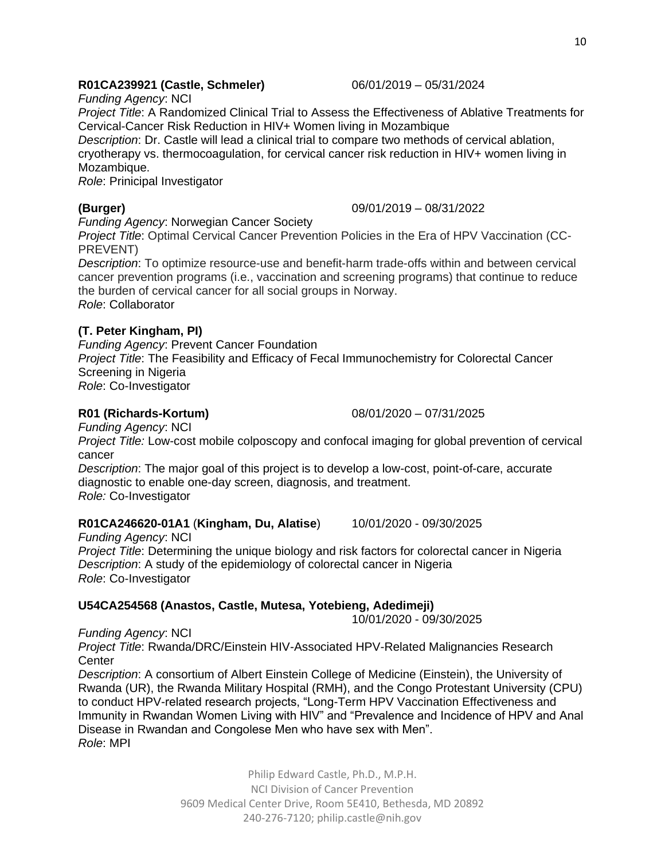# **R01CA239921 (Castle, Schmeler)** 06/01/2019 – 05/31/2024

*Funding Agency*: NCI

*Project Title*: A Randomized Clinical Trial to Assess the Effectiveness of Ablative Treatments for Cervical-Cancer Risk Reduction in HIV+ Women living in Mozambique

*Description*: Dr. Castle will lead a clinical trial to compare two methods of cervical ablation, cryotherapy vs. thermocoagulation, for cervical cancer risk reduction in HIV+ women living in Mozambique.

*Role*: Prinicipal Investigator

# **(Burger)** 09/01/2019 – 08/31/2022

*Funding Agency*: Norwegian Cancer Society

*Project Title*: Optimal Cervical Cancer Prevention Policies in the Era of HPV Vaccination (CC-PREVENT)

*Description*: To optimize resource-use and benefit-harm trade-offs within and between cervical cancer prevention programs (i.e., vaccination and screening programs) that continue to reduce the burden of cervical cancer for all social groups in Norway. *Role*: Collaborator

# **(T. Peter Kingham, PI)**

*Funding Agency*: Prevent Cancer Foundation *Project Title*: The Feasibility and Efficacy of Fecal Immunochemistry for Colorectal Cancer Screening in Nigeria *Role*: Co-Investigator

**R01 (Richards-Kortum)** 08/01/2020 – 07/31/2025

*Funding Agency*: NCI

*Project Title:* Low-cost mobile colposcopy and confocal imaging for global prevention of cervical cancer

*Description*: The major goal of this project is to develop a low-cost, point-of-care, accurate diagnostic to enable one-day screen, diagnosis, and treatment. *Role:* Co-Investigator

# **R01CA246620-01A1** (**Kingham, Du, Alatise**) 10/01/2020 - 09/30/2025

*Funding Agency*: NCI *Project Title*: Determining the unique biology and risk factors for colorectal cancer in Nigeria *Description*: A study of the epidemiology of colorectal cancer in Nigeria *Role*: Co-Investigator

# **U54CA254568 (Anastos, Castle, Mutesa, Yotebieng, Adedimeji)**

10/01/2020 - 09/30/2025

*Funding Agency*: NCI

*Project Title*: Rwanda/DRC/Einstein HIV-Associated HPV-Related Malignancies Research **Center** 

*Description*: A consortium of Albert Einstein College of Medicine (Einstein), the University of Rwanda (UR), the Rwanda Military Hospital (RMH), and the Congo Protestant University (CPU) to conduct HPV-related research projects, "Long-Term HPV Vaccination Effectiveness and Immunity in Rwandan Women Living with HIV" and "Prevalence and Incidence of HPV and Anal Disease in Rwandan and Congolese Men who have sex with Men". *Role*: MPI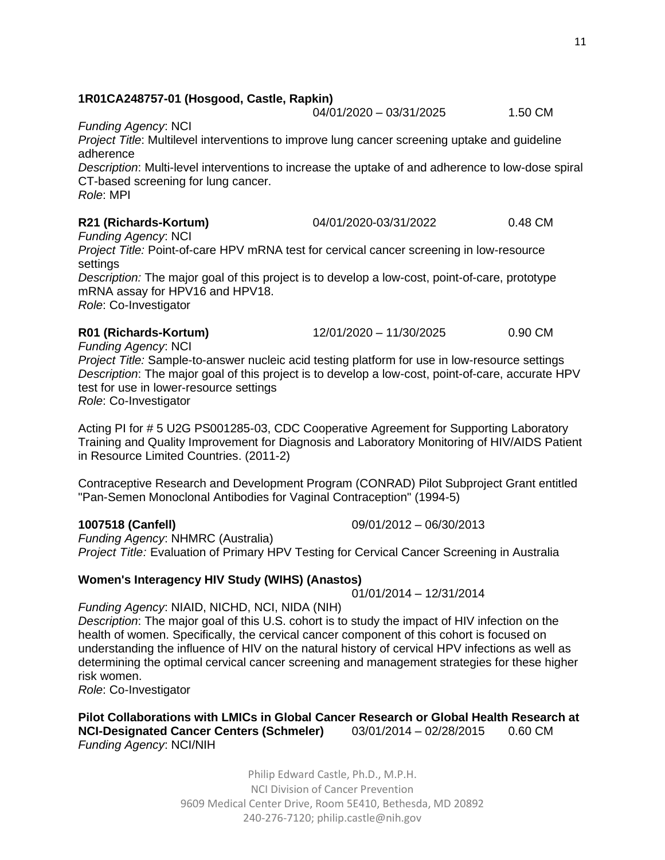### **1R01CA248757-01 (Hosgood, Castle, Rapkin)**

04/01/2020 - 03/31/2025 1.50 CM

#### *Funding Agency*: NCI

*Project Title*: Multilevel interventions to improve lung cancer screening uptake and guideline adherence

*Description*: Multi-level interventions to increase the uptake of and adherence to low-dose spiral CT-based screening for lung cancer. *Role*: MPI

### **R21 (Richards-Kortum)** 04/01/2020-03/31/2022 0.48 CM

*Funding Agency*: NCI

*Project Title:* Point-of-care HPV mRNA test for cervical cancer screening in low-resource settings

*Description:* The major goal of this project is to develop a low-cost, point-of-care, prototype mRNA assay for HPV16 and HPV18.

*Role*: Co-Investigator

**R01 (Richards-Kortum)** 12/01/2020 – 11/30/2025 0.90 CM

*Funding Agency*: NCI

*Project Title:* Sample-to-answer nucleic acid testing platform for use in low-resource settings *Description*: The major goal of this project is to develop a low-cost, point-of-care, accurate HPV test for use in lower-resource settings

*Role*: Co-Investigator

Acting PI for # 5 U2G PS001285-03, CDC Cooperative Agreement for Supporting Laboratory Training and Quality Improvement for Diagnosis and Laboratory Monitoring of HIV/AIDS Patient in Resource Limited Countries. (2011-2)

Contraceptive Research and Development Program (CONRAD) Pilot Subproject Grant entitled "Pan-Semen Monoclonal Antibodies for Vaginal Contraception" (1994-5)

**1007518 (Canfell)** 09/01/2012 – 06/30/2013

*Funding Agency*: NHMRC (Australia) *Project Title:* Evaluation of Primary HPV Testing for Cervical Cancer Screening in Australia

# **Women's Interagency HIV Study (WIHS) (Anastos)**

01/01/2014 – 12/31/2014

*Funding Agency*: NIAID, NICHD, NCI, NIDA (NIH) *Description*: The major goal of this U.S. cohort is to study the impact of HIV infection on the health of women. Specifically, the cervical cancer component of this cohort is focused on understanding the influence of HIV on the natural history of cervical HPV infections as well as determining the optimal cervical cancer screening and management strategies for these higher risk women.

*Role*: Co-Investigator

### **Pilot Collaborations with LMICs in Global Cancer Research or Global Health Research at NCI-Designated Cancer Centers (Schmeler)** 03/01/2014 – 02/28/2015 0.60 CM *Funding Agency*: NCI/NIH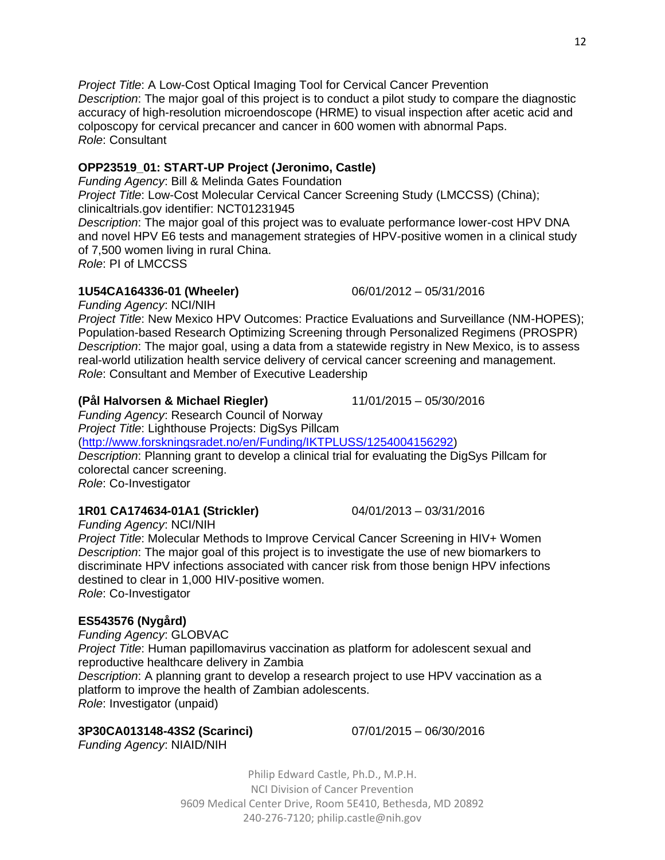Philip Edward Castle, Ph.D., M.P.H. NCI Division of Cancer Prevention 9609 Medical Center Drive, Room 5E410, Bethesda, MD 20892 240-276-7120; [philip.castle@nih.gov](mailto:philip.castle@nih.gov)

**3P30CA013148-43S2 (Scarinci)** 07/01/2015 – 06/30/2016 *Funding Agency*: NIAID/NIH

[\(http://www.forskningsradet.no/en/Funding/IKTPLUSS/1254004156292\)](http://www.forskningsradet.no/en/Funding/IKTPLUSS/1254004156292) *Description*: Planning grant to develop a clinical trial for evaluating the DigSys Pillcam for colorectal cancer screening. *Role*: Co-Investigator **1R01 CA174634-01A1 (Strickler)** 04/01/2013 – 03/31/2016

**(Pål Halvorsen & Michael Riegler)** 11/01/2015 – 05/30/2016

*Funding Agency*: NCI/NIH *Project Title*: Molecular Methods to Improve Cervical Cancer Screening in HIV+ Women *Description*: The major goal of this project is to investigate the use of new biomarkers to discriminate HPV infections associated with cancer risk from those benign HPV infections destined to clear in 1,000 HIV-positive women.

*Role*: Co-Investigator

# **ES543576 (Nygård)**

*Funding Agency*: GLOBVAC *Project Title*: Human papillomavirus vaccination as platform for adolescent sexual and reproductive healthcare delivery in Zambia *Description*: A planning grant to develop a research project to use HPV vaccination as a platform to improve the health of Zambian adolescents. *Role*: Investigator (unpaid)

*Funding Agency*: NCI/NIH

*Funding Agency*: Research Council of Norway *Project Title*: Lighthouse Projects: DigSys Pillcam

*Project Title*: New Mexico HPV Outcomes: Practice Evaluations and Surveillance (NM-HOPES); Population-based Research Optimizing Screening through Personalized Regimens (PROSPR) *Description*: The major goal, using a data from a statewide registry in New Mexico, is to assess real-world utilization health service delivery of cervical cancer screening and management. *Role*: Consultant and Member of Executive Leadership

# **OPP23519\_01: START-UP Project (Jeronimo, Castle)**

*Funding Agency*: Bill & Melinda Gates Foundation

*Project Title*: Low-Cost Molecular Cervical Cancer Screening Study (LMCCSS) (China); clinicaltrials.gov identifier: NCT01231945

*Project Title*: A Low-Cost Optical Imaging Tool for Cervical Cancer Prevention

colposcopy for cervical precancer and cancer in 600 women with abnormal Paps.

*Description*: The major goal of this project was to evaluate performance lower-cost HPV DNA and novel HPV E6 tests and management strategies of HPV-positive women in a clinical study of 7,500 women living in rural China.

*Description*: The major goal of this project is to conduct a pilot study to compare the diagnostic accuracy of high-resolution microendoscope (HRME) to visual inspection after acetic acid and

*Role*: PI of LMCCSS

*Role*: Consultant

# **1U54CA164336-01 (Wheeler)** 06/01/2012 – 05/31/2016

12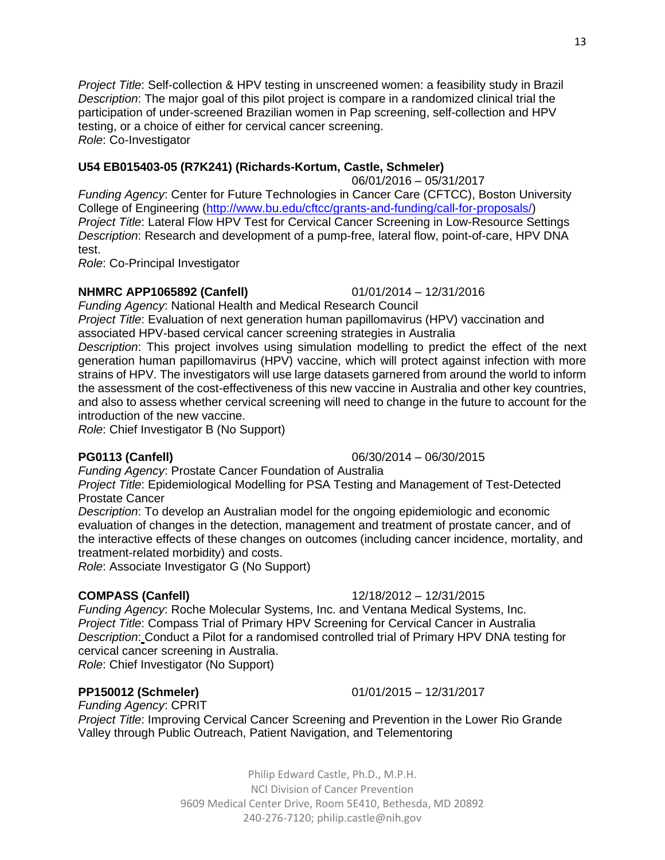13

*Project Title*: Self-collection & HPV testing in unscreened women: a feasibility study in Brazil *Description*: The major goal of this pilot project is compare in a randomized clinical trial the participation of under-screened Brazilian women in Pap screening, self-collection and HPV testing, or a choice of either for cervical cancer screening. *Role*: Co-Investigator

# **U54 EB015403-05 (R7K241) (Richards-Kortum, Castle, Schmeler)**

06/01/2016 – 05/31/2017

*Funding Agency*: Center for Future Technologies in Cancer Care (CFTCC), Boston University College of Engineering [\(http://www.bu.edu/cftcc/grants-and-funding/call-for-proposals/\)](http://www.bu.edu/cftcc/grants-and-funding/call-for-proposals/) *Project Title*: Lateral Flow HPV Test for Cervical Cancer Screening in Low-Resource Settings *Description*: Research and development of a pump-free, lateral flow, point-of-care, HPV DNA test.

*Role*: Co-Principal Investigator

# **NHMRC APP1065892 (Canfell)** 01/01/2014 – 12/31/2016

*Funding Agency*: National Health and Medical Research Council *Project Title*: Evaluation of next generation human papillomavirus (HPV) vaccination and associated HPV-based cervical cancer screening strategies in Australia

*Description*: This project involves using simulation modelling to predict the effect of the next generation human papillomavirus (HPV) vaccine, which will protect against infection with more strains of HPV. The investigators will use large datasets garnered from around the world to inform the assessment of the cost-effectiveness of this new vaccine in Australia and other key countries, and also to assess whether cervical screening will need to change in the future to account for the introduction of the new vaccine.

*Role*: Chief Investigator B (No Support)

*Funding Agency*: Prostate Cancer Foundation of Australia

*Project Title*: Epidemiological Modelling for PSA Testing and Management of Test-Detected Prostate Cancer

*Description*: To develop an Australian model for the ongoing epidemiologic and economic evaluation of changes in the detection, management and treatment of prostate cancer, and of the interactive effects of these changes on outcomes (including cancer incidence, mortality, and treatment-related morbidity) and costs.

*Role*: Associate Investigator G (No Support)

**COMPASS (Canfell)** 12/18/2012 – 12/31/2015 *Funding Agency*: Roche Molecular Systems, Inc. and Ventana Medical Systems, Inc. *Project Title*: Compass Trial of Primary HPV Screening for Cervical Cancer in Australia

*Description*: Conduct a Pilot for a randomised controlled trial of Primary HPV DNA testing for cervical cancer screening in Australia.

*Role*: Chief Investigator (No Support)

# **PP150012 (Schmeler)** 01/01/2015 – 12/31/2017

*Funding Agency*: CPRIT

*Project Title*: Improving Cervical Cancer Screening and Prevention in the Lower Rio Grande Valley through Public Outreach, Patient Navigation, and Telementoring

> Philip Edward Castle, Ph.D., M.P.H. NCI Division of Cancer Prevention 9609 Medical Center Drive, Room 5E410, Bethesda, MD 20892 240-276-7120; [philip.castle@nih.gov](mailto:philip.castle@nih.gov)

# **PG0113 (Canfell)** 06/30/2014 – 06/30/2015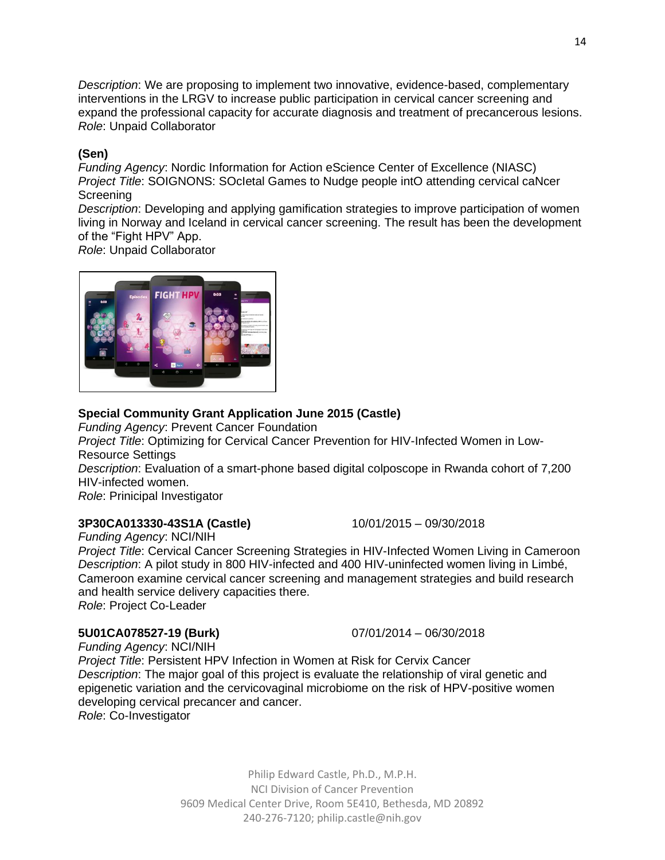*Description*: We are proposing to implement two innovative, evidence-based, complementary interventions in the LRGV to increase public participation in cervical cancer screening and expand the professional capacity for accurate diagnosis and treatment of precancerous lesions. *Role*: Unpaid Collaborator

### **(Sen)**

*Funding Agency*: Nordic Information for Action eScience Center of Excellence (NIASC) *Project Title*: SOIGNONS: SOcIetal Games to Nudge people intO attending cervical caNcer **Screening** 

*Description*: Developing and applying gamification strategies to improve participation of women living in Norway and Iceland in cervical cancer screening. The result has been the development of the "Fight HPV" App.

*Role*: Unpaid Collaborator



### **Special Community Grant Application June 2015 (Castle)**

*Funding Agency*: Prevent Cancer Foundation

*Project Title*: Optimizing for Cervical Cancer Prevention for HIV-Infected Women in Low-Resource Settings

*Description*: Evaluation of a smart-phone based digital colposcope in Rwanda cohort of 7,200 HIV-infected women.

*Role*: Prinicipal Investigator

# **3P30CA013330-43S1A (Castle)** 10/01/2015 – 09/30/2018

*Funding Agency*: NCI/NIH *Project Title*: Cervical Cancer Screening Strategies in HIV-Infected Women Living in Cameroon *Description*: A pilot study in 800 HIV-infected and 400 HIV-uninfected women living in Limbé, Cameroon examine cervical cancer screening and management strategies and build research and health service delivery capacities there.

*Role*: Project Co-Leader

# **5U01CA078527-19 (Burk)** 07/01/2014 – 06/30/2018

*Funding Agency*: NCI/NIH *Project Title*: Persistent HPV Infection in Women at Risk for Cervix Cancer *Description*: The major goal of this project is evaluate the relationship of viral genetic and epigenetic variation and the cervicovaginal microbiome on the risk of HPV-positive women developing cervical precancer and cancer. *Role*: Co-Investigator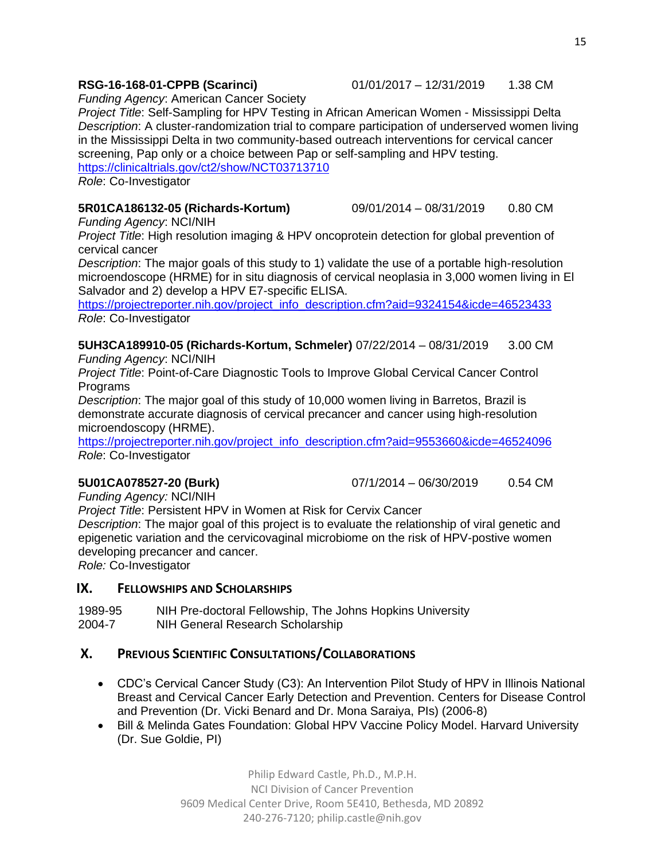*Funding Agency*: American Cancer Society

*Project Title*: Self-Sampling for HPV Testing in African American Women - Mississippi Delta *Description*: A cluster-randomization trial to compare participation of underserved women living in the Mississippi Delta in two community-based outreach interventions for cervical cancer screening, Pap only or a choice between Pap or self-sampling and HPV testing. <https://clinicaltrials.gov/ct2/show/NCT03713710>

*Role*: Co-Investigator

#### **5R01CA186132-05 (Richards-Kortum)** 09/01/2014 – 08/31/2019 0.80 CM

*Funding Agency*: NCI/NIH

*Project Title*: High resolution imaging & HPV oncoprotein detection for global prevention of cervical cancer

*Description*: The major goals of this study to 1) validate the use of a portable high-resolution microendoscope (HRME) for in situ diagnosis of cervical neoplasia in 3,000 women living in El Salvador and 2) develop a HPV E7-specific ELISA.

[https://projectreporter.nih.gov/project\\_info\\_description.cfm?aid=9324154&icde=46523433](https://projectreporter.nih.gov/project_info_description.cfm?aid=9324154&icde=46523433) *Role*: Co-Investigator

#### **5UH3CA189910-05 (Richards-Kortum, Schmeler)** 07/22/2014 – 08/31/2019 3.00 CM *Funding Agency*: NCI/NIH

*Project Title*: Point-of-Care Diagnostic Tools to Improve Global Cervical Cancer Control **Programs** 

*Description*: The major goal of this study of 10,000 women living in Barretos, Brazil is demonstrate accurate diagnosis of cervical precancer and cancer using high-resolution microendoscopy (HRME).

[https://projectreporter.nih.gov/project\\_info\\_description.cfm?aid=9553660&icde=46524096](https://projectreporter.nih.gov/project_info_description.cfm?aid=9553660&icde=46524096) *Role*: Co-Investigator

**5U01CA078527-20 (Burk)** 07/1/2014 – 06/30/2019 0.54 CM

*Funding Agency:* NCI/NIH

*Project Title*: Persistent HPV in Women at Risk for Cervix Cancer

*Description*: The major goal of this project is to evaluate the relationship of viral genetic and epigenetic variation and the cervicovaginal microbiome on the risk of HPV-postive women developing precancer and cancer.

*Role:* Co-Investigator

### **IX. FELLOWSHIPS AND SCHOLARSHIPS**

1989-95 NIH Pre-doctoral Fellowship, The Johns Hopkins University 2004-7 NIH General Research Scholarship

# **X. PREVIOUS SCIENTIFIC CONSULTATIONS/COLLABORATIONS**

- CDC's Cervical Cancer Study (C3): An Intervention Pilot Study of HPV in Illinois National Breast and Cervical Cancer Early Detection and Prevention. Centers for Disease Control and Prevention (Dr. Vicki Benard and Dr. Mona Saraiya, PIs) (2006-8)
- Bill & Melinda Gates Foundation: Global HPV Vaccine Policy Model. Harvard University (Dr. Sue Goldie, PI)

Philip Edward Castle, Ph.D., M.P.H. NCI Division of Cancer Prevention 9609 Medical Center Drive, Room 5E410, Bethesda, MD 20892 240-276-7120; [philip.castle@nih.gov](mailto:philip.castle@nih.gov)

#### **RSG-16-168-01-CPPB (Scarinci)** 01/01/2017 – 12/31/2019 1.38 CM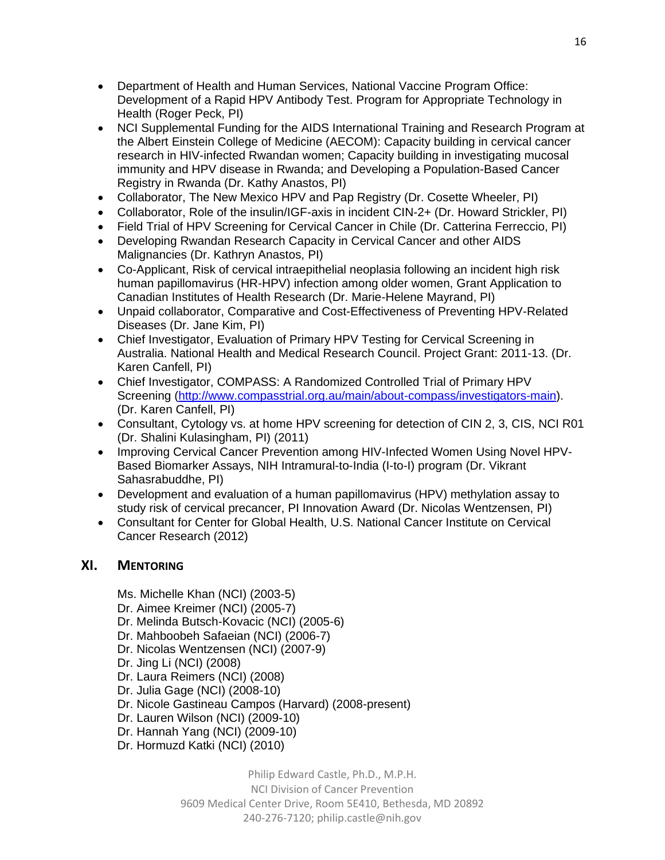- Department of Health and Human Services, National Vaccine Program Office: Development of a Rapid HPV Antibody Test. Program for Appropriate Technology in Health (Roger Peck, PI)
- NCI Supplemental Funding for the AIDS International Training and Research Program at the Albert Einstein College of Medicine (AECOM): Capacity building in cervical cancer research in HIV-infected Rwandan women; Capacity building in investigating mucosal immunity and HPV disease in Rwanda; and Developing a Population-Based Cancer Registry in Rwanda (Dr. Kathy Anastos, PI)
- Collaborator, The New Mexico HPV and Pap Registry (Dr. Cosette Wheeler, PI)
- Collaborator, Role of the insulin/IGF-axis in incident CIN-2+ (Dr. Howard Strickler, PI)
- Field Trial of HPV Screening for Cervical Cancer in Chile (Dr. Catterina Ferreccio, PI)
- Developing Rwandan Research Capacity in Cervical Cancer and other AIDS Malignancies (Dr. Kathryn Anastos, PI)
- Co-Applicant, Risk of cervical intraepithelial neoplasia following an incident high risk human papillomavirus (HR-HPV) infection among older women, Grant Application to Canadian Institutes of Health Research (Dr. Marie-Helene Mayrand, PI)
- Unpaid collaborator, Comparative and Cost-Effectiveness of Preventing HPV-Related Diseases (Dr. Jane Kim, PI)
- Chief Investigator, Evaluation of Primary HPV Testing for Cervical Screening in Australia. National Health and Medical Research Council. Project Grant: 2011-13. (Dr. Karen Canfell, PI)
- Chief Investigator, COMPASS: A Randomized Controlled Trial of Primary HPV Screening [\(http://www.compasstrial.org.au/main/about-compass/investigators-main\)](http://www.compasstrial.org.au/main/about-compass/investigators-main). (Dr. Karen Canfell, PI)
- Consultant, Cytology vs. at home HPV screening for detection of CIN 2, 3, CIS, NCI R01 (Dr. Shalini Kulasingham, PI) (2011)
- Improving Cervical Cancer Prevention among HIV-Infected Women Using Novel HPV-Based Biomarker Assays, NIH Intramural-to-India (I-to-I) program (Dr. Vikrant Sahasrabuddhe, PI)
- Development and evaluation of a human papillomavirus (HPV) methylation assay to study risk of cervical precancer, PI Innovation Award (Dr. Nicolas Wentzensen, PI)
- Consultant for Center for Global Health, U.S. National Cancer Institute on Cervical Cancer Research (2012)

# **XI. MENTORING**

- Ms. Michelle Khan (NCI) (2003-5)
- Dr. Aimee Kreimer (NCI) (2005-7)
- Dr. Melinda Butsch-Kovacic (NCI) (2005-6)
- Dr. Mahboobeh Safaeian (NCI) (2006-7)
- Dr. Nicolas Wentzensen (NCI) (2007-9)
- Dr. Jing Li (NCI) (2008)
- Dr. Laura Reimers (NCI) (2008)
- Dr. Julia Gage (NCI) (2008-10)
- Dr. Nicole Gastineau Campos (Harvard) (2008-present)
- Dr. Lauren Wilson (NCI) (2009-10)
- Dr. Hannah Yang (NCI) (2009-10)
- Dr. Hormuzd Katki (NCI) (2010)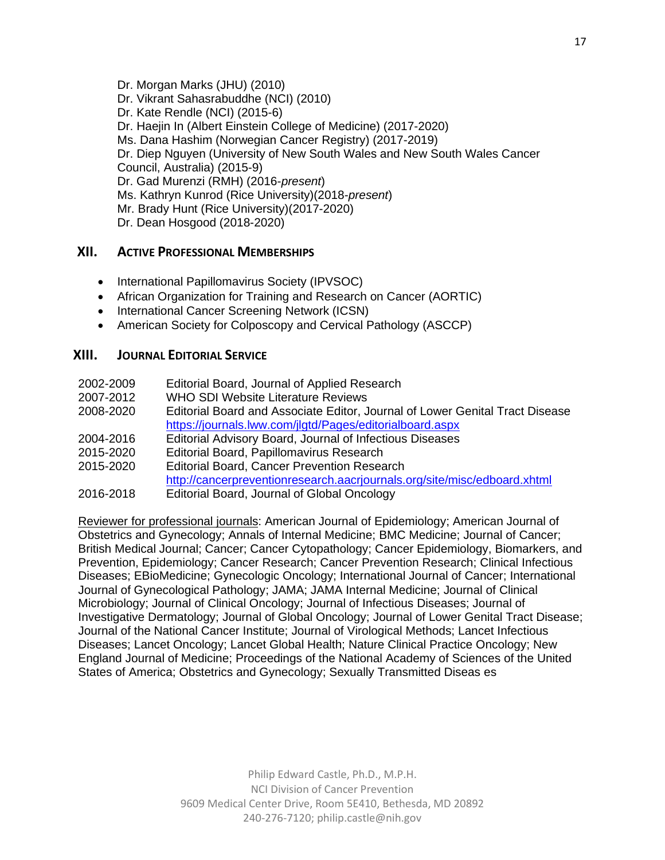Dr. Morgan Marks (JHU) (2010) Dr. Vikrant Sahasrabuddhe (NCI) (2010) Dr. Kate Rendle (NCI) (2015-6) Dr. Haejin In (Albert Einstein College of Medicine) (2017-2020) Ms. Dana Hashim (Norwegian Cancer Registry) (2017-2019) Dr. Diep Nguyen (University of New South Wales and New South Wales Cancer Council, Australia) (2015-9) Dr. Gad Murenzi (RMH) (2016-*present*) Ms. Kathryn Kunrod (Rice University)(2018-*present*) Mr. Brady Hunt (Rice University)(2017-2020) Dr. Dean Hosgood (2018-2020)

## **XII. ACTIVE PROFESSIONAL MEMBERSHIPS**

- International Papillomavirus Society (IPVSOC)
- African Organization for Training and Research on Cancer (AORTIC)
- International Cancer Screening Network (ICSN)
- American Society for Colposcopy and Cervical Pathology (ASCCP)

# **XIII. JOURNAL EDITORIAL SERVICE**

| 2002-2009 | Editorial Board, Journal of Applied Research                                 |
|-----------|------------------------------------------------------------------------------|
| 2007-2012 | <b>WHO SDI Website Literature Reviews</b>                                    |
| 2008-2020 | Editorial Board and Associate Editor, Journal of Lower Genital Tract Disease |
|           | https://journals.lww.com/jlgtd/Pages/editorialboard.aspx                     |
| 2004-2016 | Editorial Advisory Board, Journal of Infectious Diseases                     |
| 2015-2020 | Editorial Board, Papillomavirus Research                                     |
| 2015-2020 | <b>Editorial Board, Cancer Prevention Research</b>                           |
|           | http://cancerpreventionresearch.aacrjournals.org/site/misc/edboard.xhtml     |
| 2016-2018 | Editorial Board, Journal of Global Oncology                                  |

Reviewer for professional journals: American Journal of Epidemiology; American Journal of Obstetrics and Gynecology; Annals of Internal Medicine; BMC Medicine; Journal of Cancer; British Medical Journal; Cancer; Cancer Cytopathology; Cancer Epidemiology, Biomarkers, and Prevention, Epidemiology; Cancer Research; Cancer Prevention Research; Clinical Infectious Diseases; EBioMedicine; Gynecologic Oncology; International Journal of Cancer; International Journal of Gynecological Pathology; JAMA; JAMA Internal Medicine; Journal of Clinical Microbiology; Journal of Clinical Oncology; Journal of Infectious Diseases; Journal of Investigative Dermatology; Journal of Global Oncology; Journal of Lower Genital Tract Disease; Journal of the National Cancer Institute; Journal of Virological Methods; Lancet Infectious Diseases; Lancet Oncology; Lancet Global Health; Nature Clinical Practice Oncology; New England Journal of Medicine; Proceedings of the National Academy of Sciences of the United States of America; Obstetrics and Gynecology; Sexually Transmitted Diseas es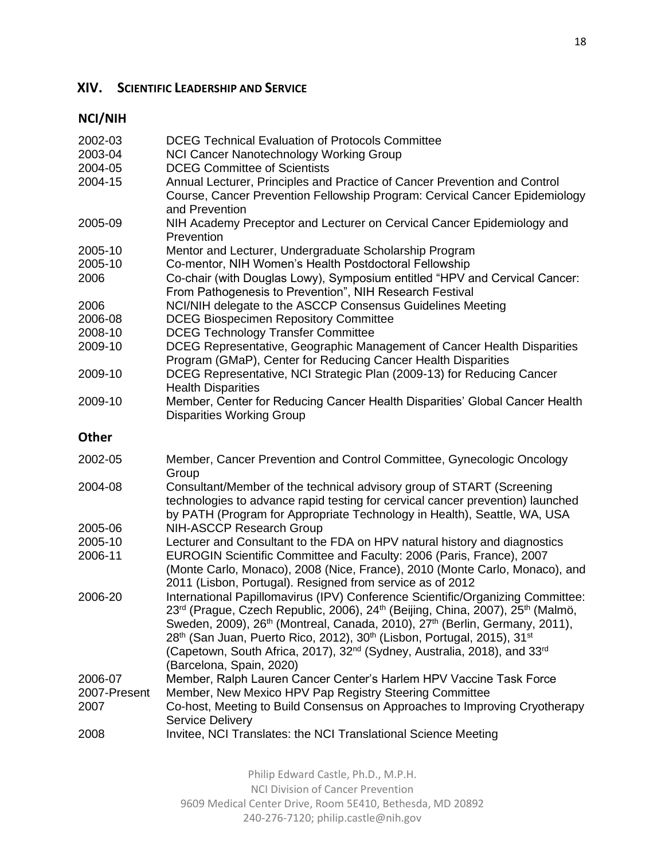# **XIV. SCIENTIFIC LEADERSHIP AND SERVICE**

# **NCI/NIH**

| 2002-03      | <b>DCEG Technical Evaluation of Protocols Committee</b>                                                                                                                                                                                                                                                                                                                                                                                             |
|--------------|-----------------------------------------------------------------------------------------------------------------------------------------------------------------------------------------------------------------------------------------------------------------------------------------------------------------------------------------------------------------------------------------------------------------------------------------------------|
| 2003-04      | <b>NCI Cancer Nanotechnology Working Group</b>                                                                                                                                                                                                                                                                                                                                                                                                      |
| 2004-05      | <b>DCEG Committee of Scientists</b>                                                                                                                                                                                                                                                                                                                                                                                                                 |
| 2004-15      | Annual Lecturer, Principles and Practice of Cancer Prevention and Control<br>Course, Cancer Prevention Fellowship Program: Cervical Cancer Epidemiology<br>and Prevention                                                                                                                                                                                                                                                                           |
| 2005-09      | NIH Academy Preceptor and Lecturer on Cervical Cancer Epidemiology and<br>Prevention                                                                                                                                                                                                                                                                                                                                                                |
| 2005-10      | Mentor and Lecturer, Undergraduate Scholarship Program                                                                                                                                                                                                                                                                                                                                                                                              |
| 2005-10      | Co-mentor, NIH Women's Health Postdoctoral Fellowship                                                                                                                                                                                                                                                                                                                                                                                               |
| 2006         | Co-chair (with Douglas Lowy), Symposium entitled "HPV and Cervical Cancer:<br>From Pathogenesis to Prevention", NIH Research Festival                                                                                                                                                                                                                                                                                                               |
| 2006         | NCI/NIH delegate to the ASCCP Consensus Guidelines Meeting                                                                                                                                                                                                                                                                                                                                                                                          |
| 2006-08      | <b>DCEG Biospecimen Repository Committee</b>                                                                                                                                                                                                                                                                                                                                                                                                        |
| 2008-10      | <b>DCEG Technology Transfer Committee</b>                                                                                                                                                                                                                                                                                                                                                                                                           |
| 2009-10      | DCEG Representative, Geographic Management of Cancer Health Disparities<br>Program (GMaP), Center for Reducing Cancer Health Disparities                                                                                                                                                                                                                                                                                                            |
| 2009-10      | DCEG Representative, NCI Strategic Plan (2009-13) for Reducing Cancer<br><b>Health Disparities</b>                                                                                                                                                                                                                                                                                                                                                  |
| 2009-10      | Member, Center for Reducing Cancer Health Disparities' Global Cancer Health<br><b>Disparities Working Group</b>                                                                                                                                                                                                                                                                                                                                     |
| <b>Other</b> |                                                                                                                                                                                                                                                                                                                                                                                                                                                     |
| 2002-05      | Member, Cancer Prevention and Control Committee, Gynecologic Oncology<br>Group                                                                                                                                                                                                                                                                                                                                                                      |
| 2004-08      | Consultant/Member of the technical advisory group of START (Screening<br>technologies to advance rapid testing for cervical cancer prevention) launched<br>by PATH (Program for Appropriate Technology in Health), Seattle, WA, USA                                                                                                                                                                                                                 |
| 2005-06      | <b>NIH-ASCCP Research Group</b>                                                                                                                                                                                                                                                                                                                                                                                                                     |
| 2005-10      | Lecturer and Consultant to the FDA on HPV natural history and diagnostics                                                                                                                                                                                                                                                                                                                                                                           |
| 2006-11      | EUROGIN Scientific Committee and Faculty: 2006 (Paris, France), 2007<br>(Monte Carlo, Monaco), 2008 (Nice, France), 2010 (Monte Carlo, Monaco), and                                                                                                                                                                                                                                                                                                 |
| 2006-20      | 2011 (Lisbon, Portugal). Resigned from service as of 2012<br>International Papillomavirus (IPV) Conference Scientific/Organizing Committee:<br>23rd (Prague, Czech Republic, 2006), 24th (Beijing, China, 2007), 25th (Malmö,<br>Sweden, 2009), 26 <sup>th</sup> (Montreal, Canada, 2010), 27 <sup>th</sup> (Berlin, Germany, 2011),<br>28 <sup>th</sup> (San Juan, Puerto Rico, 2012), 30 <sup>th</sup> (Lisbon, Portugal, 2015), 31 <sup>st</sup> |
|              | (Capetown, South Africa, 2017), 32 <sup>nd</sup> (Sydney, Australia, 2018), and 33 <sup>rd</sup><br>(Barcelona, Spain, 2020)                                                                                                                                                                                                                                                                                                                        |
| 2006-07      | Member, Ralph Lauren Cancer Center's Harlem HPV Vaccine Task Force                                                                                                                                                                                                                                                                                                                                                                                  |
| 2007-Present |                                                                                                                                                                                                                                                                                                                                                                                                                                                     |
| 2007         | Member, New Mexico HPV Pap Registry Steering Committee<br>Co-host, Meeting to Build Consensus on Approaches to Improving Cryotherapy                                                                                                                                                                                                                                                                                                                |
| 2008         | <b>Service Delivery</b><br>Invitee, NCI Translates: the NCI Translational Science Meeting                                                                                                                                                                                                                                                                                                                                                           |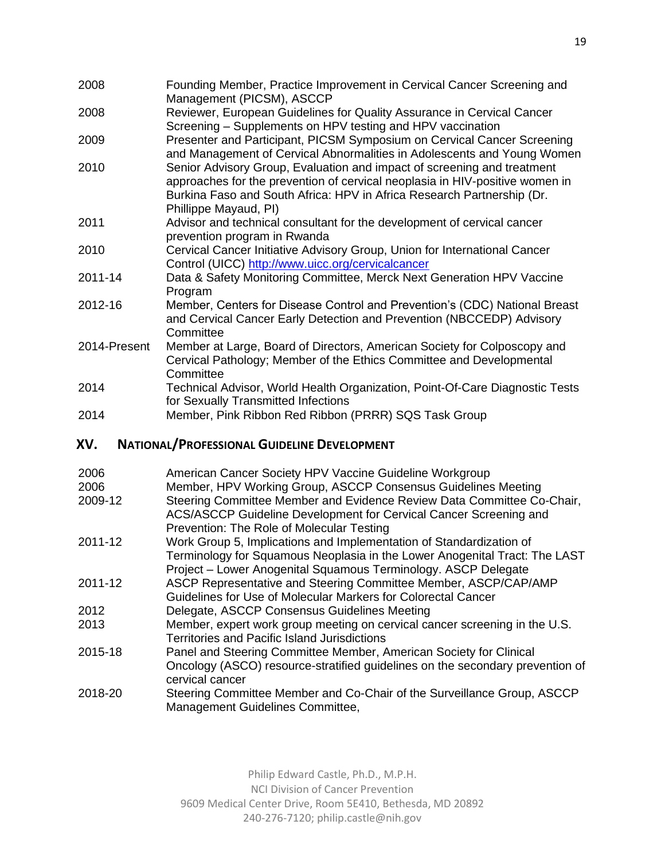- 2008 Founding Member, Practice Improvement in Cervical Cancer Screening and Management (PICSM), ASCCP
- 2008 Reviewer, European Guidelines for Quality Assurance in Cervical Cancer Screening – Supplements on HPV testing and HPV vaccination
- 2009 Presenter and Participant, PICSM Symposium on Cervical Cancer Screening and Management of Cervical Abnormalities in Adolescents and Young Women
- 2010 Senior Advisory Group, Evaluation and impact of screening and treatment approaches for the prevention of cervical neoplasia in HIV-positive women in Burkina Faso and South Africa: HPV in Africa Research Partnership (Dr. Phillippe Mayaud, PI)
- 2011 Advisor and technical consultant for the development of cervical cancer prevention program in Rwanda
- 2010 Cervical Cancer Initiative Advisory Group, Union for International Cancer Control (UICC) <http://www.uicc.org/cervicalcancer>
- 2011-14 Data & Safety Monitoring Committee, Merck Next Generation HPV Vaccine Program
- 2012-16 Member, Centers for Disease Control and Prevention's (CDC) National Breast and Cervical Cancer Early Detection and Prevention (NBCCEDP) Advisory **Committee**
- 2014-Present Member at Large, Board of Directors, American Society for Colposcopy and Cervical Pathology; Member of the Ethics Committee and Developmental **Committee**
- 2014 Technical Advisor, World Health Organization, Point-Of-Care Diagnostic Tests for Sexually Transmitted Infections
- 2014 Member, Pink Ribbon Red Ribbon (PRRR) SQS Task Group

# **XV. NATIONAL/PROFESSIONAL GUIDELINE DEVELOPMENT**

| 2006<br>2006 | American Cancer Society HPV Vaccine Guideline Workgroup<br>Member, HPV Working Group, ASCCP Consensus Guidelines Meeting                    |
|--------------|---------------------------------------------------------------------------------------------------------------------------------------------|
| 2009-12      | Steering Committee Member and Evidence Review Data Committee Co-Chair,<br>ACS/ASCCP Guideline Development for Cervical Cancer Screening and |
|              | Prevention: The Role of Molecular Testing                                                                                                   |
| 2011-12      | Work Group 5, Implications and Implementation of Standardization of                                                                         |
|              | Terminology for Squamous Neoplasia in the Lower Anogenital Tract: The LAST                                                                  |
|              | Project - Lower Anogenital Squamous Terminology. ASCP Delegate                                                                              |
| 2011-12      | ASCP Representative and Steering Committee Member, ASCP/CAP/AMP                                                                             |
|              | Guidelines for Use of Molecular Markers for Colorectal Cancer                                                                               |
| 2012         | Delegate, ASCCP Consensus Guidelines Meeting                                                                                                |
| 2013         | Member, expert work group meeting on cervical cancer screening in the U.S.                                                                  |
|              | <b>Territories and Pacific Island Jurisdictions</b>                                                                                         |
| 2015-18      | Panel and Steering Committee Member, American Society for Clinical                                                                          |
|              | Oncology (ASCO) resource-stratified guidelines on the secondary prevention of                                                               |
|              | cervical cancer                                                                                                                             |
| 2018-20      | Steering Committee Member and Co-Chair of the Surveillance Group, ASCCP                                                                     |
|              | Management Guidelines Committee,                                                                                                            |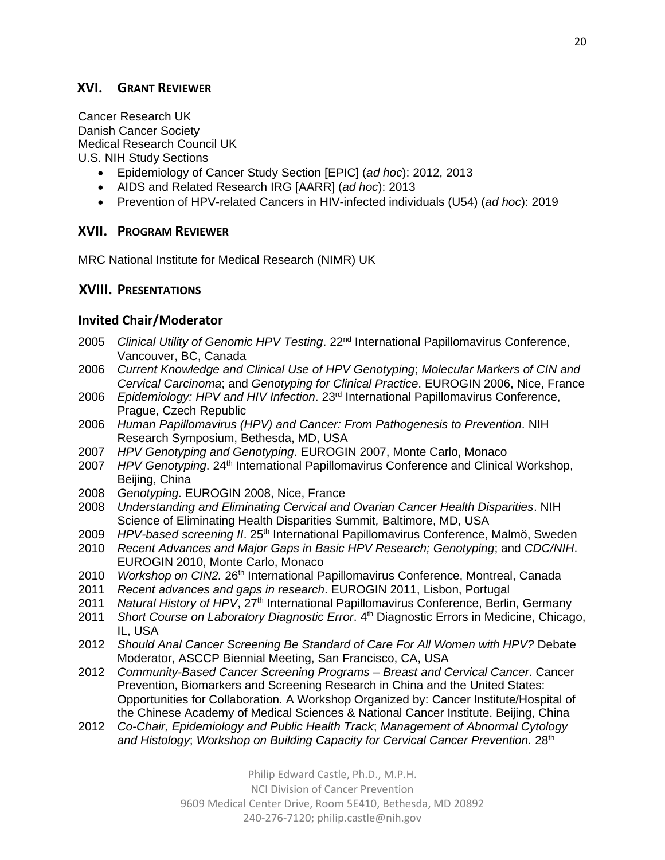# **XVI. GRANT REVIEWER**

Cancer Research UK Danish Cancer Society Medical Research Council UK U.S. NIH Study Sections

- Epidemiology of Cancer Study Section [EPIC] (*ad hoc*): 2012, 2013
- AIDS and Related Research IRG [AARR] (*ad hoc*): 2013
- Prevention of HPV-related Cancers in HIV-infected individuals (U54) (*ad hoc*): 2019

### **XVII. PROGRAM REVIEWER**

MRC National Institute for Medical Research (NIMR) UK

### **XVIII. PRESENTATIONS**

### **Invited Chair/Moderator**

- 2005 *Clinical Utility of Genomic HPV Testing*. 22nd International Papillomavirus Conference, Vancouver, BC, Canada
- 2006 *Current Knowledge and Clinical Use of HPV Genotyping*; *Molecular Markers of CIN and Cervical Carcinoma*; and *Genotyping for Clinical Practice*. EUROGIN 2006, Nice, France
- 2006 *Epidemiology: HPV and HIV Infection*. 23rd International Papillomavirus Conference, Prague, Czech Republic
- 2006 *Human Papillomavirus (HPV) and Cancer: From Pathogenesis to Prevention*. NIH Research Symposium, Bethesda, MD, USA
- 2007 *HPV Genotyping and Genotyping*. EUROGIN 2007, Monte Carlo, Monaco
- 2007 *HPV Genotyping*. 24<sup>th</sup> International Papillomavirus Conference and Clinical Workshop, Beijing, China
- 2008 *Genotyping*. EUROGIN 2008, Nice, France
- 2008 *Understanding and Eliminating Cervical and Ovarian Cancer Health Disparities*. NIH Science of Eliminating Health Disparities Summit*,* Baltimore, MD, USA
- 2009 *HPV-based screening II*. 25th International Papillomavirus Conference, Malmö, Sweden
- 2010 *Recent Advances and Major Gaps in Basic HPV Research; Genotyping*; and *CDC/NIH*. EUROGIN 2010, Monte Carlo, Monaco
- 2010 *Workshop on CIN2.* 26<sup>th</sup> International Papillomavirus Conference, Montreal, Canada
- 2011 *Recent advances and gaps in research*. EUROGIN 2011, Lisbon, Portugal
- 2011 *Natural History of HPV*, 27<sup>th</sup> International Papillomavirus Conference, Berlin, Germany
- 2011 *Short Course on Laboratory Diagnostic Error*. 4 th Diagnostic Errors in Medicine, Chicago, IL, USA
- 2012 *Should Anal Cancer Screening Be Standard of Care For All Women with HPV?* Debate Moderator, ASCCP Biennial Meeting, San Francisco, CA, USA
- 2012 *Community-Based Cancer Screening Programs – Breast and Cervical Cancer*. Cancer Prevention, Biomarkers and Screening Research in China and the United States: Opportunities for Collaboration. A Workshop Organized by: Cancer Institute/Hospital of the Chinese Academy of Medical Sciences & National Cancer Institute. Beijing, China
- 2012 *Co-Chair, Epidemiology and Public Health Track*; *Management of Abnormal Cytology*  and Histology; Workshop on Building Capacity for Cervical Cancer Prevention. 28<sup>th</sup>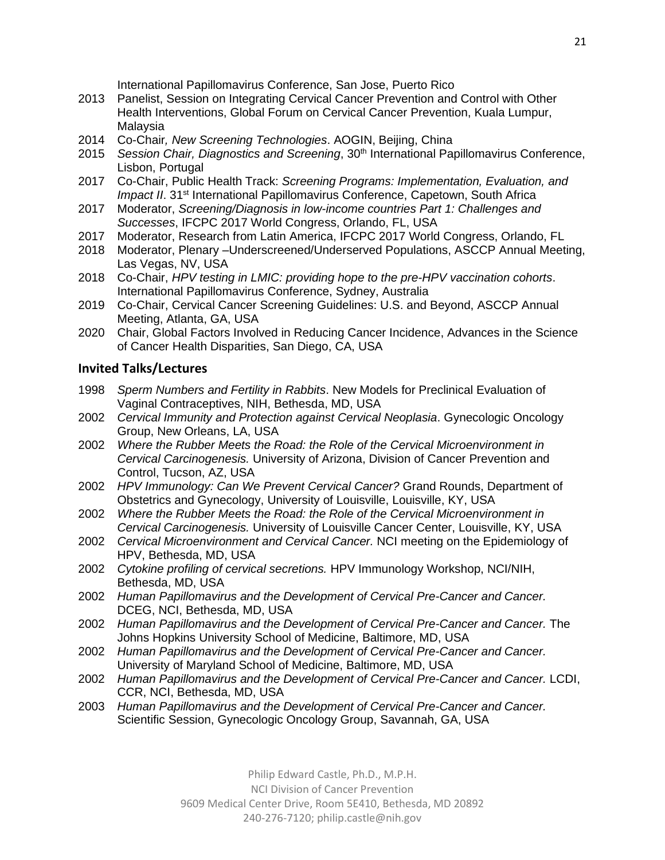International Papillomavirus Conference, San Jose, Puerto Rico

- 2013 Panelist, Session on Integrating Cervical Cancer Prevention and Control with Other Health Interventions, Global Forum on Cervical Cancer Prevention, Kuala Lumpur, Malaysia
- 2014 Co-Chair*, New Screening Technologies*. AOGIN, Beijing, China
- 2015 *Session Chair, Diagnostics and Screening*, 30th International Papillomavirus Conference, Lisbon, Portugal
- 2017 Co-Chair, Public Health Track: *Screening Programs: Implementation, Evaluation, and Impact II*. 31<sup>st</sup> International Papillomavirus Conference, Capetown, South Africa
- 2017 Moderator, *Screening/Diagnosis in low-income countries Part 1: Challenges and Successes*, IFCPC 2017 World Congress, Orlando, FL, USA
- 2017 Moderator, Research from Latin America, IFCPC 2017 World Congress, Orlando, FL
- 2018 Moderator, Plenary –Underscreened/Underserved Populations, ASCCP Annual Meeting, Las Vegas, NV, USA
- 2018 Co-Chair, *HPV testing in LMIC: providing hope to the pre-HPV vaccination cohorts*. International Papillomavirus Conference, Sydney, Australia
- 2019 Co-Chair, Cervical Cancer Screening Guidelines: U.S. and Beyond, ASCCP Annual Meeting, Atlanta, GA, USA
- 2020 Chair, Global Factors Involved in Reducing Cancer Incidence, Advances in the Science of Cancer Health Disparities, San Diego, CA, USA

### **Invited Talks/Lectures**

- 1998 *Sperm Numbers and Fertility in Rabbits*. New Models for Preclinical Evaluation of Vaginal Contraceptives, NIH, Bethesda, MD, USA
- 2002 *Cervical Immunity and Protection against Cervical Neoplasia*. Gynecologic Oncology Group, New Orleans, LA, USA
- 2002 *Where the Rubber Meets the Road: the Role of the Cervical Microenvironment in Cervical Carcinogenesis.* University of Arizona, Division of Cancer Prevention and Control, Tucson, AZ, USA
- 2002 *HPV Immunology: Can We Prevent Cervical Cancer?* Grand Rounds, Department of Obstetrics and Gynecology, University of Louisville, Louisville, KY, USA
- 2002 *Where the Rubber Meets the Road: the Role of the Cervical Microenvironment in Cervical Carcinogenesis.* University of Louisville Cancer Center, Louisville, KY, USA
- 2002 *Cervical Microenvironment and Cervical Cancer.* NCI meeting on the Epidemiology of HPV, Bethesda, MD, USA
- 2002 *Cytokine profiling of cervical secretions.* HPV Immunology Workshop, NCI/NIH, Bethesda, MD, USA
- 2002 *Human Papillomavirus and the Development of Cervical Pre-Cancer and Cancer.* DCEG, NCI, Bethesda, MD, USA
- 2002 *Human Papillomavirus and the Development of Cervical Pre-Cancer and Cancer.* The Johns Hopkins University School of Medicine, Baltimore, MD, USA
- 2002 *Human Papillomavirus and the Development of Cervical Pre-Cancer and Cancer.*  University of Maryland School of Medicine, Baltimore, MD, USA
- 2002 *Human Papillomavirus and the Development of Cervical Pre-Cancer and Cancer.* LCDI, CCR, NCI, Bethesda, MD, USA
- 2003 *Human Papillomavirus and the Development of Cervical Pre-Cancer and Cancer.* Scientific Session, Gynecologic Oncology Group, Savannah, GA, USA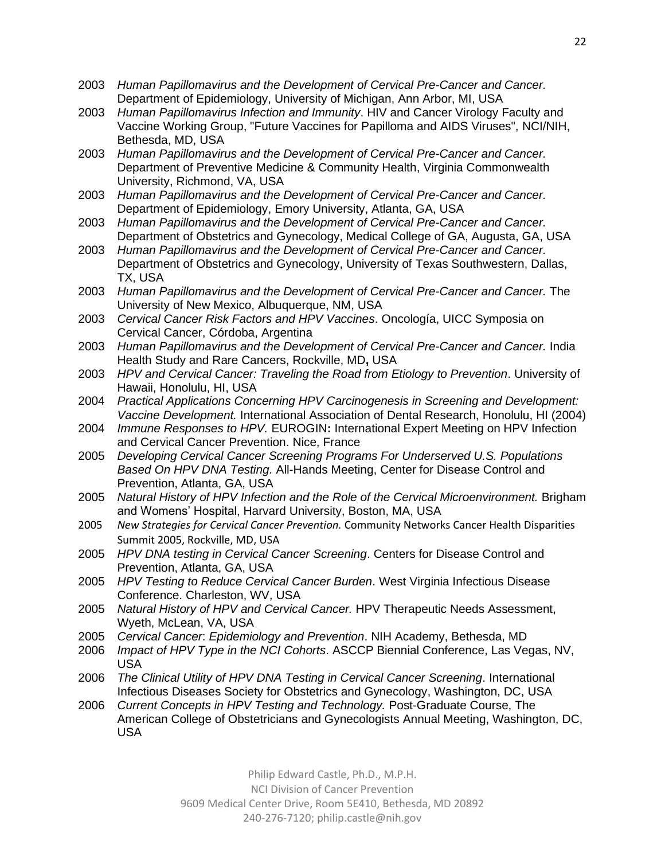- 2003 *Human Papillomavirus and the Development of Cervical Pre-Cancer and Cancer.* Department of Epidemiology, University of Michigan, Ann Arbor, MI, USA
- 2003 *Human Papillomavirus Infection and Immunity*. HIV and Cancer Virology Faculty and Vaccine Working Group, "Future Vaccines for Papilloma and AIDS Viruses", NCI/NIH, Bethesda, MD, USA
- 2003 *Human Papillomavirus and the Development of Cervical Pre-Cancer and Cancer.*  Department of Preventive Medicine & Community Health, Virginia Commonwealth University, Richmond, VA, USA
- 2003 *Human Papillomavirus and the Development of Cervical Pre-Cancer and Cancer.*  Department of Epidemiology, Emory University, Atlanta, GA, USA
- 2003 *Human Papillomavirus and the Development of Cervical Pre-Cancer and Cancer.*  Department of Obstetrics and Gynecology, Medical College of GA, Augusta, GA, USA
- 2003 *Human Papillomavirus and the Development of Cervical Pre-Cancer and Cancer.*  Department of Obstetrics and Gynecology, University of Texas Southwestern, Dallas, TX, USA
- 2003 *Human Papillomavirus and the Development of Cervical Pre-Cancer and Cancer.* The University of New Mexico, Albuquerque, NM, USA
- 2003 *Cervical Cancer Risk Factors and HPV Vaccines*. Oncología, UICC Symposia on Cervical Cancer, Córdoba, Argentina
- 2003 *Human Papillomavirus and the Development of Cervical Pre-Cancer and Cancer.* India Health Study and Rare Cancers, Rockville, MD**,** USA
- 2003 *HPV and Cervical Cancer: Traveling the Road from Etiology to Prevention*. University of Hawaii, Honolulu, HI, USA
- 2004 *Practical Applications Concerning HPV Carcinogenesis in Screening and Development: Vaccine Development.* International Association of Dental Research, Honolulu, HI (2004)
- 2004 *Immune Responses to HPV.* EUROGIN**:** International Expert Meeting on HPV Infection and Cervical Cancer Prevention. Nice, France
- 2005 *Developing Cervical Cancer Screening Programs For Underserved U.S. Populations Based On HPV DNA Testing.* All-Hands Meeting, Center for Disease Control and Prevention, Atlanta, GA, USA
- 2005 *Natural History of HPV Infection and the Role of the Cervical Microenvironment.* Brigham and Womens' Hospital, Harvard University, Boston, MA, USA
- 2005 *New Strategies for Cervical Cancer Prevention.* Community Networks Cancer Health Disparities Summit 2005, Rockville, MD, USA
- 2005 *HPV DNA testing in Cervical Cancer Screening*. Centers for Disease Control and Prevention, Atlanta, GA, USA
- 2005 *HPV Testing to Reduce Cervical Cancer Burden*. West Virginia Infectious Disease Conference. Charleston, WV, USA
- 2005 *Natural History of HPV and Cervical Cancer.* HPV Therapeutic Needs Assessment, Wyeth, McLean, VA, USA
- 2005 *Cervical Cancer*: *Epidemiology and Prevention*. NIH Academy, Bethesda, MD
- 2006 *Impact of HPV Type in the NCI Cohorts*. ASCCP Biennial Conference, Las Vegas, NV, USA
- 2006 *The Clinical Utility of HPV DNA Testing in Cervical Cancer Screening*. International Infectious Diseases Society for Obstetrics and Gynecology, Washington, DC, USA
- 2006 *Current Concepts in HPV Testing and Technology.* Post-Graduate Course, The American College of Obstetricians and Gynecologists Annual Meeting, Washington, DC, USA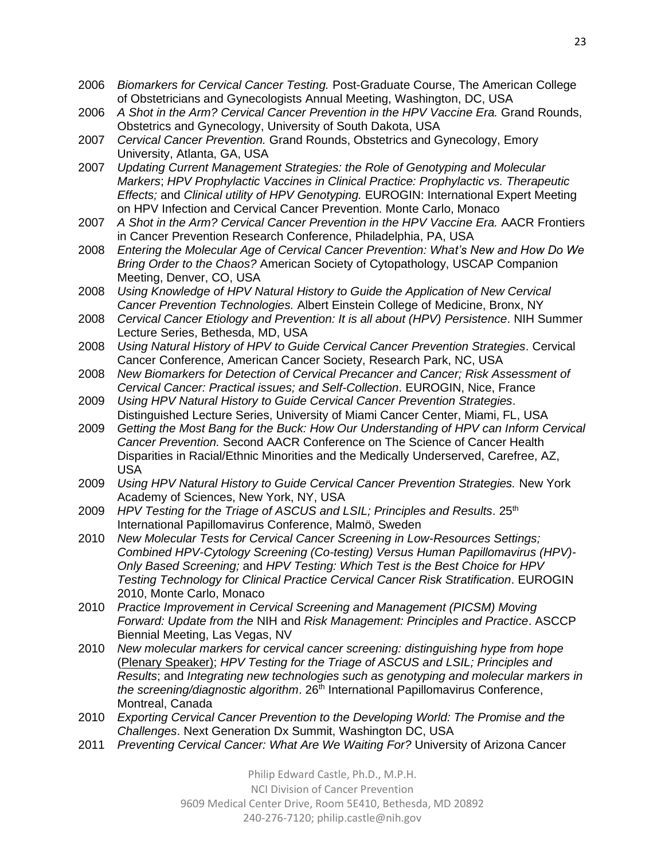- 2006 *Biomarkers for Cervical Cancer Testing.* Post-Graduate Course, The American College of Obstetricians and Gynecologists Annual Meeting, Washington, DC, USA
- 2006 *A Shot in the Arm? Cervical Cancer Prevention in the HPV Vaccine Era.* Grand Rounds, Obstetrics and Gynecology, University of South Dakota, USA
- 2007 *Cervical Cancer Prevention.* Grand Rounds, Obstetrics and Gynecology, Emory University, Atlanta, GA, USA
- 2007 *Updating Current Management Strategies: the Role of Genotyping and Molecular Markers*; *HPV Prophylactic Vaccines in Clinical Practice: Prophylactic vs. Therapeutic Effects;* and *Clinical utility of HPV Genotyping.* EUROGIN: International Expert Meeting on HPV Infection and Cervical Cancer Prevention. Monte Carlo, Monaco
- 2007 *A Shot in the Arm? Cervical Cancer Prevention in the HPV Vaccine Era.* AACR Frontiers in Cancer Prevention Research Conference, Philadelphia, PA, USA
- 2008 *Entering the Molecular Age of Cervical Cancer Prevention: What's New and How Do We Bring Order to the Chaos?* American Society of Cytopathology, USCAP Companion Meeting, Denver, CO, USA
- 2008 *Using Knowledge of HPV Natural History to Guide the Application of New Cervical Cancer Prevention Technologies.* Albert Einstein College of Medicine, Bronx, NY
- 2008 *Cervical Cancer Etiology and Prevention: It is all about (HPV) Persistence*. NIH Summer Lecture Series, Bethesda, MD, USA
- 2008 *Using Natural History of HPV to Guide Cervical Cancer Prevention Strategies*. Cervical Cancer Conference, American Cancer Society, Research Park, NC, USA
- 2008 *New Biomarkers for Detection of Cervical Precancer and Cancer; Risk Assessment of Cervical Cancer: Practical issues; and Self-Collection*. EUROGIN, Nice, France
- 2009 *Using HPV Natural History to Guide Cervical Cancer Prevention Strategies*. Distinguished Lecture Series, University of Miami Cancer Center, Miami, FL, USA
- 2009 *Getting the Most Bang for the Buck: How Our Understanding of HPV can Inform Cervical Cancer Prevention.* Second AACR Conference on The Science of Cancer Health Disparities in Racial/Ethnic Minorities and the Medically Underserved, Carefree, AZ, USA
- 2009 *Using HPV Natural History to Guide Cervical Cancer Prevention Strategies.* New York Academy of Sciences, New York, NY, USA
- 2009 *HPV Testing for the Triage of ASCUS and LSIL; Principles and Results.* 25<sup>th</sup> International Papillomavirus Conference, Malmö, Sweden
- 2010 *New Molecular Tests for Cervical Cancer Screening in Low-Resources Settings; Combined HPV-Cytology Screening (Co-testing) Versus Human Papillomavirus (HPV)- Only Based Screening;* and *HPV Testing: Which Test is the Best Choice for HPV Testing Technology for Clinical Practice Cervical Cancer Risk Stratification*. EUROGIN 2010, Monte Carlo, Monaco
- 2010 *Practice Improvement in Cervical Screening and Management (PICSM) Moving Forward: Update from the* NIH and *Risk Management: Principles and Practice*. ASCCP Biennial Meeting, Las Vegas, NV
- 2010 *New molecular markers for cervical cancer screening: distinguishing hype from hope* (Plenary Speaker); *HPV Testing for the Triage of ASCUS and LSIL; Principles and Results*; and *Integrating new technologies such as genotyping and molecular markers in the screening/diagnostic algorithm.* 26<sup>th</sup> International Papillomavirus Conference, Montreal, Canada
- 2010 *Exporting Cervical Cancer Prevention to the Developing World: The Promise and the Challenges*. Next Generation Dx Summit, Washington DC, USA
- 2011 *Preventing Cervical Cancer: What Are We Waiting For?* University of Arizona Cancer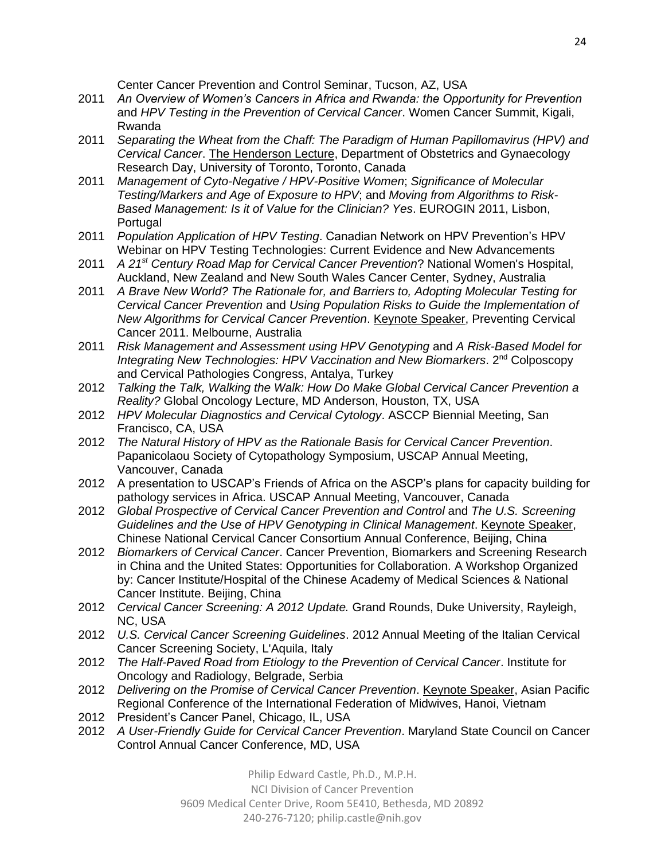Center Cancer Prevention and Control Seminar, Tucson, AZ, USA

- 2011 *An Overview of Women's Cancers in Africa and Rwanda: the Opportunity for Prevention* and *HPV Testing in the Prevention of Cervical Cancer*. Women Cancer Summit, Kigali, Rwanda
- 2011 *Separating the Wheat from the Chaff: The Paradigm of Human Papillomavirus (HPV) and Cervical Cancer*. The Henderson Lecture, Department of Obstetrics and Gynaecology Research Day, University of Toronto, Toronto, Canada
- 2011 *Management of Cyto-Negative / HPV-Positive Women*; *Significance of Molecular Testing/Markers and Age of Exposure to HPV*; and *Moving from Algorithms to Risk-Based Management: Is it of Value for the Clinician? Yes*. EUROGIN 2011, Lisbon, **Portugal**
- 2011 *Population Application of HPV Testing*. Canadian Network on HPV Prevention's HPV Webinar on HPV Testing Technologies: Current Evidence and New Advancements
- 2011 *A 21st Century Road Map for Cervical Cancer Prevention*? National Women's Hospital, Auckland, New Zealand and New South Wales Cancer Center, Sydney, Australia
- 2011 *A Brave New World? The Rationale for, and Barriers to, Adopting Molecular Testing for Cervical Cancer Prevention* and *Using Population Risks to Guide the Implementation of New Algorithms for Cervical Cancer Prevention*. Keynote Speaker, Preventing Cervical Cancer 2011. Melbourne, Australia
- 2011 *Risk Management and Assessment using HPV Genotyping* and *A Risk-Based Model for Integrating New Technologies: HPV Vaccination and New Biomarkers*. 2nd Colposcopy and Cervical Pathologies Congress, Antalya, Turkey
- 2012 *Talking the Talk, Walking the Walk: How Do Make Global Cervical Cancer Prevention a Reality?* Global Oncology Lecture, MD Anderson, Houston, TX, USA
- 2012 *HPV Molecular Diagnostics and Cervical Cytology*. ASCCP Biennial Meeting, San Francisco, CA, USA
- 2012 *The Natural History of HPV as the Rationale Basis for Cervical Cancer Prevention*. Papanicolaou Society of Cytopathology Symposium, USCAP Annual Meeting, Vancouver, Canada
- 2012 A presentation to USCAP's Friends of Africa on the ASCP's plans for capacity building for pathology services in Africa. USCAP Annual Meeting, Vancouver, Canada
- 2012 *Global Prospective of Cervical Cancer Prevention and Control* and *The U.S. Screening Guidelines and the Use of HPV Genotyping in Clinical Management*. Keynote Speaker, Chinese National Cervical Cancer Consortium Annual Conference, Beijing, China
- 2012 *Biomarkers of Cervical Cancer*. Cancer Prevention, Biomarkers and Screening Research in China and the United States: Opportunities for Collaboration. A Workshop Organized by: Cancer Institute/Hospital of the Chinese Academy of Medical Sciences & National Cancer Institute. Beijing, China
- 2012 *Cervical Cancer Screening: A 2012 Update.* Grand Rounds, Duke University, Rayleigh, NC, USA
- 2012 *U.S. Cervical Cancer Screening Guidelines*. 2012 Annual Meeting of the Italian Cervical Cancer Screening Society, L'Aquila, Italy
- 2012 *The Half-Paved Road from Etiology to the Prevention of Cervical Cancer*. Institute for Oncology and Radiology, Belgrade, Serbia
- 2012 *Delivering on the Promise of Cervical Cancer Prevention*. Keynote Speaker, Asian Pacific Regional Conference of the International Federation of Midwives, Hanoi, Vietnam
- 2012 President's Cancer Panel, Chicago, IL, USA
- 2012 *A User-Friendly Guide for Cervical Cancer Prevention*. Maryland State Council on Cancer Control Annual Cancer Conference, MD, USA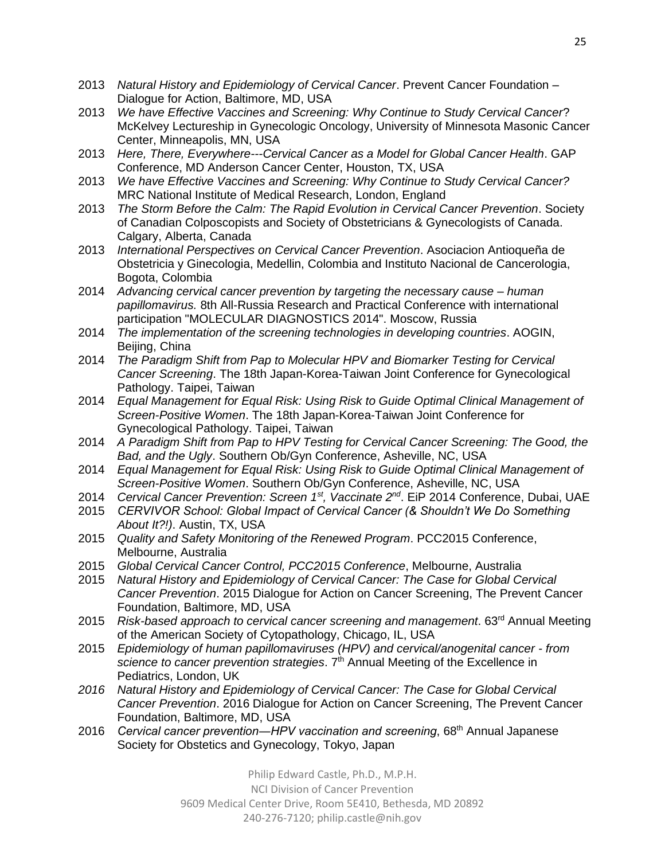- 2013 *Natural History and Epidemiology of Cervical Cancer*. Prevent Cancer Foundation Dialogue for Action, Baltimore, MD, USA
- 2013 *We have Effective Vaccines and Screening: Why Continue to Study Cervical Cancer*? McKelvey Lectureship in Gynecologic Oncology, University of Minnesota Masonic Cancer Center, Minneapolis, MN, USA
- 2013 *Here, There, Everywhere---Cervical Cancer as a Model for Global Cancer Health*. GAP Conference, MD Anderson Cancer Center, Houston, TX, USA
- 2013 *We have Effective Vaccines and Screening: Why Continue to Study Cervical Cancer?* MRC National Institute of Medical Research, London, England
- 2013 *The Storm Before the Calm: The Rapid Evolution in Cervical Cancer Prevention*. Society of Canadian Colposcopists and Society of Obstetricians & Gynecologists of Canada. Calgary, Alberta, Canada
- 2013 *International Perspectives on Cervical Cancer Prevention*. Asociacion Antioqueña de Obstetricia y Ginecologia, Medellin, Colombia and Instituto Nacional de Cancerologia, Bogota, Colombia
- 2014 *Advancing cervical cancer prevention by targeting the necessary cause – human papillomavirus.* 8th All-Russia Research and Practical Conference with international participation "MOLECULAR DIAGNOSTICS 2014". Moscow, Russia
- 2014 *The implementation of the screening technologies in developing countries*. AOGIN, Beijing, China
- 2014 *The Paradigm Shift from Pap to Molecular HPV and Biomarker Testing for Cervical Cancer Screening*. The 18th Japan-Korea-Taiwan Joint Conference for Gynecological Pathology. Taipei, Taiwan
- 2014 *Equal Management for Equal Risk: Using Risk to Guide Optimal Clinical Management of Screen-Positive Women*. The 18th Japan-Korea-Taiwan Joint Conference for Gynecological Pathology. Taipei, Taiwan
- 2014 *A Paradigm Shift from Pap to HPV Testing for Cervical Cancer Screening: The Good, the Bad, and the Ugly*. Southern Ob/Gyn Conference, Asheville, NC, USA
- 2014 *Equal Management for Equal Risk: Using Risk to Guide Optimal Clinical Management of Screen-Positive Women*. Southern Ob/Gyn Conference, Asheville, NC, USA
- 2014 *Cervical Cancer Prevention: Screen 1st, Vaccinate 2nd* . EiP 2014 Conference, Dubai, UAE
- 2015 *CERVIVOR School: Global Impact of Cervical Cancer (& Shouldn't We Do Something About It?!)*. Austin, TX, USA
- 2015 *Quality and Safety Monitoring of the Renewed Program*. PCC2015 Conference, Melbourne, Australia
- 2015 *Global Cervical Cancer Control, PCC2015 Conference*, Melbourne, Australia
- 2015 *Natural History and Epidemiology of Cervical Cancer: The Case for Global Cervical Cancer Prevention*. 2015 Dialogue for Action on Cancer Screening, The Prevent Cancer Foundation, Baltimore, MD, USA
- 2015 *Risk-based approach to cervical cancer screening and management*. 63rd Annual Meeting of the American Society of Cytopathology, Chicago, IL, USA
- 2015 *Epidemiology of human papillomaviruses (HPV) and cervical/anogenital cancer - from*  science to cancer prevention strategies. 7<sup>th</sup> Annual Meeting of the Excellence in Pediatrics, London, UK
- *2016 Natural History and Epidemiology of Cervical Cancer: The Case for Global Cervical Cancer Prevention*. 2016 Dialogue for Action on Cancer Screening, The Prevent Cancer Foundation, Baltimore, MD, USA
- 2016 *Cervical cancer prevention―HPV vaccination and screening*, 68th Annual Japanese Society for Obstetics and Gynecology, Tokyo, Japan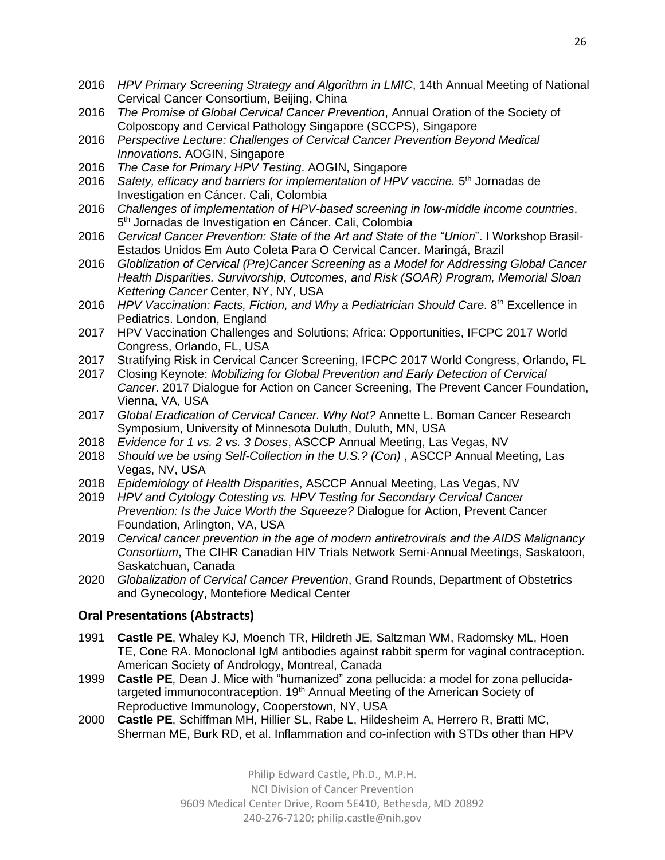- 2016 *HPV Primary Screening Strategy and Algorithm in LMIC*, 14th Annual Meeting of National Cervical Cancer Consortium, Beijing, China
- 2016 *The Promise of Global Cervical Cancer Prevention*, Annual Oration of the Society of Colposcopy and Cervical Pathology Singapore (SCCPS), Singapore
- 2016 *Perspective Lecture: Challenges of Cervical Cancer Prevention Beyond Medical Innovations*. AOGIN, Singapore
- 2016 *The Case for Primary HPV Testing*. AOGIN, Singapore
- 2016 Safety, efficacy and barriers for implementation of HPV vaccine. 5<sup>th</sup> Jornadas de Investigation en Cáncer. Cali, Colombia
- 2016 *Challenges of implementation of HPV-based screening in low-middle income countries*. 5<sup>th</sup> Jornadas de Investigation en Cáncer. Cali, Colombia
- 2016 *Cervical Cancer Prevention: State of the Art and State of the "Union*". I Workshop Brasil-Estados Unidos Em Auto Coleta Para O Cervical Cancer. Maringá, Brazil
- 2016 *Globlization of Cervical (Pre)Cancer Screening as a Model for Addressing Global Cancer Health Disparities. Survivorship, Outcomes, and Risk (SOAR) Program, Memorial Sloan Kettering Cancer* Center, NY, NY, USA
- 2016 *HPV Vaccination: Facts, Fiction, and Why a Pediatrician Should Care.* 8<sup>th</sup> Excellence in Pediatrics. London, England
- 2017 HPV Vaccination Challenges and Solutions; Africa: Opportunities, IFCPC 2017 World Congress, Orlando, FL, USA
- 2017 Stratifying Risk in Cervical Cancer Screening, IFCPC 2017 World Congress, Orlando, FL
- 2017 Closing Keynote: *Mobilizing for Global Prevention and Early Detection of Cervical Cancer*. 2017 Dialogue for Action on Cancer Screening, The Prevent Cancer Foundation, Vienna, VA, USA
- 2017 *Global Eradication of Cervical Cancer. Why Not?* Annette L. Boman Cancer Research Symposium, University of Minnesota Duluth, Duluth, MN, USA
- 2018 *Evidence for 1 vs. 2 vs. 3 Doses*, ASCCP Annual Meeting, Las Vegas, NV
- 2018 *Should we be using Self-Collection in the U.S.? (Con)* , ASCCP Annual Meeting, Las Vegas, NV, USA
- 2018 *Epidemiology of Health Disparities*, ASCCP Annual Meeting, Las Vegas, NV
- 2019 *HPV and Cytology Cotesting vs. HPV Testing for Secondary Cervical Cancer Prevention: Is the Juice Worth the Squeeze?* Dialogue for Action, Prevent Cancer Foundation, Arlington, VA, USA
- 2019 *Cervical cancer prevention in the age of modern antiretrovirals and the AIDS Malignancy Consortium*, The CIHR Canadian HIV Trials Network Semi-Annual Meetings, Saskatoon, Saskatchuan, Canada
- 2020 *Globalization of Cervical Cancer Prevention*, Grand Rounds, Department of Obstetrics and Gynecology, Montefiore Medical Center

# **Oral Presentations (Abstracts)**

- 1991 **Castle PE**, Whaley KJ, Moench TR, Hildreth JE, Saltzman WM, Radomsky ML, Hoen TE, Cone RA. Monoclonal IgM antibodies against rabbit sperm for vaginal contraception. American Society of Andrology, Montreal, Canada
- 1999 **Castle PE**, Dean J. Mice with "humanized" zona pellucida: a model for zona pellucidatargeted immunocontraception. 19<sup>th</sup> Annual Meeting of the American Society of Reproductive Immunology, Cooperstown, NY, USA
- 2000 **Castle PE**, Schiffman MH, Hillier SL, Rabe L, Hildesheim A, Herrero R, Bratti MC, Sherman ME, Burk RD, et al. Inflammation and co-infection with STDs other than HPV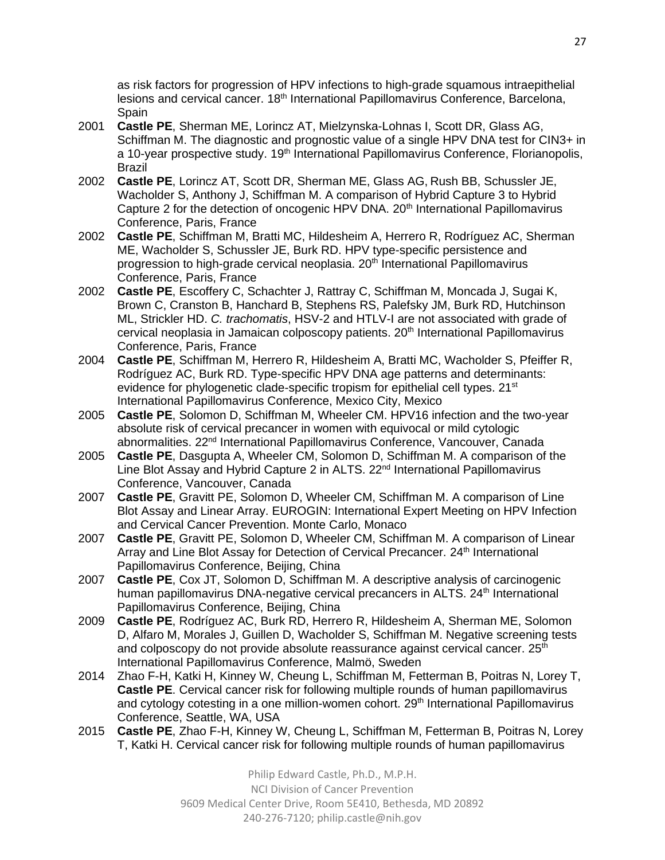as risk factors for progression of HPV infections to high-grade squamous intraepithelial lesions and cervical cancer. 18<sup>th</sup> International Papillomavirus Conference, Barcelona, Spain

- 2001 **Castle PE**, Sherman ME, Lorincz AT, Mielzynska-Lohnas I, Scott DR, Glass AG, Schiffman M. The diagnostic and prognostic value of a single HPV DNA test for CIN3+ in a 10-year prospective study. 19<sup>th</sup> International Papillomavirus Conference, Florianopolis, Brazil
- 2002 **Castle PE**, Lorincz AT, Scott DR, Sherman ME, Glass AG, Rush BB, Schussler JE, Wacholder S, Anthony J, Schiffman M. A comparison of Hybrid Capture 3 to Hybrid Capture 2 for the detection of oncogenic HPV DNA. 20<sup>th</sup> International Papillomavirus Conference, Paris, France
- 2002 **Castle PE**, Schiffman M, Bratti MC, Hildesheim A, Herrero R, Rodríguez AC, Sherman ME, Wacholder S, Schussler JE, Burk RD. HPV type-specific persistence and progression to high-grade cervical neoplasia. 20<sup>th</sup> International Papillomavirus Conference, Paris, France
- 2002 **Castle PE**, Escoffery C, Schachter J, Rattray C, Schiffman M, Moncada J, Sugai K, Brown C, Cranston B, Hanchard B, Stephens RS, Palefsky JM, Burk RD, Hutchinson ML, Strickler HD. *C. trachomatis*, HSV-2 and HTLV-I are not associated with grade of cervical neoplasia in Jamaican colposcopy patients. 20<sup>th</sup> International Papillomavirus Conference, Paris, France
- 2004 **Castle PE**, Schiffman M, Herrero R, Hildesheim A, Bratti MC, Wacholder S, Pfeiffer R, Rodríguez AC, Burk RD. Type-specific HPV DNA age patterns and determinants: evidence for phylogenetic clade-specific tropism for epithelial cell types. 21<sup>st</sup> International Papillomavirus Conference, Mexico City, Mexico
- 2005 **Castle PE**, Solomon D, Schiffman M, Wheeler CM. HPV16 infection and the two-year absolute risk of cervical precancer in women with equivocal or mild cytologic abnormalities. 22<sup>nd</sup> International Papillomavirus Conference, Vancouver, Canada
- 2005 **Castle PE**, Dasgupta A, Wheeler CM, Solomon D, Schiffman M. A comparison of the Line Blot Assay and Hybrid Capture 2 in ALTS. 22<sup>nd</sup> International Papillomavirus Conference, Vancouver, Canada
- 2007 **Castle PE**, Gravitt PE, Solomon D, Wheeler CM, Schiffman M. A comparison of Line Blot Assay and Linear Array. EUROGIN: International Expert Meeting on HPV Infection and Cervical Cancer Prevention. Monte Carlo, Monaco
- 2007 **Castle PE**, Gravitt PE, Solomon D, Wheeler CM, Schiffman M. A comparison of Linear Array and Line Blot Assay for Detection of Cervical Precancer. 24<sup>th</sup> International Papillomavirus Conference, Beijing, China
- 2007 **Castle PE**, Cox JT, Solomon D, Schiffman M. A descriptive analysis of carcinogenic human papillomavirus DNA-negative cervical precancers in ALTS, 24<sup>th</sup> International Papillomavirus Conference, Beijing, China
- 2009 **Castle PE**, Rodríguez AC, Burk RD, Herrero R, Hildesheim A, Sherman ME, Solomon D, Alfaro M, Morales J, Guillen D, Wacholder S, Schiffman M. Negative screening tests and colposcopy do not provide absolute reassurance against cervical cancer.  $25<sup>th</sup>$ International Papillomavirus Conference, Malmö, Sweden
- 2014 Zhao F-H, Katki H, Kinney W, Cheung L, Schiffman M, Fetterman B, Poitras N, Lorey T, **Castle PE**. Cervical cancer risk for following multiple rounds of human papillomavirus and cytology cotesting in a one million-women cohort. 29<sup>th</sup> International Papillomavirus Conference, Seattle, WA, USA
- 2015 **Castle PE**, Zhao F-H, Kinney W, Cheung L, Schiffman M, Fetterman B, Poitras N, Lorey T, Katki H. Cervical cancer risk for following multiple rounds of human papillomavirus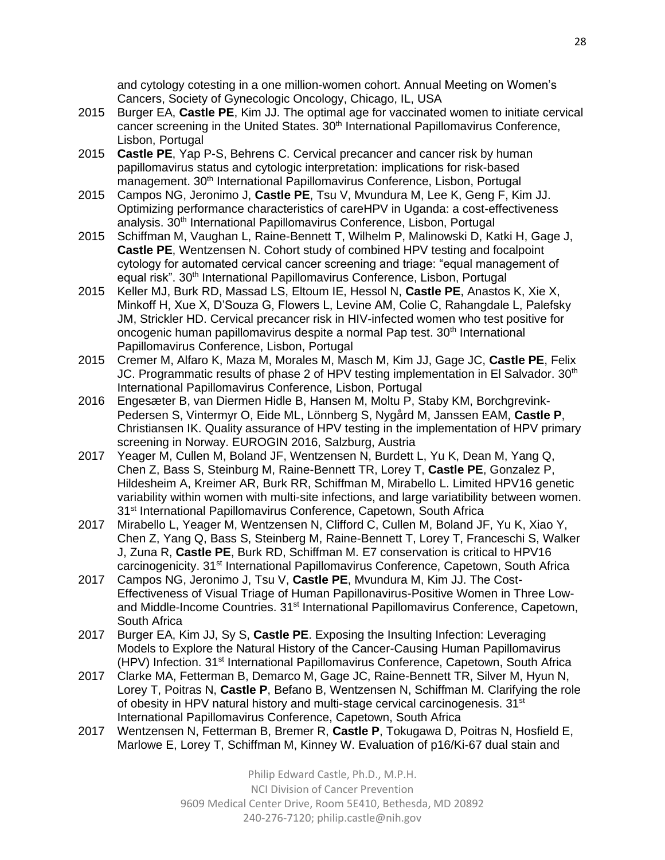and cytology cotesting in a one million-women cohort. Annual Meeting on Women's Cancers, Society of Gynecologic Oncology, Chicago, IL, USA

- 2015 Burger EA, **Castle PE**, Kim JJ. The optimal age for vaccinated women to initiate cervical cancer screening in the United States.  $30<sup>th</sup>$  International Papillomavirus Conference, Lisbon, Portugal
- 2015 **Castle PE**, Yap P-S, Behrens C. Cervical precancer and cancer risk by human papillomavirus status and cytologic interpretation: implications for risk-based management. 30<sup>th</sup> International Papillomavirus Conference, Lisbon, Portugal
- 2015 Campos NG, Jeronimo J, **Castle PE**, Tsu V, Mvundura M, Lee K, Geng F, Kim JJ. Optimizing performance characteristics of careHPV in Uganda: a cost-effectiveness analysis. 30<sup>th</sup> International Papillomavirus Conference, Lisbon, Portugal
- 2015 Schiffman M, Vaughan L, Raine-Bennett T, Wilhelm P, Malinowski D, Katki H, Gage J, **Castle PE**, Wentzensen N. Cohort study of combined HPV testing and focalpoint cytology for automated cervical cancer screening and triage: "equal management of equal risk". 30<sup>th</sup> International Papillomavirus Conference, Lisbon, Portugal
- 2015 Keller MJ, Burk RD, Massad LS, Eltoum IE, Hessol N, **Castle PE**, Anastos K, Xie X, Minkoff H, Xue X, D'Souza G, Flowers L, Levine AM, Colie C, Rahangdale L, Palefsky JM, Strickler HD. Cervical precancer risk in HIV-infected women who test positive for oncogenic human papillomavirus despite a normal Pap test. 30<sup>th</sup> International Papillomavirus Conference, Lisbon, Portugal
- 2015 Cremer M, Alfaro K, Maza M, Morales M, Masch M, Kim JJ, Gage JC, **Castle PE**, Felix JC. Programmatic results of phase 2 of HPV testing implementation in El Salvador.  $30<sup>th</sup>$ International Papillomavirus Conference, Lisbon, Portugal
- 2016 Engesæter B, van Diermen Hidle B, Hansen M, Moltu P, Staby KM, Borchgrevink-Pedersen S, Vintermyr O, Eide ML, Lönnberg S, Nygård M, Janssen EAM, **Castle P**, Christiansen IK. Quality assurance of HPV testing in the implementation of HPV primary screening in Norway. EUROGIN 2016, Salzburg, Austria
- 2017 Yeager M, Cullen M, Boland JF, Wentzensen N, Burdett L, Yu K, Dean M, Yang Q, Chen Z, Bass S, Steinburg M, Raine-Bennett TR, Lorey T, **Castle PE**, Gonzalez P, Hildesheim A, Kreimer AR, Burk RR, Schiffman M, Mirabello L. Limited HPV16 genetic variability within women with multi-site infections, and large variatibility between women. 31<sup>st</sup> International Papillomavirus Conference, Capetown, South Africa
- 2017 Mirabello L, Yeager M, Wentzensen N, Clifford C, Cullen M, Boland JF, Yu K, Xiao Y, Chen Z, Yang Q, Bass S, Steinberg M, Raine-Bennett T, Lorey T, Franceschi S, Walker J, Zuna R, **Castle PE**, Burk RD, Schiffman M. E7 conservation is critical to HPV16 carcinogenicity. 31<sup>st</sup> International Papillomavirus Conference, Capetown, South Africa
- 2017 Campos NG, Jeronimo J, Tsu V, **Castle PE**, Mvundura M, Kim JJ. The Cost-Effectiveness of Visual Triage of Human Papillonavirus-Positive Women in Three Lowand Middle-Income Countries. 31<sup>st</sup> International Papillomavirus Conference, Capetown, South Africa
- 2017 Burger EA, Kim JJ, Sy S, **Castle PE**. Exposing the Insulting Infection: Leveraging Models to Explore the Natural History of the Cancer-Causing Human Papillomavirus (HPV) Infection. 31<sup>st</sup> International Papillomavirus Conference, Capetown, South Africa
- 2017 Clarke MA, Fetterman B, Demarco M, Gage JC, Raine-Bennett TR, Silver M, Hyun N, Lorey T, Poitras N, **Castle P**, Befano B, Wentzensen N, Schiffman M. Clarifying the role of obesity in HPV natural history and multi-stage cervical carcinogenesis. 31<sup>st</sup> International Papillomavirus Conference, Capetown, South Africa
- 2017 Wentzensen N, Fetterman B, Bremer R, **Castle P**, Tokugawa D, Poitras N, Hosfield E, Marlowe E, Lorey T, Schiffman M, Kinney W. Evaluation of p16/Ki-67 dual stain and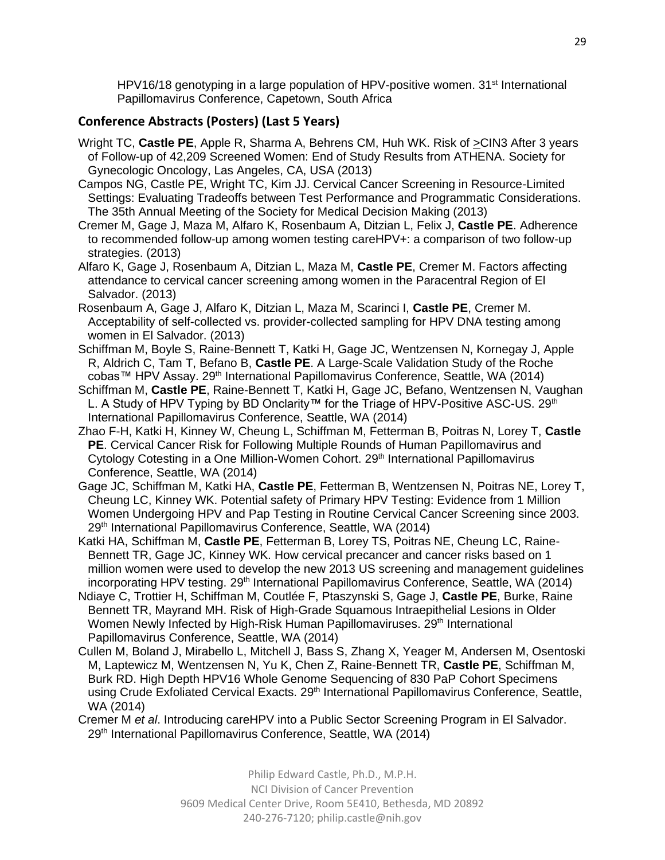HPV16/18 genotyping in a large population of HPV-positive women. 31<sup>st</sup> International Papillomavirus Conference, Capetown, South Africa

# **Conference Abstracts (Posters) (Last 5 Years)**

- Wright TC, **Castle PE**, Apple R, Sharma A, Behrens CM, Huh WK. Risk of >CIN3 After 3 years of Follow-up of 42,209 Screened Women: End of Study Results from ATHENA. Society for Gynecologic Oncology, Las Angeles, CA, USA (2013)
- Campos NG, Castle PE, Wright TC, Kim JJ. Cervical Cancer Screening in Resource-Limited Settings: Evaluating Tradeoffs between Test Performance and Programmatic Considerations. The 35th Annual Meeting of the Society for Medical Decision Making (2013)
- Cremer M, Gage J, Maza M, Alfaro K, Rosenbaum A, Ditzian L, Felix J, **Castle PE**. Adherence to recommended follow-up among women testing careHPV+: a comparison of two follow-up strategies. (2013)
- Alfaro K, Gage J, Rosenbaum A, Ditzian L, Maza M, **Castle PE**, Cremer M. Factors affecting attendance to cervical cancer screening among women in the Paracentral Region of El Salvador. (2013)
- Rosenbaum A, Gage J, Alfaro K, Ditzian L, Maza M, Scarinci I, **Castle PE**, Cremer M. Acceptability of self-collected vs. provider-collected sampling for HPV DNA testing among women in El Salvador. (2013)
- Schiffman M, Boyle S, Raine-Bennett T, Katki H, Gage JC, Wentzensen N, Kornegay J, Apple R, Aldrich C, Tam T, Befano B, **Castle PE**. A Large-Scale Validation Study of the Roche cobas™ HPV Assay. 29<sup>th</sup> International Papillomavirus Conference, Seattle, WA (2014)
- Schiffman M, **Castle PE**, Raine-Bennett T, Katki H, Gage JC, Befano, Wentzensen N, Vaughan L. A Study of HPV Typing by BD Onclarity™ for the Triage of HPV-Positive ASC-US. 29<sup>th</sup> International Papillomavirus Conference, Seattle, WA (2014)
- Zhao F-H, Katki H, Kinney W, Cheung L, Schiffman M, Fetterman B, Poitras N, Lorey T, **Castle PE**. Cervical Cancer Risk for Following Multiple Rounds of Human Papillomavirus and Cytology Cotesting in a One Million-Women Cohort. 29<sup>th</sup> International Papillomavirus Conference, Seattle, WA (2014)
- Gage JC, Schiffman M, Katki HA, **Castle PE**, Fetterman B, Wentzensen N, Poitras NE, Lorey T, Cheung LC, Kinney WK. Potential safety of Primary HPV Testing: Evidence from 1 Million Women Undergoing HPV and Pap Testing in Routine Cervical Cancer Screening since 2003. 29<sup>th</sup> International Papillomavirus Conference, Seattle, WA (2014)
- Katki HA, Schiffman M, **Castle PE**, Fetterman B, Lorey TS, Poitras NE, Cheung LC, Raine-Bennett TR, Gage JC, Kinney WK. How cervical precancer and cancer risks based on 1 million women were used to develop the new 2013 US screening and management guidelines incorporating HPV testing. 29<sup>th</sup> International Papillomavirus Conference, Seattle, WA (2014)
- Ndiaye C, Trottier H, Schiffman M, Coutlée F, Ptaszynski S, Gage J, **Castle PE**, Burke, Raine Bennett TR, Mayrand MH. Risk of High-Grade Squamous Intraepithelial Lesions in Older Women Newly Infected by High-Risk Human Papillomaviruses. 29<sup>th</sup> International Papillomavirus Conference, Seattle, WA (2014)
- Cullen M, Boland J, Mirabello L, Mitchell J, Bass S, Zhang X, Yeager M, Andersen M, Osentoski M, Laptewicz M, Wentzensen N, Yu K, Chen Z, Raine-Bennett TR, **Castle PE**, Schiffman M, Burk RD. High Depth HPV16 Whole Genome Sequencing of 830 PaP Cohort Specimens using Crude Exfoliated Cervical Exacts. 29<sup>th</sup> International Papillomavirus Conference, Seattle, WA (2014)
- Cremer M *et al*. Introducing careHPV into a Public Sector Screening Program in El Salvador. 29<sup>th</sup> International Papillomavirus Conference, Seattle, WA (2014)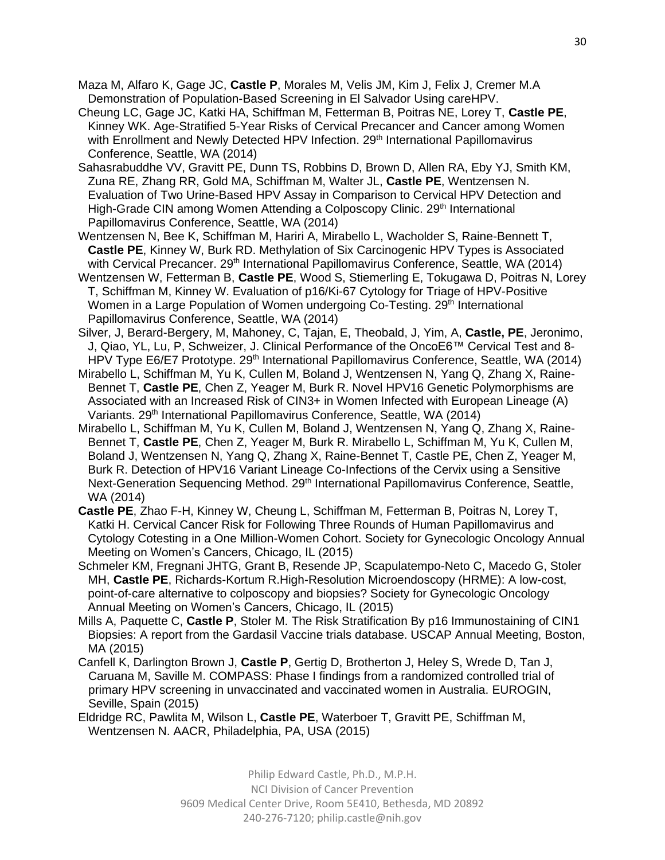- Maza M, Alfaro K, Gage JC, **Castle P**, Morales M, Velis JM, Kim J, Felix J, Cremer M.A Demonstration of Population-Based Screening in El Salvador Using careHPV.
- Cheung LC, Gage JC, Katki HA, Schiffman M, Fetterman B, Poitras NE, Lorey T, **Castle PE**, Kinney WK. Age-Stratified 5-Year Risks of Cervical Precancer and Cancer among Women with Enrollment and Newly Detected HPV Infection. 29<sup>th</sup> International Papillomavirus Conference, Seattle, WA (2014)
- Sahasrabuddhe VV, Gravitt PE, Dunn TS, Robbins D, Brown D, Allen RA, Eby YJ, Smith KM, Zuna RE, Zhang RR, Gold MA, Schiffman M, Walter JL, **Castle PE**, Wentzensen N. Evaluation of Two Urine-Based HPV Assay in Comparison to Cervical HPV Detection and High-Grade CIN among Women Attending a Colposcopy Clinic. 29<sup>th</sup> International Papillomavirus Conference, Seattle, WA (2014)
- Wentzensen N, Bee K, Schiffman M, Hariri A, Mirabello L, Wacholder S, Raine-Bennett T, **Castle PE**, Kinney W, Burk RD. Methylation of Six Carcinogenic HPV Types is Associated with Cervical Precancer. 29<sup>th</sup> International Papillomavirus Conference, Seattle, WA (2014)
- Wentzensen W, Fetterman B, **Castle PE**, Wood S, Stiemerling E, Tokugawa D, Poitras N, Lorey T, Schiffman M, Kinney W. Evaluation of p16/Ki-67 Cytology for Triage of HPV-Positive Women in a Large Population of Women undergoing Co-Testing. 29<sup>th</sup> International Papillomavirus Conference, Seattle, WA (2014)
- Silver, J, Berard-Bergery, M, Mahoney, C, Tajan, E, Theobald, J, Yim, A, **Castle, PE**, Jeronimo, J, Qiao, YL, Lu, P, Schweizer, J. Clinical Performance of the OncoE6™ Cervical Test and 8- HPV Type E6/E7 Prototype. 29th International Papillomavirus Conference, Seattle, WA (2014)
- Mirabello L, Schiffman M, Yu K, Cullen M, Boland J, Wentzensen N, Yang Q, Zhang X, Raine-Bennet T, **Castle PE**, Chen Z, Yeager M, Burk R. Novel HPV16 Genetic Polymorphisms are Associated with an Increased Risk of CIN3+ in Women Infected with European Lineage (A) Variants. 29<sup>th</sup> International Papillomavirus Conference, Seattle, WA (2014)
- Mirabello L, Schiffman M, Yu K, Cullen M, Boland J, Wentzensen N, Yang Q, Zhang X, Raine-Bennet T, **Castle PE**, Chen Z, Yeager M, Burk R. Mirabello L, Schiffman M, Yu K, Cullen M, Boland J, Wentzensen N, Yang Q, Zhang X, Raine-Bennet T, Castle PE, Chen Z, Yeager M, Burk R. Detection of HPV16 Variant Lineage Co-Infections of the Cervix using a Sensitive Next-Generation Sequencing Method. 29<sup>th</sup> International Papillomavirus Conference, Seattle, WA (2014)
- **Castle PE**, Zhao F-H, Kinney W, Cheung L, Schiffman M, Fetterman B, Poitras N, Lorey T, Katki H. Cervical Cancer Risk for Following Three Rounds of Human Papillomavirus and Cytology Cotesting in a One Million-Women Cohort. Society for Gynecologic Oncology Annual Meeting on Women's Cancers, Chicago, IL (2015)
- Schmeler KM, Fregnani JHTG, Grant B, Resende JP, Scapulatempo-Neto C, Macedo G, Stoler MH, **Castle PE**, Richards-Kortum R.High-Resolution Microendoscopy (HRME): A low-cost, point-of-care alternative to colposcopy and biopsies? Society for Gynecologic Oncology Annual Meeting on Women's Cancers, Chicago, IL (2015)
- Mills A, Paquette C, **Castle P**, Stoler M. The Risk Stratification By p16 Immunostaining of CIN1 Biopsies: A report from the Gardasil Vaccine trials database. USCAP Annual Meeting, Boston, MA (2015)
- Canfell K, Darlington Brown J, **Castle P**, Gertig D, Brotherton J, Heley S, Wrede D, Tan J, Caruana M, Saville M. COMPASS: Phase I findings from a randomized controlled trial of primary HPV screening in unvaccinated and vaccinated women in Australia. EUROGIN, Seville, Spain (2015)
- Eldridge RC, Pawlita M, Wilson L, **Castle PE**, Waterboer T, Gravitt PE, Schiffman M, Wentzensen N. AACR, Philadelphia, PA, USA (2015)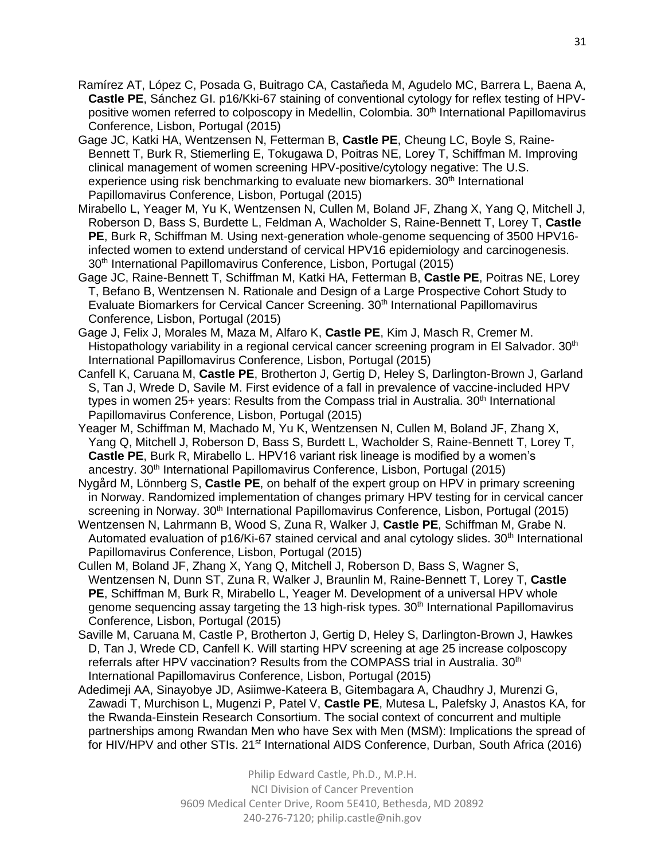- Ramírez AT, López C, Posada G, Buitrago CA, Castañeda M, Agudelo MC, Barrera L, Baena A, **Castle PE**, Sánchez GI. p16/Kki-67 staining of conventional cytology for reflex testing of HPVpositive women referred to colposcopy in Medellin, Colombia. 30<sup>th</sup> International Papillomavirus Conference, Lisbon, Portugal (2015)
- Gage JC, Katki HA, Wentzensen N, Fetterman B, **Castle PE**, Cheung LC, Boyle S, Raine-Bennett T, Burk R, Stiemerling E, Tokugawa D, Poitras NE, Lorey T, Schiffman M. Improving clinical management of women screening HPV-positive/cytology negative: The U.S. experience using risk benchmarking to evaluate new biomarkers.  $30<sup>th</sup>$  International Papillomavirus Conference, Lisbon, Portugal (2015)
- Mirabello L, Yeager M, Yu K, Wentzensen N, Cullen M, Boland JF, Zhang X, Yang Q, Mitchell J, Roberson D, Bass S, Burdette L, Feldman A, Wacholder S, Raine-Bennett T, Lorey T, **Castle PE**, Burk R, Schiffman M. Using next-generation whole-genome sequencing of 3500 HPV16 infected women to extend understand of cervical HPV16 epidemiology and carcinogenesis. 30<sup>th</sup> International Papillomavirus Conference, Lisbon, Portugal (2015)
- Gage JC, Raine-Bennett T, Schiffman M, Katki HA, Fetterman B, **Castle PE**, Poitras NE, Lorey T, Befano B, Wentzensen N. Rationale and Design of a Large Prospective Cohort Study to Evaluate Biomarkers for Cervical Cancer Screening. 30<sup>th</sup> International Papillomavirus Conference, Lisbon, Portugal (2015)
- Gage J, Felix J, Morales M, Maza M, Alfaro K, **Castle PE**, Kim J, Masch R, Cremer M. Histopathology variability in a regional cervical cancer screening program in El Salvador. 30<sup>th</sup> International Papillomavirus Conference, Lisbon, Portugal (2015)
- Canfell K, Caruana M, **Castle PE**, Brotherton J, Gertig D, Heley S, Darlington-Brown J, Garland S, Tan J, Wrede D, Savile M. First evidence of a fall in prevalence of vaccine-included HPV types in women  $25+$  years: Results from the Compass trial in Australia.  $30<sup>th</sup>$  International Papillomavirus Conference, Lisbon, Portugal (2015)
- Yeager M, Schiffman M, Machado M, Yu K, Wentzensen N, Cullen M, Boland JF, Zhang X, Yang Q, Mitchell J, Roberson D, Bass S, Burdett L, Wacholder S, Raine-Bennett T, Lorey T, **Castle PE**, Burk R, Mirabello L. HPV16 variant risk lineage is modified by a women's ancestry. 30<sup>th</sup> International Papillomavirus Conference, Lisbon, Portugal (2015)
- Nygård M, Lönnberg S, **Castle PE**, on behalf of the expert group on HPV in primary screening in Norway. Randomized implementation of changes primary HPV testing for in cervical cancer screening in Norway. 30<sup>th</sup> International Papillomavirus Conference, Lisbon, Portugal (2015)
- Wentzensen N, Lahrmann B, Wood S, Zuna R, Walker J, **Castle PE**, Schiffman M, Grabe N. Automated evaluation of  $p16/Ki-67$  stained cervical and anal cytology slides.  $30<sup>th</sup>$  International Papillomavirus Conference, Lisbon, Portugal (2015)
- Cullen M, Boland JF, Zhang X, Yang Q, Mitchell J, Roberson D, Bass S, Wagner S, Wentzensen N, Dunn ST, Zuna R, Walker J, Braunlin M, Raine-Bennett T, Lorey T, **Castle PE**, Schiffman M, Burk R, Mirabello L, Yeager M. Development of a universal HPV whole genome sequencing assay targeting the 13 high-risk types. 30<sup>th</sup> International Papillomavirus Conference, Lisbon, Portugal (2015)
- Saville M, Caruana M, Castle P, Brotherton J, Gertig D, Heley S, Darlington-Brown J, Hawkes D, Tan J, Wrede CD, Canfell K. Will starting HPV screening at age 25 increase colposcopy referrals after HPV vaccination? Results from the COMPASS trial in Australia. 30<sup>th</sup> International Papillomavirus Conference, Lisbon, Portugal (2015)
- Adedimeji AA, Sinayobye JD, Asiimwe-Kateera B, Gitembagara A, Chaudhry J, Murenzi G, Zawadi T, Murchison L, Mugenzi P, Patel V, **Castle PE**, Mutesa L, Palefsky J, Anastos KA, for the Rwanda-Einstein Research Consortium. The social context of concurrent and multiple partnerships among Rwandan Men who have Sex with Men (MSM): Implications the spread of for HIV/HPV and other STIs. 21<sup>st</sup> International AIDS Conference, Durban, South Africa (2016)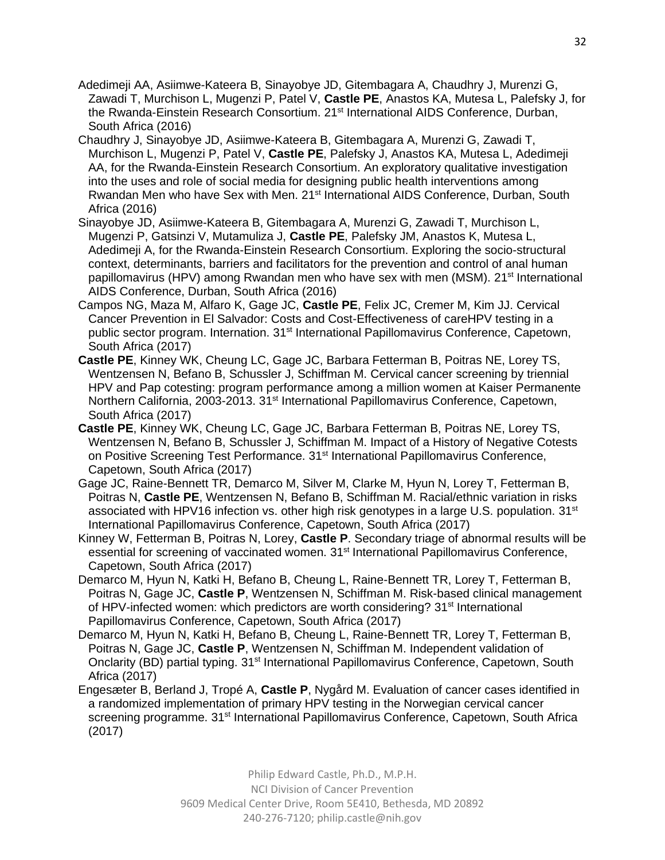- Adedimeji AA, Asiimwe-Kateera B, Sinayobye JD, Gitembagara A, Chaudhry J, Murenzi G, Zawadi T, Murchison L, Mugenzi P, Patel V, **Castle PE**, Anastos KA, Mutesa L, Palefsky J, for the Rwanda-Einstein Research Consortium. 21<sup>st</sup> International AIDS Conference, Durban, South Africa (2016)
- Chaudhry J, Sinayobye JD, Asiimwe-Kateera B, Gitembagara A, Murenzi G, Zawadi T, Murchison L, Mugenzi P, Patel V, **Castle PE**, Palefsky J, Anastos KA, Mutesa L, Adedimeji AA, for the Rwanda-Einstein Research Consortium. An exploratory qualitative investigation into the uses and role of social media for designing public health interventions among Rwandan Men who have Sex with Men. 21<sup>st</sup> International AIDS Conference, Durban, South Africa (2016)
- Sinayobye JD, Asiimwe-Kateera B, Gitembagara A, Murenzi G, Zawadi T, Murchison L, Mugenzi P, Gatsinzi V, Mutamuliza J, **Castle PE**, Palefsky JM, Anastos K, Mutesa L, Adedimeji A, for the Rwanda-Einstein Research Consortium. Exploring the socio-structural context, determinants, barriers and facilitators for the prevention and control of anal human papillomavirus (HPV) among Rwandan men who have sex with men (MSM). 21<sup>st</sup> International AIDS Conference, Durban, South Africa (2016)
- Campos NG, Maza M, Alfaro K, Gage JC, **Castle PE**, Felix JC, Cremer M, Kim JJ. Cervical Cancer Prevention in El Salvador: Costs and Cost-Effectiveness of careHPV testing in a public sector program. Internation. 31<sup>st</sup> International Papillomavirus Conference, Capetown, South Africa (2017)
- **Castle PE**, Kinney WK, Cheung LC, Gage JC, Barbara Fetterman B, Poitras NE, Lorey TS, Wentzensen N, Befano B, Schussler J, Schiffman M. Cervical cancer screening by triennial HPV and Pap cotesting: program performance among a million women at Kaiser Permanente Northern California, 2003-2013. 31<sup>st</sup> International Papillomavirus Conference, Capetown, South Africa (2017)
- **Castle PE**, Kinney WK, Cheung LC, Gage JC, Barbara Fetterman B, Poitras NE, Lorey TS, Wentzensen N, Befano B, Schussler J, Schiffman M. Impact of a History of Negative Cotests on Positive Screening Test Performance. 31st International Papillomavirus Conference, Capetown, South Africa (2017)
- Gage JC, Raine-Bennett TR, Demarco M, Silver M, Clarke M, Hyun N, Lorey T, Fetterman B, Poitras N, **Castle PE**, Wentzensen N, Befano B, Schiffman M. Racial/ethnic variation in risks associated with HPV16 infection vs. other high risk genotypes in a large U.S. population.  $31<sup>st</sup>$ International Papillomavirus Conference, Capetown, South Africa (2017)
- Kinney W, Fetterman B, Poitras N, Lorey, **Castle P**. Secondary triage of abnormal results will be essential for screening of vaccinated women. 31<sup>st</sup> International Papillomavirus Conference, Capetown, South Africa (2017)
- Demarco M, Hyun N, Katki H, Befano B, Cheung L, Raine-Bennett TR, Lorey T, Fetterman B, Poitras N, Gage JC, **Castle P**, Wentzensen N, Schiffman M. Risk-based clinical management of HPV-infected women: which predictors are worth considering? 31<sup>st</sup> International Papillomavirus Conference, Capetown, South Africa (2017)
- Demarco M, Hyun N, Katki H, Befano B, Cheung L, Raine-Bennett TR, Lorey T, Fetterman B, Poitras N, Gage JC, **Castle P**, Wentzensen N, Schiffman M. Independent validation of Onclarity (BD) partial typing. 31<sup>st</sup> International Papillomavirus Conference, Capetown, South Africa (2017)
- Engesæter B, Berland J, Tropé A, **Castle P**, Nygård M. Evaluation of cancer cases identified in a randomized implementation of primary HPV testing in the Norwegian cervical cancer screening programme. 31<sup>st</sup> International Papillomavirus Conference, Capetown, South Africa (2017)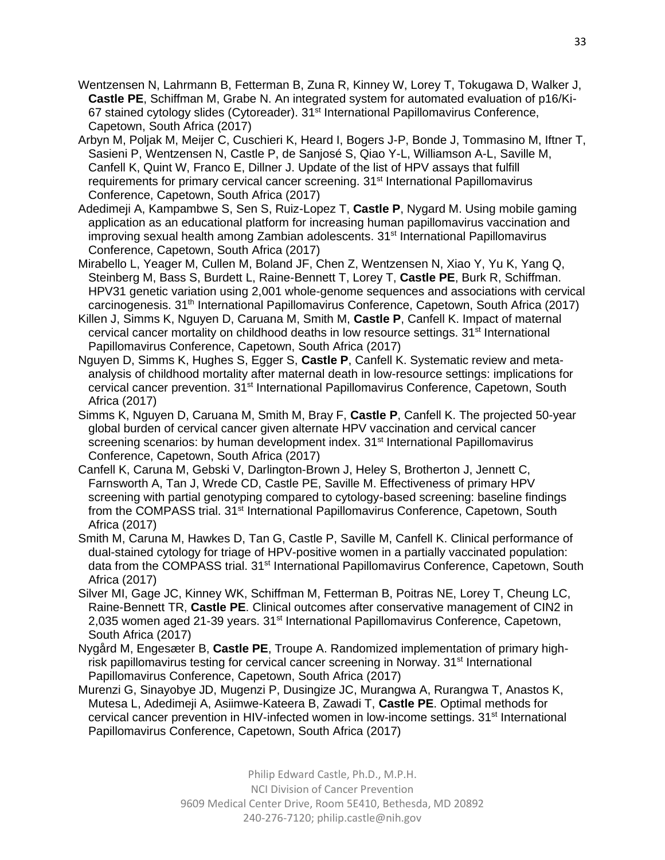- Wentzensen N, Lahrmann B, Fetterman B, Zuna R, Kinney W, Lorey T, Tokugawa D, Walker J, **Castle PE**, Schiffman M, Grabe N. An integrated system for automated evaluation of p16/Ki-67 stained cytology slides (Cytoreader). 31<sup>st</sup> International Papillomavirus Conference, Capetown, South Africa (2017)
- Arbyn M, Poljak M, Meijer C, Cuschieri K, Heard I, Bogers J-P, Bonde J, Tommasino M, Iftner T, Sasieni P, Wentzensen N, Castle P, de Sanjosé S, Qiao Y-L, Williamson A-L, Saville M, Canfell K, Quint W, Franco E, Dillner J. Update of the list of HPV assays that fulfill requirements for primary cervical cancer screening. 31<sup>st</sup> International Papillomavirus Conference, Capetown, South Africa (2017)
- Adedimeji A, Kampambwe S, Sen S, Ruiz-Lopez T, **Castle P**, Nygard M. Using mobile gaming application as an educational platform for increasing human papillomavirus vaccination and improving sexual health among Zambian adolescents. 31<sup>st</sup> International Papillomavirus Conference, Capetown, South Africa (2017)
- Mirabello L, Yeager M, Cullen M, Boland JF, Chen Z, Wentzensen N, Xiao Y, Yu K, Yang Q, Steinberg M, Bass S, Burdett L, Raine-Bennett T, Lorey T, **Castle PE**, Burk R, Schiffman. HPV31 genetic variation using 2,001 whole-genome sequences and associations with cervical carcinogenesis. 31<sup>th</sup> International Papillomavirus Conference, Capetown, South Africa (2017)
- Killen J, Simms K, Nguyen D, Caruana M, Smith M, **Castle P**, Canfell K. Impact of maternal cervical cancer mortality on childhood deaths in low resource settings. 31<sup>st</sup> International Papillomavirus Conference, Capetown, South Africa (2017)
- Nguyen D, Simms K, Hughes S, Egger S, **Castle P**, Canfell K. Systematic review and metaanalysis of childhood mortality after maternal death in low-resource settings: implications for cervical cancer prevention. 31<sup>st</sup> International Papillomavirus Conference, Capetown, South Africa (2017)
- Simms K, Nguyen D, Caruana M, Smith M, Bray F, **Castle P**, Canfell K. The projected 50-year global burden of cervical cancer given alternate HPV vaccination and cervical cancer screening scenarios: by human development index. 31<sup>st</sup> International Papillomavirus Conference, Capetown, South Africa (2017)
- Canfell K, Caruna M, Gebski V, Darlington-Brown J, Heley S, Brotherton J, Jennett C, Farnsworth A, Tan J, Wrede CD, Castle PE, Saville M. Effectiveness of primary HPV screening with partial genotyping compared to cytology-based screening: baseline findings from the COMPASS trial. 31<sup>st</sup> International Papillomavirus Conference, Capetown, South Africa (2017)
- Smith M, Caruna M, Hawkes D, Tan G, Castle P, Saville M, Canfell K. Clinical performance of dual-stained cytology for triage of HPV-positive women in a partially vaccinated population: data from the COMPASS trial. 31st International Papillomavirus Conference, Capetown, South Africa (2017)
- Silver MI, Gage JC, Kinney WK, Schiffman M, Fetterman B, Poitras NE, Lorey T, Cheung LC, Raine-Bennett TR, **Castle PE**. Clinical outcomes after conservative management of CIN2 in 2,035 women aged 21-39 years. 31<sup>st</sup> International Papillomavirus Conference, Capetown, South Africa (2017)
- Nygård M, Engesæter B, **Castle PE**, Troupe A. Randomized implementation of primary highrisk papillomavirus testing for cervical cancer screening in Norway. 31<sup>st</sup> International Papillomavirus Conference, Capetown, South Africa (2017)
- Murenzi G, Sinayobye JD, Mugenzi P, Dusingize JC, Murangwa A, Rurangwa T, Anastos K, Mutesa L, Adedimeji A, Asiimwe-Kateera B, Zawadi T, **Castle PE**. Optimal methods for cervical cancer prevention in HIV-infected women in low-income settings. 31<sup>st</sup> International Papillomavirus Conference, Capetown, South Africa (2017)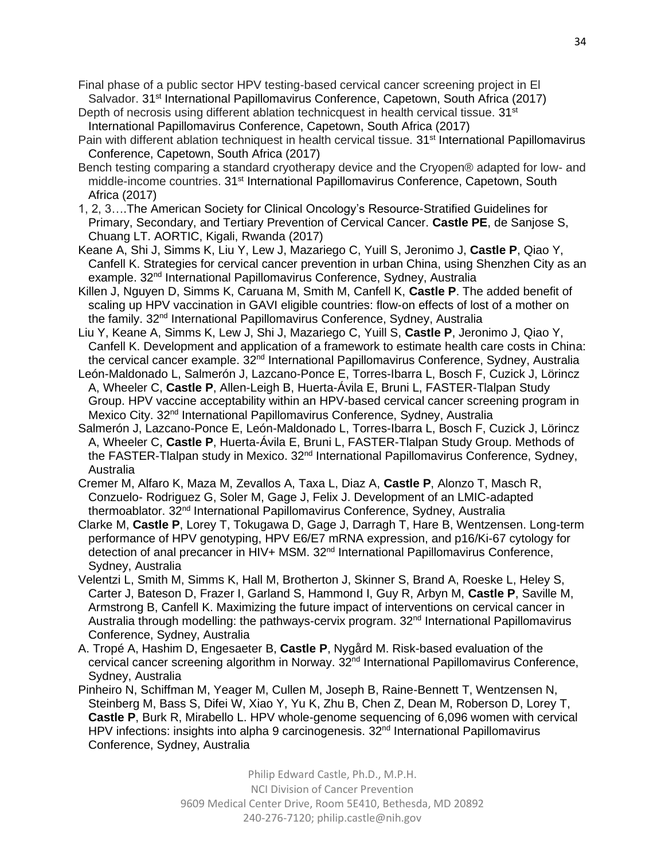Final phase of a public sector HPV testing-based cervical cancer screening project in El Salvador. 31<sup>st</sup> International Papillomavirus Conference, Capetown, South Africa (2017)

- Depth of necrosis using different ablation technicquest in health cervical tissue.  $31<sup>st</sup>$ International Papillomavirus Conference, Capetown, South Africa (2017)
- Pain with different ablation techniquest in health cervical tissue. 31<sup>st</sup> International Papillomavirus Conference, Capetown, South Africa (2017)
- Bench testing comparing a standard cryotherapy device and the Cryopen® adapted for low- and middle-income countries. 31<sup>st</sup> International Papillomavirus Conference, Capetown, South Africa (2017)
- 1, 2, 3….The American Society for Clinical Oncology's Resource-Stratified Guidelines for Primary, Secondary, and Tertiary Prevention of Cervical Cancer. **Castle PE**, de Sanjose S, Chuang LT. AORTIC, Kigali, Rwanda (2017)
- Keane A, Shi J, Simms K, Liu Y, Lew J, Mazariego C, Yuill S, Jeronimo J, **Castle P**, Qiao Y, Canfell K. Strategies for cervical cancer prevention in urban China, using Shenzhen City as an example. 32nd International Papillomavirus Conference, Sydney, Australia
- Killen J, Nguyen D, Simms K, Caruana M, Smith M, Canfell K, **Castle P**. The added benefit of scaling up HPV vaccination in GAVI eligible countries: flow-on effects of lost of a mother on the family. 32<sup>nd</sup> International Papillomavirus Conference, Sydney, Australia
- Liu Y, Keane A, Simms K, Lew J, Shi J, Mazariego C, Yuill S, **Castle P**, Jeronimo J, Qiao Y, Canfell K. Development and application of a framework to estimate health care costs in China: the cervical cancer example. 32<sup>nd</sup> International Papillomavirus Conference, Sydney, Australia
- León-Maldonado L, Salmerón J, Lazcano-Ponce E, Torres-Ibarra L, Bosch F, Cuzick J, Lörincz A, Wheeler C, **Castle P**, Allen-Leigh B, Huerta-Ávila E, Bruni L, FASTER-Tlalpan Study Group. HPV vaccine acceptability within an HPV-based cervical cancer screening program in Mexico City. 32<sup>nd</sup> International Papillomavirus Conference, Sydney, Australia
- Salmerón J, Lazcano-Ponce E, León-Maldonado L, Torres-Ibarra L, Bosch F, Cuzick J, Lörincz A, Wheeler C, **Castle P**, Huerta-Ávila E, Bruni L, FASTER-Tlalpan Study Group. Methods of the FASTER-Tlalpan study in Mexico. 32<sup>nd</sup> International Papillomavirus Conference, Sydney, Australia
- Cremer M, Alfaro K, Maza M, Zevallos A, Taxa L, Diaz A, **Castle P**, Alonzo T, Masch R, Conzuelo- Rodriguez G, Soler M, Gage J, Felix J. Development of an LMIC-adapted thermoablator. 32nd International Papillomavirus Conference, Sydney, Australia
- Clarke M, **Castle P**, Lorey T, Tokugawa D, Gage J, Darragh T, Hare B, Wentzensen. Long-term performance of HPV genotyping, HPV E6/E7 mRNA expression, and p16/Ki-67 cytology for detection of anal precancer in HIV+ MSM. 32<sup>nd</sup> International Papillomavirus Conference, Sydney, Australia
- Velentzi L, Smith M, Simms K, Hall M, Brotherton J, Skinner S, Brand A, Roeske L, Heley S, Carter J, Bateson D, Frazer I, Garland S, Hammond I, Guy R, Arbyn M, **Castle P**, Saville M, Armstrong B, Canfell K. Maximizing the future impact of interventions on cervical cancer in Australia through modelling: the pathways-cervix program. 32<sup>nd</sup> International Papillomavirus Conference, Sydney, Australia
- A. Tropé A, Hashim D, Engesaeter B, **Castle P**, Nygård M. Risk-based evaluation of the cervical cancer screening algorithm in Norway.  $32<sup>nd</sup>$  International Papillomavirus Conference, Sydney, Australia
- Pinheiro N, Schiffman M, Yeager M, Cullen M, Joseph B, Raine-Bennett T, Wentzensen N, Steinberg M, Bass S, Difei W, Xiao Y, Yu K, Zhu B, Chen Z, Dean M, Roberson D, Lorey T, **Castle P**, Burk R, Mirabello L. HPV whole-genome sequencing of 6,096 women with cervical HPV infections: insights into alpha 9 carcinogenesis. 32<sup>nd</sup> International Papillomavirus Conference, Sydney, Australia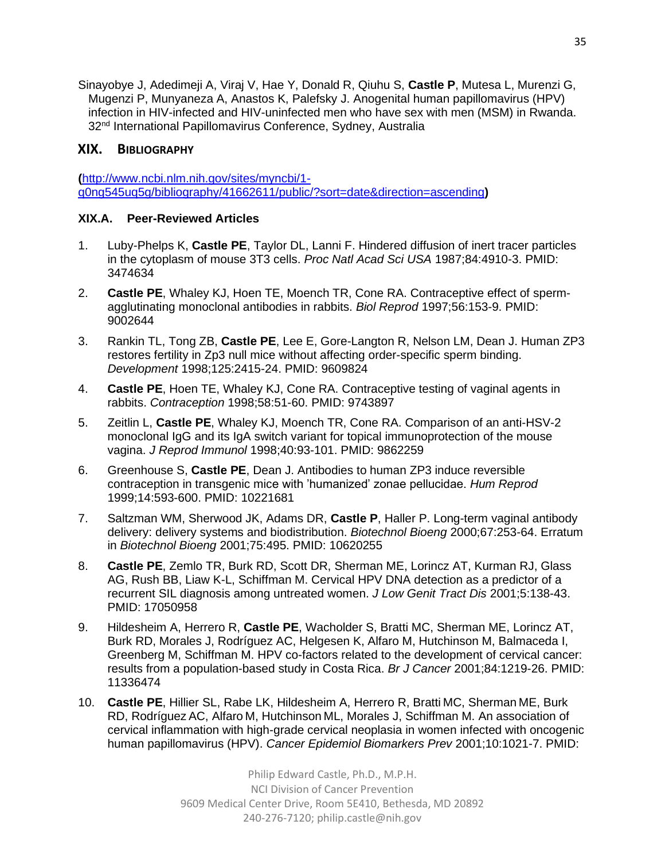Sinayobye J, Adedimeji A, Viraj V, Hae Y, Donald R, Qiuhu S, **Castle P**, Mutesa L, Murenzi G, Mugenzi P, Munyaneza A, Anastos K, Palefsky J. Anogenital human papillomavirus (HPV) infection in HIV-infected and HIV-uninfected men who have sex with men (MSM) in Rwanda. 32<sup>nd</sup> International Papillomavirus Conference, Sydney, Australia

### **XIX. BIBLIOGRAPHY**

**(**http://www.ncbi.nlm.nih.gov/sites/myncbi/1 q0ng545uq5g/bibliography/41662611/public/?sort=date&direction=ascending**)**

### **XIX.A. Peer-Reviewed Articles**

- 1. Luby-Phelps K, **Castle PE**, Taylor DL, Lanni F. Hindered diffusion of inert tracer particles in the cytoplasm of mouse 3T3 cells. *Proc Natl Acad Sci USA* 1987;84:4910-3. PMID: 3474634
- 2. **Castle PE**, Whaley KJ, Hoen TE, Moench TR, Cone RA. Contraceptive effect of spermagglutinating monoclonal antibodies in rabbits. *Biol Reprod* 1997;56:153-9. PMID: 9002644
- 3. Rankin TL, Tong ZB, **Castle PE**, Lee E, Gore-Langton R, Nelson LM, Dean J. Human ZP3 restores fertility in Zp3 null mice without affecting order-specific sperm binding. *Development* 1998;125:2415-24. PMID: 9609824
- 4. **Castle PE**, Hoen TE, Whaley KJ, Cone RA. Contraceptive testing of vaginal agents in rabbits. *Contraception* 1998;58:51-60. PMID: 9743897
- 5. Zeitlin L, **Castle PE**, Whaley KJ, Moench TR, Cone RA. Comparison of an anti-HSV-2 monoclonal IgG and its IgA switch variant for topical immunoprotection of the mouse vagina. *J Reprod Immunol* 1998;40:93-101. PMID: 9862259
- 6. Greenhouse S, **Castle PE**, Dean J. Antibodies to human ZP3 induce reversible contraception in transgenic mice with 'humanized' zonae pellucidae. *Hum Reprod* 1999;14:593-600. PMID: 10221681
- 7. Saltzman WM, Sherwood JK, Adams DR, **Castle P**, Haller P. Long-term vaginal antibody delivery: delivery systems and biodistribution. *Biotechnol Bioeng* 2000;67:253-64. Erratum in *Biotechnol Bioeng* 2001;75:495. PMID: 10620255
- 8. **Castle PE**, Zemlo TR, Burk RD, Scott DR, Sherman ME, Lorincz AT, Kurman RJ, Glass AG, Rush BB, Liaw K-L, Schiffman M. Cervical HPV DNA detection as a predictor of a recurrent SIL diagnosis among untreated women. *J Low Genit Tract Dis* 2001;5:138-43. PMID: 17050958
- 9. Hildesheim A, Herrero R, **Castle PE**, Wacholder S, Bratti MC, Sherman ME, Lorincz AT, Burk RD, Morales J, Rodríguez AC, Helgesen K, Alfaro M, Hutchinson M, Balmaceda I, Greenberg M, Schiffman M. HPV co-factors related to the development of cervical cancer: results from a population-based study in Costa Rica. *Br J Cancer* 2001;84:1219-26. PMID: 11336474
- 10. **Castle PE**, Hillier SL, Rabe LK, Hildesheim A, Herrero R, Bratti MC, Sherman ME, Burk RD, Rodríguez AC, Alfaro M, Hutchinson ML, Morales J, Schiffman M. An association of cervical inflammation with high-grade cervical neoplasia in women infected with oncogenic human papillomavirus (HPV). *Cancer Epidemiol Biomarkers Prev* 2001;10:1021-7. PMID: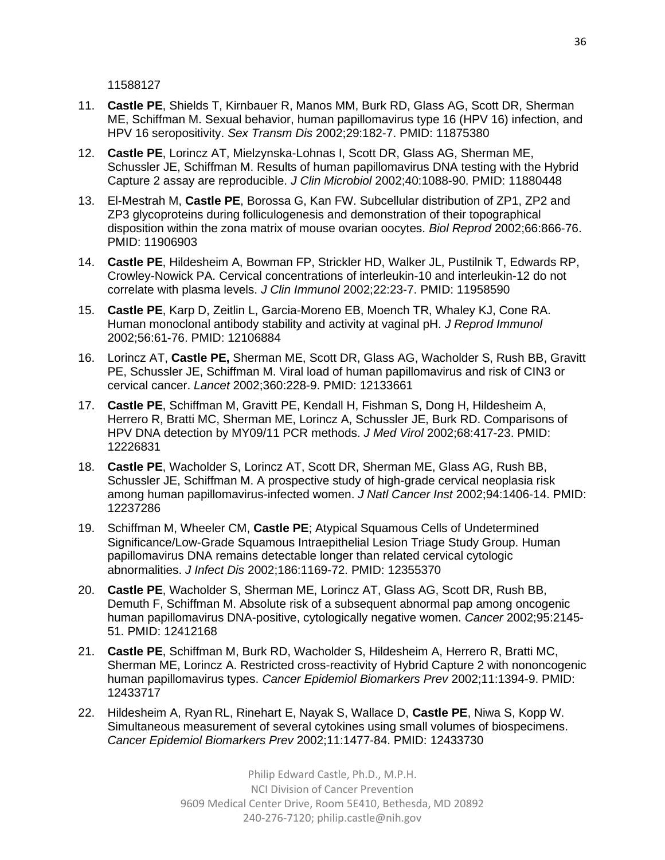11588127

- 11. **Castle PE**, Shields T, Kirnbauer R, Manos MM, Burk RD, Glass AG, Scott DR, Sherman ME, Schiffman M. Sexual behavior, human papillomavirus type 16 (HPV 16) infection, and HPV 16 seropositivity. *Sex Transm Dis* 2002;29:182-7. PMID: 11875380
- 12. **Castle PE**, Lorincz AT, Mielzynska-Lohnas I, Scott DR, Glass AG, Sherman ME, Schussler JE, Schiffman M. Results of human papillomavirus DNA testing with the Hybrid Capture 2 assay are reproducible. *J Clin Microbiol* 2002;40:1088-90. PMID: 11880448
- 13. El-Mestrah M, **Castle PE**, Borossa G, Kan FW. Subcellular distribution of ZP1, ZP2 and ZP3 glycoproteins during folliculogenesis and demonstration of their topographical disposition within the zona matrix of mouse ovarian oocytes. *Biol Reprod* 2002;66:866-76. PMID: 11906903
- 14. **Castle PE**, Hildesheim A, Bowman FP, Strickler HD, Walker JL, Pustilnik T, Edwards RP, Crowley-Nowick PA. Cervical concentrations of interleukin-10 and interleukin-12 do not correlate with plasma levels. *J Clin Immunol* 2002;22:23-7. PMID: 11958590
- 15. **Castle PE**, Karp D, Zeitlin L, Garcia-Moreno EB, Moench TR, Whaley KJ, Cone RA. Human monoclonal antibody stability and activity at vaginal pH. *J Reprod Immunol* 2002;56:61-76. PMID: 12106884
- 16. Lorincz AT, **Castle PE,** Sherman ME, Scott DR, Glass AG, Wacholder S, Rush BB, Gravitt PE, Schussler JE, Schiffman M. Viral load of human papillomavirus and risk of CIN3 or cervical cancer. *Lancet* 2002;360:228-9. PMID: 12133661
- 17. **Castle PE**, Schiffman M, Gravitt PE, Kendall H, Fishman S, Dong H, Hildesheim A, Herrero R, Bratti MC, Sherman ME, Lorincz A, Schussler JE, Burk RD. Comparisons of HPV DNA detection by MY09/11 PCR methods. *J Med Virol* 2002;68:417-23. PMID: 12226831
- 18. **Castle PE**, Wacholder S, Lorincz AT, Scott DR, Sherman ME, Glass AG, Rush BB, Schussler JE, Schiffman M. A prospective study of high-grade cervical neoplasia risk among human papillomavirus-infected women. *J Natl Cancer Inst* 2002;94:1406-14. PMID: 12237286
- 19. Schiffman M, Wheeler CM, **Castle PE**; Atypical Squamous Cells of Undetermined Significance/Low-Grade Squamous Intraepithelial Lesion Triage Study Group. Human papillomavirus DNA remains detectable longer than related cervical cytologic abnormalities. *J Infect Dis* 2002;186:1169-72. PMID: 12355370
- 20. **Castle PE**, Wacholder S, Sherman ME, Lorincz AT, Glass AG, Scott DR, Rush BB, Demuth F, Schiffman M. Absolute risk of a subsequent abnormal pap among oncogenic human papillomavirus DNA-positive, cytologically negative women. *Cancer* 2002;95:2145- 51. PMID: 12412168
- 21. **Castle PE**, Schiffman M, Burk RD, Wacholder S, Hildesheim A, Herrero R, Bratti MC, Sherman ME, Lorincz A. Restricted cross-reactivity of Hybrid Capture 2 with nononcogenic human papillomavirus types. *Cancer Epidemiol Biomarkers Prev* 2002;11:1394-9. PMID: 12433717
- 22. Hildesheim A, Ryan RL, Rinehart E, Nayak S, Wallace D, **Castle PE**, Niwa S, Kopp W. Simultaneous measurement of several cytokines using small volumes of biospecimens. *Cancer Epidemiol Biomarkers Prev* 2002;11:1477-84. PMID: 12433730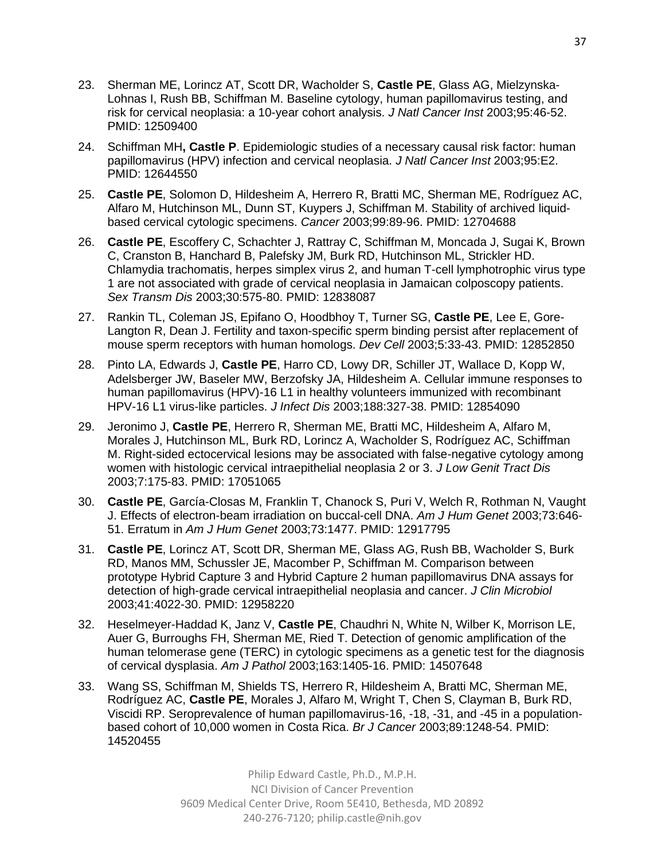- 23. Sherman ME, Lorincz AT, Scott DR, Wacholder S, **Castle PE**, Glass AG, Mielzynska-Lohnas I, Rush BB, Schiffman M. Baseline cytology, human papillomavirus testing, and risk for cervical neoplasia: a 10-year cohort analysis. *J Natl Cancer Inst* 2003;95:46-52. PMID: 12509400
- 24. Schiffman MH**, Castle P**. Epidemiologic studies of a necessary causal risk factor: human papillomavirus (HPV) infection and cervical neoplasia. *J Natl Cancer Inst* 2003;95:E2. PMID: 12644550
- 25. **Castle PE**, Solomon D, Hildesheim A, Herrero R, Bratti MC, Sherman ME, Rodríguez AC, Alfaro M, Hutchinson ML, Dunn ST, Kuypers J, Schiffman M. Stability of archived liquidbased cervical cytologic specimens. *Cancer* 2003;99:89-96. PMID: 12704688
- 26. **Castle PE**, Escoffery C, Schachter J, Rattray C, Schiffman M, Moncada J, Sugai K, Brown C, Cranston B, Hanchard B, Palefsky JM, Burk RD, Hutchinson ML, Strickler HD. Chlamydia trachomatis, herpes simplex virus 2, and human T-cell lymphotrophic virus type 1 are not associated with grade of cervical neoplasia in Jamaican colposcopy patients. *Sex Transm Dis* 2003;30:575-80. PMID: 12838087
- 27. Rankin TL, Coleman JS, Epifano O, Hoodbhoy T, Turner SG, **Castle PE**, Lee E, Gore-Langton R, Dean J. Fertility and taxon-specific sperm binding persist after replacement of mouse sperm receptors with human homologs. *Dev Cell* 2003;5:33-43. PMID: 12852850
- 28. Pinto LA, Edwards J, **Castle PE**, Harro CD, Lowy DR, Schiller JT, Wallace D, Kopp W, Adelsberger JW, Baseler MW, Berzofsky JA, Hildesheim A. Cellular immune responses to human papillomavirus (HPV)-16 L1 in healthy volunteers immunized with recombinant HPV-16 L1 virus-like particles. *J Infect Dis* 2003;188:327-38. PMID: 12854090
- 29. Jeronimo J, **Castle PE**, Herrero R, Sherman ME, Bratti MC, Hildesheim A, Alfaro M, Morales J, Hutchinson ML, Burk RD, Lorincz A, Wacholder S, Rodríguez AC, Schiffman M. Right-sided ectocervical lesions may be associated with false-negative cytology among women with histologic cervical intraepithelial neoplasia 2 or 3. *J Low Genit Tract Dis* 2003;7:175-83. PMID: 17051065
- 30. **Castle PE**, García-Closas M, Franklin T, Chanock S, Puri V, Welch R, Rothman N, Vaught J. Effects of electron-beam irradiation on buccal-cell DNA. *Am J Hum Genet* 2003;73:646- 51. Erratum in *Am J Hum Genet* 2003;73:1477. PMID: 12917795
- 31. **Castle PE**, Lorincz AT, Scott DR, Sherman ME, Glass AG, Rush BB, Wacholder S, Burk RD, Manos MM, Schussler JE, Macomber P, Schiffman M. Comparison between prototype Hybrid Capture 3 and Hybrid Capture 2 human papillomavirus DNA assays for detection of high-grade cervical intraepithelial neoplasia and cancer. *J Clin Microbiol* 2003;41:4022-30. PMID: 12958220
- 32. Heselmeyer-Haddad K, Janz V, **Castle PE**, Chaudhri N, White N, Wilber K, Morrison LE, Auer G, Burroughs FH, Sherman ME, Ried T. Detection of genomic amplification of the human telomerase gene (TERC) in cytologic specimens as a genetic test for the diagnosis of cervical dysplasia. *Am J Pathol* 2003;163:1405-16. PMID: 14507648
- 33. Wang SS, Schiffman M, Shields TS, Herrero R, Hildesheim A, Bratti MC, Sherman ME, Rodríguez AC, **Castle PE**, Morales J, Alfaro M, Wright T, Chen S, Clayman B, Burk RD, Viscidi RP. Seroprevalence of human papillomavirus-16, -18, -31, and -45 in a populationbased cohort of 10,000 women in Costa Rica. *Br J Cancer* 2003;89:1248-54. PMID: 14520455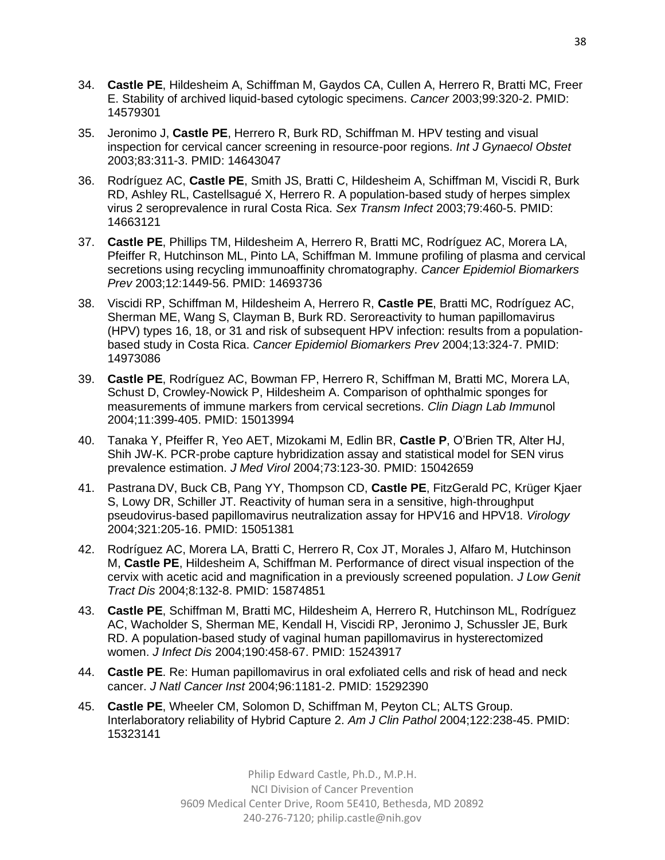- 34. **Castle PE**, Hildesheim A, Schiffman M, Gaydos CA, Cullen A, Herrero R, Bratti MC, Freer E. Stability of archived liquid-based cytologic specimens. *Cancer* 2003;99:320-2. PMID: 14579301
- 35. Jeronimo J, **Castle PE**, Herrero R, Burk RD, Schiffman M. HPV testing and visual inspection for cervical cancer screening in resource-poor regions. *Int J Gynaecol Obstet* 2003;83:311-3. PMID: 14643047
- 36. Rodríguez AC, **Castle PE**, Smith JS, Bratti C, Hildesheim A, Schiffman M, Viscidi R, Burk RD, Ashley RL, Castellsagué X, Herrero R. A population-based study of herpes simplex virus 2 seroprevalence in rural Costa Rica. *Sex Transm Infect* 2003;79:460-5. PMID: 14663121
- 37. **Castle PE**, Phillips TM, Hildesheim A, Herrero R, Bratti MC, Rodríguez AC, Morera LA, Pfeiffer R, Hutchinson ML, Pinto LA, Schiffman M. Immune profiling of plasma and cervical secretions using recycling immunoaffinity chromatography. *Cancer Epidemiol Biomarkers Prev* 2003;12:1449-56. PMID: 14693736
- 38. Viscidi RP, Schiffman M, Hildesheim A, Herrero R, **Castle PE**, Bratti MC, Rodríguez AC, Sherman ME, Wang S, Clayman B, Burk RD. Seroreactivity to human papillomavirus (HPV) types 16, 18, or 31 and risk of subsequent HPV infection: results from a populationbased study in Costa Rica. *Cancer Epidemiol Biomarkers Prev* 2004;13:324-7. PMID: 14973086
- 39. **Castle PE**, Rodríguez AC, Bowman FP, Herrero R, Schiffman M, Bratti MC, Morera LA, Schust D, Crowley-Nowick P, Hildesheim A. Comparison of ophthalmic sponges for measurements of immune markers from cervical secretions. *Clin Diagn Lab Immu*nol 2004;11:399-405. PMID: 15013994
- 40. Tanaka Y, Pfeiffer R, Yeo AET, Mizokami M, Edlin BR, **Castle P**, O'Brien TR, Alter HJ, Shih JW-K. PCR-probe capture hybridization assay and statistical model for SEN virus prevalence estimation. *J Med Virol* 2004;73:123-30. PMID: 15042659
- 41. Pastrana DV, Buck CB, Pang YY, Thompson CD, **Castle PE**, FitzGerald PC, Krüger Kjaer S, Lowy DR, Schiller JT. Reactivity of human sera in a sensitive, high-throughput pseudovirus-based papillomavirus neutralization assay for HPV16 and HPV18. *Virology* 2004;321:205-16. PMID: 15051381
- 42. Rodríguez AC, Morera LA, Bratti C, Herrero R, Cox JT, Morales J, Alfaro M, Hutchinson M, **Castle PE**, Hildesheim A, Schiffman M. Performance of direct visual inspection of the cervix with acetic acid and magnification in a previously screened population. *J Low Genit Tract Dis* 2004;8:132-8. PMID: 15874851
- 43. **Castle PE**, Schiffman M, Bratti MC, Hildesheim A, Herrero R, Hutchinson ML, Rodríguez AC, Wacholder S, Sherman ME, Kendall H, Viscidi RP, Jeronimo J, Schussler JE, Burk RD. A population-based study of vaginal human papillomavirus in hysterectomized women. *J Infect Dis* 2004;190:458-67. PMID: 15243917
- 44. **Castle PE**. Re: Human papillomavirus in oral exfoliated cells and risk of head and neck cancer. *J Natl Cancer Inst* 2004;96:1181-2. PMID: 15292390
- 45. **Castle PE**, Wheeler CM, Solomon D, Schiffman M, Peyton CL; ALTS Group. Interlaboratory reliability of Hybrid Capture 2. *Am J Clin Pathol* 2004;122:238-45. PMID: 15323141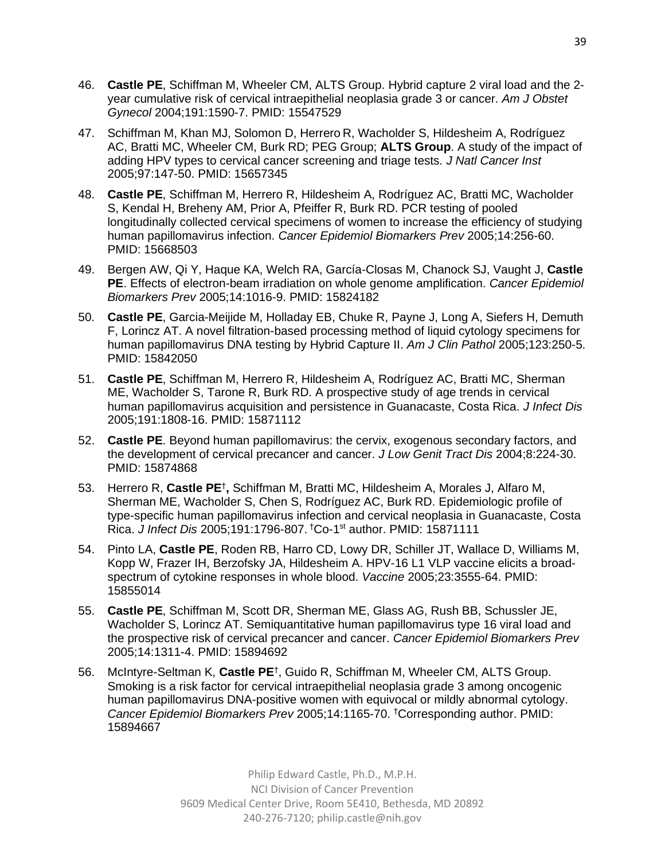- 46. **Castle PE**, Schiffman M, Wheeler CM, ALTS Group. Hybrid capture 2 viral load and the 2 year cumulative risk of cervical intraepithelial neoplasia grade 3 or cancer. *Am J Obstet Gynecol* 2004;191:1590-7. PMID: 15547529
- 47. Schiffman M, Khan MJ, Solomon D, Herrero R, Wacholder S, Hildesheim A, Rodríguez AC, Bratti MC, Wheeler CM, Burk RD; PEG Group; **ALTS Group**. A study of the impact of adding HPV types to cervical cancer screening and triage tests. *J Natl Cancer Inst* 2005;97:147-50. PMID: 15657345
- 48. **Castle PE**, Schiffman M, Herrero R, Hildesheim A, Rodríguez AC, Bratti MC, Wacholder S, Kendal H, Breheny AM, Prior A, Pfeiffer R, Burk RD. PCR testing of pooled longitudinally collected cervical specimens of women to increase the efficiency of studying human papillomavirus infection. *Cancer Epidemiol Biomarkers Prev* 2005;14:256-60. PMID: 15668503
- 49. Bergen AW, Qi Y, Haque KA, Welch RA, García-Closas M, Chanock SJ, Vaught J, **Castle PE**. Effects of electron-beam irradiation on whole genome amplification. *Cancer Epidemiol Biomarkers Prev* 2005;14:1016-9. PMID: 15824182
- 50. **Castle PE**, Garcia-Meijide M, Holladay EB, Chuke R, Payne J, Long A, Siefers H, Demuth F, Lorincz AT. A novel filtration-based processing method of liquid cytology specimens for human papillomavirus DNA testing by Hybrid Capture II. *Am J Clin Pathol* 2005;123:250-5. PMID: 15842050
- 51. **Castle PE**, Schiffman M, Herrero R, Hildesheim A, Rodríguez AC, Bratti MC, Sherman ME, Wacholder S, Tarone R, Burk RD. A prospective study of age trends in cervical human papillomavirus acquisition and persistence in Guanacaste, Costa Rica. *J Infect Dis* 2005;191:1808-16. PMID: 15871112
- 52. **Castle PE**. Beyond human papillomavirus: the cervix, exogenous secondary factors, and the development of cervical precancer and cancer. *J Low Genit Tract Dis* 2004;8:224-30. PMID: 15874868
- 53. Herrero R, Castle PE<sup>†</sup>, Schiffman M, Bratti MC, Hildesheim A, Morales J, Alfaro M, Sherman ME, Wacholder S, Chen S, Rodríguez AC, Burk RD. Epidemiologic profile of type-specific human papillomavirus infection and cervical neoplasia in Guanacaste, Costa Rica. *J Infect Dis* 2005;191:1796-807. †Co-1 st author. PMID: 15871111
- 54. Pinto LA, **Castle PE**, Roden RB, Harro CD, Lowy DR, Schiller JT, Wallace D, Williams M, Kopp W, Frazer IH, Berzofsky JA, Hildesheim A. HPV-16 L1 VLP vaccine elicits a broadspectrum of cytokine responses in whole blood. *Vaccine* 2005;23:3555-64. PMID: 15855014
- 55. **Castle PE**, Schiffman M, Scott DR, Sherman ME, Glass AG, Rush BB, Schussler JE, Wacholder S, Lorincz AT. Semiquantitative human papillomavirus type 16 viral load and the prospective risk of cervical precancer and cancer. *Cancer Epidemiol Biomarkers Prev*  2005;14:1311-4. PMID: 15894692
- 56. McIntyre-Seltman K, **Castle PE**† , Guido R, Schiffman M, Wheeler CM, ALTS Group. Smoking is a risk factor for cervical intraepithelial neoplasia grade 3 among oncogenic human papillomavirus DNA-positive women with equivocal or mildly abnormal cytology. *Cancer Epidemiol Biomarkers Prev* 2005;14:1165-70. †Corresponding author. PMID: 15894667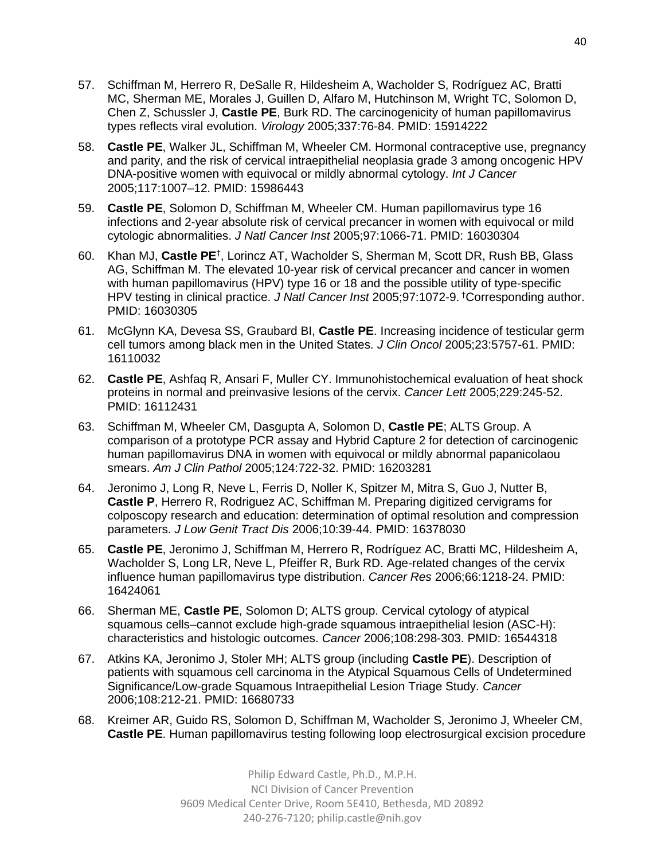- 57. Schiffman M, Herrero R, DeSalle R, Hildesheim A, Wacholder S, Rodríguez AC, Bratti MC, Sherman ME, Morales J, Guillen D, Alfaro M, Hutchinson M, Wright TC, Solomon D, Chen Z, Schussler J, **Castle PE**, Burk RD. The carcinogenicity of human papillomavirus types reflects viral evolution. *Virology* 2005;337:76-84. PMID: 15914222
- 58. **Castle PE**, Walker JL, Schiffman M, Wheeler CM. Hormonal contraceptive use, pregnancy and parity, and the risk of cervical intraepithelial neoplasia grade 3 among oncogenic HPV DNA-positive women with equivocal or mildly abnormal cytology. *Int J Cancer* 2005;117:1007–12. PMID: 15986443
- 59. **Castle PE**, Solomon D, Schiffman M, Wheeler CM. Human papillomavirus type 16 infections and 2-year absolute risk of cervical precancer in women with equivocal or mild cytologic abnormalities. *J Natl Cancer Inst* 2005;97:1066-71. PMID: 16030304
- 60. Khan MJ, **Castle PE**† , Lorincz AT, Wacholder S, Sherman M, Scott DR, Rush BB, Glass AG, Schiffman M. The elevated 10-year risk of cervical precancer and cancer in women with human papillomavirus (HPV) type 16 or 18 and the possible utility of type-specific HPV testing in clinical practice. *J Natl Cancer Inst* 2005;97:1072-9. †Corresponding author. PMID: 16030305
- 61. McGlynn KA, Devesa SS, Graubard BI, **Castle PE**. Increasing incidence of testicular germ cell tumors among black men in the United States. *J Clin Oncol* 2005;23:5757-61. PMID: 16110032
- 62. **Castle PE**, Ashfaq R, Ansari F, Muller CY. Immunohistochemical evaluation of heat shock proteins in normal and preinvasive lesions of the cervix. *Cancer Lett* 2005;229:245-52. PMID: 16112431
- 63. Schiffman M, Wheeler CM, Dasgupta A, Solomon D, **Castle PE**; ALTS Group. A comparison of a prototype PCR assay and Hybrid Capture 2 for detection of carcinogenic human papillomavirus DNA in women with equivocal or mildly abnormal papanicolaou smears. *Am J Clin Pathol* 2005;124:722-32. PMID: 16203281
- 64. Jeronimo J, Long R, Neve L, Ferris D, Noller K, Spitzer M, Mitra S, Guo J, Nutter B, **Castle P**, Herrero R, Rodriguez AC, Schiffman M. Preparing digitized cervigrams for colposcopy research and education: determination of optimal resolution and compression parameters. *J Low Genit Tract Dis* 2006;10:39-44. PMID: 16378030
- 65. **Castle PE**, Jeronimo J, Schiffman M, Herrero R, Rodríguez AC, Bratti MC, Hildesheim A, Wacholder S, Long LR, Neve L, Pfeiffer R, Burk RD. Age-related changes of the cervix influence human papillomavirus type distribution. *Cancer Res* 2006;66:1218-24. PMID: 16424061
- 66. Sherman ME, **Castle PE**, Solomon D; ALTS group. Cervical cytology of atypical squamous cells–cannot exclude high-grade squamous intraepithelial lesion (ASC-H): characteristics and histologic outcomes. *Cancer* 2006;108:298-303. PMID: 16544318
- 67. Atkins KA, Jeronimo J, Stoler MH; ALTS group (including **Castle PE**). Description of patients with squamous cell carcinoma in the Atypical Squamous Cells of Undetermined Significance/Low-grade Squamous Intraepithelial Lesion Triage Study. *Cancer* 2006;108:212-21. PMID: 16680733
- 68. Kreimer AR, Guido RS, Solomon D, Schiffman M, Wacholder S, Jeronimo J, Wheeler CM, **Castle PE**. Human papillomavirus testing following loop electrosurgical excision procedure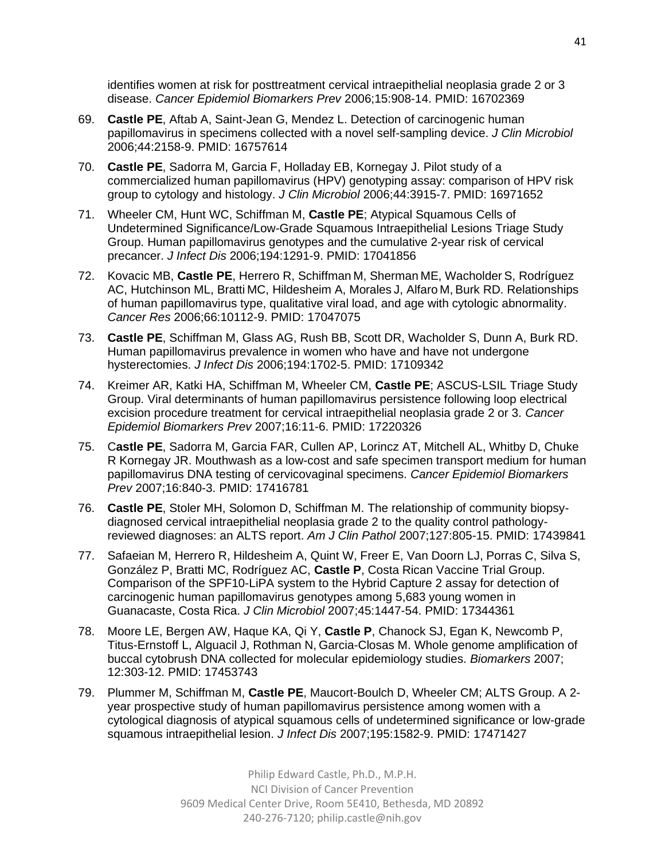identifies women at risk for posttreatment cervical intraepithelial neoplasia grade 2 or 3 disease. *Cancer Epidemiol Biomarkers Prev* 2006;15:908-14. PMID: 16702369

- 69. **Castle PE**, Aftab A, Saint-Jean G, Mendez L. Detection of carcinogenic human papillomavirus in specimens collected with a novel self-sampling device. *J Clin Microbiol* 2006;44:2158-9. PMID: 16757614
- 70. **Castle PE**, Sadorra M, Garcia F, Holladay EB, Kornegay J. Pilot study of a commercialized human papillomavirus (HPV) genotyping assay: comparison of HPV risk group to cytology and histology. *J Clin Microbiol* 2006;44:3915-7. PMID: 16971652
- 71. Wheeler CM, Hunt WC, Schiffman M, **Castle PE**; Atypical Squamous Cells of Undetermined Significance/Low-Grade Squamous Intraepithelial Lesions Triage Study Group. Human papillomavirus genotypes and the cumulative 2-year risk of cervical precancer. *J Infect Dis* 2006;194:1291-9. PMID: 17041856
- 72. Kovacic MB, **Castle PE**, Herrero R, Schiffman M, Sherman ME, Wacholder S, Rodríguez AC, Hutchinson ML, Bratti MC, Hildesheim A, Morales J, Alfaro M, Burk RD. Relationships of human papillomavirus type, qualitative viral load, and age with cytologic abnormality. *Cancer Res* 2006;66:10112-9. PMID: 17047075
- 73. **Castle PE**, Schiffman M, Glass AG, Rush BB, Scott DR, Wacholder S, Dunn A, Burk RD. Human papillomavirus prevalence in women who have and have not undergone hysterectomies. *J Infect Dis* 2006;194:1702-5. PMID: 17109342
- 74. Kreimer AR, Katki HA, Schiffman M, Wheeler CM, **Castle PE**; ASCUS-LSIL Triage Study Group. Viral determinants of human papillomavirus persistence following loop electrical excision procedure treatment for cervical intraepithelial neoplasia grade 2 or 3. *Cancer Epidemiol Biomarkers Prev* 2007;16:11-6. PMID: 17220326
- 75. C**astle PE**, Sadorra M, Garcia FAR, Cullen AP, Lorincz AT, Mitchell AL, Whitby D, Chuke R Kornegay JR. Mouthwash as a low-cost and safe specimen transport medium for human papillomavirus DNA testing of cervicovaginal specimens. *Cancer Epidemiol Biomarkers Prev* 2007;16:840-3. PMID: 17416781
- 76. **Castle PE**, Stoler MH, Solomon D, Schiffman M. The relationship of community biopsydiagnosed cervical intraepithelial neoplasia grade 2 to the quality control pathologyreviewed diagnoses: an ALTS report. *Am J Clin Pathol* 2007;127:805-15. PMID: 17439841
- 77. Safaeian M, Herrero R, Hildesheim A, Quint W, Freer E, Van Doorn LJ, Porras C, Silva S, González P, Bratti MC, Rodríguez AC, **Castle P**, Costa Rican Vaccine Trial Group. Comparison of the SPF10-LiPA system to the Hybrid Capture 2 assay for detection of carcinogenic human papillomavirus genotypes among 5,683 young women in Guanacaste, Costa Rica. *J Clin Microbiol* 2007;45:1447-54. PMID: 17344361
- 78. Moore LE, Bergen AW, Haque KA, Qi Y, **Castle P**, Chanock SJ, Egan K, Newcomb P, Titus-Ernstoff L, Alguacil J, Rothman N, Garcia-Closas M. Whole genome amplification of buccal cytobrush DNA collected for molecular epidemiology studies. *Biomarkers* 2007; 12:303-12. PMID: 17453743
- 79. Plummer M, Schiffman M, **Castle PE**, Maucort-Boulch D, Wheeler CM; ALTS Group. A 2 year prospective study of human papillomavirus persistence among women with a cytological diagnosis of atypical squamous cells of undetermined significance or low-grade squamous intraepithelial lesion. *J Infect Dis* 2007;195:1582-9. PMID: 17471427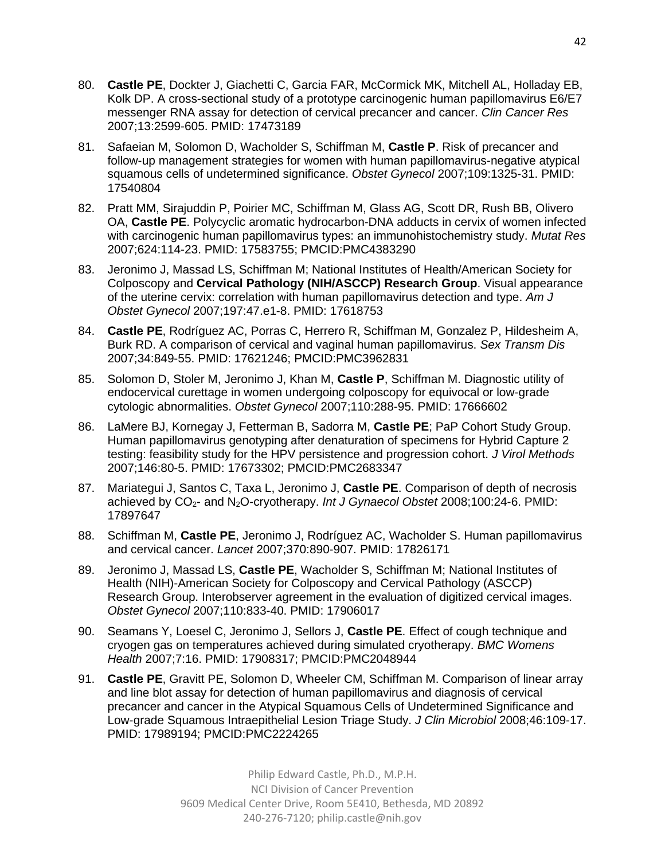- 80. **Castle PE**, Dockter J, Giachetti C, Garcia FAR, McCormick MK, Mitchell AL, Holladay EB, Kolk DP. A cross-sectional study of a prototype carcinogenic human papillomavirus E6/E7 messenger RNA assay for detection of cervical precancer and cancer. *Clin Cancer Res* 2007;13:2599-605. PMID: 17473189
- 81. Safaeian M, Solomon D, Wacholder S, Schiffman M, **Castle P**. Risk of precancer and follow-up management strategies for women with human papillomavirus-negative atypical squamous cells of undetermined significance. *Obstet Gynecol* 2007;109:1325-31. PMID: 17540804
- 82. Pratt MM, Sirajuddin P, Poirier MC, Schiffman M, Glass AG, Scott DR, Rush BB, Olivero OA, **Castle PE**. Polycyclic aromatic hydrocarbon-DNA adducts in cervix of women infected with carcinogenic human papillomavirus types: an immunohistochemistry study. *Mutat Res* 2007;624:114-23. PMID: 17583755; PMCID:PMC4383290
- 83. Jeronimo J, Massad LS, Schiffman M; National Institutes of Health/American Society for Colposcopy and **Cervical Pathology (NIH/ASCCP) Research Group**. Visual appearance of the uterine cervix: correlation with human papillomavirus detection and type. *Am J Obstet Gynecol* 2007;197:47.e1-8. PMID: 17618753
- 84. **Castle PE**, Rodríguez AC, Porras C, Herrero R, Schiffman M, Gonzalez P, Hildesheim A, Burk RD. A comparison of cervical and vaginal human papillomavirus. *Sex Transm Dis* 2007;34:849-55. PMID: 17621246; PMCID:PMC3962831
- 85. Solomon D, Stoler M, Jeronimo J, Khan M, **Castle P**, Schiffman M. Diagnostic utility of endocervical curettage in women undergoing colposcopy for equivocal or low-grade cytologic abnormalities. *Obstet Gynecol* 2007;110:288-95. PMID: 17666602
- 86. LaMere BJ, Kornegay J, Fetterman B, Sadorra M, **Castle PE**; PaP Cohort Study Group. Human papillomavirus genotyping after denaturation of specimens for Hybrid Capture 2 testing: feasibility study for the HPV persistence and progression cohort. *J Virol Methods* 2007;146:80-5. PMID: 17673302; PMCID:PMC2683347
- 87. Mariategui J, Santos C, Taxa L, Jeronimo J, **Castle PE**. Comparison of depth of necrosis achieved by CO<sub>2</sub>- and N<sub>2</sub>O-cryotherapy. *Int J Gynaecol Obstet* 2008;100:24-6. PMID: 17897647
- 88. Schiffman M, **Castle PE**, Jeronimo J, Rodríguez AC, Wacholder S. Human papillomavirus and cervical cancer. *Lancet* 2007;370:890-907. PMID: 17826171
- 89. Jeronimo J, Massad LS, **Castle PE**, Wacholder S, Schiffman M; National Institutes of Health (NIH)-American Society for Colposcopy and Cervical Pathology (ASCCP) Research Group. Interobserver agreement in the evaluation of digitized cervical images. *Obstet Gynecol* 2007;110:833-40. PMID: 17906017
- 90. Seamans Y, Loesel C, Jeronimo J, Sellors J, **Castle PE**. Effect of cough technique and cryogen gas on temperatures achieved during simulated cryotherapy. *BMC Womens Health* 2007;7:16. PMID: 17908317; PMCID:PMC2048944
- 91. **Castle PE**, Gravitt PE, Solomon D, Wheeler CM, Schiffman M. Comparison of linear array and line blot assay for detection of human papillomavirus and diagnosis of cervical precancer and cancer in the Atypical Squamous Cells of Undetermined Significance and Low-grade Squamous Intraepithelial Lesion Triage Study. *J Clin Microbiol* 2008;46:109-17. PMID: 17989194; PMCID:PMC2224265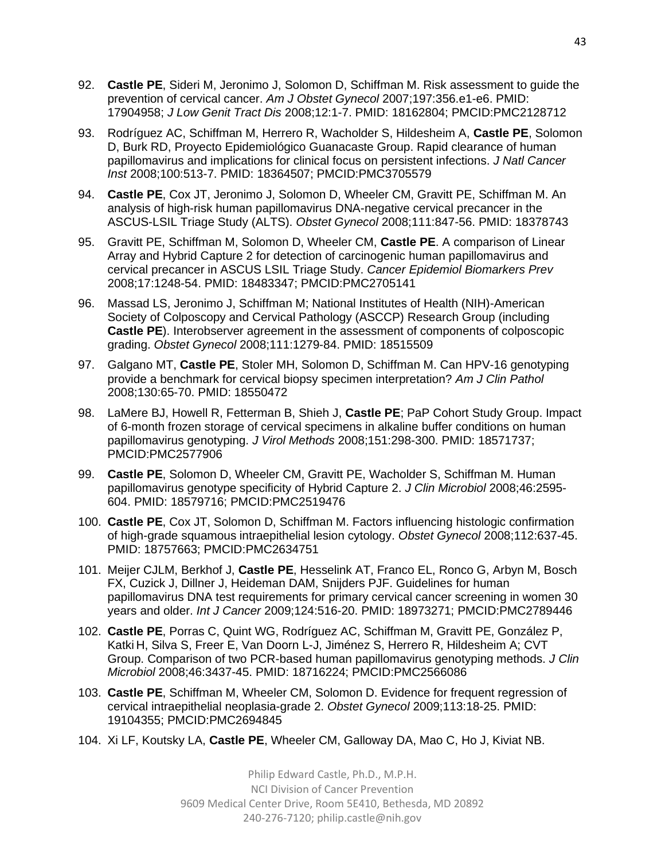- 92. **Castle PE**, Sideri M, Jeronimo J, Solomon D, Schiffman M. Risk assessment to guide the prevention of cervical cancer. *Am J Obstet Gynecol* 2007;197:356.e1-e6. PMID: 17904958; *J Low Genit Tract Dis* 2008;12:1-7. PMID: 18162804; PMCID:PMC2128712
- 93. Rodríguez AC, Schiffman M, Herrero R, Wacholder S, Hildesheim A, **Castle PE**, Solomon D, Burk RD, Proyecto Epidemiológico Guanacaste Group. Rapid clearance of human papillomavirus and implications for clinical focus on persistent infections. *J Natl Cancer Inst* 2008;100:513-7. PMID: 18364507; PMCID:PMC3705579
- 94. **Castle PE**, Cox JT, Jeronimo J, Solomon D, Wheeler CM, Gravitt PE, Schiffman M. An analysis of high-risk human papillomavirus DNA-negative cervical precancer in the ASCUS-LSIL Triage Study (ALTS). *Obstet Gynecol* 2008;111:847-56. PMID: 18378743
- 95. Gravitt PE, Schiffman M, Solomon D, Wheeler CM, **Castle PE**. A comparison of Linear Array and Hybrid Capture 2 for detection of carcinogenic human papillomavirus and cervical precancer in ASCUS LSIL Triage Study. *Cancer Epidemiol Biomarkers Prev*  2008;17:1248-54. PMID: 18483347; PMCID:PMC2705141
- 96. Massad LS, Jeronimo J, Schiffman M; National Institutes of Health (NIH)-American Society of Colposcopy and Cervical Pathology (ASCCP) Research Group (including **Castle PE**). Interobserver agreement in the assessment of components of colposcopic grading. *Obstet Gynecol* 2008;111:1279-84. PMID: 18515509
- 97. Galgano MT, **Castle PE**, Stoler MH, Solomon D, Schiffman M. Can HPV-16 genotyping provide a benchmark for cervical biopsy specimen interpretation? *Am J Clin Pathol* 2008;130:65-70. PMID: 18550472
- 98. LaMere BJ, Howell R, Fetterman B, Shieh J, **Castle PE**; PaP Cohort Study Group. Impact of 6-month frozen storage of cervical specimens in alkaline buffer conditions on human papillomavirus genotyping. *J Virol Methods* 2008;151:298-300. PMID: 18571737; PMCID:PMC2577906
- 99. **Castle PE**, Solomon D, Wheeler CM, Gravitt PE, Wacholder S, Schiffman M. Human papillomavirus genotype specificity of Hybrid Capture 2. *J Clin Microbiol* 2008;46:2595- 604. PMID: 18579716; PMCID:PMC2519476
- 100. **Castle PE**, Cox JT, Solomon D, Schiffman M. Factors influencing histologic confirmation of high-grade squamous intraepithelial lesion cytology. *Obstet Gynecol* 2008;112:637-45. PMID: 18757663; PMCID:PMC2634751
- 101. Meijer CJLM, Berkhof J, **Castle PE**, Hesselink AT, Franco EL, Ronco G, Arbyn M, Bosch FX, Cuzick J, Dillner J, Heideman DAM, Snijders PJF. Guidelines for human papillomavirus DNA test requirements for primary cervical cancer screening in women 30 years and older. *Int J Cancer* 2009;124:516-20. PMID: 18973271; PMCID:PMC2789446
- 102. **Castle PE**, Porras C, Quint WG, Rodríguez AC, Schiffman M, Gravitt PE, González P, Katki H, Silva S, Freer E, Van Doorn L-J, Jiménez S, Herrero R, Hildesheim A; CVT Group. Comparison of two PCR-based human papillomavirus genotyping methods. *J Clin Microbiol* 2008;46:3437-45. PMID: 18716224; PMCID:PMC2566086
- 103. **Castle PE**, Schiffman M, Wheeler CM, Solomon D. Evidence for frequent regression of cervical intraepithelial neoplasia-grade 2. *Obstet Gynecol* 2009;113:18-25. PMID: 19104355; PMCID:PMC2694845
- 104. Xi LF, Koutsky LA, **Castle PE**, Wheeler CM, Galloway DA, Mao C, Ho J, Kiviat NB.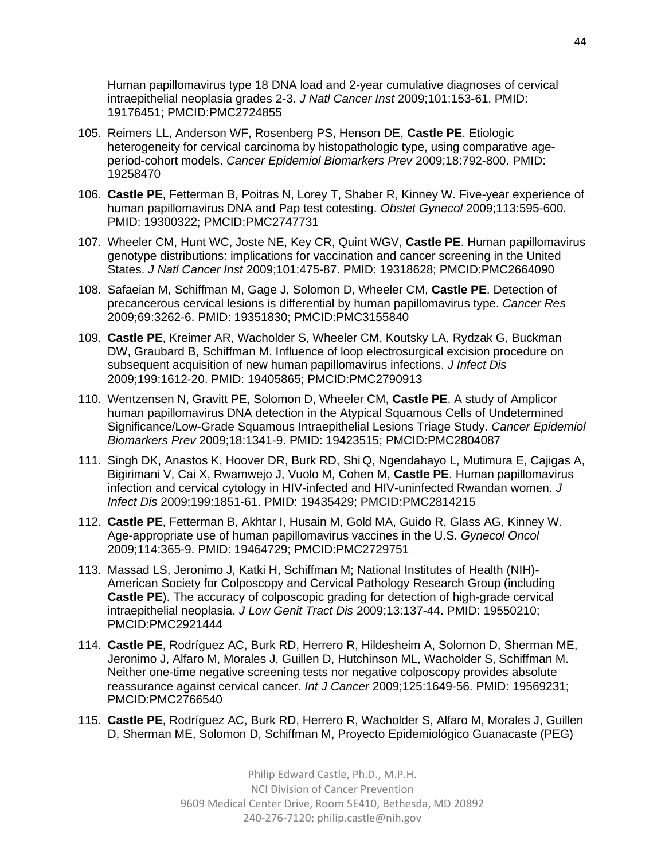Human papillomavirus type 18 DNA load and 2-year cumulative diagnoses of cervical intraepithelial neoplasia grades 2-3. *J Natl Cancer Inst* 2009;101:153-61. PMID: 19176451; PMCID:PMC2724855

- 105. Reimers LL, Anderson WF, Rosenberg PS, Henson DE, **Castle PE**. Etiologic heterogeneity for cervical carcinoma by histopathologic type, using comparative ageperiod-cohort models. *Cancer Epidemiol Biomarkers Prev* 2009;18:792-800. PMID: 19258470
- 106. **Castle PE**, Fetterman B, Poitras N, Lorey T, Shaber R, Kinney W. Five-year experience of human papillomavirus DNA and Pap test cotesting. *Obstet Gynecol* 2009;113:595-600. PMID: 19300322; PMCID:PMC2747731
- 107. Wheeler CM, Hunt WC, Joste NE, Key CR, Quint WGV, **Castle PE**. Human papillomavirus genotype distributions: implications for vaccination and cancer screening in the United States. *J Natl Cancer Inst* 2009;101:475-87. PMID: 19318628; PMCID:PMC2664090
- 108. Safaeian M, Schiffman M, Gage J, Solomon D, Wheeler CM, **Castle PE**. Detection of precancerous cervical lesions is differential by human papillomavirus type. *Cancer Res* 2009;69:3262-6. PMID: 19351830; PMCID:PMC3155840
- 109. **Castle PE**, Kreimer AR, Wacholder S, Wheeler CM, Koutsky LA, Rydzak G, Buckman DW, Graubard B, Schiffman M. Influence of loop electrosurgical excision procedure on subsequent acquisition of new human papillomavirus infections. *J Infect Dis* 2009;199:1612-20. PMID: 19405865; PMCID:PMC2790913
- 110. Wentzensen N, Gravitt PE, Solomon D, Wheeler CM, **Castle PE**. A study of Amplicor human papillomavirus DNA detection in the Atypical Squamous Cells of Undetermined Significance/Low-Grade Squamous Intraepithelial Lesions Triage Study. *Cancer Epidemiol Biomarkers Prev* 2009;18:1341-9. PMID: 19423515; PMCID:PMC2804087
- 111. Singh DK, Anastos K, Hoover DR, Burk RD, Shi Q, Ngendahayo L, Mutimura E, Cajigas A, Bigirimani V, Cai X, Rwamwejo J, Vuolo M, Cohen M, **Castle PE**. Human papillomavirus infection and cervical cytology in HIV-infected and HIV-uninfected Rwandan women. *J Infect Dis* 2009;199:1851-61. PMID: 19435429; PMCID:PMC2814215
- 112. **Castle PE**, Fetterman B, Akhtar I, Husain M, Gold MA, Guido R, Glass AG, Kinney W. Age-appropriate use of human papillomavirus vaccines in the U.S. *Gynecol Oncol* 2009;114:365-9. PMID: 19464729; PMCID:PMC2729751
- 113. Massad LS, Jeronimo J, Katki H, Schiffman M; National Institutes of Health (NIH)- American Society for Colposcopy and Cervical Pathology Research Group (including **Castle PE**). The accuracy of colposcopic grading for detection of high-grade cervical intraepithelial neoplasia. *J Low Genit Tract Dis* 2009;13:137-44. PMID: 19550210; PMCID:PMC2921444
- 114. **Castle PE**, Rodríguez AC, Burk RD, Herrero R, Hildesheim A, Solomon D, Sherman ME, Jeronimo J, Alfaro M, Morales J, Guillen D, Hutchinson ML, Wacholder S, Schiffman M. Neither one-time negative screening tests nor negative colposcopy provides absolute reassurance against cervical cancer. *Int J Cancer* 2009;125:1649-56. PMID: 19569231; PMCID:PMC2766540
- 115. **Castle PE**, Rodríguez AC, Burk RD, Herrero R, Wacholder S, Alfaro M, Morales J, Guillen D, Sherman ME, Solomon D, Schiffman M, Proyecto Epidemiológico Guanacaste (PEG)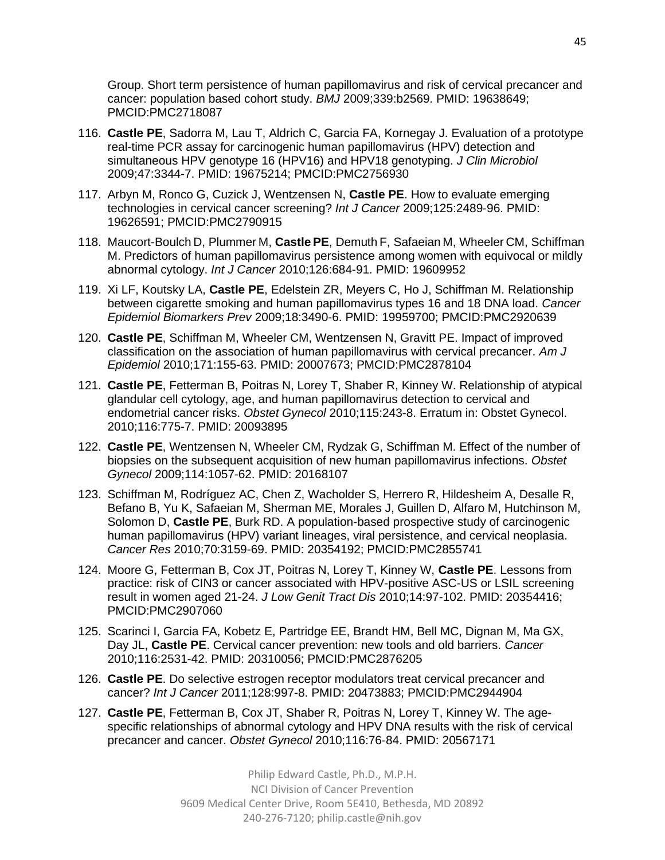Group. Short term persistence of human papillomavirus and risk of cervical precancer and cancer: population based cohort study. *BMJ* 2009;339:b2569. PMID: 19638649; PMCID:PMC2718087

- 116. **Castle PE**, Sadorra M, Lau T, Aldrich C, Garcia FA, Kornegay J. Evaluation of a prototype real-time PCR assay for carcinogenic human papillomavirus (HPV) detection and simultaneous HPV genotype 16 (HPV16) and HPV18 genotyping. *J Clin Microbiol* 2009;47:3344-7. PMID: 19675214; PMCID:PMC2756930
- 117. Arbyn M, Ronco G, Cuzick J, Wentzensen N, **Castle PE**. How to evaluate emerging technologies in cervical cancer screening? *Int J Cancer* 2009;125:2489-96. PMID: 19626591; PMCID:PMC2790915
- 118. Maucort-Boulch D, Plummer M, **Castle PE**, Demuth F, Safaeian M, Wheeler CM, Schiffman M. Predictors of human papillomavirus persistence among women with equivocal or mildly abnormal cytology. *Int J Cancer* 2010;126:684-91. PMID: 19609952
- 119. Xi LF, Koutsky LA, **Castle PE**, Edelstein ZR, Meyers C, Ho J, Schiffman M. Relationship between cigarette smoking and human papillomavirus types 16 and 18 DNA load. *Cancer Epidemiol Biomarkers Prev* 2009;18:3490-6. PMID: 19959700; PMCID:PMC2920639
- 120. **Castle PE**, Schiffman M, Wheeler CM, Wentzensen N, Gravitt PE. Impact of improved classification on the association of human papillomavirus with cervical precancer. *Am J Epidemiol* 2010;171:155-63. PMID: 20007673; PMCID:PMC2878104
- 121. **Castle PE**, Fetterman B, Poitras N, Lorey T, Shaber R, Kinney W. Relationship of atypical glandular cell cytology, age, and human papillomavirus detection to cervical and endometrial cancer risks. *Obstet Gynecol* 2010;115:243-8. Erratum in: Obstet Gynecol. 2010;116:775-7. PMID: 20093895
- 122. **Castle PE**, Wentzensen N, Wheeler CM, Rydzak G, Schiffman M. Effect of the number of biopsies on the subsequent acquisition of new human papillomavirus infections. *Obstet Gynecol* 2009;114:1057-62. PMID: 20168107
- 123. Schiffman M, Rodríguez AC, Chen Z, Wacholder S, Herrero R, Hildesheim A, Desalle R, Befano B, Yu K, Safaeian M, Sherman ME, Morales J, Guillen D, Alfaro M, Hutchinson M, Solomon D, **Castle PE**, Burk RD. A population-based prospective study of carcinogenic human papillomavirus (HPV) variant lineages, viral persistence, and cervical neoplasia. *Cancer Res* 2010;70:3159-69. PMID: 20354192; PMCID:PMC2855741
- 124. Moore G, Fetterman B, Cox JT, Poitras N, Lorey T, Kinney W, **Castle PE**. Lessons from practice: risk of CIN3 or cancer associated with HPV-positive ASC-US or LSIL screening result in women aged 21-24. *J Low Genit Tract Dis* 2010;14:97-102. PMID: 20354416; PMCID:PMC2907060
- 125. Scarinci I, Garcia FA, Kobetz E, Partridge EE, Brandt HM, Bell MC, Dignan M, Ma GX, Day JL, **Castle PE**. Cervical cancer prevention: new tools and old barriers. *Cancer*  2010;116:2531-42. PMID: 20310056; PMCID:PMC2876205
- 126. **Castle PE**. Do selective estrogen receptor modulators treat cervical precancer and cancer? *Int J Cancer* 2011;128:997-8. PMID: 20473883; PMCID:PMC2944904
- 127. **Castle PE**, Fetterman B, Cox JT, Shaber R, Poitras N, Lorey T, Kinney W. The agespecific relationships of abnormal cytology and HPV DNA results with the risk of cervical precancer and cancer. *Obstet Gynecol* 2010;116:76-84. PMID: 20567171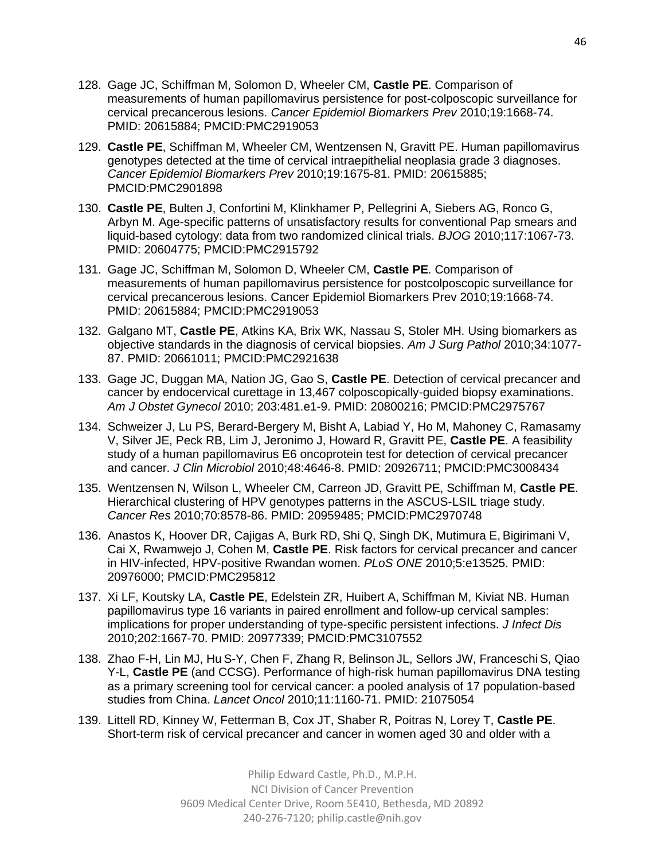- 128. Gage JC, Schiffman M, Solomon D, Wheeler CM, **Castle PE**. Comparison of measurements of human papillomavirus persistence for post-colposcopic surveillance for cervical precancerous lesions. *Cancer Epidemiol Biomarkers Prev* 2010;19:1668-74. PMID: 20615884; PMCID:PMC2919053
- 129. **Castle PE**, Schiffman M, Wheeler CM, Wentzensen N, Gravitt PE. Human papillomavirus genotypes detected at the time of cervical intraepithelial neoplasia grade 3 diagnoses. *Cancer Epidemiol Biomarkers Prev* 2010;19:1675-81. PMID: 20615885; PMCID:PMC2901898
- 130. **Castle PE**, Bulten J, Confortini M, Klinkhamer P, Pellegrini A, Siebers AG, Ronco G, Arbyn M. Age-specific patterns of unsatisfactory results for conventional Pap smears and liquid-based cytology: data from two randomized clinical trials. *BJOG* 2010;117:1067-73. PMID: 20604775; PMCID:PMC2915792
- 131. Gage JC, Schiffman M, Solomon D, Wheeler CM, **Castle PE**. Comparison of measurements of human papillomavirus persistence for postcolposcopic surveillance for cervical precancerous lesions. Cancer Epidemiol Biomarkers Prev 2010;19:1668-74. PMID: 20615884; PMCID:PMC2919053
- 132. Galgano MT, **Castle PE**, Atkins KA, Brix WK, Nassau S, Stoler MH. Using biomarkers as objective standards in the diagnosis of cervical biopsies. *Am J Surg Pathol* 2010;34:1077- 87. PMID: 20661011; PMCID:PMC2921638
- 133. Gage JC, Duggan MA, Nation JG, Gao S, **Castle PE**. Detection of cervical precancer and cancer by endocervical curettage in 13,467 colposcopically-guided biopsy examinations. *Am J Obstet Gynecol* 2010; 203:481.e1-9. PMID: 20800216; PMCID:PMC2975767
- 134. Schweizer J, Lu PS, Berard-Bergery M, Bisht A, Labiad Y, Ho M, Mahoney C, Ramasamy V, Silver JE, Peck RB, Lim J, Jeronimo J, Howard R, Gravitt PE, **Castle PE**. A feasibility study of a human papillomavirus E6 oncoprotein test for detection of cervical precancer and cancer. *J Clin Microbiol* 2010;48:4646-8. PMID: 20926711; PMCID:PMC3008434
- 135. Wentzensen N, Wilson L, Wheeler CM, Carreon JD, Gravitt PE, Schiffman M, **Castle PE**. Hierarchical clustering of HPV genotypes patterns in the ASCUS-LSIL triage study. *Cancer Res* 2010;70:8578-86. PMID: 20959485; PMCID:PMC2970748
- 136. Anastos K, Hoover DR, Cajigas A, Burk RD, Shi Q, Singh DK, Mutimura E, Bigirimani V, Cai X, Rwamwejo J, Cohen M, **Castle PE**. Risk factors for cervical precancer and cancer in HIV-infected, HPV-positive Rwandan women. *PLoS ONE* 2010;5:e13525. PMID: 20976000; PMCID:PMC295812
- 137. Xi LF, Koutsky LA, **Castle PE**, Edelstein ZR, Huibert A, Schiffman M, Kiviat NB. Human papillomavirus type 16 variants in paired enrollment and follow-up cervical samples: implications for proper understanding of type-specific persistent infections. *J Infect Dis* 2010;202:1667-70. PMID: 20977339; PMCID:PMC3107552
- 138. Zhao F-H, Lin MJ, Hu S-Y, Chen F, Zhang R, Belinson JL, Sellors JW, Franceschi S, Qiao Y-L, **Castle PE** (and CCSG). Performance of high-risk human papillomavirus DNA testing as a primary screening tool for cervical cancer: a pooled analysis of 17 population-based studies from China. *Lancet Oncol* 2010;11:1160-71. PMID: 21075054
- 139. Littell RD, Kinney W, Fetterman B, Cox JT, Shaber R, Poitras N, Lorey T, **Castle PE**. Short-term risk of cervical precancer and cancer in women aged 30 and older with a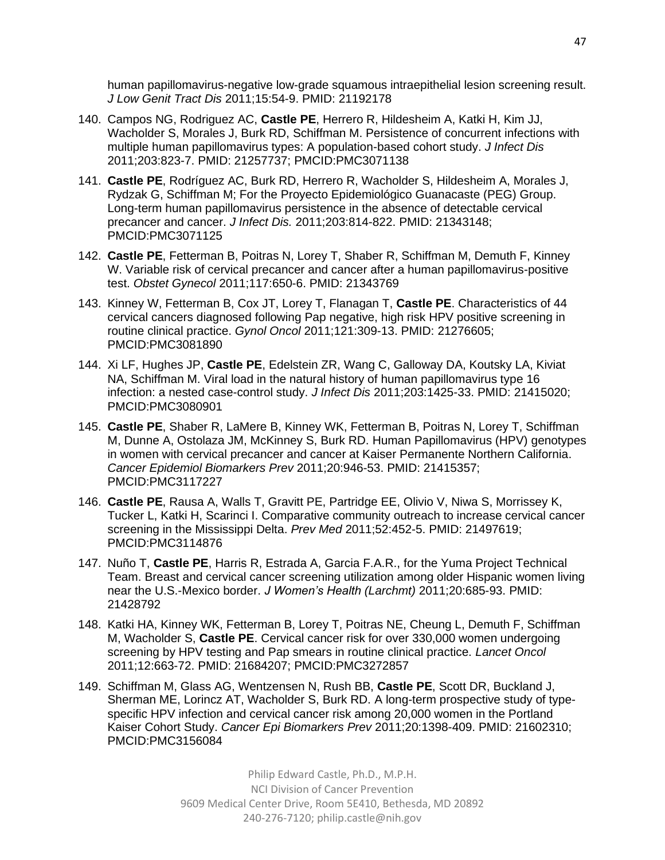human papillomavirus-negative low-grade squamous intraepithelial lesion screening result. *J Low Genit Tract Dis* 2011;15:54-9. PMID: 21192178

- 140. Campos NG, Rodriguez AC, **Castle PE**, Herrero R, Hildesheim A, Katki H, Kim JJ, Wacholder S, Morales J, Burk RD, Schiffman M. Persistence of concurrent infections with multiple human papillomavirus types: A population-based cohort study. *J Infect Dis* 2011;203:823-7. PMID: 21257737; PMCID:PMC3071138
- 141. **Castle PE**, Rodríguez AC, Burk RD, Herrero R, Wacholder S, Hildesheim A, Morales J, Rydzak G, Schiffman M; For the Proyecto Epidemiológico Guanacaste (PEG) Group. Long-term human papillomavirus persistence in the absence of detectable cervical precancer and cancer. *J Infect Dis.* 2011;203:814-822. PMID: 21343148; PMCID:PMC3071125
- 142. **Castle PE**, Fetterman B, Poitras N, Lorey T, Shaber R, Schiffman M, Demuth F, Kinney W. Variable risk of cervical precancer and cancer after a human papillomavirus-positive test. *Obstet Gynecol* 2011;117:650-6. PMID: 21343769
- 143. Kinney W, Fetterman B, Cox JT, Lorey T, Flanagan T, **Castle PE**. Characteristics of 44 cervical cancers diagnosed following Pap negative, high risk HPV positive screening in routine clinical practice. *Gynol Oncol* 2011;121:309-13. PMID: 21276605; PMCID:PMC3081890
- 144. Xi LF, Hughes JP, **Castle PE**, Edelstein ZR, Wang C, Galloway DA, Koutsky LA, Kiviat NA, Schiffman M. Viral load in the natural history of human papillomavirus type 16 infection: a nested case-control study. *J Infect Dis* 2011;203:1425-33. PMID: 21415020; PMCID:PMC3080901
- 145. **Castle PE**, Shaber R, LaMere B, Kinney WK, Fetterman B, Poitras N, Lorey T, Schiffman M, Dunne A, Ostolaza JM, McKinney S, Burk RD. Human Papillomavirus (HPV) genotypes in women with cervical precancer and cancer at Kaiser Permanente Northern California. *Cancer Epidemiol Biomarkers Prev* 2011;20:946-53. PMID: 21415357; PMCID:PMC3117227
- 146. **Castle PE**, Rausa A, Walls T, Gravitt PE, Partridge EE, Olivio V, Niwa S, Morrissey K, Tucker L, Katki H, Scarinci I. Comparative community outreach to increase cervical cancer screening in the Mississippi Delta. *Prev Med* 2011;52:452-5. PMID: 21497619; PMCID:PMC3114876
- 147. Nuño T, **Castle PE**, Harris R, Estrada A, Garcia F.A.R., for the Yuma Project Technical Team. Breast and cervical cancer screening utilization among older Hispanic women living near the U.S.-Mexico border. *J Women's Health (Larchmt)* 2011;20:685-93. PMID: 21428792
- 148. Katki HA, Kinney WK, Fetterman B, Lorey T, Poitras NE, Cheung L, Demuth F, Schiffman M, Wacholder S, **Castle PE**. Cervical cancer risk for over 330,000 women undergoing screening by HPV testing and Pap smears in routine clinical practice. *Lancet Oncol* 2011;12:663-72. PMID: 21684207; PMCID:PMC3272857
- 149. Schiffman M, Glass AG, Wentzensen N, Rush BB, **Castle PE**, Scott DR, Buckland J, Sherman ME, Lorincz AT, Wacholder S, Burk RD. A long-term prospective study of typespecific HPV infection and cervical cancer risk among 20,000 women in the Portland Kaiser Cohort Study. *Cancer Epi Biomarkers Prev* 2011;20:1398-409. PMID: 21602310; PMCID:PMC3156084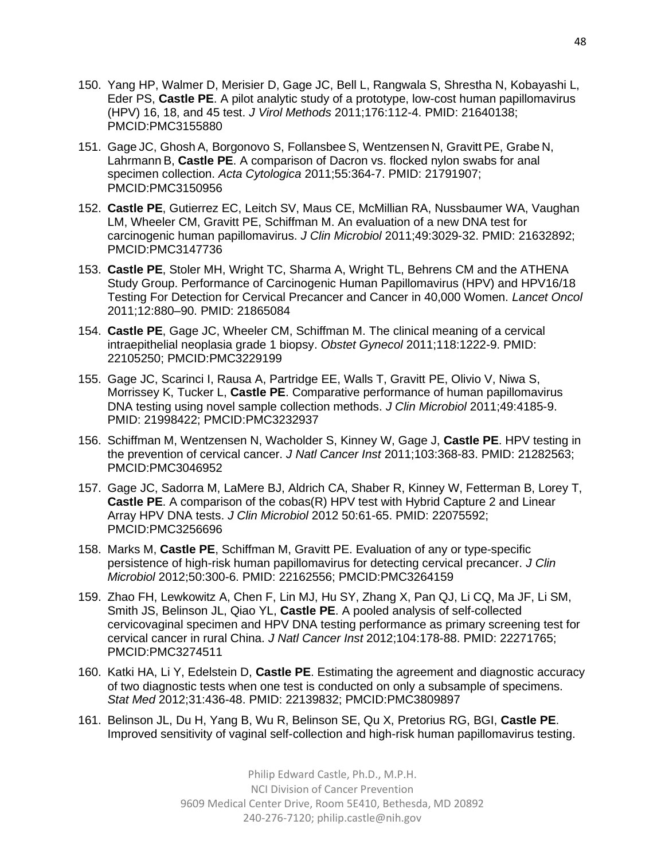- 150. Yang HP, Walmer D, Merisier D, Gage JC, Bell L, Rangwala S, Shrestha N, Kobayashi L, Eder PS, **Castle PE**. A pilot analytic study of a prototype, low-cost human papillomavirus (HPV) 16, 18, and 45 test. *J Virol Methods* 2011;176:112-4. PMID: 21640138; PMCID:PMC3155880
- 151. Gage JC, Ghosh A, Borgonovo S, Follansbee S, Wentzensen N, Gravitt PE, Grabe N, Lahrmann B, **Castle PE**. A comparison of Dacron vs. flocked nylon swabs for anal specimen collection. *Acta Cytologica* 2011;55:364-7. PMID: 21791907; PMCID:PMC3150956
- 152. **Castle PE**, Gutierrez EC, Leitch SV, Maus CE, McMillian RA, Nussbaumer WA, Vaughan LM, Wheeler CM, Gravitt PE, Schiffman M. An evaluation of a new DNA test for carcinogenic human papillomavirus. *J Clin Microbiol* 2011;49:3029-32. PMID: 21632892; PMCID:PMC3147736
- 153. **Castle PE**, Stoler MH, Wright TC, Sharma A, Wright TL, Behrens CM and the ATHENA Study Group. Performance of Carcinogenic Human Papillomavirus (HPV) and HPV16/18 Testing For Detection for Cervical Precancer and Cancer in 40,000 Women. *Lancet Oncol*  2011;12:880–90. PMID: 21865084
- 154. **Castle PE**, Gage JC, Wheeler CM, Schiffman M. The clinical meaning of a cervical intraepithelial neoplasia grade 1 biopsy. *Obstet Gynecol* 2011;118:1222-9. PMID: 22105250; PMCID:PMC3229199
- 155. Gage JC, Scarinci I, Rausa A, Partridge EE, Walls T, Gravitt PE, Olivio V, Niwa S, Morrissey K, Tucker L, **Castle PE**. Comparative performance of human papillomavirus DNA testing using novel sample collection methods. *J Clin Microbiol* 2011;49:4185-9. PMID: 21998422; PMCID:PMC3232937
- 156. Schiffman M, Wentzensen N, Wacholder S, Kinney W, Gage J, **Castle PE**. HPV testing in the prevention of cervical cancer. *J Natl Cancer Inst* 2011;103:368-83. PMID: 21282563; PMCID:PMC3046952
- 157. Gage JC, Sadorra M, LaMere BJ, Aldrich CA, Shaber R, Kinney W, Fetterman B, Lorey T, **Castle PE**. A comparison of the cobas(R) HPV test with Hybrid Capture 2 and Linear Array HPV DNA tests. *J Clin Microbiol* 2012 50:61-65. PMID: 22075592; PMCID:PMC3256696
- 158. Marks M, **Castle PE**, Schiffman M, Gravitt PE. Evaluation of any or type-specific persistence of high-risk human papillomavirus for detecting cervical precancer. *J Clin Microbiol* 2012;50:300-6. PMID: 22162556; PMCID:PMC3264159
- 159. Zhao FH, Lewkowitz A, Chen F, Lin MJ, Hu SY, Zhang X, Pan QJ, Li CQ, Ma JF, Li SM, Smith JS, Belinson JL, Qiao YL, **Castle PE**. A pooled analysis of self-collected cervicovaginal specimen and HPV DNA testing performance as primary screening test for cervical cancer in rural China. *J Natl Cancer Inst* 2012;104:178-88. PMID: 22271765; PMCID:PMC3274511
- 160. Katki HA, Li Y, Edelstein D, **Castle PE**. Estimating the agreement and diagnostic accuracy of two diagnostic tests when one test is conducted on only a subsample of specimens. *Stat Med* 2012;31:436-48. PMID: 22139832; PMCID:PMC3809897
- 161. Belinson JL, Du H, Yang B, Wu R, Belinson SE, Qu X, Pretorius RG, BGI, **Castle PE**. Improved sensitivity of vaginal self-collection and high-risk human papillomavirus testing.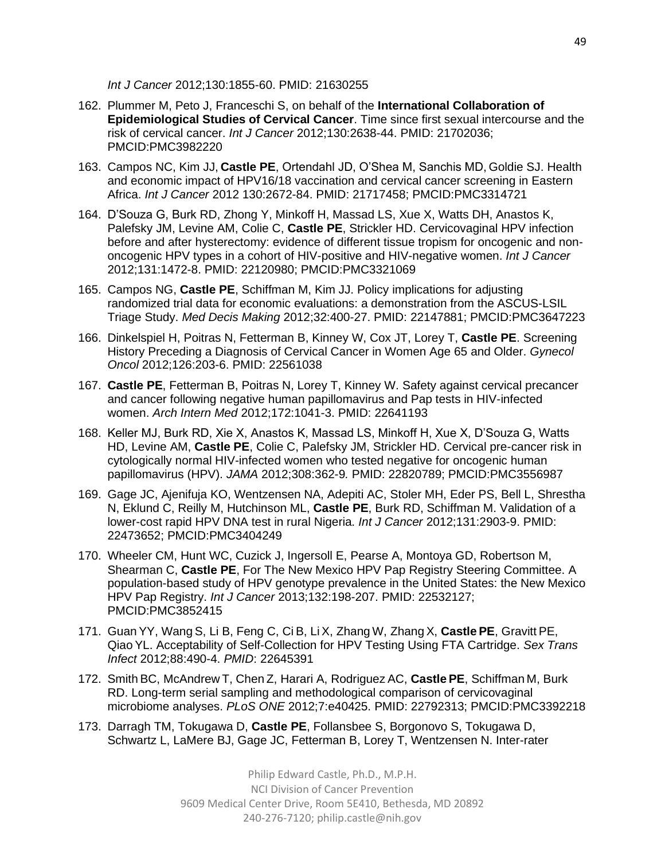*Int J Cancer* 2012;130:1855-60. PMID: 21630255

- 162. Plummer M, Peto J, Franceschi S, on behalf of the **International Collaboration of Epidemiological Studies of Cervical Cancer**. Time since first sexual intercourse and the risk of cervical cancer. *Int J Cancer* 2012;130:2638-44. PMID: 21702036; PMCID:PMC3982220
- 163. Campos NC, Kim JJ, **Castle PE**, Ortendahl JD, O'Shea M, Sanchis MD, Goldie SJ. Health and economic impact of HPV16/18 vaccination and cervical cancer screening in Eastern Africa. *Int J Cancer* 2012 130:2672-84. PMID: 21717458; PMCID:PMC3314721
- 164. D'Souza G, Burk RD, Zhong Y, Minkoff H, Massad LS, Xue X, Watts DH, Anastos K, Palefsky JM, Levine AM, Colie C, **Castle PE**, Strickler HD. Cervicovaginal HPV infection before and after hysterectomy: evidence of different tissue tropism for oncogenic and nononcogenic HPV types in a cohort of HIV-positive and HIV-negative women. *Int J Cancer*  2012;131:1472-8. PMID: 22120980; PMCID:PMC3321069
- 165. Campos NG, **Castle PE**, Schiffman M, Kim JJ. Policy implications for adjusting randomized trial data for economic evaluations: a demonstration from the ASCUS-LSIL Triage Study. *Med Decis Making* 2012;32:400-27. PMID: 22147881; PMCID:PMC3647223
- 166. Dinkelspiel H, Poitras N, Fetterman B, Kinney W, Cox JT, Lorey T, **Castle PE**. Screening History Preceding a Diagnosis of Cervical Cancer in Women Age 65 and Older. *Gynecol Oncol* 2012;126:203-6. PMID: 22561038
- 167. **Castle PE**, Fetterman B, Poitras N, Lorey T, Kinney W. Safety against cervical precancer and cancer following negative human papillomavirus and Pap tests in HIV-infected women. *Arch Intern Med* 2012;172:1041-3. PMID: 22641193
- 168. Keller MJ, Burk RD, Xie X, Anastos K, Massad LS, Minkoff H, Xue X, D'Souza G, Watts HD, Levine AM, **Castle PE**, Colie C, Palefsky JM, Strickler HD. Cervical pre-cancer risk in cytologically normal HIV-infected women who tested negative for oncogenic human papillomavirus (HPV). *JAMA* 2012;308:362-9*.* PMID: 22820789; PMCID:PMC3556987
- 169. Gage JC, Ajenifuja KO, Wentzensen NA, Adepiti AC, Stoler MH, Eder PS, Bell L, Shrestha N, Eklund C, Reilly M, Hutchinson ML, **Castle PE**, Burk RD, Schiffman M. Validation of a lower-cost rapid HPV DNA test in rural Nigeria. *Int J Cancer* 2012;131:2903-9. PMID: 22473652; PMCID:PMC3404249
- 170. Wheeler CM, Hunt WC, Cuzick J, Ingersoll E, Pearse A, Montoya GD, Robertson M, Shearman C, **Castle PE**, For The New Mexico HPV Pap Registry Steering Committee. A population-based study of HPV genotype prevalence in the United States: the New Mexico HPV Pap Registry. *Int J Cancer* 2013;132:198-207. PMID: 22532127; PMCID:PMC3852415
- 171. Guan YY, Wang S, Li B, Feng C, Ci B, Li X, Zhang W, Zhang X, **Castle PE**, Gravitt PE, Qiao YL. Acceptability of Self-Collection for HPV Testing Using FTA Cartridge. *Sex Trans Infect* 2012;88:490-4. *PMID*: 22645391
- 172. Smith BC, McAndrew T, Chen Z, Harari A, Rodriguez AC, **Castle PE**, Schiffman M, Burk RD. Long-term serial sampling and methodological comparison of cervicovaginal microbiome analyses. *PLoS ONE* 2012;7:e40425. PMID: 22792313; PMCID:PMC3392218
- 173. Darragh TM, Tokugawa D, **Castle PE**, Follansbee S, Borgonovo S, Tokugawa D, Schwartz L, LaMere BJ, Gage JC, Fetterman B, Lorey T, Wentzensen N. Inter-rater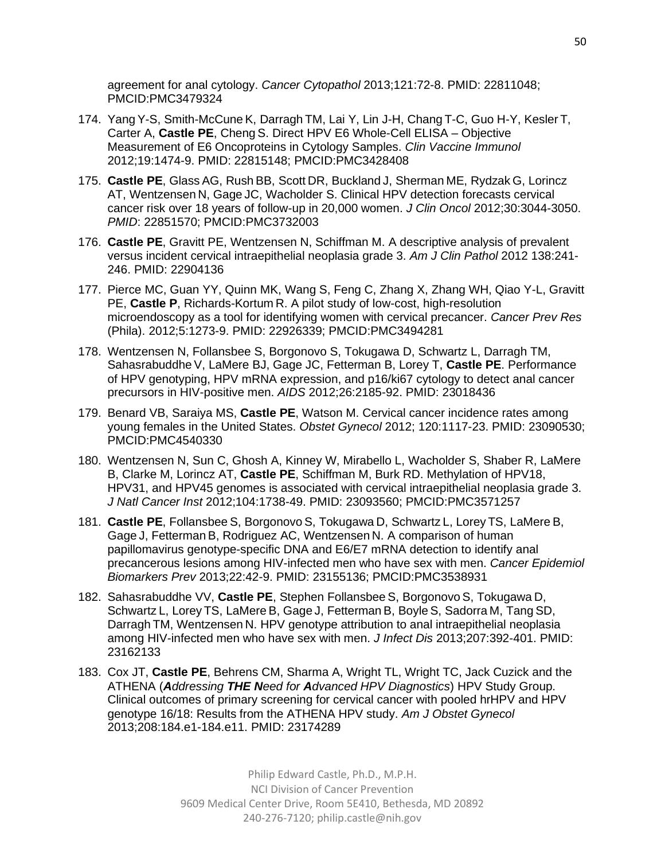agreement for anal cytology. *Cancer Cytopathol* 2013;121:72-8. PMID: 22811048; PMCID:PMC3479324

- 174. Yang Y-S, Smith-McCune K, Darragh TM, Lai Y, Lin J-H, Chang T-C, Guo H-Y, Kesler T, Carter A, **Castle PE**, Cheng S. Direct HPV E6 Whole-Cell ELISA – Objective Measurement of E6 Oncoproteins in Cytology Samples. *Clin Vaccine Immunol* 2012;19:1474-9. PMID: 22815148; PMCID:PMC3428408
- 175. **Castle PE**, Glass AG, Rush BB, Scott DR, Buckland J, Sherman ME, Rydzak G, Lorincz AT, Wentzensen N, Gage JC, Wacholder S. Clinical HPV detection forecasts cervical cancer risk over 18 years of follow-up in 20,000 women. *J Clin Oncol* 2012;30:3044-3050. *PMID*: 22851570; PMCID:PMC3732003
- 176. **Castle PE**, Gravitt PE, Wentzensen N, Schiffman M. A descriptive analysis of prevalent versus incident cervical intraepithelial neoplasia grade 3. *Am J Clin Pathol* 2012 138:241- 246. PMID: 22904136
- 177. Pierce MC, Guan YY, Quinn MK, Wang S, Feng C, Zhang X, Zhang WH, Qiao Y-L, Gravitt PE, **Castle P**, Richards-Kortum R. A pilot study of low-cost, high-resolution microendoscopy as a tool for identifying women with cervical precancer. *Cancer Prev Res* (Phila). 2012;5:1273-9. PMID: 22926339; PMCID:PMC3494281
- 178. Wentzensen N, Follansbee S, Borgonovo S, Tokugawa D, Schwartz L, Darragh TM, Sahasrabuddhe V, LaMere BJ, Gage JC, Fetterman B, Lorey T, **Castle PE**. Performance of HPV genotyping, HPV mRNA expression, and p16/ki67 cytology to detect anal cancer precursors in HIV-positive men. *AIDS* 2012;26:2185-92. PMID: 23018436
- 179. Benard VB, Saraiya MS, **Castle PE**, Watson M. Cervical cancer incidence rates among young females in the United States. *Obstet Gynecol* 2012; 120:1117-23. PMID: 23090530; PMCID:PMC4540330
- 180. Wentzensen N, Sun C, Ghosh A, Kinney W, Mirabello L, Wacholder S, Shaber R, LaMere B, Clarke M, Lorincz AT, **Castle PE**, Schiffman M, Burk RD. Methylation of HPV18, HPV31, and HPV45 genomes is associated with cervical intraepithelial neoplasia grade 3. *J Natl Cancer Inst* 2012;104:1738-49. PMID: 23093560; PMCID:PMC3571257
- 181. **Castle PE**, Follansbee S, Borgonovo S, Tokugawa D, Schwartz L, Lorey TS, LaMere B, Gage J, Fetterman B, Rodriguez AC, Wentzensen N. A comparison of human papillomavirus genotype-specific DNA and E6/E7 mRNA detection to identify anal precancerous lesions among HIV-infected men who have sex with men. *Cancer Epidemiol Biomarkers Prev* 2013;22:42-9. PMID: 23155136; PMCID:PMC3538931
- 182. Sahasrabuddhe VV, **Castle PE**, Stephen Follansbee S, Borgonovo S, Tokugawa D, Schwartz L, Lorey TS, LaMere B, Gage J, Fetterman B, Boyle S, Sadorra M, Tang SD, Darragh TM, Wentzensen N. HPV genotype attribution to anal intraepithelial neoplasia among HIV-infected men who have sex with men. *J Infect Dis* 2013;207:392-401. PMID: 23162133
- 183. Cox JT, **Castle PE**, Behrens CM, Sharma A, Wright TL, Wright TC, Jack Cuzick and the ATHENA (*Addressing THE Need for Advanced HPV Diagnostics*) HPV Study Group. Clinical outcomes of primary screening for cervical cancer with pooled hrHPV and HPV genotype 16/18: Results from the ATHENA HPV study. *Am J Obstet Gynecol*  2013;208:184.e1-184.e11. PMID: 23174289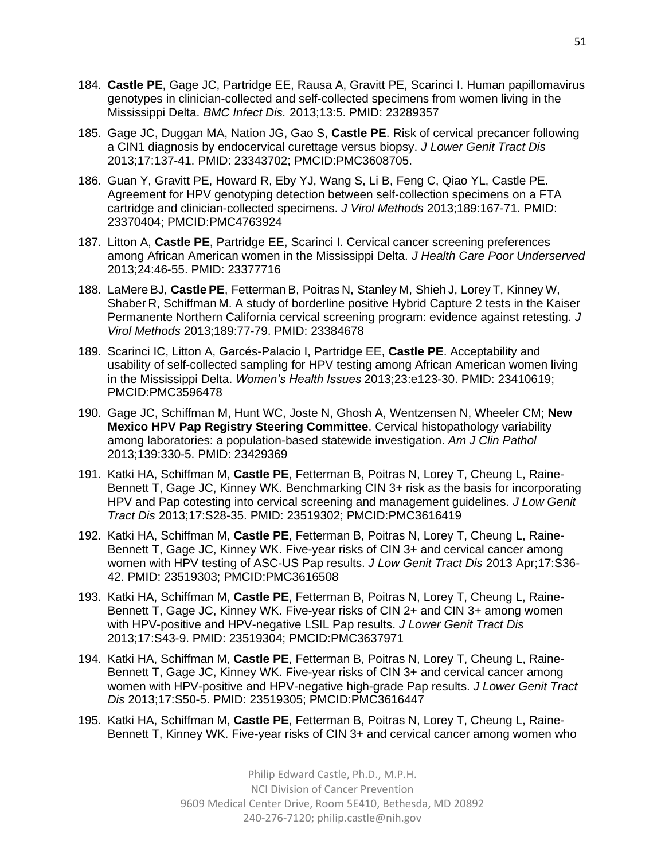- 184. **Castle PE**, Gage JC, Partridge EE, Rausa A, Gravitt PE, Scarinci I. Human papillomavirus genotypes in clinician-collected and self-collected specimens from women living in the Mississippi Delta. *BMC Infect Dis.* 2013;13:5. PMID: 23289357
- 185. Gage JC, Duggan MA, Nation JG, Gao S, **Castle PE**. Risk of cervical precancer following a CIN1 diagnosis by endocervical curettage versus biopsy. *J Lower Genit Tract Dis* 2013;17:137-41. PMID: 23343702; PMCID:PMC3608705.
- 186. Guan Y, Gravitt PE, Howard R, Eby YJ, Wang S, Li B, Feng C, Qiao YL, Castle PE. Agreement for HPV genotyping detection between self-collection specimens on a FTA cartridge and clinician-collected specimens. *J Virol Methods* 2013;189:167-71. PMID: 23370404; PMCID:PMC4763924
- 187. Litton A, **Castle PE**, Partridge EE, Scarinci I. Cervical cancer screening preferences among African American women in the Mississippi Delta. *J Health Care Poor Underserved* 2013;24:46-55. PMID: 23377716
- 188. LaMere BJ, **Castle PE**, Fetterman B, Poitras N, Stanley M, Shieh J, Lorey T, Kinney W, Shaber R, Schiffman M. A study of borderline positive Hybrid Capture 2 tests in the Kaiser Permanente Northern California cervical screening program: evidence against retesting. *J Virol Methods* 2013;189:77-79. PMID: 23384678
- 189. Scarinci IC, Litton A, Garcés-Palacio I, Partridge EE, **Castle PE**. Acceptability and usability of self-collected sampling for HPV testing among African American women living in the Mississippi Delta. *Women's Health Issues* 2013;23:e123-30. PMID: 23410619; PMCID:PMC3596478
- 190. Gage JC, Schiffman M, Hunt WC, Joste N, Ghosh A, Wentzensen N, Wheeler CM; **New Mexico HPV Pap Registry Steering Committee**. Cervical histopathology variability among laboratories: a population-based statewide investigation. *Am J Clin Pathol* 2013;139:330-5. PMID: 23429369
- 191. Katki HA, Schiffman M, **Castle PE**, Fetterman B, Poitras N, Lorey T, Cheung L, Raine-Bennett T, Gage JC, Kinney WK. Benchmarking CIN 3+ risk as the basis for incorporating HPV and Pap cotesting into cervical screening and management guidelines. *J Low Genit Tract Dis* 2013;17:S28-35. PMID: 23519302; PMCID:PMC3616419
- 192. Katki HA, Schiffman M, **Castle PE**, Fetterman B, Poitras N, Lorey T, Cheung L, Raine-Bennett T, Gage JC, Kinney WK. Five-year risks of CIN 3+ and cervical cancer among women with HPV testing of ASC-US Pap results. *J Low Genit Tract Dis* 2013 Apr;17:S36- 42. PMID: 23519303; PMCID:PMC3616508
- 193. Katki HA, Schiffman M, **Castle PE**, Fetterman B, Poitras N, Lorey T, Cheung L, Raine-Bennett T, Gage JC, Kinney WK. Five-year risks of CIN 2+ and CIN 3+ among women with HPV-positive and HPV-negative LSIL Pap results. *J Lower Genit Tract Dis* 2013;17:S43-9. PMID: 23519304; PMCID:PMC3637971
- 194. Katki HA, Schiffman M, **Castle PE**, Fetterman B, Poitras N, Lorey T, Cheung L, Raine-Bennett T, Gage JC, Kinney WK. Five-year risks of CIN 3+ and cervical cancer among women with HPV-positive and HPV-negative high-grade Pap results. *J Lower Genit Tract Dis* 2013;17:S50-5. PMID: 23519305; PMCID:PMC3616447
- 195. Katki HA, Schiffman M, **Castle PE**, Fetterman B, Poitras N, Lorey T, Cheung L, Raine-Bennett T, Kinney WK. Five-year risks of CIN 3+ and cervical cancer among women who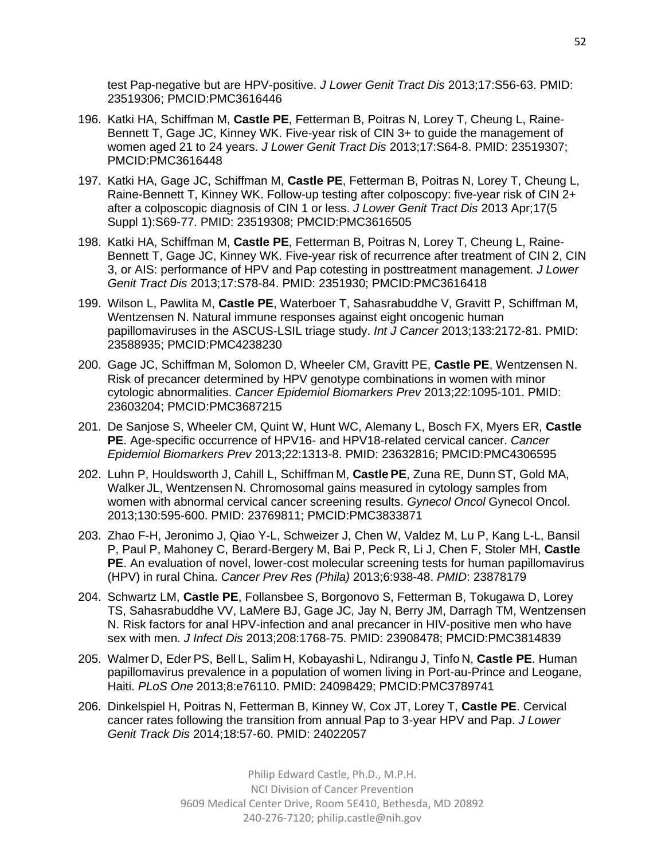test Pap-negative but are HPV-positive. *J Lower Genit Tract Dis* 2013;17:S56-63. PMID: 23519306; PMCID:PMC3616446

- 196. Katki HA, Schiffman M, **Castle PE**, Fetterman B, Poitras N, Lorey T, Cheung L, Raine-Bennett T, Gage JC, Kinney WK. Five-year risk of CIN 3+ to guide the management of women aged 21 to 24 years. *J Lower Genit Tract Dis* 2013;17:S64-8. PMID: 23519307; PMCID:PMC3616448
- 197. Katki HA, Gage JC, Schiffman M, **Castle PE**, Fetterman B, Poitras N, Lorey T, Cheung L, Raine-Bennett T, Kinney WK. Follow-up testing after colposcopy: five-year risk of CIN 2+ after a colposcopic diagnosis of CIN 1 or less. *J Lower Genit Tract Dis* 2013 Apr;17(5 Suppl 1):S69-77. PMID: 23519308; PMCID:PMC3616505
- 198. Katki HA, Schiffman M, **Castle PE**, Fetterman B, Poitras N, Lorey T, Cheung L, Raine-Bennett T, Gage JC, Kinney WK. Five-year risk of recurrence after treatment of CIN 2, CIN 3, or AIS: performance of HPV and Pap cotesting in posttreatment management. *J Lower Genit Tract Dis* 2013;17:S78-84. PMID: 2351930; PMCID:PMC3616418
- 199. Wilson L, Pawlita M, **Castle PE**, Waterboer T, Sahasrabuddhe V, Gravitt P, Schiffman M, Wentzensen N. Natural immune responses against eight oncogenic human papillomaviruses in the ASCUS-LSIL triage study. *Int J Cancer* 2013;133:2172-81. PMID: 23588935; PMCID:PMC4238230
- 200. Gage JC, Schiffman M, Solomon D, Wheeler CM, Gravitt PE, **Castle PE**, Wentzensen N. Risk of precancer determined by HPV genotype combinations in women with minor cytologic abnormalities. *Cancer Epidemiol Biomarkers Prev* 2013;22:1095-101. PMID: 23603204; PMCID:PMC3687215
- 201. De Sanjose S, Wheeler CM, Quint W, Hunt WC, Alemany L, Bosch FX, Myers ER, **Castle PE**. Age-specific occurrence of HPV16- and HPV18-related cervical cancer. *Cancer Epidemiol Biomarkers Prev* 2013;22:1313-8. PMID: 23632816; PMCID:PMC4306595
- 202. Luhn P, Houldsworth J, Cahill L, Schiffman M, **Castle PE**, Zuna RE, Dunn ST, Gold MA, Walker JL, Wentzensen N. Chromosomal gains measured in cytology samples from women with abnormal cervical cancer screening results. *Gynecol Oncol* Gynecol Oncol. 2013;130:595-600. PMID: 23769811; PMCID:PMC3833871
- 203. Zhao F-H, Jeronimo J, Qiao Y-L, Schweizer J, Chen W, Valdez M, Lu P, Kang L-L, Bansil P, Paul P, Mahoney C, Berard-Bergery M, Bai P, Peck R, Li J, Chen F, Stoler MH, **Castle PE**. An evaluation of novel, lower-cost molecular screening tests for human papillomavirus (HPV) in rural China. *Cancer Prev Res (Phila)* 2013;6:938-48. *PMID*: 23878179
- 204. Schwartz LM, **Castle PE**, Follansbee S, Borgonovo S, Fetterman B, Tokugawa D, Lorey TS, Sahasrabuddhe VV, LaMere BJ, Gage JC, Jay N, Berry JM, Darragh TM, Wentzensen N. Risk factors for anal HPV-infection and anal precancer in HIV-positive men who have sex with men. *J Infect Dis* 2013;208:1768-75. PMID: 23908478; PMCID:PMC3814839
- 205. Walmer D, Eder PS, Bell L, Salim H, Kobayashi L, Ndirangu J, Tinfo N, **Castle PE**. Human papillomavirus prevalence in a population of women living in Port-au-Prince and Leogane, Haiti. *PLoS One* 2013;8:e76110. PMID: 24098429; PMCID:PMC3789741
- 206. Dinkelspiel H, Poitras N, Fetterman B, Kinney W, Cox JT, Lorey T, **Castle PE**. Cervical cancer rates following the transition from annual Pap to 3-year HPV and Pap. *J Lower Genit Track Dis* 2014;18:57-60. PMID: 24022057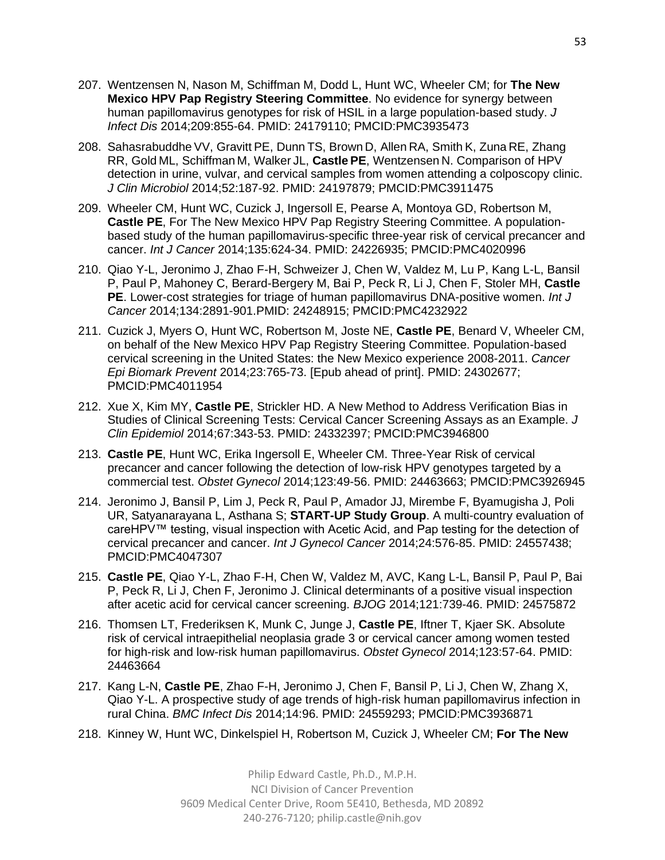- 207. Wentzensen N, Nason M, Schiffman M, Dodd L, Hunt WC, Wheeler CM; for **The New Mexico HPV Pap Registry Steering Committee**. No evidence for synergy between human papillomavirus genotypes for risk of HSIL in a large population-based study. *J Infect Dis* 2014;209:855-64. PMID: 24179110; PMCID:PMC3935473
- 208. Sahasrabuddhe VV, Gravitt PE, Dunn TS, Brown D, Allen RA, Smith K, Zuna RE, Zhang RR, Gold ML, Schiffman M, Walker JL, **Castle PE**, Wentzensen N. Comparison of HPV detection in urine, vulvar, and cervical samples from women attending a colposcopy clinic. *J Clin Microbiol* 2014;52:187-92. PMID: 24197879; PMCID:PMC3911475
- 209. Wheeler CM, Hunt WC, Cuzick J, Ingersoll E, Pearse A, Montoya GD, Robertson M, **Castle PE**, For The New Mexico HPV Pap Registry Steering Committee. A populationbased study of the human papillomavirus-specific three-year risk of cervical precancer and cancer. *Int J Cancer* 2014;135:624-34. PMID: 24226935; PMCID:PMC4020996
- 210. Qiao Y-L, Jeronimo J, Zhao F-H, Schweizer J, Chen W, Valdez M, Lu P, Kang L-L, Bansil P, Paul P, Mahoney C, Berard-Bergery M, Bai P, Peck R, Li J, Chen F, Stoler MH, **Castle PE**. Lower-cost strategies for triage of human papillomavirus DNA-positive women. *Int J Cancer* 2014;134:2891-901.PMID: 24248915; PMCID:PMC4232922
- 211. Cuzick J, Myers O, Hunt WC, Robertson M, Joste NE, **Castle PE**, Benard V, Wheeler CM, on behalf of the New Mexico HPV Pap Registry Steering Committee. Population-based cervical screening in the United States: the New Mexico experience 2008-2011. *Cancer Epi Biomark Prevent* 2014;23:765-73. [Epub ahead of print]. PMID: 24302677; PMCID:PMC4011954
- 212. Xue X, Kim MY, **Castle PE**, Strickler HD. A New Method to Address Verification Bias in Studies of Clinical Screening Tests: Cervical Cancer Screening Assays as an Example. *J Clin Epidemiol* 2014;67:343-53. PMID: 24332397; PMCID:PMC3946800
- 213. **Castle PE**, Hunt WC, Erika Ingersoll E, Wheeler CM. Three-Year Risk of cervical precancer and cancer following the detection of low-risk HPV genotypes targeted by a commercial test. *Obstet Gynecol* 2014;123:49-56. PMID: 24463663; PMCID:PMC3926945
- 214. Jeronimo J, Bansil P, Lim J, Peck R, Paul P, Amador JJ, Mirembe F, Byamugisha J, Poli UR, Satyanarayana L, Asthana S; **START-UP Study Group**. A multi-country evaluation of careHPV™ testing, visual inspection with Acetic Acid, and Pap testing for the detection of cervical precancer and cancer. *Int J Gynecol Cancer* 2014;24:576-85. PMID: 24557438; PMCID:PMC4047307
- 215. **Castle PE**, Qiao Y-L, Zhao F-H, Chen W, Valdez M, AVC, Kang L-L, Bansil P, Paul P, Bai P, Peck R, Li J, Chen F, Jeronimo J. Clinical determinants of a positive visual inspection after acetic acid for cervical cancer screening. *BJOG* 2014;121:739-46. PMID: 24575872
- 216. Thomsen LT, Frederiksen K, Munk C, Junge J, **Castle PE**, Iftner T, Kjaer SK. Absolute risk of cervical intraepithelial neoplasia grade 3 or cervical cancer among women tested for high-risk and low-risk human papillomavirus. *Obstet Gynecol* 2014;123:57-64. PMID: 24463664
- 217. Kang L-N, **Castle PE**, Zhao F-H, Jeronimo J, Chen F, Bansil P, Li J, Chen W, Zhang X, Qiao Y-L. A prospective study of age trends of high-risk human papillomavirus infection in rural China. *BMC Infect Dis* 2014;14:96. PMID: 24559293; PMCID:PMC3936871
- 218. Kinney W, Hunt WC, Dinkelspiel H, Robertson M, Cuzick J, Wheeler CM; **For The New**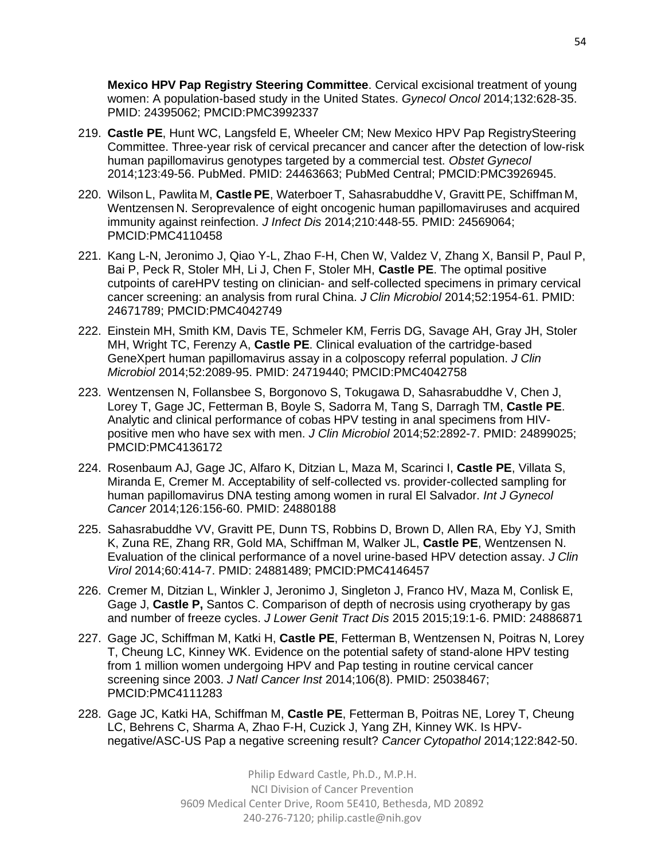**Mexico HPV Pap Registry Steering Committee**. Cervical excisional treatment of young women: A population-based study in the United States. *Gynecol Oncol* 2014;132:628-35. PMID: 24395062; PMCID:PMC3992337

- 219. **Castle PE**, Hunt WC, Langsfeld E, Wheeler CM; New Mexico HPV Pap RegistrySteering Committee. Three-year risk of cervical precancer and cancer after the detection of low-risk human papillomavirus genotypes targeted by a commercial test. *Obstet Gynecol*  2014;123:49-56. PubMed. PMID: 24463663; PubMed Central; PMCID:PMC3926945.
- 220. Wilson L, Pawlita M, **Castle PE**, Waterboer T, Sahasrabuddhe V, Gravitt PE, Schiffman M, Wentzensen N. Seroprevalence of eight oncogenic human papillomaviruses and acquired immunity against reinfection. *J Infect Dis* 2014;210:448-55. PMID: 24569064; PMCID:PMC4110458
- 221. Kang L-N, Jeronimo J, Qiao Y-L, Zhao F-H, Chen W, Valdez V, Zhang X, Bansil P, Paul P, Bai P, Peck R, Stoler MH, Li J, Chen F, Stoler MH, **Castle PE**. The optimal positive cutpoints of careHPV testing on clinician- and self-collected specimens in primary cervical cancer screening: an analysis from rural China. *J Clin Microbiol* 2014;52:1954-61. PMID: 24671789; PMCID:PMC4042749
- 222. Einstein MH, Smith KM, Davis TE, Schmeler KM, Ferris DG, Savage AH, Gray JH, Stoler MH, Wright TC, Ferenzy A, **Castle PE**. Clinical evaluation of the cartridge-based GeneXpert human papillomavirus assay in a colposcopy referral population. *J Clin Microbiol* 2014;52:2089-95. PMID: 24719440; PMCID:PMC4042758
- 223. Wentzensen N, Follansbee S, Borgonovo S, Tokugawa D, Sahasrabuddhe V, Chen J, Lorey T, Gage JC, Fetterman B, Boyle S, Sadorra M, Tang S, Darragh TM, **Castle PE**. Analytic and clinical performance of cobas HPV testing in anal specimens from HIVpositive men who have sex with men. *J Clin Microbiol* 2014;52:2892-7. PMID: 24899025; PMCID:PMC4136172
- 224. Rosenbaum AJ, Gage JC, Alfaro K, Ditzian L, Maza M, Scarinci I, **Castle PE**, Villata S, Miranda E, Cremer M. Acceptability of self-collected vs. provider-collected sampling for human papillomavirus DNA testing among women in rural El Salvador. *Int J Gynecol Cancer* 2014;126:156-60. PMID: 24880188
- 225. Sahasrabuddhe VV, Gravitt PE, Dunn TS, Robbins D, Brown D, Allen RA, Eby YJ, Smith K, Zuna RE, Zhang RR, Gold MA, Schiffman M, Walker JL, **Castle PE**, Wentzensen N. Evaluation of the clinical performance of a novel urine-based HPV detection assay. *J Clin Virol* 2014;60:414-7. PMID: 24881489; PMCID:PMC4146457
- 226. Cremer M, Ditzian L, Winkler J, Jeronimo J, Singleton J, Franco HV, Maza M, Conlisk E, Gage J, **Castle P,** Santos C. Comparison of depth of necrosis using cryotherapy by gas and number of freeze cycles. *J Lower Genit Tract Dis* 2015 2015;19:1-6. PMID: 24886871
- 227. Gage JC, Schiffman M, Katki H, **Castle PE**, Fetterman B, Wentzensen N, Poitras N, Lorey T, Cheung LC, Kinney WK. Evidence on the potential safety of stand-alone HPV testing from 1 million women undergoing HPV and Pap testing in routine cervical cancer screening since 2003. *J Natl Cancer Inst* 2014;106(8). PMID: 25038467; PMCID:PMC4111283
- 228. Gage JC, Katki HA, Schiffman M, **Castle PE**, Fetterman B, Poitras NE, Lorey T, Cheung LC, Behrens C, Sharma A, Zhao F-H, Cuzick J, Yang ZH, Kinney WK. Is HPVnegative/ASC-US Pap a negative screening result? *Cancer Cytopathol* 2014;122:842-50.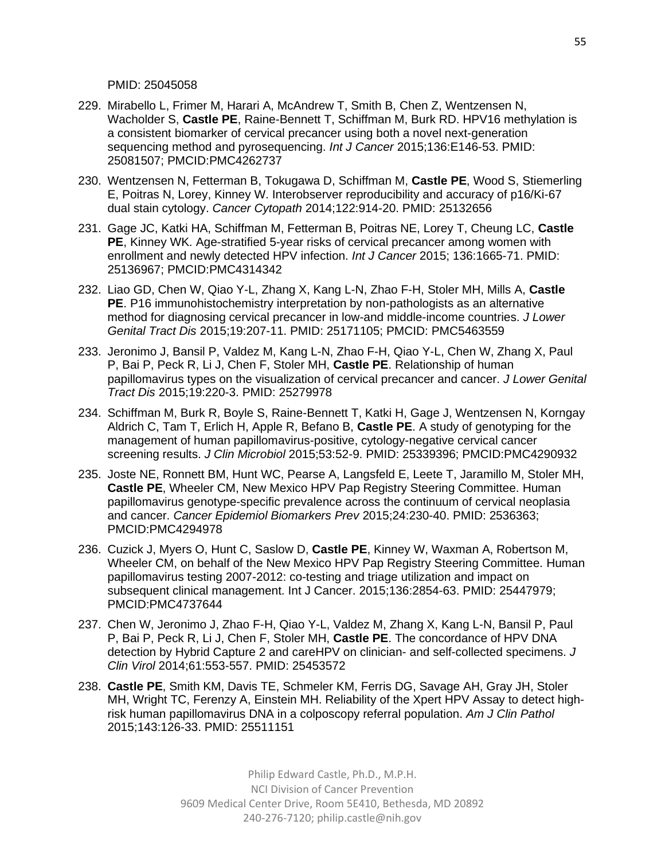PMID: 25045058

- 229. Mirabello L, Frimer M, Harari A, McAndrew T, Smith B, Chen Z, Wentzensen N, Wacholder S, **Castle PE**, Raine-Bennett T, Schiffman M, Burk RD. HPV16 methylation is a consistent biomarker of cervical precancer using both a novel next-generation sequencing method and pyrosequencing. *Int J Cancer* 2015;136:E146-53. PMID: 25081507; PMCID:PMC4262737
- 230. Wentzensen N, Fetterman B, Tokugawa D, Schiffman M, **Castle PE**, Wood S, Stiemerling E, Poitras N, Lorey, Kinney W. Interobserver reproducibility and accuracy of p16/Ki-67 dual stain cytology. *Cancer Cytopath* 2014;122:914-20. PMID: 25132656
- 231. Gage JC, Katki HA, Schiffman M, Fetterman B, Poitras NE, Lorey T, Cheung LC, **Castle PE**, Kinney WK. Age-stratified 5-year risks of cervical precancer among women with enrollment and newly detected HPV infection. *Int J Cancer* 2015; 136:1665-71. PMID: 25136967; PMCID:PMC4314342
- 232. Liao GD, Chen W, Qiao Y-L, Zhang X, Kang L-N, Zhao F-H, Stoler MH, Mills A, **Castle PE**. P16 immunohistochemistry interpretation by non-pathologists as an alternative method for diagnosing cervical precancer in low-and middle-income countries. *J Lower Genital Tract Dis* 2015;19:207-11. PMID: 25171105; PMCID: PMC5463559
- 233. Jeronimo J, Bansil P, Valdez M, Kang L-N, Zhao F-H, Qiao Y-L, Chen W, Zhang X, Paul P, Bai P, Peck R, Li J, Chen F, Stoler MH, **Castle PE**. Relationship of human papillomavirus types on the visualization of cervical precancer and cancer. *J Lower Genital Tract Dis* 2015;19:220-3. PMID: 25279978
- 234. Schiffman M, Burk R, Boyle S, Raine-Bennett T, Katki H, Gage J, Wentzensen N, Korngay Aldrich C, Tam T, Erlich H, Apple R, Befano B, **Castle PE**. A study of genotyping for the management of human papillomavirus-positive, cytology-negative cervical cancer screening results. *J Clin Microbiol* 2015;53:52-9. PMID: 25339396; PMCID:PMC4290932
- 235. Joste NE, Ronnett BM, Hunt WC, Pearse A, Langsfeld E, Leete T, Jaramillo M, Stoler MH, **Castle PE**, Wheeler CM, New Mexico HPV Pap Registry Steering Committee. Human papillomavirus genotype-specific prevalence across the continuum of cervical neoplasia and cancer. *Cancer Epidemiol Biomarkers Prev* 2015;24:230-40. PMID: 2536363; PMCID:PMC4294978
- 236. Cuzick J, Myers O, Hunt C, Saslow D, **Castle PE**, Kinney W, Waxman A, Robertson M, Wheeler CM, on behalf of the New Mexico HPV Pap Registry Steering Committee. Human papillomavirus testing 2007-2012: co-testing and triage utilization and impact on subsequent clinical management. Int J Cancer. 2015;136:2854-63. PMID: 25447979; PMCID:PMC4737644
- 237. Chen W, Jeronimo J, Zhao F-H, Qiao Y-L, Valdez M, Zhang X, Kang L-N, Bansil P, Paul P, Bai P, Peck R, Li J, Chen F, Stoler MH, **Castle PE**. The concordance of HPV DNA detection by Hybrid Capture 2 and careHPV on clinician- and self-collected specimens. *J Clin Virol* 2014;61:553-557. PMID: 25453572
- 238. **Castle PE**, Smith KM, Davis TE, Schmeler KM, Ferris DG, Savage AH, Gray JH, Stoler MH, Wright TC, Ferenzy A, Einstein MH. Reliability of the Xpert HPV Assay to detect highrisk human papillomavirus DNA in a colposcopy referral population. *Am J Clin Pathol* 2015;143:126-33. PMID: 25511151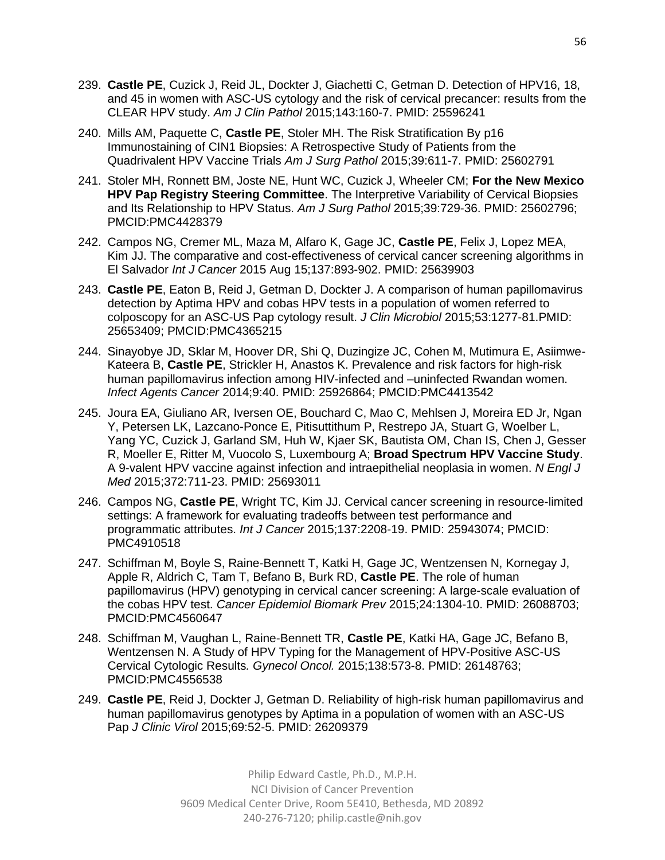- 239. **Castle PE**, Cuzick J, Reid JL, Dockter J, Giachetti C, Getman D. Detection of HPV16, 18, and 45 in women with ASC-US cytology and the risk of cervical precancer: results from the CLEAR HPV study. *Am J Clin Pathol* 2015;143:160-7. PMID: 25596241
- 240. Mills AM, Paquette C, **Castle PE**, Stoler MH. The Risk Stratification By p16 Immunostaining of CIN1 Biopsies: A Retrospective Study of Patients from the Quadrivalent HPV Vaccine Trials *Am J Surg Pathol* 2015;39:611-7. PMID: 25602791
- 241. Stoler MH, Ronnett BM, Joste NE, Hunt WC, Cuzick J, Wheeler CM; **For the New Mexico HPV Pap Registry Steering Committee**. The Interpretive Variability of Cervical Biopsies and Its Relationship to HPV Status. *Am J Surg Pathol* 2015;39:729-36. PMID: 25602796; PMCID:PMC4428379
- 242. Campos NG, Cremer ML, Maza M, Alfaro K, Gage JC, **Castle PE**, Felix J, Lopez MEA, Kim JJ. The comparative and cost-effectiveness of cervical cancer screening algorithms in El Salvador *Int J Cancer* 2015 Aug 15;137:893-902. PMID: 25639903
- 243. **Castle PE**, Eaton B, Reid J, Getman D, Dockter J. A comparison of human papillomavirus detection by Aptima HPV and cobas HPV tests in a population of women referred to colposcopy for an ASC-US Pap cytology result. *J Clin Microbiol* 2015;53:1277-81.PMID: 25653409; PMCID:PMC4365215
- 244. Sinayobye JD, Sklar M, Hoover DR, Shi Q, Duzingize JC, Cohen M, Mutimura E, Asiimwe-Kateera B, **Castle PE**, Strickler H, Anastos K. Prevalence and risk factors for high-risk human papillomavirus infection among HIV-infected and –uninfected Rwandan women. *Infect Agents Cancer* 2014;9:40. PMID: 25926864; PMCID:PMC4413542
- 245. Joura EA, Giuliano AR, Iversen OE, Bouchard C, Mao C, Mehlsen J, Moreira ED Jr, Ngan Y, Petersen LK, Lazcano-Ponce E, Pitisuttithum P, Restrepo JA, Stuart G, Woelber L, Yang YC, Cuzick J, Garland SM, Huh W, Kjaer SK, Bautista OM, Chan IS, Chen J, Gesser R, Moeller E, Ritter M, Vuocolo S, Luxembourg A; **Broad Spectrum HPV Vaccine Study**. A 9-valent HPV vaccine against infection and intraepithelial neoplasia in women. *N Engl J Med* 2015;372:711-23. PMID: 25693011
- 246. Campos NG, **Castle PE**, Wright TC, Kim JJ. Cervical cancer screening in resource-limited settings: A framework for evaluating tradeoffs between test performance and programmatic attributes. *Int J Cancer* 2015;137:2208-19. PMID: 25943074; PMCID: PMC4910518
- 247. Schiffman M, Boyle S, Raine-Bennett T, Katki H, Gage JC, Wentzensen N, Kornegay J, Apple R, Aldrich C, Tam T, Befano B, Burk RD, **Castle PE**. The role of human papillomavirus (HPV) genotyping in cervical cancer screening: A large-scale evaluation of the cobas HPV test. *Cancer Epidemiol Biomark Prev* 2015;24:1304-10. PMID: 26088703; PMCID:PMC4560647
- 248. Schiffman M, Vaughan L, Raine-Bennett TR, **Castle PE**, Katki HA, Gage JC, Befano B, Wentzensen N. A Study of HPV Typing for the Management of HPV-Positive ASC-US Cervical Cytologic Results*. Gynecol Oncol.* 2015;138:573-8. PMID: 26148763; PMCID:PMC4556538
- 249. **Castle PE**, Reid J, Dockter J, Getman D. Reliability of high-risk human papillomavirus and human papillomavirus genotypes by Aptima in a population of women with an ASC-US Pap *J Clinic Virol* 2015;69:52-5. PMID: 26209379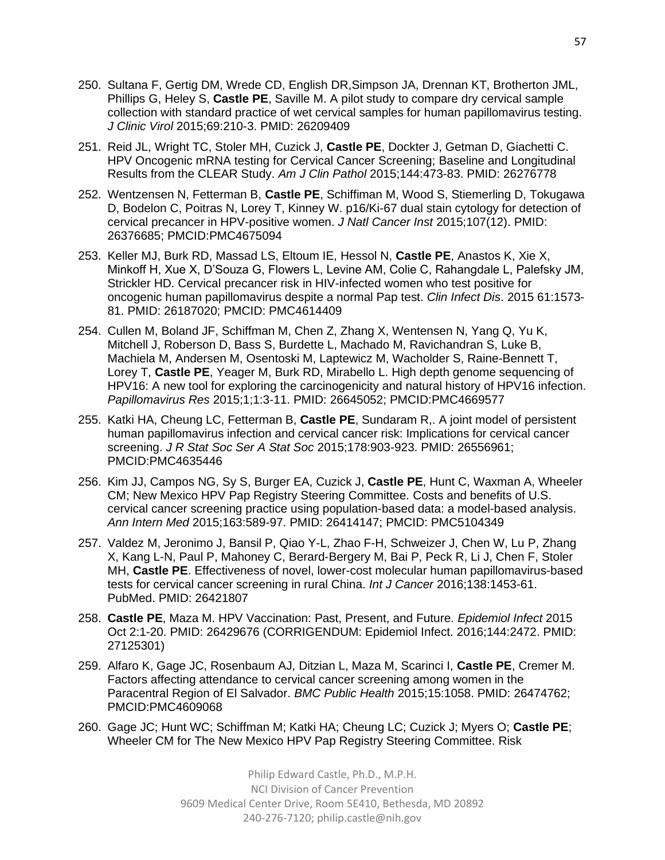- 250. Sultana F, Gertig DM, Wrede CD, English DR,Simpson JA, Drennan KT, Brotherton JML, Phillips G, Heley S, **Castle PE**, Saville M. A pilot study to compare dry cervical sample collection with standard practice of wet cervical samples for human papillomavirus testing. *J Clinic Virol* 2015;69:210-3. PMID: 26209409
- 251. Reid JL, Wright TC, Stoler MH, Cuzick J, **Castle PE**, Dockter J, Getman D, Giachetti C. HPV Oncogenic mRNA testing for Cervical Cancer Screening; Baseline and Longitudinal Results from the CLEAR Study. *Am J Clin Pathol* 2015;144:473-83. PMID: 26276778
- 252. Wentzensen N, Fetterman B, **Castle PE**, Schiffiman M, Wood S, Stiemerling D, Tokugawa D, Bodelon C, Poitras N, Lorey T, Kinney W. p16/Ki-67 dual stain cytology for detection of cervical precancer in HPV-positive women. *J Natl Cancer Inst* 2015;107(12). PMID: 26376685; PMCID:PMC4675094
- 253. Keller MJ, Burk RD, Massad LS, Eltoum IE, Hessol N, **Castle PE**, Anastos K, Xie X, Minkoff H, Xue X, D'Souza G, Flowers L, Levine AM, Colie C, Rahangdale L, Palefsky JM, Strickler HD. Cervical precancer risk in HIV-infected women who test positive for oncogenic human papillomavirus despite a normal Pap test. *Clin Infect Dis*. 2015 61:1573- 81. PMID: 26187020; PMCID: PMC4614409
- 254. Cullen M, Boland JF, Schiffman M, Chen Z, Zhang X, Wentensen N, Yang Q, Yu K, Mitchell J, Roberson D, Bass S, Burdette L, Machado M, Ravichandran S, Luke B, Machiela M, Andersen M, Osentoski M, Laptewicz M, Wacholder S, Raine-Bennett T, Lorey T, **Castle PE**, Yeager M, Burk RD, Mirabello L. High depth genome sequencing of HPV16: A new tool for exploring the carcinogenicity and natural history of HPV16 infection. *Papillomavirus Res* 2015;1;1:3-11. PMID: 26645052; PMCID:PMC4669577
- 255. Katki HA, Cheung LC, Fetterman B, **Castle PE**, Sundaram R,. A joint model of persistent human papillomavirus infection and cervical cancer risk: Implications for cervical cancer screening. *J R Stat Soc Ser A Stat Soc* 2015;178:903-923. PMID: 26556961; PMCID:PMC4635446
- 256. Kim JJ, Campos NG, Sy S, Burger EA, Cuzick J, **Castle PE**, Hunt C, Waxman A, Wheeler CM; New Mexico HPV Pap Registry Steering Committee. Costs and benefits of U.S. cervical cancer screening practice using population-based data: a model-based analysis. *Ann Intern Med* 2015;163:589-97. PMID: 26414147; PMCID: PMC5104349
- 257. Valdez M, Jeronimo J, Bansil P, Qiao Y-L, Zhao F-H, Schweizer J, Chen W, Lu P, Zhang X, Kang L-N, Paul P, Mahoney C, Berard-Bergery M, Bai P, Peck R, Li J, Chen F, Stoler MH, **Castle PE**. Effectiveness of novel, lower-cost molecular human papillomavirus-based tests for cervical cancer screening in rural China. *Int J Cancer* 2016;138:1453-61. PubMed. PMID: 26421807
- 258. **Castle PE**, Maza M. HPV Vaccination: Past, Present, and Future. *Epidemiol Infect* 2015 Oct 2:1-20. PMID: 26429676 (CORRIGENDUM: Epidemiol Infect. 2016;144:2472. PMID: 27125301)
- 259. Alfaro K, Gage JC, Rosenbaum AJ, Ditzian L, Maza M, Scarinci I, **Castle PE**, Cremer M. Factors affecting attendance to cervical cancer screening among women in the Paracentral Region of El Salvador. *BMC Public Health* 2015;15:1058. PMID: 26474762; PMCID:PMC4609068
- 260. Gage JC; Hunt WC; Schiffman M; Katki HA; Cheung LC; Cuzick J; Myers O; **Castle PE**; Wheeler CM for The New Mexico HPV Pap Registry Steering Committee. Risk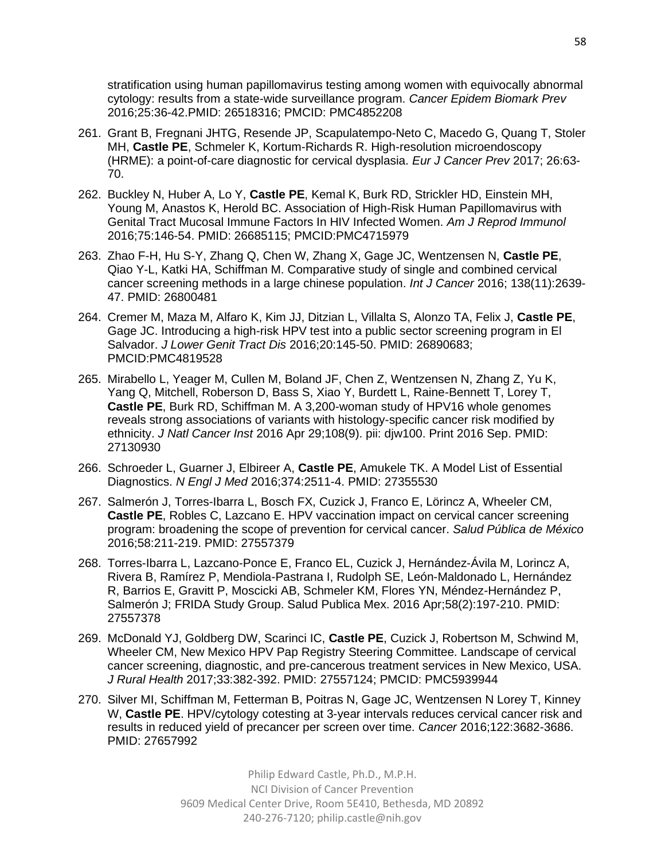stratification using human papillomavirus testing among women with equivocally abnormal cytology: results from a state-wide surveillance program. *Cancer Epidem Biomark Prev* 2016;25:36-42.PMID: 26518316; PMCID: PMC4852208

- 261. Grant B, Fregnani JHTG, Resende JP, Scapulatempo-Neto C, Macedo G, Quang T, Stoler MH, **Castle PE**, Schmeler K, Kortum-Richards R. High-resolution microendoscopy (HRME): a point-of-care diagnostic for cervical dysplasia. *Eur J Cancer Prev* 2017; 26:63- 70.
- 262. Buckley N, Huber A, Lo Y, **Castle PE**, Kemal K, Burk RD, Strickler HD, Einstein MH, Young M, Anastos K, Herold BC. Association of High-Risk Human Papillomavirus with Genital Tract Mucosal Immune Factors In HIV Infected Women. *Am J Reprod Immunol*  2016;75:146-54. PMID: 26685115; PMCID:PMC4715979
- 263. Zhao F-H, Hu S-Y, Zhang Q, Chen W, Zhang X, Gage JC, Wentzensen N, **Castle PE**, Qiao Y-L, Katki HA, Schiffman M. Comparative study of single and combined cervical cancer screening methods in a large chinese population. *Int J Cancer* 2016; 138(11):2639- 47. PMID: 26800481
- 264. Cremer M, Maza M, Alfaro K, Kim JJ, Ditzian L, Villalta S, Alonzo TA, Felix J, **Castle PE**, Gage JC. Introducing a high-risk HPV test into a public sector screening program in El Salvador. *J Lower Genit Tract Dis* 2016;20:145-50. PMID: 26890683; PMCID:PMC4819528
- 265. Mirabello L, Yeager M, Cullen M, Boland JF, Chen Z, Wentzensen N, Zhang Z, Yu K, Yang Q, Mitchell, Roberson D, Bass S, Xiao Y, Burdett L, Raine-Bennett T, Lorey T, **Castle PE**, Burk RD, Schiffman M. A 3,200-woman study of HPV16 whole genomes reveals strong associations of variants with histology-specific cancer risk modified by ethnicity. *J Natl Cancer Inst* 2016 Apr 29;108(9). pii: djw100. Print 2016 Sep. PMID: 27130930
- 266. Schroeder L, Guarner J, Elbireer A, **Castle PE**, Amukele TK. A Model List of Essential Diagnostics. *N Engl J Med* 2016;374:2511-4. PMID: 27355530
- 267. Salmerón J, Torres-Ibarra L, Bosch FX, Cuzick J, Franco E, Lörincz A, Wheeler CM, **Castle PE**, Robles C, Lazcano E. HPV vaccination impact on cervical cancer screening program: broadening the scope of prevention for cervical cancer. *Salud Pública de México* 2016;58:211-219. PMID: 27557379
- 268. Torres-Ibarra L, Lazcano-Ponce E, Franco EL, Cuzick J, Hernández-Ávila M, Lorincz A, Rivera B, Ramírez P, Mendiola-Pastrana I, Rudolph SE, León-Maldonado L, Hernández R, Barrios E, Gravitt P, Moscicki AB, Schmeler KM, Flores YN, Méndez-Hernández P, Salmerón J; FRIDA Study Group. Salud Publica Mex. 2016 Apr;58(2):197-210. PMID: 27557378
- 269. McDonald YJ, Goldberg DW, Scarinci IC, **Castle PE**, Cuzick J, Robertson M, Schwind M, Wheeler CM, New Mexico HPV Pap Registry Steering Committee. Landscape of cervical cancer screening, diagnostic, and pre-cancerous treatment services in New Mexico, USA. *J Rural Health* 2017;33:382-392. PMID: 27557124; PMCID: PMC5939944
- 270. Silver MI, Schiffman M, Fetterman B, Poitras N, Gage JC, Wentzensen N Lorey T, Kinney W, **Castle PE**. HPV/cytology cotesting at 3-year intervals reduces cervical cancer risk and results in reduced yield of precancer per screen over time. *Cancer* 2016;122:3682-3686. PMID: 27657992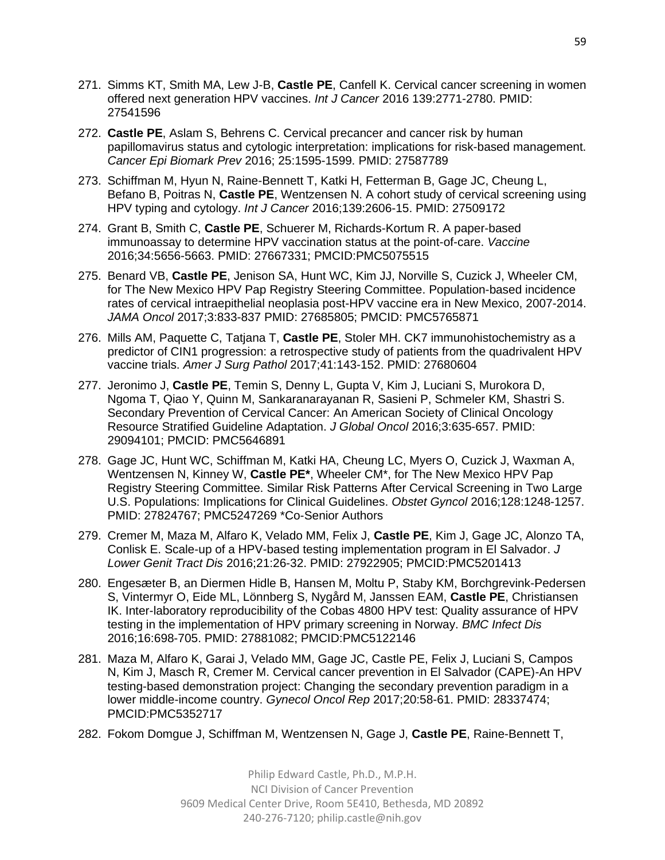- 271. Simms KT, Smith MA, Lew J-B, **Castle PE**, Canfell K. Cervical cancer screening in women offered next generation HPV vaccines. *Int J Cancer* 2016 139:2771-2780. PMID: 27541596
- 272. **Castle PE**, Aslam S, Behrens C. Cervical precancer and cancer risk by human papillomavirus status and cytologic interpretation: implications for risk-based management. *Cancer Epi Biomark Prev* 2016; 25:1595-1599. PMID: 27587789
- 273. Schiffman M, Hyun N, Raine-Bennett T, Katki H, Fetterman B, Gage JC, Cheung L, Befano B, Poitras N, **Castle PE**, Wentzensen N. A cohort study of cervical screening using HPV typing and cytology. *Int J Cancer* 2016;139:2606-15. PMID: 27509172
- 274. Grant B, Smith C, **Castle PE**, Schuerer M, Richards-Kortum R. A paper-based immunoassay to determine HPV vaccination status at the point-of-care. *Vaccine* 2016;34:5656-5663. PMID: 27667331; PMCID:PMC5075515
- 275. Benard VB, **Castle PE**, Jenison SA, Hunt WC, Kim JJ, Norville S, Cuzick J, Wheeler CM, for The New Mexico HPV Pap Registry Steering Committee. Population-based incidence rates of cervical intraepithelial neoplasia post-HPV vaccine era in New Mexico, 2007-2014. *JAMA Oncol* 2017;3:833-837 PMID: 27685805; PMCID: PMC5765871
- 276. Mills AM, Paquette C, Tatjana T, **Castle PE**, Stoler MH. CK7 immunohistochemistry as a predictor of CIN1 progression: a retrospective study of patients from the quadrivalent HPV vaccine trials. *Amer J Surg Pathol* 2017;41:143-152. PMID: 27680604
- 277. Jeronimo J, **Castle PE**, Temin S, Denny L, Gupta V, Kim J, Luciani S, Murokora D, Ngoma T, Qiao Y, Quinn M, Sankaranarayanan R, Sasieni P, Schmeler KM, Shastri S. Secondary Prevention of Cervical Cancer: An American Society of Clinical Oncology Resource Stratified Guideline Adaptation. *J Global Oncol* 2016;3:635-657. PMID: 29094101; PMCID: PMC5646891
- 278. Gage JC, Hunt WC, Schiffman M, Katki HA, Cheung LC, Myers O, Cuzick J, Waxman A, Wentzensen N, Kinney W, **Castle PE\***, Wheeler CM\*, for The New Mexico HPV Pap Registry Steering Committee. Similar Risk Patterns After Cervical Screening in Two Large U.S. Populations: Implications for Clinical Guidelines. *Obstet Gyncol* 2016;128:1248-1257. PMID: 27824767; PMC5247269 \*Co-Senior Authors
- 279. Cremer M, Maza M, Alfaro K, Velado MM, Felix J, **Castle PE**, Kim J, Gage JC, Alonzo TA, Conlisk E. Scale-up of a HPV-based testing implementation program in El Salvador. *J Lower Genit Tract Dis* 2016;21:26-32. PMID: 27922905; PMCID:PMC5201413
- 280. Engesæter B, an Diermen Hidle B, Hansen M, Moltu P, Staby KM, Borchgrevink-Pedersen S, Vintermyr O, Eide ML, Lönnberg S, Nygård M, Janssen EAM, **Castle PE**, Christiansen IK. Inter-laboratory reproducibility of the Cobas 4800 HPV test: Quality assurance of HPV testing in the implementation of HPV primary screening in Norway. *BMC Infect Dis* 2016;16:698-705. PMID: 27881082; PMCID:PMC5122146
- 281. Maza M, Alfaro K, Garai J, Velado MM, Gage JC, Castle PE, Felix J, Luciani S, Campos N, Kim J, Masch R, Cremer M. Cervical cancer prevention in El Salvador (CAPE)-An HPV testing-based demonstration project: Changing the secondary prevention paradigm in a lower middle-income country. *Gynecol Oncol Rep* 2017;20:58-61. PMID: 28337474; PMCID:PMC5352717
- 282. Fokom Domgue J, Schiffman M, Wentzensen N, Gage J, **Castle PE**, Raine-Bennett T,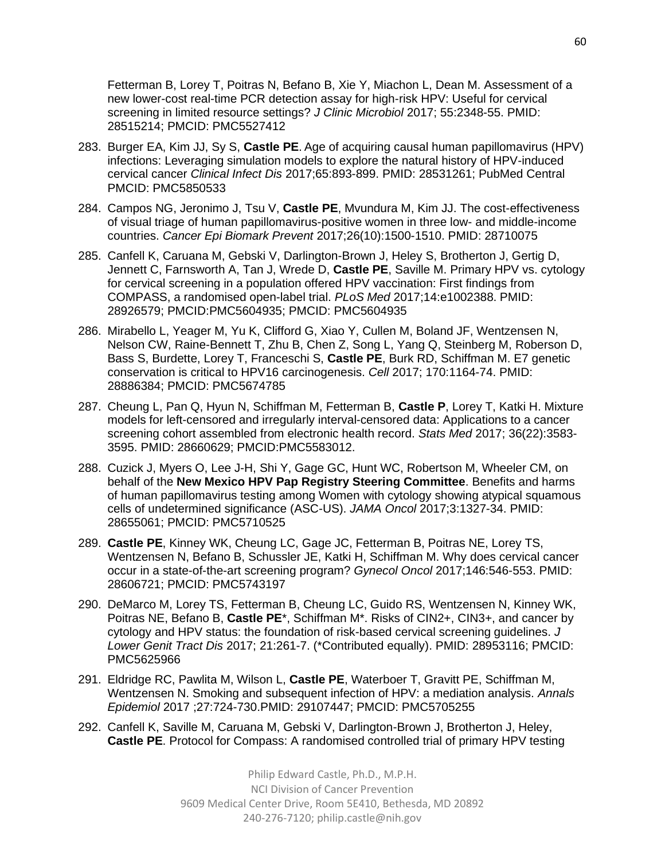Fetterman B, Lorey T, Poitras N, Befano B, Xie Y, Miachon L, Dean M. Assessment of a new lower-cost real-time PCR detection assay for high-risk HPV: Useful for cervical screening in limited resource settings? *J Clinic Microbiol* 2017; 55:2348-55. PMID: 28515214; PMCID: PMC5527412

- 283. Burger EA, Kim JJ, Sy S, **Castle PE**. Age of acquiring causal human papillomavirus (HPV) infections: Leveraging simulation models to explore the natural history of HPV-induced cervical cancer *Clinical Infect Dis* 2017;65:893-899. PMID: 28531261; PubMed Central PMCID: PMC5850533
- 284. Campos NG, Jeronimo J, Tsu V, **Castle PE**, Mvundura M, Kim JJ. The cost-effectiveness of visual triage of human papillomavirus-positive women in three low- and middle-income countries. *Cancer Epi Biomark Prevent* 2017;26(10):1500-1510. PMID: 28710075
- 285. Canfell K, Caruana M, Gebski V, Darlington-Brown J, Heley S, Brotherton J, Gertig D, Jennett C, Farnsworth A, Tan J, Wrede D, **Castle PE**, Saville M. Primary HPV vs. cytology for cervical screening in a population offered HPV vaccination: First findings from COMPASS, a randomised open-label trial. *PLoS Med* 2017;14:e1002388. PMID: 28926579; PMCID:PMC5604935; PMCID: PMC5604935
- 286. Mirabello L, Yeager M, Yu K, Clifford G, Xiao Y, Cullen M, Boland JF, Wentzensen N, Nelson CW, Raine-Bennett T, Zhu B, Chen Z, Song L, Yang Q, Steinberg M, Roberson D, Bass S, Burdette, Lorey T, Franceschi S, **Castle PE**, Burk RD, Schiffman M. E7 genetic conservation is critical to HPV16 carcinogenesis. *Cell* 2017; 170:1164-74. PMID: 28886384; PMCID: PMC5674785
- 287. Cheung L, Pan Q, Hyun N, Schiffman M, Fetterman B, **Castle P**, Lorey T, Katki H. Mixture models for left-censored and irregularly interval-censored data: Applications to a cancer screening cohort assembled from electronic health record. *Stats Med* 2017; 36(22):3583- 3595. PMID: 28660629; PMCID:PMC5583012.
- 288. Cuzick J, Myers O, Lee J-H, Shi Y, Gage GC, Hunt WC, Robertson M, Wheeler CM, on behalf of the **New Mexico HPV Pap Registry Steering Committee**. Benefits and harms of human papillomavirus testing among Women with cytology showing atypical squamous cells of undetermined significance (ASC-US). *JAMA Oncol* 2017;3:1327-34. PMID: 28655061; PMCID: PMC5710525
- 289. **Castle PE**, Kinney WK, Cheung LC, Gage JC, Fetterman B, Poitras NE, Lorey TS, Wentzensen N, Befano B, Schussler JE, Katki H, Schiffman M. Why does cervical cancer occur in a state-of-the-art screening program? *Gynecol Oncol* 2017;146:546-553. PMID: 28606721; PMCID: PMC5743197
- 290. DeMarco M, Lorey TS, Fetterman B, Cheung LC, Guido RS, Wentzensen N, Kinney WK, Poitras NE, Befano B, **Castle PE**\*, Schiffman M\*. Risks of CIN2+, CIN3+, and cancer by cytology and HPV status: the foundation of risk-based cervical screening guidelines. *J Lower Genit Tract Dis* 2017; 21:261-7. (\*Contributed equally). PMID: 28953116; PMCID: PMC5625966
- 291. Eldridge RC, Pawlita M, Wilson L, **Castle PE**, Waterboer T, Gravitt PE, Schiffman M, Wentzensen N. Smoking and subsequent infection of HPV: a mediation analysis. *Annals Epidemiol* 2017 ;27:724-730.PMID: 29107447; PMCID: PMC5705255
- 292. Canfell K, Saville M, Caruana M, Gebski V, Darlington-Brown J, Brotherton J, Heley, **Castle PE**. Protocol for Compass: A randomised controlled trial of primary HPV testing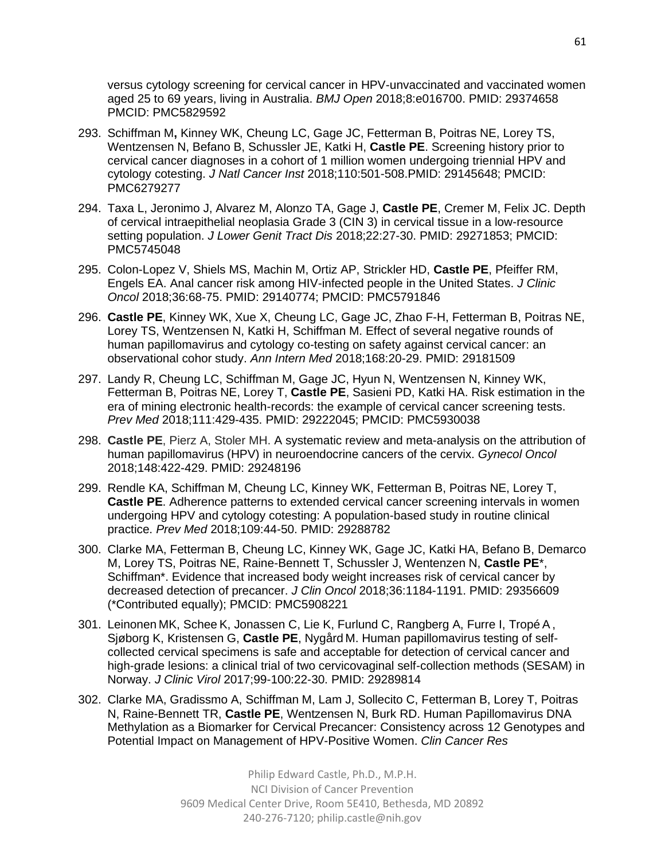versus cytology screening for cervical cancer in HPV-unvaccinated and vaccinated women aged 25 to 69 years, living in Australia. *BMJ Open* 2018;8:e016700. PMID: 29374658 PMCID: PMC5829592

- 293. Schiffman M**,** Kinney WK, Cheung LC, Gage JC, Fetterman B, Poitras NE, Lorey TS, Wentzensen N, Befano B, Schussler JE, Katki H, **Castle PE**. Screening history prior to cervical cancer diagnoses in a cohort of 1 million women undergoing triennial HPV and cytology cotesting. *J Natl Cancer Inst* 2018;110:501-508.PMID: 29145648; PMCID: PMC6279277
- 294. Taxa L, Jeronimo J, Alvarez M, Alonzo TA, Gage J, **Castle PE**, Cremer M, Felix JC. Depth of cervical intraepithelial neoplasia Grade 3 (CIN 3) in cervical tissue in a low-resource setting population. *J Lower Genit Tract Dis* 2018;22:27-30. PMID: 29271853; PMCID: PMC5745048
- 295. Colon-Lopez V, Shiels MS, Machin M, Ortiz AP, Strickler HD, **Castle PE**, Pfeiffer RM, Engels EA. Anal cancer risk among HIV-infected people in the United States. *J Clinic Oncol* 2018;36:68-75. PMID: 29140774; PMCID: PMC5791846
- 296. **Castle PE**, Kinney WK, Xue X, Cheung LC, Gage JC, Zhao F-H, Fetterman B, Poitras NE, Lorey TS, Wentzensen N, Katki H, Schiffman M. Effect of several negative rounds of human papillomavirus and cytology co-testing on safety against cervical cancer: an observational cohor study. *Ann Intern Med* 2018;168:20-29. PMID: 29181509
- 297. Landy R, Cheung LC, Schiffman M, Gage JC, Hyun N, Wentzensen N, Kinney WK, Fetterman B, Poitras NE, Lorey T, **Castle PE**, Sasieni PD, Katki HA. Risk estimation in the era of mining electronic health-records: the example of cervical cancer screening tests. *Prev Med* 2018;111:429-435. PMID: 29222045; PMCID: PMC5930038
- 298. **Castle PE**, Pierz A, Stoler MH. A systematic review and meta-analysis on the attribution of human papillomavirus (HPV) in neuroendocrine cancers of the cervix. *Gynecol Oncol* 2018;148:422-429. PMID: 29248196
- 299. Rendle KA, Schiffman M, Cheung LC, Kinney WK, Fetterman B, Poitras NE, Lorey T, **Castle PE**. Adherence patterns to extended cervical cancer screening intervals in women undergoing HPV and cytology cotesting: A population-based study in routine clinical practice. *Prev Med* 2018;109:44-50. PMID: 29288782
- 300. Clarke MA, Fetterman B, Cheung LC, Kinney WK, Gage JC, Katki HA, Befano B, Demarco M, Lorey TS, Poitras NE, Raine-Bennett T, Schussler J, Wentenzen N, **Castle PE**\*, Schiffman\*. Evidence that increased body weight increases risk of cervical cancer by decreased detection of precancer. *J Clin Oncol* 2018;36:1184-1191. PMID: 29356609 (\*Contributed equally); PMCID: PMC5908221
- 301. Leinonen MK, Schee K, Jonassen C, Lie K, Furlund C, Rangberg A, Furre I, Tropé A , Sjøborg K, Kristensen G, **Castle PE**, Nygård M. Human papillomavirus testing of selfcollected cervical specimens is safe and acceptable for detection of cervical cancer and high-grade lesions: a clinical trial of two cervicovaginal self-collection methods (SESAM) in Norway. *J Clinic Virol* 2017;99-100:22-30. PMID: 29289814
- 302. Clarke MA, Gradissmo A, Schiffman M, Lam J, Sollecito C, Fetterman B, Lorey T, Poitras N, Raine-Bennett TR, **Castle PE**, Wentzensen N, Burk RD. Human Papillomavirus DNA Methylation as a Biomarker for Cervical Precancer: Consistency across 12 Genotypes and Potential Impact on Management of HPV-Positive Women. *Clin Cancer Res*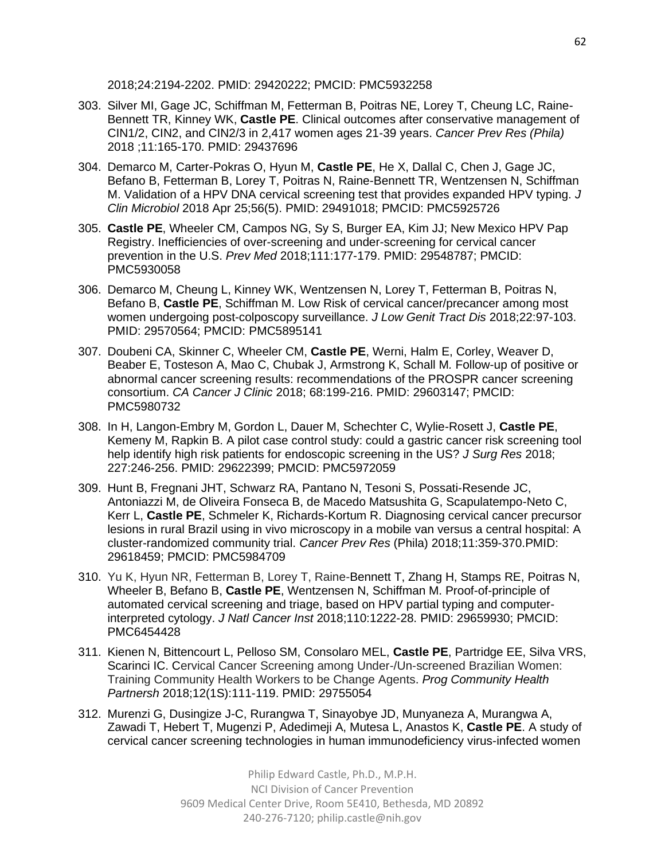2018;24:2194-2202. PMID: 29420222; PMCID: PMC5932258

- 303. Silver MI, Gage JC, Schiffman M, Fetterman B, Poitras NE, Lorey T, Cheung LC, Raine-Bennett TR, Kinney WK, **Castle PE**. Clinical outcomes after conservative management of CIN1/2, CIN2, and CIN2/3 in 2,417 women ages 21-39 years. *Cancer Prev Res (Phila)* 2018 ;11:165-170. PMID: 29437696
- 304. Demarco M, Carter-Pokras O, Hyun M, **Castle PE**, He X, Dallal C, Chen J, Gage JC, Befano B, Fetterman B, Lorey T, Poitras N, Raine-Bennett TR, Wentzensen N, Schiffman M. Validation of a HPV DNA cervical screening test that provides expanded HPV typing. *J Clin Microbiol* 2018 Apr 25;56(5). PMID: 29491018; PMCID: PMC5925726
- 305. **Castle PE**, Wheeler CM, Campos NG, Sy S, Burger EA, Kim JJ; New Mexico HPV Pap Registry. Inefficiencies of over-screening and under-screening for cervical cancer prevention in the U.S. *Prev Med* 2018;111:177-179. PMID: 29548787; PMCID: PMC5930058
- 306. Demarco M, Cheung L, Kinney WK, Wentzensen N, Lorey T, Fetterman B, Poitras N, Befano B, **Castle PE**, Schiffman M. Low Risk of cervical cancer/precancer among most women undergoing post-colposcopy surveillance. *J Low Genit Tract Dis* 2018;22:97-103. PMID: 29570564; PMCID: PMC5895141
- 307. Doubeni CA, Skinner C, Wheeler CM, **Castle PE**, Werni, Halm E, Corley, Weaver D, Beaber E, Tosteson A, Mao C, Chubak J, Armstrong K, Schall M*.* Follow-up of positive or abnormal cancer screening results: recommendations of the PROSPR cancer screening consortium. *CA Cancer J Clinic* 2018; 68:199-216. PMID: 29603147; PMCID: PMC5980732
- 308. In H, Langon-Embry M, Gordon L, Dauer M, Schechter C, Wylie-Rosett J, **Castle PE**, Kemeny M, Rapkin B. A pilot case control study: could a gastric cancer risk screening tool help identify high risk patients for endoscopic screening in the US? *J Surg Res* 2018; 227:246-256. PMID: 29622399; PMCID: PMC5972059
- 309. Hunt B, Fregnani JHT, Schwarz RA, Pantano N, Tesoni S, Possati-Resende JC, Antoniazzi M, de Oliveira Fonseca B, de Macedo Matsushita G, Scapulatempo-Neto C, Kerr L, **Castle PE**, Schmeler K, Richards-Kortum R. Diagnosing cervical cancer precursor lesions in rural Brazil using in vivo microscopy in a mobile van versus a central hospital: A cluster-randomized community trial. *Cancer Prev Res* (Phila) 2018;11:359-370.PMID: 29618459; PMCID: PMC5984709
- 310. Yu K, Hyun NR, Fetterman B, Lorey T, Raine-Bennett T, Zhang H, Stamps RE, Poitras N, Wheeler B, Befano B, **Castle PE**, Wentzensen N, Schiffman M. Proof-of-principle of automated cervical screening and triage, based on HPV partial typing and computerinterpreted cytology. *J Natl Cancer Inst* 2018;110:1222-28. PMID: 29659930; PMCID: PMC6454428
- 311. Kienen N, Bittencourt L, Pelloso SM, Consolaro MEL, **Castle PE**, Partridge EE, Silva VRS, Scarinci IC. Cervical Cancer Screening among Under-/Un-screened Brazilian Women: Training Community Health Workers to be Change Agents. *Prog Community Health Partnersh* 2018;12(1S):111-119. PMID: 29755054
- 312. Murenzi G, Dusingize J-C, Rurangwa T, Sinayobye JD, Munyaneza A, Murangwa A, Zawadi T, Hebert T, Mugenzi P, Adedimeji A, Mutesa L, Anastos K, **Castle PE**. A study of cervical cancer screening technologies in human immunodeficiency virus-infected women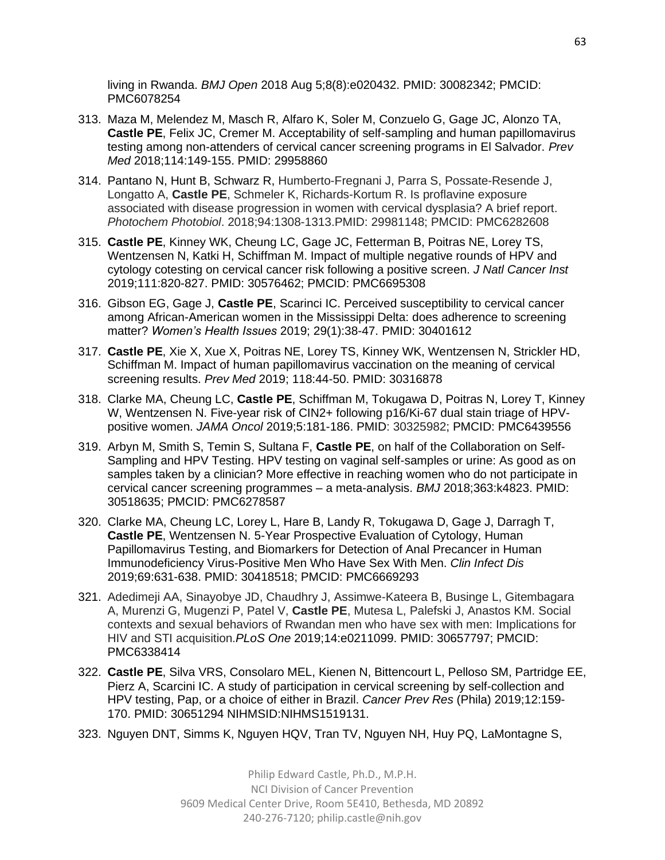living in Rwanda. *BMJ Open* 2018 Aug 5;8(8):e020432. PMID: 30082342; PMCID: PMC6078254

- 313. Maza M, Melendez M, Masch R, Alfaro K, Soler M, Conzuelo G, Gage JC, Alonzo TA, **Castle PE**, Felix JC, Cremer M. Acceptability of self-sampling and human papillomavirus testing among non-attenders of cervical cancer screening programs in El Salvador. *Prev Med* 2018;114:149-155. PMID: 29958860
- 314. Pantano N, Hunt B, Schwarz R, Humberto-Fregnani J, Parra S, Possate-Resende J, Longatto A, **Castle PE**, Schmeler K, Richards-Kortum R. Is proflavine exposure associated with disease progression in women with cervical dysplasia? A brief report. *Photochem Photobiol*. 2018;94:1308-1313.PMID: 29981148; PMCID: PMC6282608
- 315. **Castle PE**, Kinney WK, Cheung LC, Gage JC, Fetterman B, Poitras NE, Lorey TS, Wentzensen N, Katki H, Schiffman M. Impact of multiple negative rounds of HPV and cytology cotesting on cervical cancer risk following a positive screen. *J Natl Cancer Inst* 2019;111:820-827. PMID: 30576462; PMCID: PMC6695308
- 316. Gibson EG, Gage J, **Castle PE**, Scarinci IC. Perceived susceptibility to cervical cancer among African-American women in the Mississippi Delta: does adherence to screening matter? *Women's Health Issues* 2019; 29(1):38-47. PMID: 30401612
- 317. **Castle PE**, Xie X, Xue X, Poitras NE, Lorey TS, Kinney WK, Wentzensen N, Strickler HD, Schiffman M. Impact of human papillomavirus vaccination on the meaning of cervical screening results. *Prev Med* 2019; 118:44-50. PMID: 30316878
- 318. Clarke MA, Cheung LC, **Castle PE**, Schiffman M, Tokugawa D, Poitras N, Lorey T, Kinney W, Wentzensen N. Five-year risk of CIN2+ following p16/Ki-67 dual stain triage of HPVpositive women. *JAMA Oncol* 2019;5:181-186. PMID: 30325982; PMCID: PMC6439556
- 319. Arbyn M, Smith S, Temin S, Sultana F, **Castle PE**, on half of the Collaboration on Self-Sampling and HPV Testing. HPV testing on vaginal self-samples or urine: As good as on samples taken by a clinician? More effective in reaching women who do not participate in cervical cancer screening programmes – a meta-analysis. *BMJ* 2018;363:k4823. PMID: 30518635; PMCID: PMC6278587
- 320. Clarke MA, Cheung LC, Lorey L, Hare B, Landy R, Tokugawa D, Gage J, Darragh T, **Castle PE**, Wentzensen N. 5-Year Prospective Evaluation of Cytology, Human Papillomavirus Testing, and Biomarkers for Detection of Anal Precancer in Human Immunodeficiency Virus-Positive Men Who Have Sex With Men. *Clin Infect Dis* 2019;69:631-638. PMID: 30418518; PMCID: PMC6669293
- 321. Adedimeji AA, Sinayobye JD, Chaudhry J, Assimwe-Kateera B, Businge L, Gitembagara A, Murenzi G, Mugenzi P, Patel V, **Castle PE**, Mutesa L, Palefski J, Anastos KM. Social contexts and sexual behaviors of Rwandan men who have sex with men: Implications for HIV and STI acquisition.*PLoS One* 2019;14:e0211099. PMID: 30657797; PMCID: PMC6338414
- 322. **Castle PE**, Silva VRS, Consolaro MEL, Kienen N, Bittencourt L, Pelloso SM, Partridge EE, Pierz A, Scarcini IC. A study of participation in cervical screening by self-collection and HPV testing, Pap, or a choice of either in Brazil. *Cancer Prev Res* (Phila) 2019;12:159- 170. PMID: 30651294 NIHMSID:NIHMS1519131.
- 323. Nguyen DNT, Simms K, Nguyen HQV, Tran TV, Nguyen NH, Huy PQ, LaMontagne S,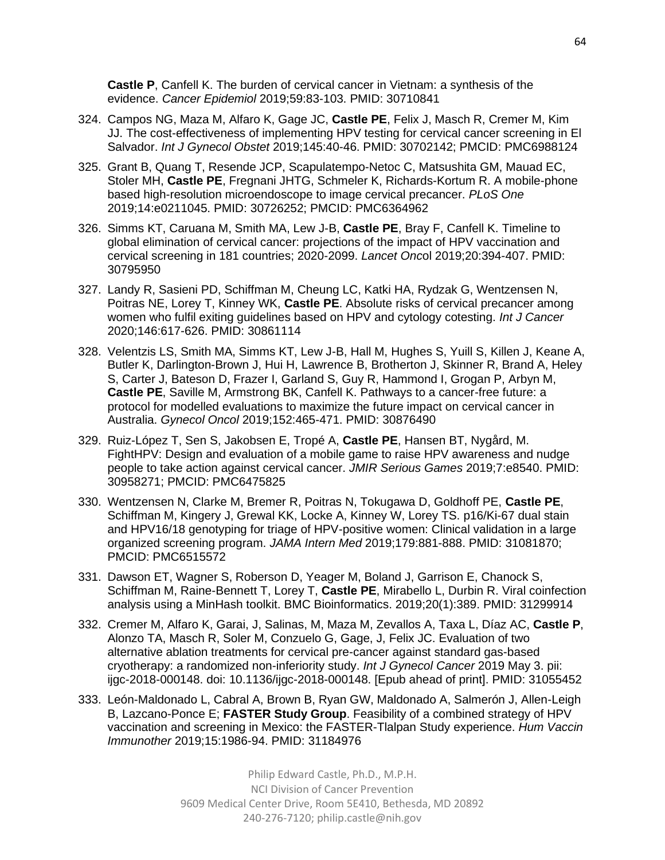**Castle P**, Canfell K. The burden of cervical cancer in Vietnam: a synthesis of the evidence. *Cancer Epidemiol* 2019;59:83-103. PMID: 30710841

- 324. Campos NG, Maza M, Alfaro K, Gage JC, **Castle PE**, Felix J, Masch R, Cremer M, Kim JJ. The cost-effectiveness of implementing HPV testing for cervical cancer screening in El Salvador. *Int J Gynecol Obstet* 2019;145:40-46. PMID: 30702142; PMCID: PMC6988124
- 325. Grant B, Quang T, Resende JCP, Scapulatempo-Netoc C, Matsushita GM, Mauad EC, Stoler MH, **Castle PE**, Fregnani JHTG, Schmeler K, Richards-Kortum R. A mobile-phone based high-resolution microendoscope to image cervical precancer. *PLoS One* 2019;14:e0211045. PMID: 30726252; PMCID: PMC6364962
- 326. Simms KT, Caruana M, Smith MA, Lew J-B, **Castle PE**, Bray F, Canfell K. Timeline to global elimination of cervical cancer: projections of the impact of HPV vaccination and cervical screening in 181 countries; 2020-2099. *Lancet Onc*ol 2019;20:394-407. PMID: 30795950
- 327. Landy R, Sasieni PD, Schiffman M, Cheung LC, Katki HA, Rydzak G, Wentzensen N, Poitras NE, Lorey T, Kinney WK, **Castle PE**. Absolute risks of cervical precancer among women who fulfil exiting guidelines based on HPV and cytology cotesting. *Int J Cancer* 2020;146:617-626. PMID: 30861114
- 328. Velentzis LS, Smith MA, Simms KT, Lew J-B, Hall M, Hughes S, Yuill S, Killen J, Keane A, Butler K, Darlington-Brown J, Hui H, Lawrence B, Brotherton J, Skinner R, Brand A, Heley S, Carter J, Bateson D, Frazer I, Garland S, Guy R, Hammond I, Grogan P, Arbyn M, **Castle PE**, Saville M, Armstrong BK, Canfell K. Pathways to a cancer-free future: a protocol for modelled evaluations to maximize the future impact on cervical cancer in Australia. *Gynecol Oncol* 2019;152:465-471. PMID: 30876490
- 329. Ruiz-López T, Sen S, Jakobsen E, Tropé A, **Castle PE**, Hansen BT, Nygård, M. FightHPV: Design and evaluation of a mobile game to raise HPV awareness and nudge people to take action against cervical cancer. *JMIR Serious Games* 2019;7:e8540. PMID: 30958271; PMCID: PMC6475825
- 330. Wentzensen N, Clarke M, Bremer R, Poitras N, Tokugawa D, Goldhoff PE, **Castle PE**, Schiffman M, Kingery J, Grewal KK, Locke A, Kinney W, Lorey TS. p16/Ki-67 dual stain and HPV16/18 genotyping for triage of HPV-positive women: Clinical validation in a large organized screening program. *JAMA Intern Med* 2019;179:881-888. PMID: 31081870; PMCID: PMC6515572
- 331. Dawson ET, Wagner S, Roberson D, Yeager M, Boland J, Garrison E, Chanock S, Schiffman M, Raine-Bennett T, Lorey T, **Castle PE**, Mirabello L, Durbin R. Viral coinfection analysis using a MinHash toolkit. BMC Bioinformatics. 2019;20(1):389. PMID: 31299914
- 332. Cremer M, Alfaro K, Garai, J, Salinas, M, Maza M, Zevallos A, Taxa L, Díaz AC, **Castle P**, Alonzo TA, Masch R, Soler M, Conzuelo G, Gage, J, Felix JC. Evaluation of two alternative ablation treatments for cervical pre-cancer against standard gas-based cryotherapy: a randomized non-inferiority study. *Int J Gynecol Cancer* 2019 May 3. pii: ijgc-2018-000148. doi: 10.1136/ijgc-2018-000148. [Epub ahead of print]. PMID: 31055452
- 333. León-Maldonado L, Cabral A, Brown B, Ryan GW, Maldonado A, Salmerón J, Allen-Leigh B, Lazcano-Ponce E; **FASTER Study Group**. Feasibility of a combined strategy of HPV vaccination and screening in Mexico: the FASTER-Tlalpan Study experience. *Hum Vaccin Immunother* 2019;15:1986-94. PMID: 31184976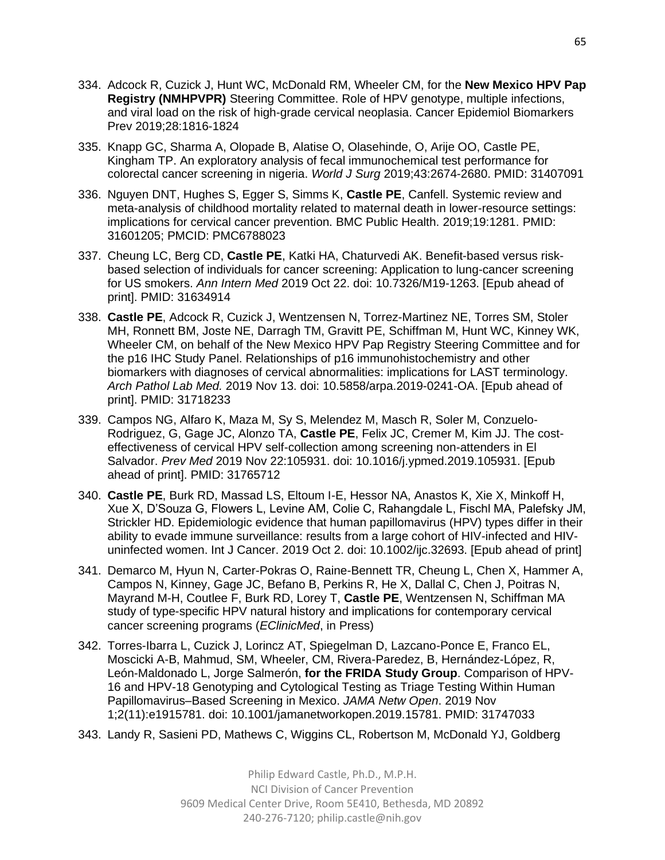- 334. Adcock R, Cuzick J, Hunt WC, McDonald RM, Wheeler CM, for the **New Mexico HPV Pap Registry (NMHPVPR)** Steering Committee. Role of HPV genotype, multiple infections, and viral load on the risk of high-grade cervical neoplasia. Cancer Epidemiol Biomarkers Prev 2019;28:1816-1824
- 335. Knapp GC, Sharma A, Olopade B, Alatise O, Olasehinde, O, Arije OO, Castle PE, Kingham TP. An exploratory analysis of fecal immunochemical test performance for colorectal cancer screening in nigeria. *World J Surg* 2019;43:2674-2680. PMID: 31407091
- 336. Nguyen DNT, Hughes S, Egger S, Simms K, **Castle PE**, Canfell. Systemic review and meta-analysis of childhood mortality related to maternal death in lower-resource settings: implications for cervical cancer prevention. BMC Public Health. 2019;19:1281. PMID: 31601205; PMCID: PMC6788023
- 337. Cheung LC, Berg CD, **Castle PE**, Katki HA, Chaturvedi AK. Benefit-based versus riskbased selection of individuals for cancer screening: Application to lung-cancer screening for US smokers. *Ann Intern Med* 2019 Oct 22. doi: 10.7326/M19-1263. [Epub ahead of print]. PMID: 31634914
- 338. **Castle PE**, Adcock R, Cuzick J, Wentzensen N, Torrez-Martinez NE, Torres SM, Stoler MH, Ronnett BM, Joste NE, Darragh TM, Gravitt PE, Schiffman M, Hunt WC, Kinney WK, Wheeler CM, on behalf of the New Mexico HPV Pap Registry Steering Committee and for the p16 IHC Study Panel. Relationships of p16 immunohistochemistry and other biomarkers with diagnoses of cervical abnormalities: implications for LAST terminology. *Arch Pathol Lab Med.* 2019 Nov 13. doi: 10.5858/arpa.2019-0241-OA. [Epub ahead of print]. PMID: 31718233
- 339. Campos NG, Alfaro K, Maza M, Sy S, Melendez M, Masch R, Soler M, Conzuelo-Rodriguez, G, Gage JC, Alonzo TA, **Castle PE**, Felix JC, Cremer M, Kim JJ. The costeffectiveness of cervical HPV self-collection among screening non-attenders in El Salvador. *Prev Med* 2019 Nov 22:105931. doi: 10.1016/j.ypmed.2019.105931. [Epub ahead of print]. PMID: 31765712
- 340. **Castle PE**, Burk RD, Massad LS, Eltoum I-E, Hessor NA, Anastos K, Xie X, Minkoff H, Xue X, D'Souza G, Flowers L, Levine AM, Colie C, Rahangdale L, Fischl MA, Palefsky JM, Strickler HD. Epidemiologic evidence that human papillomavirus (HPV) types differ in their ability to evade immune surveillance: results from a large cohort of HIV-infected and HIVuninfected women. Int J Cancer. 2019 Oct 2. doi: 10.1002/ijc.32693. [Epub ahead of print]
- 341. Demarco M, Hyun N, Carter-Pokras O, Raine-Bennett TR, Cheung L, Chen X, Hammer A, Campos N, Kinney, Gage JC, Befano B, Perkins R, He X, Dallal C, Chen J, Poitras N, Mayrand M-H, Coutlee F, Burk RD, Lorey T, **Castle PE**, Wentzensen N, Schiffman MA study of type-specific HPV natural history and implications for contemporary cervical cancer screening programs (*EClinicMed*, in Press)
- 342. Torres-Ibarra L, Cuzick J, Lorincz AT, Spiegelman D, Lazcano-Ponce E, Franco EL, Moscicki A-B, Mahmud, SM, Wheeler, CM, Rivera-Paredez, B, Hernández-López, R, León-Maldonado L, Jorge Salmerón, **for the FRIDA Study Group**. Comparison of HPV-16 and HPV-18 Genotyping and Cytological Testing as Triage Testing Within Human Papillomavirus–Based Screening in Mexico. *JAMA Netw Open*. 2019 Nov 1;2(11):e1915781. doi: 10.1001/jamanetworkopen.2019.15781. PMID: 31747033
- 343. Landy R, Sasieni PD, Mathews C, Wiggins CL, Robertson M, McDonald YJ, Goldberg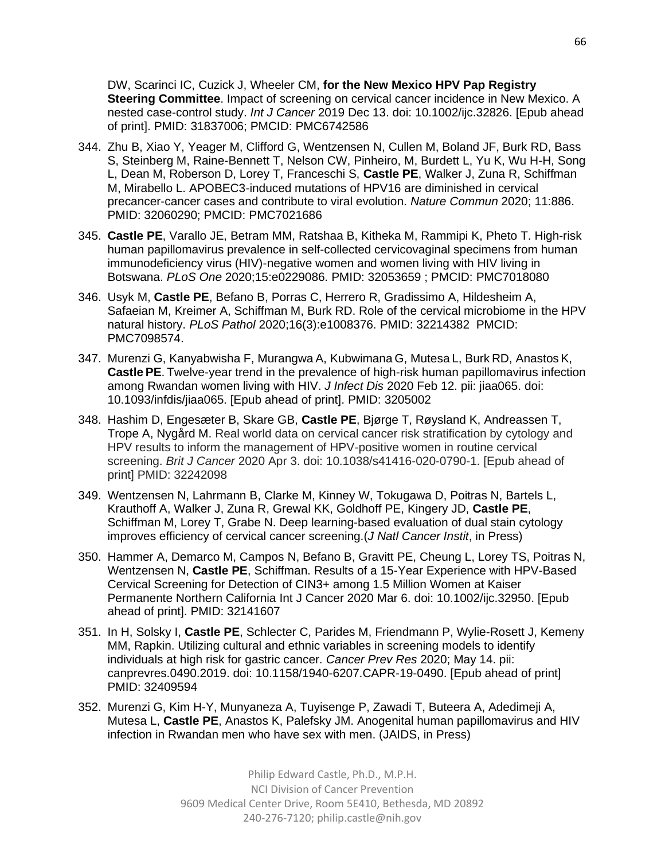DW, Scarinci IC, Cuzick J, Wheeler CM, **for the New Mexico HPV Pap Registry Steering Committee**. Impact of screening on cervical cancer incidence in New Mexico. A nested case-control study. *Int J Cancer* 2019 Dec 13. doi: 10.1002/ijc.32826. [Epub ahead of print]. PMID: 31837006; PMCID: PMC6742586

- 344. Zhu B, Xiao Y, Yeager M, Clifford G, Wentzensen N, Cullen M, Boland JF, Burk RD, Bass S, Steinberg M, Raine-Bennett T, Nelson CW, Pinheiro, M, Burdett L, Yu K, Wu H-H, Song L, Dean M, Roberson D, Lorey T, Franceschi S, **Castle PE**, Walker J, Zuna R, Schiffman M, Mirabello L. APOBEC3-induced mutations of HPV16 are diminished in cervical precancer-cancer cases and contribute to viral evolution. *Nature Commun* 2020; 11:886. PMID: 32060290; PMCID: PMC7021686
- 345. **Castle PE**, Varallo JE, Betram MM, Ratshaa B, Kitheka M, Rammipi K, Pheto T. High-risk human papillomavirus prevalence in self-collected cervicovaginal specimens from human immunodeficiency virus (HIV)-negative women and women living with HIV living in Botswana. *PLoS One* 2020;15:e0229086. PMID: 32053659 ; PMCID: PMC7018080
- 346. Usyk M, **Castle PE**, Befano B, Porras C, Herrero R, Gradissimo A, Hildesheim A, Safaeian M, Kreimer A, Schiffman M, Burk RD. Role of the cervical microbiome in the HPV natural history. *PLoS Pathol* 2020;16(3):e1008376. PMID: 32214382 PMCID: PMC7098574.
- 347. Murenzi G, Kanyabwisha F, Murangwa A, Kubwimana G, Mutesa L, Burk RD, Anastos K, **Castle PE**. Twelve-year trend in the prevalence of high-risk human papillomavirus infection among Rwandan women living with HIV. *J Infect Dis* 2020 Feb 12. pii: jiaa065. doi: 10.1093/infdis/jiaa065. [Epub ahead of print]. PMID: 3205002
- 348. Hashim D, Engesæter B, Skare GB, **Castle PE**, Bjørge T, Røysland K, Andreassen T, Trope A, Nygård M. Real world data on cervical cancer risk stratification by cytology and HPV results to inform the management of HPV-positive women in routine cervical screening. *Brit J Cancer* 2020 Apr 3. doi: 10.1038/s41416-020-0790-1. [Epub ahead of print] PMID: 32242098
- 349. Wentzensen N, Lahrmann B, Clarke M, Kinney W, Tokugawa D, Poitras N, Bartels L, Krauthoff A, Walker J, Zuna R, Grewal KK, Goldhoff PE, Kingery JD, **Castle PE**, Schiffman M, Lorey T, Grabe N. Deep learning-based evaluation of dual stain cytology improves efficiency of cervical cancer screening.(*J Natl Cancer Instit*, in Press)
- 350. Hammer A, Demarco M, Campos N, Befano B, Gravitt PE, Cheung L, Lorey TS, Poitras N, Wentzensen N, **Castle PE**, Schiffman. Results of a 15-Year Experience with HPV-Based Cervical Screening for Detection of CIN3+ among 1.5 Million Women at Kaiser Permanente Northern California Int J Cancer 2020 Mar 6. doi: 10.1002/ijc.32950. [Epub ahead of print]. PMID: 32141607
- 351. In H, Solsky I, **Castle PE**, Schlecter C, Parides M, Friendmann P, Wylie-Rosett J, Kemeny MM, Rapkin. Utilizing cultural and ethnic variables in screening models to identify individuals at high risk for gastric cancer. *Cancer Prev Res* 2020; May 14. pii: canprevres.0490.2019. doi: 10.1158/1940-6207.CAPR-19-0490. [Epub ahead of print] PMID: 32409594
- 352. Murenzi G, Kim H-Y, Munyaneza A, Tuyisenge P, Zawadi T, Buteera A, Adedimeji A, Mutesa L, **Castle PE**, Anastos K, Palefsky JM. Anogenital human papillomavirus and HIV infection in Rwandan men who have sex with men. (JAIDS, in Press)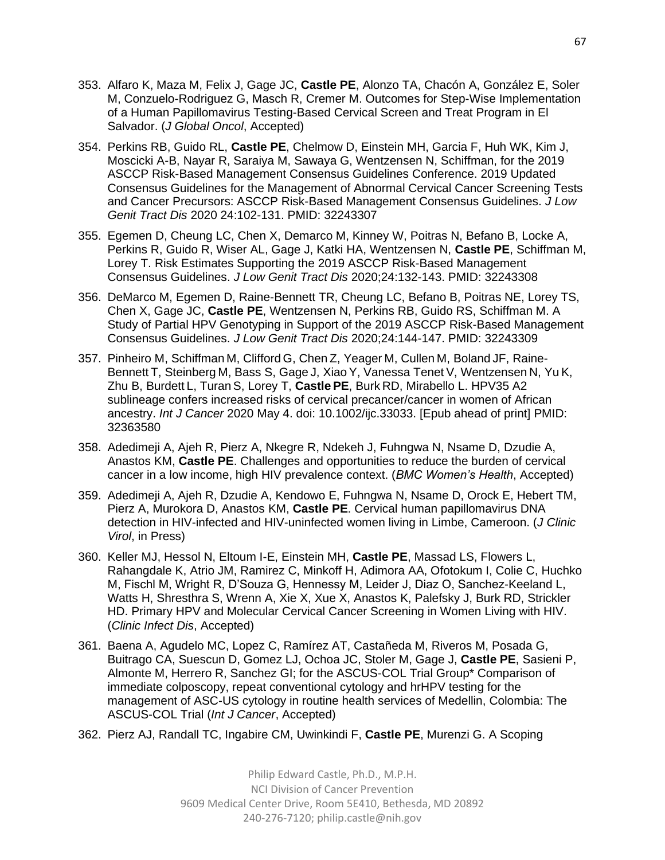- 353. Alfaro K, Maza M, Felix J, Gage JC, **Castle PE**, Alonzo TA, Chacón A, González E, Soler M, Conzuelo-Rodriguez G, Masch R, Cremer M. Outcomes for Step-Wise Implementation of a Human Papillomavirus Testing-Based Cervical Screen and Treat Program in El Salvador. (*J Global Oncol*, Accepted)
- 354. Perkins RB, Guido RL, **Castle PE**, Chelmow D, Einstein MH, Garcia F, Huh WK, Kim J, Moscicki A-B, Nayar R, Saraiya M, Sawaya G, Wentzensen N, Schiffman, for the 2019 ASCCP Risk-Based Management Consensus Guidelines Conference. 2019 Updated Consensus Guidelines for the Management of Abnormal Cervical Cancer Screening Tests and Cancer Precursors: ASCCP Risk-Based Management Consensus Guidelines. *J Low Genit Tract Dis* 2020 24:102-131. PMID: 32243307
- 355. Egemen D, Cheung LC, Chen X, Demarco M, Kinney W, Poitras N, Befano B, Locke A, Perkins R, Guido R, Wiser AL, Gage J, Katki HA, Wentzensen N, **Castle PE**, Schiffman M, Lorey T. Risk Estimates Supporting the 2019 ASCCP Risk-Based Management Consensus Guidelines. *J Low Genit Tract Dis* 2020;24:132-143. PMID: 32243308
- 356. DeMarco M, Egemen D, Raine-Bennett TR, Cheung LC, Befano B, Poitras NE, Lorey TS, Chen X, Gage JC, **Castle PE**, Wentzensen N, Perkins RB, Guido RS, Schiffman M. A Study of Partial HPV Genotyping in Support of the 2019 ASCCP Risk-Based Management Consensus Guidelines. *J Low Genit Tract Dis* 2020;24:144-147. PMID: 32243309
- 357. Pinheiro M, Schiffman M, Clifford G, Chen Z, Yeager M, Cullen M, Boland JF, Raine-Bennett T, Steinberg M, Bass S, Gage J, Xiao Y, Vanessa Tenet V, Wentzensen N, Yu K, Zhu B, Burdett L, TuranS, Lorey T, **Castle PE**, Burk RD, Mirabello L. HPV35 A2 sublineage confers increased risks of cervical precancer/cancer in women of African ancestry. *Int J Cancer* 2020 May 4. doi: 10.1002/ijc.33033. [Epub ahead of print] PMID: 32363580
- 358. Adedimeji A, Ajeh R, Pierz A, Nkegre R, Ndekeh J, Fuhngwa N, Nsame D, Dzudie A, Anastos KM, **Castle PE**. Challenges and opportunities to reduce the burden of cervical cancer in a low income, high HIV prevalence context. (*BMC Women's Health*, Accepted)
- 359. Adedimeji A, Ajeh R, Dzudie A, Kendowo E, Fuhngwa N, Nsame D, Orock E, Hebert TM, Pierz A, Murokora D, Anastos KM, **Castle PE**. Cervical human papillomavirus DNA detection in HIV-infected and HIV-uninfected women living in Limbe, Cameroon. (*J Clinic Virol*, in Press)
- 360. Keller MJ, Hessol N, Eltoum I-E, Einstein MH, **Castle PE**, Massad LS, Flowers L, Rahangdale K, Atrio JM, Ramirez C, Minkoff H, Adimora AA, Ofotokum I, Colie C, Huchko M, Fischl M, Wright R, D'Souza G, Hennessy M, Leider J, Diaz O, Sanchez-Keeland L, Watts H, Shresthra S, Wrenn A, Xie X, Xue X, Anastos K, Palefsky J, Burk RD, Strickler HD. Primary HPV and Molecular Cervical Cancer Screening in Women Living with HIV. (*Clinic Infect Dis*, Accepted)
- 361. Baena A, Agudelo MC, Lopez C, Ramírez AT, Castañeda M, Riveros M, Posada G, Buitrago CA, Suescun D, Gomez LJ, Ochoa JC, Stoler M, Gage J, **Castle PE**, Sasieni P, Almonte M, Herrero R, Sanchez GI; for the ASCUS-COL Trial Group\* Comparison of immediate colposcopy, repeat conventional cytology and hrHPV testing for the management of ASC-US cytology in routine health services of Medellin, Colombia: The ASCUS-COL Trial (*Int J Cancer*, Accepted)
- 362. Pierz AJ, Randall TC, Ingabire CM, Uwinkindi F, **Castle PE**, Murenzi G. A Scoping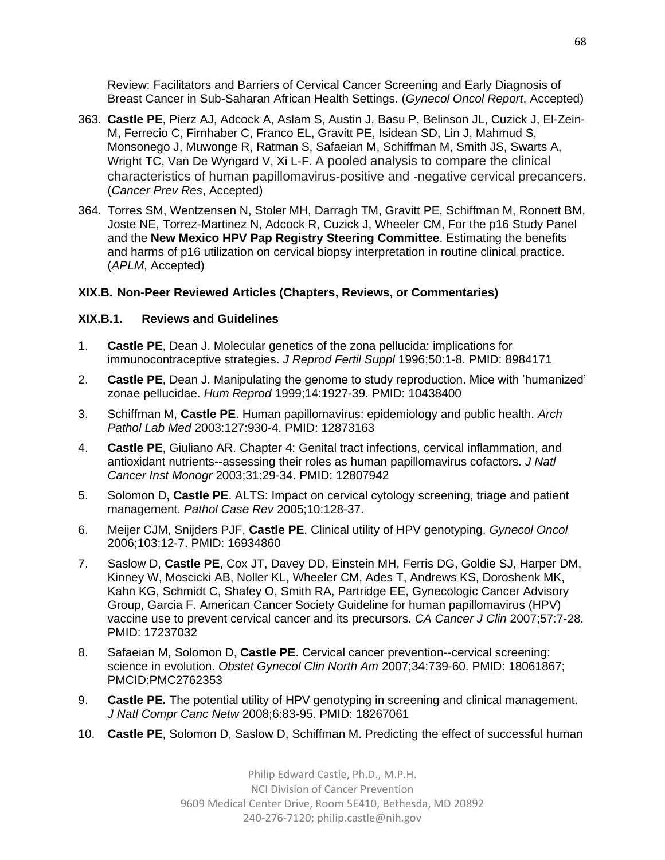Review: Facilitators and Barriers of Cervical Cancer Screening and Early Diagnosis of Breast Cancer in Sub-Saharan African Health Settings. (*Gynecol Oncol Report*, Accepted)

- 363. **Castle PE**, Pierz AJ, Adcock A, Aslam S, Austin J, Basu P, Belinson JL, Cuzick J, El-Zein-M, Ferrecio C, Firnhaber C, Franco EL, Gravitt PE, Isidean SD, Lin J, Mahmud S, Monsonego J, Muwonge R, Ratman S, Safaeian M, Schiffman M, Smith JS, Swarts A, Wright TC, Van De Wyngard V, Xi L-F. A pooled analysis to compare the clinical characteristics of human papillomavirus-positive and -negative cervical precancers. (*Cancer Prev Res*, Accepted)
- 364. Torres SM, Wentzensen N, Stoler MH, Darragh TM, Gravitt PE, Schiffman M, Ronnett BM, Joste NE, Torrez-Martinez N, Adcock R, Cuzick J, Wheeler CM, For the p16 Study Panel and the **New Mexico HPV Pap Registry Steering Committee**. Estimating the benefits and harms of p16 utilization on cervical biopsy interpretation in routine clinical practice. (*APLM*, Accepted)

## **XIX.B. Non-Peer Reviewed Articles (Chapters, Reviews, or Commentaries)**

## **XIX.B.1. Reviews and Guidelines**

- 1. **Castle PE**, Dean J. Molecular genetics of the zona pellucida: implications for immunocontraceptive strategies. *J Reprod Fertil Suppl* 1996;50:1-8. PMID: 8984171
- 2. **Castle PE**, Dean J. Manipulating the genome to study reproduction. Mice with 'humanized' zonae pellucidae. *Hum Reprod* 1999;14:1927-39. PMID: 10438400
- 3. Schiffman M, **Castle PE**. Human papillomavirus: epidemiology and public health. *Arch Pathol Lab Med* 2003:127:930-4. PMID: 12873163
- 4. **Castle PE**, Giuliano AR. Chapter 4: Genital tract infections, cervical inflammation, and antioxidant nutrients--assessing their roles as human papillomavirus cofactors. *J Natl Cancer Inst Monogr* 2003;31:29-34. PMID: 12807942
- 5. Solomon D**, Castle PE**. ALTS: Impact on cervical cytology screening, triage and patient management. *Pathol Case Rev* 2005;10:128-37.
- 6. Meijer CJM, Snijders PJF, **Castle PE**. Clinical utility of HPV genotyping. *Gynecol Oncol* 2006;103:12-7. PMID: 16934860
- 7. Saslow D, **Castle PE**, Cox JT, Davey DD, Einstein MH, Ferris DG, Goldie SJ, Harper DM, Kinney W, Moscicki AB, Noller KL, Wheeler CM, Ades T, Andrews KS, Doroshenk MK, Kahn KG, Schmidt C, Shafey O, Smith RA, Partridge EE, Gynecologic Cancer Advisory Group, Garcia F. American Cancer Society Guideline for human papillomavirus (HPV) vaccine use to prevent cervical cancer and its precursors. *CA Cancer J Clin* 2007;57:7-28. PMID: 17237032
- 8. Safaeian M, Solomon D, **Castle PE**. Cervical cancer prevention--cervical screening: science in evolution. *Obstet Gynecol Clin North Am* 2007;34:739-60. PMID: 18061867; PMCID:PMC2762353
- 9. **Castle PE.** The potential utility of HPV genotyping in screening and clinical management. *J Natl Compr Canc Netw* 2008;6:83-95. PMID: 18267061
- 10. **Castle PE**, Solomon D, Saslow D, Schiffman M. Predicting the effect of successful human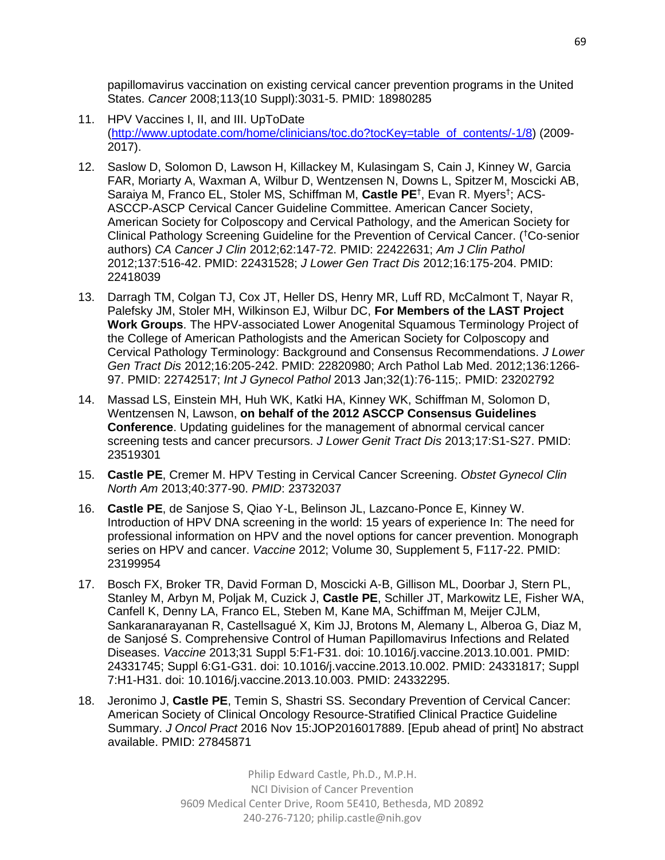papillomavirus vaccination on existing cervical cancer prevention programs in the United States. *Cancer* 2008;113(10 Suppl):3031-5. PMID: 18980285

- 11. HPV Vaccines I, II, and III. UpToDate [\(http://www.uptodate.com/home/clinicians/toc.do?tocKey=table\\_of\\_contents/-1/8\)](http://www.uptodate.com/home/clinicians/toc.do?tocKey=table_of_contents/-1/8) (2009- 2017).
- 12. Saslow D, Solomon D, Lawson H, Killackey M, Kulasingam S, Cain J, Kinney W, Garcia FAR, Moriarty A, Waxman A, Wilbur D, Wentzensen N, Downs L, Spitzer M, Moscicki AB, Saraiya M, Franco EL, Stoler MS, Schiffman M, Castle PE<sup>†</sup>, Evan R. Myers<sup>†</sup>; ACS-ASCCP-ASCP Cervical Cancer Guideline Committee. American Cancer Society, American Society for Colposcopy and Cervical Pathology, and the American Society for Clinical Pathology Screening Guideline for the Prevention of Cervical Cancer. (†Co-senior authors) *CA Cancer J Clin* 2012;62:147-72. PMID: 22422631; *Am J Clin Pathol* 2012;137:516-42. PMID: 22431528; *J Lower Gen Tract Dis* 2012;16:175-204. PMID: 22418039
- 13. Darragh TM, Colgan TJ, Cox JT, Heller DS, Henry MR, Luff RD, McCalmont T, Nayar R, Palefsky JM, Stoler MH, Wilkinson EJ, Wilbur DC, **For Members of the LAST Project Work Groups**. The HPV-associated Lower Anogenital Squamous Terminology Project of the College of American Pathologists and the American Society for Colposcopy and Cervical Pathology Terminology: Background and Consensus Recommendations. *J Lower Gen Tract Dis* 2012;16:205-242. PMID: 22820980; Arch Pathol Lab Med. 2012;136:1266- 97. PMID: 22742517; *Int J Gynecol Pathol* 2013 Jan;32(1):76-115;. PMID: 23202792
- 14. Massad LS, Einstein MH, Huh WK, Katki HA, Kinney WK, Schiffman M, Solomon D, Wentzensen N, Lawson, **on behalf of the 2012 ASCCP Consensus Guidelines Conference**. Updating guidelines for the management of abnormal cervical cancer screening tests and cancer precursors. *J Lower Genit Tract Dis* 2013;17:S1-S27. PMID: 23519301
- 15. **Castle PE**, Cremer M. HPV Testing in Cervical Cancer Screening. *Obstet Gynecol Clin North Am* 2013;40:377-90. *PMID*: 23732037
- 16. **Castle PE**, de Sanjose S, Qiao Y-L, Belinson JL, Lazcano-Ponce E, Kinney W. Introduction of HPV DNA screening in the world: 15 years of experience In: The need for professional information on HPV and the novel options for cancer prevention. Monograph series on HPV and cancer. *Vaccine* 2012; Volume 30, Supplement 5, F117-22. PMID: 23199954
- 17. Bosch FX, Broker TR, David Forman D, Moscicki A-B, Gillison ML, Doorbar J, Stern PL, Stanley M, Arbyn M, Poljak M, Cuzick J, **Castle PE**, Schiller JT, Markowitz LE, Fisher WA, Canfell K, Denny LA, Franco EL, Steben M, Kane MA, Schiffman M, Meijer CJLM, Sankaranarayanan R, Castellsagué X, Kim JJ, Brotons M, Alemany L, Alberoa G, Diaz M, de Sanjosé S. Comprehensive Control of Human Papillomavirus Infections and Related Diseases. *Vaccine* 2013;31 Suppl 5:F1-F31. doi: 10.1016/j.vaccine.2013.10.001. PMID: 24331745; Suppl 6:G1-G31. doi: 10.1016/j.vaccine.2013.10.002. PMID: 24331817; Suppl 7:H1-H31. doi: 10.1016/j.vaccine.2013.10.003. PMID: 24332295.
- 18. Jeronimo J, **Castle PE**, Temin S, Shastri SS. Secondary Prevention of Cervical Cancer: American Society of Clinical Oncology Resource-Stratified Clinical Practice Guideline Summary. *J Oncol Pract* 2016 Nov 15:JOP2016017889. [Epub ahead of print] No abstract available. PMID: 27845871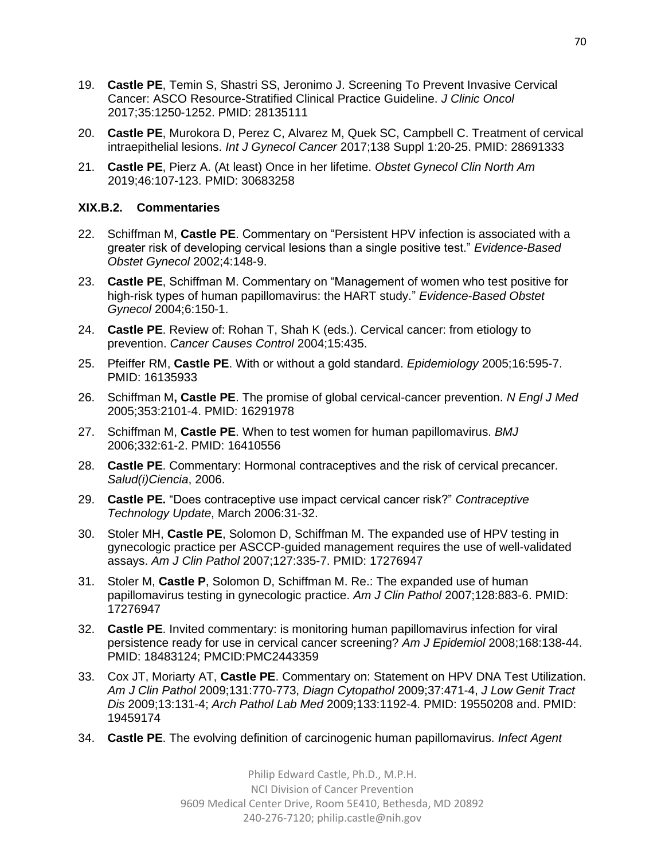- 19. **Castle PE**, Temin S, Shastri SS, Jeronimo J. Screening To Prevent Invasive Cervical Cancer: ASCO Resource-Stratified Clinical Practice Guideline. *J Clinic Oncol* 2017;35:1250-1252. PMID: 28135111
- 20. **Castle PE**, Murokora D, Perez C, Alvarez M, Quek SC, Campbell C. Treatment of cervical intraepithelial lesions. *Int J Gynecol Cancer* 2017;138 Suppl 1:20-25. PMID: 28691333
- 21. **Castle PE**, Pierz A. (At least) Once in her lifetime. *Obstet Gynecol Clin North Am* 2019;46:107-123. PMID: 30683258

## **XIX.B.2. Commentaries**

- 22. Schiffman M, **Castle PE**. Commentary on "Persistent HPV infection is associated with a greater risk of developing cervical lesions than a single positive test." *Evidence-Based Obstet Gynecol* 2002;4:148-9.
- 23. **Castle PE**, Schiffman M. Commentary on "Management of women who test positive for high-risk types of human papillomavirus: the HART study." *Evidence-Based Obstet Gynecol* 2004;6:150-1.
- 24. **Castle PE**. Review of: Rohan T, Shah K (eds.). Cervical cancer: from etiology to prevention. *Cancer Causes Control* 2004;15:435.
- 25. Pfeiffer RM, **Castle PE**. With or without a gold standard. *Epidemiology* 2005;16:595-7. PMID: 16135933
- 26. Schiffman M**, Castle PE**. The promise of global cervical-cancer prevention. *N Engl J Med* 2005;353:2101-4. PMID: 16291978
- 27. Schiffman M, **Castle PE**. When to test women for human papillomavirus. *BMJ* 2006;332:61-2. PMID: 16410556
- 28. **Castle PE**. Commentary: Hormonal contraceptives and the risk of cervical precancer. *Salud(i)Ciencia*, 2006.
- 29. **Castle PE.** "Does contraceptive use impact cervical cancer risk?" *Contraceptive Technology Update*, March 2006:31-32.
- 30. Stoler MH, **Castle PE**, Solomon D, Schiffman M. The expanded use of HPV testing in gynecologic practice per ASCCP-guided management requires the use of well-validated assays. *Am J Clin Pathol* 2007;127:335-7. PMID: 17276947
- 31. Stoler M, **Castle P**, Solomon D, Schiffman M. Re.: The expanded use of human papillomavirus testing in gynecologic practice. *Am J Clin Pathol* 2007;128:883-6. PMID: 17276947
- 32. **Castle PE**. Invited commentary: is monitoring human papillomavirus infection for viral persistence ready for use in cervical cancer screening? *Am J Epidemiol* 2008;168:138-44. PMID: 18483124; PMCID:PMC2443359
- 33. Cox JT, Moriarty AT, **Castle PE**. Commentary on: Statement on HPV DNA Test Utilization. *Am J Clin Pathol* 2009;131:770-773, *Diagn Cytopathol* 2009;37:471-4, *J Low Genit Tract Dis* 2009;13:131-4; *Arch Pathol Lab Med* 2009;133:1192-4. PMID: 19550208 and. PMID: 19459174
- 34. **Castle PE**. The evolving definition of carcinogenic human papillomavirus. *Infect Agent*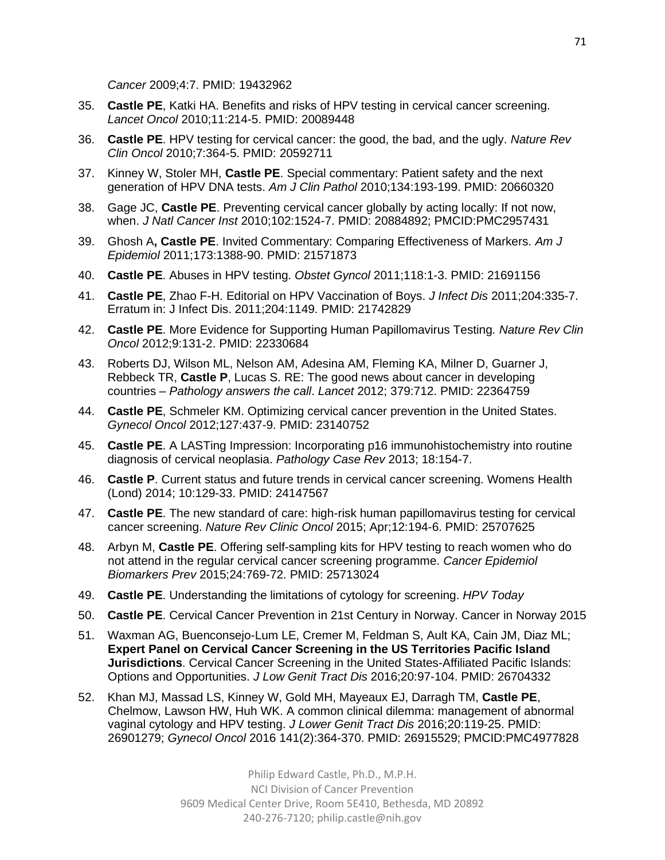*Cancer* 2009;4:7. PMID: 19432962

- 35. **Castle PE**, Katki HA. Benefits and risks of HPV testing in cervical cancer screening. *Lancet Oncol* 2010;11:214-5. PMID: 20089448
- 36. **Castle PE**. HPV testing for cervical cancer: the good, the bad, and the ugly. *Nature Rev Clin Oncol* 2010;7:364-5. PMID: 20592711
- 37. Kinney W, Stoler MH, **Castle PE**. Special commentary: Patient safety and the next generation of HPV DNA tests. *Am J Clin Pathol* 2010;134:193-199. PMID: 20660320
- 38. Gage JC, **Castle PE**. Preventing cervical cancer globally by acting locally: If not now, when. *J Natl Cancer Inst* 2010;102:1524-7. PMID: 20884892; PMCID:PMC2957431
- 39. Ghosh A**, Castle PE**. Invited Commentary: Comparing Effectiveness of Markers. *Am J Epidemiol* 2011;173:1388-90. PMID: 21571873
- 40. **Castle PE**. Abuses in HPV testing. *Obstet Gyncol* 2011;118:1-3. PMID: 21691156
- 41. **Castle PE**, Zhao F-H. Editorial on HPV Vaccination of Boys. *J Infect Dis* 2011;204:335-7. Erratum in: J Infect Dis. 2011;204:1149. PMID: 21742829
- 42. **Castle PE**. More Evidence for Supporting Human Papillomavirus Testing*. Nature Rev Clin Oncol* 2012;9:131-2. PMID: 22330684
- 43. Roberts DJ, Wilson ML, Nelson AM, Adesina AM, Fleming KA, Milner D, Guarner J, Rebbeck TR, **Castle P**, Lucas S. RE: The good news about cancer in developing countries – *Pathology answers the call*. *Lancet* 2012; 379:712. PMID: 22364759
- 44. **Castle PE**, Schmeler KM. Optimizing cervical cancer prevention in the United States. *Gynecol Oncol* 2012;127:437-9. PMID: 23140752
- 45. **Castle PE**. A LASTing Impression: Incorporating p16 immunohistochemistry into routine diagnosis of cervical neoplasia. *Pathology Case Rev* 2013; 18:154-7.
- 46. **Castle P**. Current status and future trends in cervical cancer screening. Womens Health (Lond) 2014; 10:129-33. PMID: 24147567
- 47. **Castle PE**. The new standard of care: high-risk human papillomavirus testing for cervical cancer screening. *Nature Rev Clinic Oncol* 2015; Apr;12:194-6. PMID: 25707625
- 48. Arbyn M, **Castle PE**. Offering self-sampling kits for HPV testing to reach women who do not attend in the regular cervical cancer screening programme. *Cancer Epidemiol Biomarkers Prev* 2015;24:769-72. PMID: 25713024
- 49. **Castle PE**. Understanding the limitations of cytology for screening. *HPV Today*
- 50. **Castle PE**. Cervical Cancer Prevention in 21st Century in Norway. Cancer in Norway 2015
- 51. Waxman AG, Buenconsejo-Lum LE, Cremer M, Feldman S, Ault KA, Cain JM, Diaz ML; **Expert Panel on Cervical Cancer Screening in the US Territories Pacific Island Jurisdictions**. Cervical Cancer Screening in the United States-Affiliated Pacific Islands: Options and Opportunities. *J Low Genit Tract Dis* 2016;20:97-104. PMID: 26704332
- 52. Khan MJ, Massad LS, Kinney W, Gold MH, Mayeaux EJ, Darragh TM, **Castle PE**, Chelmow, Lawson HW, Huh WK. A common clinical dilemma: management of abnormal vaginal cytology and HPV testing. *J Lower Genit Tract Dis* 2016;20:119-25. PMID: 26901279; *Gynecol Oncol* 2016 141(2):364-370. PMID: 26915529; PMCID:PMC4977828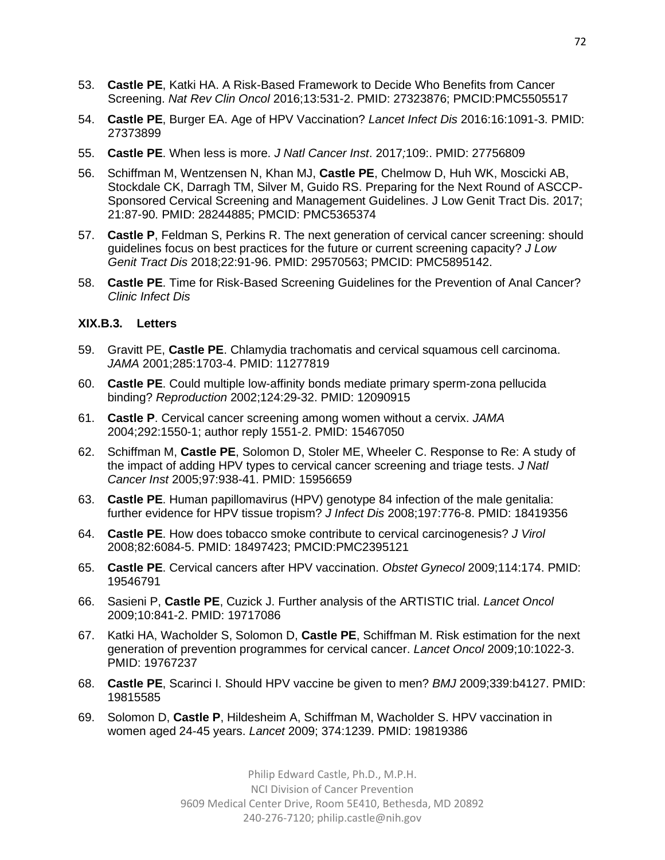- 53. **Castle PE**, Katki HA. A Risk-Based Framework to Decide Who Benefits from Cancer Screening. *Nat Rev Clin Oncol* 2016;13:531-2. PMID: 27323876; PMCID:PMC5505517
- 54. **Castle PE**, Burger EA. Age of HPV Vaccination? *Lancet Infect Dis* 2016:16:1091-3. PMID: 27373899
- 55. **Castle PE**. When less is more. *J Natl Cancer Inst*. 2017*;*109:. PMID: 27756809
- 56. Schiffman M, Wentzensen N, Khan MJ, **Castle PE**, Chelmow D, Huh WK, Moscicki AB, Stockdale CK, Darragh TM, Silver M, Guido RS. Preparing for the Next Round of ASCCP-Sponsored Cervical Screening and Management Guidelines. J Low Genit Tract Dis. 2017; 21:87-90. PMID: 28244885; PMCID: PMC5365374
- 57. **Castle P**, Feldman S, Perkins R. The next generation of cervical cancer screening: should guidelines focus on best practices for the future or current screening capacity? *J Low Genit Tract Dis* 2018;22:91-96. PMID: 29570563; PMCID: PMC5895142.
- 58. **Castle PE**. Time for Risk-Based Screening Guidelines for the Prevention of Anal Cancer? *Clinic Infect Dis*

## **XIX.B.3. Letters**

- 59. Gravitt PE, **Castle PE**. Chlamydia trachomatis and cervical squamous cell carcinoma. *JAMA* 2001;285:1703-4. PMID: 11277819
- 60. **Castle PE**. Could multiple low-affinity bonds mediate primary sperm-zona pellucida binding? *Reproduction* 2002;124:29-32. PMID: 12090915
- 61. **Castle P**. Cervical cancer screening among women without a cervix. *JAMA* 2004;292:1550-1; author reply 1551-2. PMID: 15467050
- 62. Schiffman M, **Castle PE**, Solomon D, Stoler ME, Wheeler C. Response to Re: A study of the impact of adding HPV types to cervical cancer screening and triage tests. *J Natl Cancer Inst* 2005;97:938-41. PMID: 15956659
- 63. **Castle PE**. Human papillomavirus (HPV) genotype 84 infection of the male genitalia: further evidence for HPV tissue tropism? *J Infect Dis* 2008;197:776-8. PMID: 18419356
- 64. **Castle PE**. How does tobacco smoke contribute to cervical carcinogenesis? *J Virol* 2008;82:6084-5. PMID: 18497423; PMCID:PMC2395121
- 65. **Castle PE**. Cervical cancers after HPV vaccination. *Obstet Gynecol* 2009;114:174. PMID: 19546791
- 66. Sasieni P, **Castle PE**, Cuzick J. Further analysis of the ARTISTIC trial. *Lancet Oncol* 2009;10:841-2. PMID: 19717086
- 67. Katki HA, Wacholder S, Solomon D, **Castle PE**, Schiffman M. Risk estimation for the next generation of prevention programmes for cervical cancer. *Lancet Oncol* 2009;10:1022-3. PMID: 19767237
- 68. **Castle PE**, Scarinci I. Should HPV vaccine be given to men? *BMJ* 2009;339:b4127. PMID: 19815585
- 69. Solomon D, **Castle P**, Hildesheim A, Schiffman M, Wacholder S. HPV vaccination in women aged 24-45 years. *Lancet* 2009; 374:1239. PMID: 19819386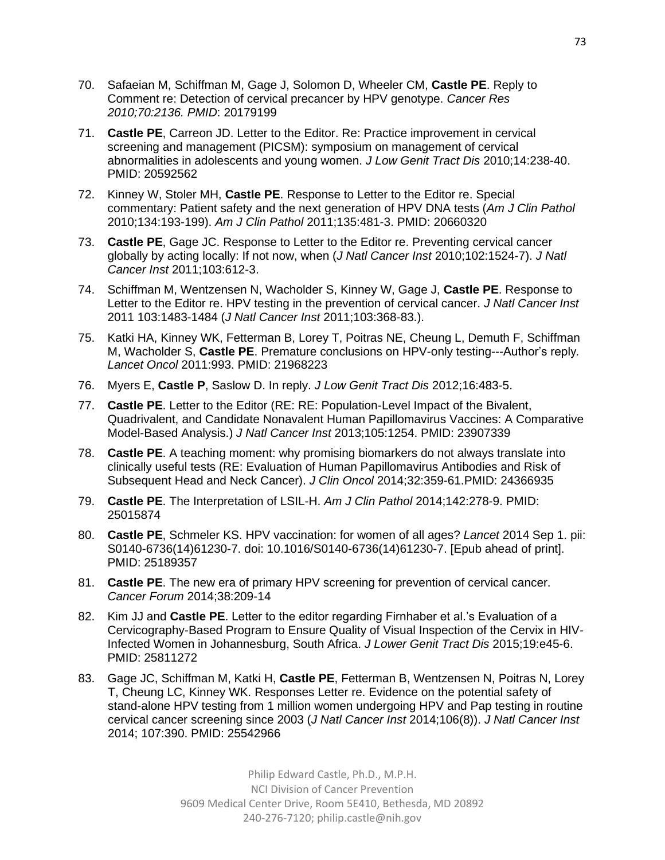- 70. Safaeian M, Schiffman M, Gage J, Solomon D, Wheeler CM, **Castle PE**. Reply to Comment re: Detection of cervical precancer by HPV genotype. *Cancer Res 2010;70:2136. PMID*: 20179199
- 71. **Castle PE**, Carreon JD. Letter to the Editor. Re: Practice improvement in cervical screening and management (PICSM): symposium on management of cervical abnormalities in adolescents and young women. *J Low Genit Tract Dis* 2010;14:238-40. PMID: 20592562
- 72. Kinney W, Stoler MH, **Castle PE**. Response to Letter to the Editor re. Special commentary: Patient safety and the next generation of HPV DNA tests (*Am J Clin Pathol* 2010;134:193-199). *Am J Clin Pathol* 2011;135:481-3. PMID: 20660320
- 73. **Castle PE**, Gage JC. Response to Letter to the Editor re. Preventing cervical cancer globally by acting locally: If not now, when (*J Natl Cancer Inst* 2010;102:1524-7). *J Natl Cancer Inst* 2011;103:612-3.
- 74. Schiffman M, Wentzensen N, Wacholder S, Kinney W, Gage J, **Castle PE**. Response to Letter to the Editor re. HPV testing in the prevention of cervical cancer. *J Natl Cancer Inst* 2011 103:1483-1484 (*J Natl Cancer Inst* 2011;103:368-83.).
- 75. Katki HA, Kinney WK, Fetterman B, Lorey T, Poitras NE, Cheung L, Demuth F, Schiffman M, Wacholder S, **Castle PE**. Premature conclusions on HPV-only testing---Author's reply*. Lancet Oncol* 2011:993. PMID: 21968223
- 76. Myers E, **Castle P**, Saslow D. In reply. *J Low Genit Tract Dis* 2012;16:483-5.
- 77. **Castle PE**. Letter to the Editor (RE: RE: Population-Level Impact of the Bivalent, Quadrivalent, and Candidate Nonavalent Human Papillomavirus Vaccines: A Comparative Model-Based Analysis.) *J Natl Cancer Inst* 2013;105:1254. PMID: 23907339
- 78. **Castle PE**. A teaching moment: why promising biomarkers do not always translate into clinically useful tests (RE: Evaluation of Human Papillomavirus Antibodies and Risk of Subsequent Head and Neck Cancer). *J Clin Oncol* 2014;32:359-61.PMID: 24366935
- 79. **Castle PE**. The Interpretation of LSIL-H. *Am J Clin Pathol* 2014;142:278-9. PMID: 25015874
- 80. **Castle PE**, Schmeler KS. HPV vaccination: for women of all ages? *Lancet* 2014 Sep 1. pii: S0140-6736(14)61230-7. doi: 10.1016/S0140-6736(14)61230-7. [Epub ahead of print]. PMID: 25189357
- 81. **Castle PE**. The new era of primary HPV screening for prevention of cervical cancer. *Cancer Forum* 2014;38:209-14
- 82. Kim JJ and **Castle PE**. Letter to the editor regarding Firnhaber et al.'s Evaluation of a Cervicography-Based Program to Ensure Quality of Visual Inspection of the Cervix in HIV-Infected Women in Johannesburg, South Africa. *J Lower Genit Tract Dis* 2015;19:e45-6. PMID: 25811272
- 83. Gage JC, Schiffman M, Katki H, **Castle PE**, Fetterman B, Wentzensen N, Poitras N, Lorey T, Cheung LC, Kinney WK. Responses Letter re. Evidence on the potential safety of stand-alone HPV testing from 1 million women undergoing HPV and Pap testing in routine cervical cancer screening since 2003 (*J Natl Cancer Inst* 2014;106(8)). *J Natl Cancer Inst* 2014; 107:390. PMID: 25542966

Philip Edward Castle, Ph.D., M.P.H. NCI Division of Cancer Prevention 9609 Medical Center Drive, Room 5E410, Bethesda, MD 20892 240-276-7120; [philip.castle@nih.gov](mailto:philip.castle@nih.gov)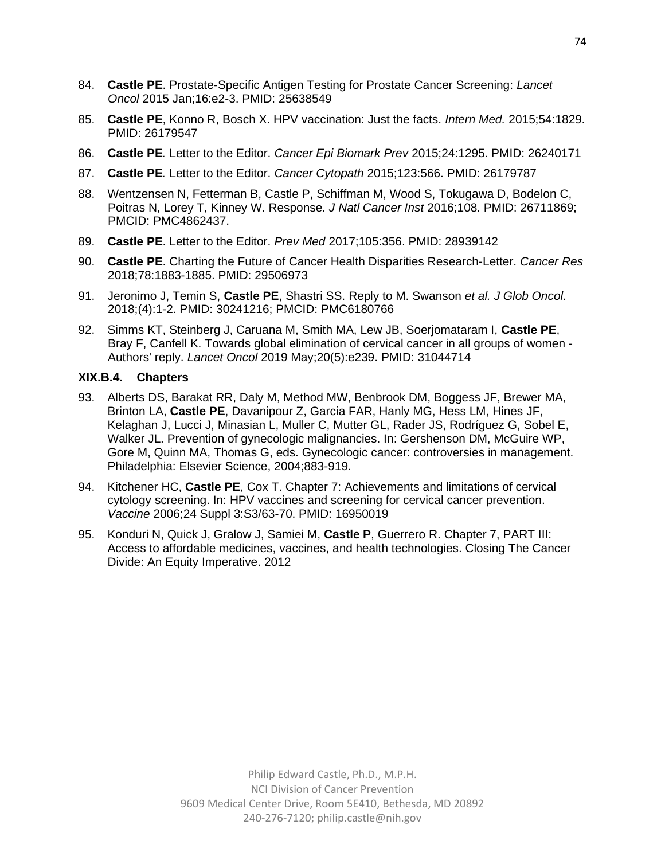- 84. **Castle PE**. Prostate-Specific Antigen Testing for Prostate Cancer Screening: *Lancet Oncol* 2015 Jan;16:e2-3. PMID: 25638549
- 85. **Castle PE**, Konno R, Bosch X. HPV vaccination: Just the facts. *Intern Med.* 2015;54:1829. PMID: 26179547
- 86. **Castle PE***.* Letter to the Editor. *Cancer Epi Biomark Prev* 2015;24:1295. PMID: 26240171
- 87. **Castle PE***.* Letter to the Editor. *Cancer Cytopath* 2015;123:566. PMID: 26179787
- 88. Wentzensen N, Fetterman B, Castle P, Schiffman M, Wood S, Tokugawa D, Bodelon C, Poitras N, Lorey T, Kinney W. Response. *J Natl Cancer Inst* 2016;108. PMID: 26711869; PMCID: PMC4862437.
- 89. **Castle PE**. Letter to the Editor. *Prev Med* 2017;105:356. PMID: 28939142
- 90. **Castle PE**. Charting the Future of Cancer Health Disparities Research-Letter. *Cancer Res* 2018;78:1883-1885. PMID: 29506973
- 91. Jeronimo J, Temin S, **Castle PE**, Shastri SS. Reply to M. Swanson *et al. J Glob Oncol*. 2018;(4):1-2. PMID: 30241216; PMCID: PMC6180766
- 92. Simms KT, Steinberg J, Caruana M, Smith MA, Lew JB, Soerjomataram I, **Castle PE**, Bray F, Canfell K. Towards global elimination of cervical cancer in all groups of women - Authors' reply. *Lancet Oncol* 2019 May;20(5):e239. PMID: 31044714

## **XIX.B.4. Chapters**

- 93. Alberts DS, Barakat RR, Daly M, Method MW, Benbrook DM, Boggess JF, Brewer MA, Brinton LA, **Castle PE**, Davanipour Z, Garcia FAR, Hanly MG, Hess LM, Hines JF, Kelaghan J, Lucci J, Minasian L, Muller C, Mutter GL, Rader JS, Rodríguez G, Sobel E, Walker JL. Prevention of gynecologic malignancies. In: Gershenson DM, McGuire WP, Gore M, Quinn MA, Thomas G, eds. Gynecologic cancer: controversies in management. Philadelphia: Elsevier Science, 2004;883-919.
- 94. Kitchener HC, **Castle PE**, Cox T. Chapter 7: Achievements and limitations of cervical cytology screening. In: HPV vaccines and screening for cervical cancer prevention. *Vaccine* 2006;24 Suppl 3:S3/63-70. PMID: 16950019
- 95. Konduri N, Quick J, Gralow J, Samiei M, **Castle P**, Guerrero R. Chapter 7, PART III: Access to affordable medicines, vaccines, and health technologies. Closing The Cancer Divide: An Equity Imperative. 2012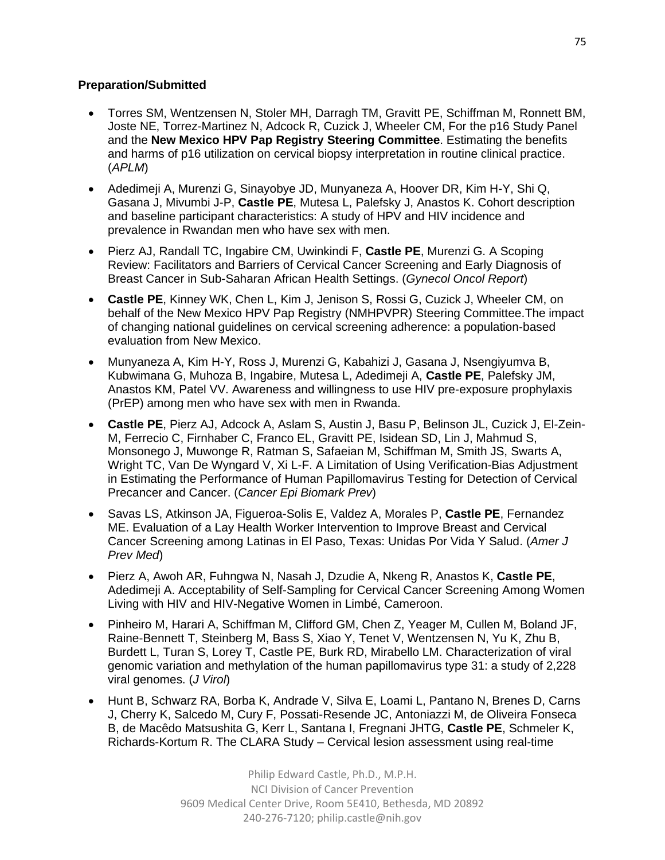## **Preparation/Submitted**

- Torres SM, Wentzensen N, Stoler MH, Darragh TM, Gravitt PE, Schiffman M, Ronnett BM, Joste NE, Torrez-Martinez N, Adcock R, Cuzick J, Wheeler CM, For the p16 Study Panel and the **New Mexico HPV Pap Registry Steering Committee**. Estimating the benefits and harms of p16 utilization on cervical biopsy interpretation in routine clinical practice. (*APLM*)
- Adedimeji A, Murenzi G, Sinayobye JD, Munyaneza A, Hoover DR, Kim H-Y, Shi Q, Gasana J, Mivumbi J-P, **Castle PE**, Mutesa L, Palefsky J, Anastos K. Cohort description and baseline participant characteristics: A study of HPV and HIV incidence and prevalence in Rwandan men who have sex with men.
- Pierz AJ, Randall TC, Ingabire CM, Uwinkindi F, **Castle PE**, Murenzi G. A Scoping Review: Facilitators and Barriers of Cervical Cancer Screening and Early Diagnosis of Breast Cancer in Sub-Saharan African Health Settings. (*Gynecol Oncol Report*)
- **Castle PE**, Kinney WK, Chen L, Kim J, Jenison S, Rossi G, Cuzick J, Wheeler CM, on behalf of the New Mexico HPV Pap Registry (NMHPVPR) Steering Committee.The impact of changing national guidelines on cervical screening adherence: a population-based evaluation from New Mexico.
- Munyaneza A, Kim H-Y, Ross J, Murenzi G, Kabahizi J, Gasana J, Nsengiyumva B, Kubwimana G, Muhoza B, Ingabire, Mutesa L, Adedimeji A, **Castle PE**, Palefsky JM, Anastos KM, Patel VV. Awareness and willingness to use HIV pre-exposure prophylaxis (PrEP) among men who have sex with men in Rwanda.
- **Castle PE**, Pierz AJ, Adcock A, Aslam S, Austin J, Basu P, Belinson JL, Cuzick J, El-Zein-M, Ferrecio C, Firnhaber C, Franco EL, Gravitt PE, Isidean SD, Lin J, Mahmud S, Monsonego J, Muwonge R, Ratman S, Safaeian M, Schiffman M, Smith JS, Swarts A, Wright TC, Van De Wyngard V, Xi L-F. A Limitation of Using Verification-Bias Adjustment in Estimating the Performance of Human Papillomavirus Testing for Detection of Cervical Precancer and Cancer. (*Cancer Epi Biomark Prev*)
- Savas LS, Atkinson JA, Figueroa-Solis E, Valdez A, Morales P, **Castle PE**, Fernandez ME. Evaluation of a Lay Health Worker Intervention to Improve Breast and Cervical Cancer Screening among Latinas in El Paso, Texas: Unidas Por Vida Y Salud. (*Amer J Prev Med*)
- Pierz A, Awoh AR, Fuhngwa N, Nasah J, Dzudie A, Nkeng R, Anastos K, **Castle PE**, Adedimeji A. Acceptability of Self-Sampling for Cervical Cancer Screening Among Women Living with HIV and HIV-Negative Women in Limbé, Cameroon.
- Pinheiro M, Harari A, Schiffman M, Clifford GM, Chen Z, Yeager M, Cullen M, Boland JF, Raine-Bennett T, Steinberg M, Bass S, Xiao Y, Tenet V, Wentzensen N, Yu K, Zhu B, Burdett L, Turan S, Lorey T, Castle PE, Burk RD, Mirabello LM. Characterization of viral genomic variation and methylation of the human papillomavirus type 31: a study of 2,228 viral genomes. (*J Virol*)
- Hunt B, Schwarz RA, Borba K, Andrade V, Silva E, Loami L, Pantano N, Brenes D, Carns J, Cherry K, Salcedo M, Cury F, Possati-Resende JC, Antoniazzi M, de Oliveira Fonseca B, de Macêdo Matsushita G, Kerr L, Santana I, Fregnani JHTG, **Castle PE**, Schmeler K, Richards-Kortum R. The CLARA Study – Cervical lesion assessment using real-time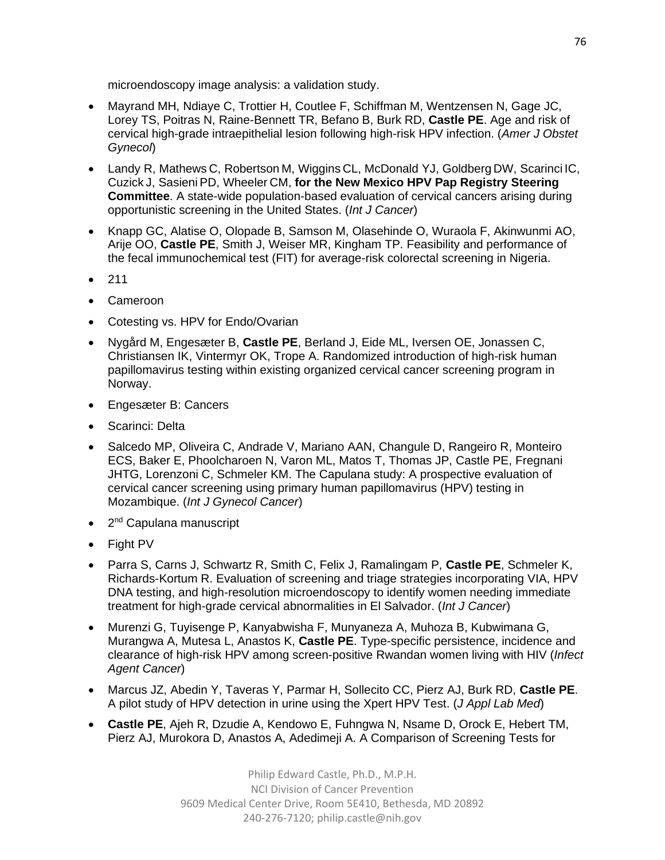microendoscopy image analysis: a validation study.

- Mayrand MH, Ndiaye C, Trottier H, Coutlee F, Schiffman M, Wentzensen N, Gage JC, Lorey TS, Poitras N, Raine-Bennett TR, Befano B, Burk RD, **Castle PE**. Age and risk of cervical high-grade intraepithelial lesion following high-risk HPV infection. (*Amer J Obstet Gynecol*)
- Landy R, Mathews C, Robertson M, Wiggins CL, McDonald YJ, Goldberg DW, Scarinci IC, Cuzick J, Sasieni PD, Wheeler CM, **for the New Mexico HPV Pap Registry Steering Committee**. A state-wide population-based evaluation of cervical cancers arising during opportunistic screening in the United States. (*Int J Cancer*)
- Knapp GC, Alatise O, Olopade B, Samson M, Olasehinde O, Wuraola F, Akinwunmi AO, Arije OO, **Castle PE**, Smith J, Weiser MR, Kingham TP. Feasibility and performance of the fecal immunochemical test (FIT) for average-risk colorectal screening in Nigeria.
- 211
- Cameroon
- Cotesting vs. HPV for Endo/Ovarian
- Nygård M, Engesæter B, **Castle PE**, Berland J, Eide ML, Iversen OE, Jonassen C, Christiansen IK, Vintermyr OK, Trope A. Randomized introduction of high-risk human papillomavirus testing within existing organized cervical cancer screening program in Norway.
- Engesæter B: Cancers
- Scarinci: Delta
- Salcedo MP, Oliveira C, Andrade V, Mariano AAN, Changule D, Rangeiro R, Monteiro ECS, Baker E, Phoolcharoen N, Varon ML, Matos T, Thomas JP, Castle PE, Fregnani JHTG, Lorenzoni C, Schmeler KM. The Capulana study: A prospective evaluation of cervical cancer screening using primary human papillomavirus (HPV) testing in Mozambique. (*Int J Gynecol Cancer*)
- 2<sup>nd</sup> Capulana manuscript
- Fight PV
- Parra S, Carns J, Schwartz R, Smith C, Felix J, Ramalingam P, **Castle PE**, Schmeler K, Richards-Kortum R. Evaluation of screening and triage strategies incorporating VIA, HPV DNA testing, and high-resolution microendoscopy to identify women needing immediate treatment for high-grade cervical abnormalities in El Salvador. (*Int J Cancer*)
- Murenzi G, Tuyisenge P, Kanyabwisha F, Munyaneza A, Muhoza B, Kubwimana G, Murangwa A, Mutesa L, Anastos K, **Castle PE**. Type-specific persistence, incidence and clearance of high-risk HPV among screen-positive Rwandan women living with HIV (*Infect Agent Cancer*)
- Marcus JZ, Abedin Y, Taveras Y, Parmar H, Sollecito CC, Pierz AJ, Burk RD, **Castle PE**. A pilot study of HPV detection in urine using the Xpert HPV Test. (*J Appl Lab Med*)
- **Castle PE**, Ajeh R, Dzudie A, Kendowo E, Fuhngwa N, Nsame D, Orock E, Hebert TM, Pierz AJ, Murokora D, Anastos A, Adedimeji A. A Comparison of Screening Tests for

Philip Edward Castle, Ph.D., M.P.H. NCI Division of Cancer Prevention 9609 Medical Center Drive, Room 5E410, Bethesda, MD 20892 240-276-7120; [philip.castle@nih.gov](mailto:philip.castle@nih.gov)